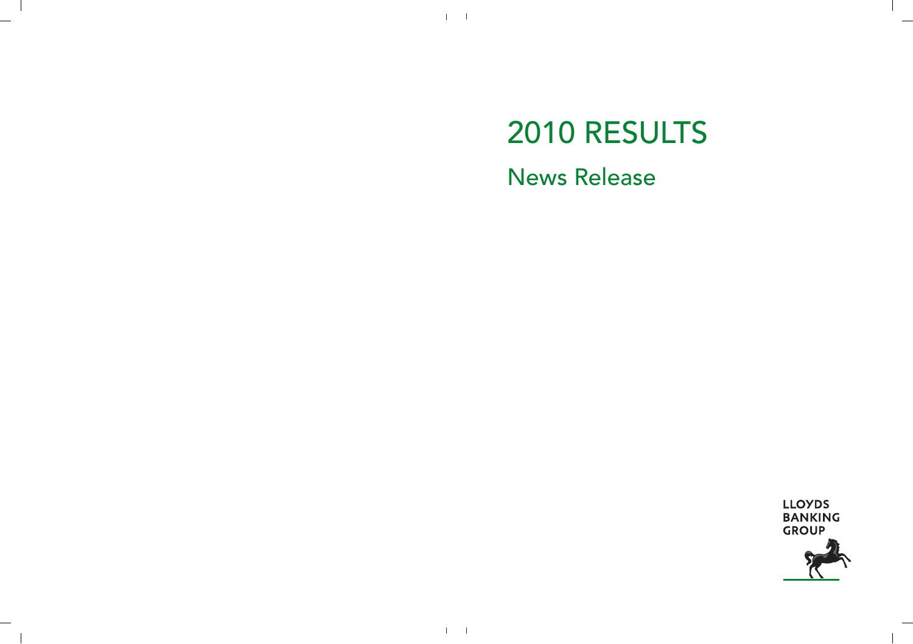# 2010 RESULTS News Release

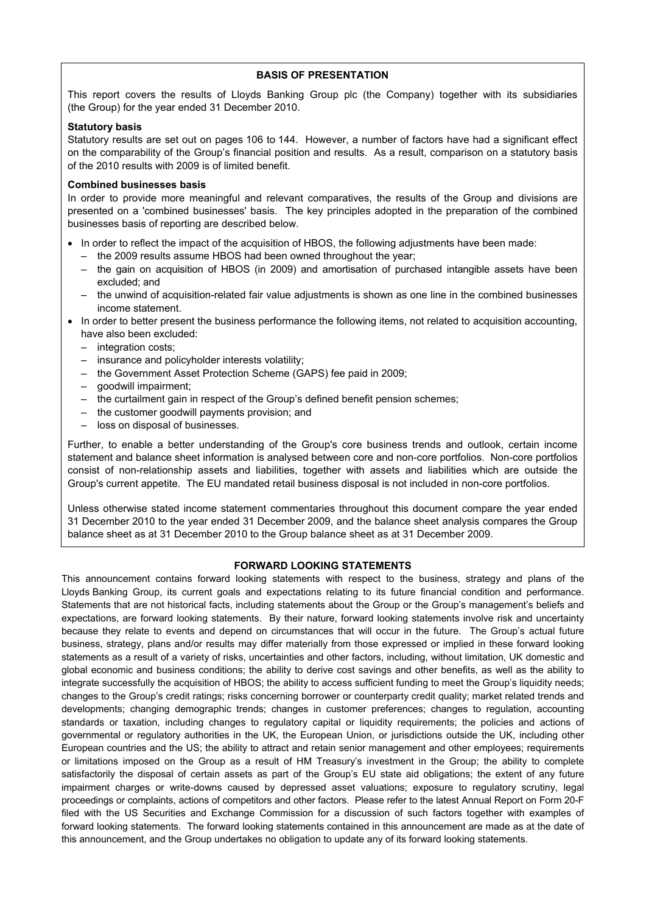## **BASIS OF PRESENTATION**

This report covers the results of Lloyds Banking Group plc (the Company) together with its subsidiaries (the Group) for the year ended 31 December 2010.

#### **Statutory basis**

Statutory results are set out on pages 106 to 144. However, a number of factors have had a significant effect on the comparability of the Group's financial position and results. As a result, comparison on a statutory basis of the 2010 results with 2009 is of limited benefit.

#### **Combined businesses basis**

In order to provide more meaningful and relevant comparatives, the results of the Group and divisions are presented on a 'combined businesses' basis. The key principles adopted in the preparation of the combined businesses basis of reporting are described below.

- In order to reflect the impact of the acquisition of HBOS, the following adjustments have been made:
	- the 2009 results assume HBOS had been owned throughout the year;
	- the gain on acquisition of HBOS (in 2009) and amortisation of purchased intangible assets have been excluded; and
	- the unwind of acquisition-related fair value adjustments is shown as one line in the combined businesses income statement.
- In order to better present the business performance the following items, not related to acquisition accounting, have also been excluded:
	- integration costs;
	- insurance and policyholder interests volatility;
	- the Government Asset Protection Scheme (GAPS) fee paid in 2009;
	- goodwill impairment;
	- the curtailment gain in respect of the Group's defined benefit pension schemes;
	- the customer goodwill payments provision; and
	- loss on disposal of businesses.

Further, to enable a better understanding of the Group's core business trends and outlook, certain income statement and balance sheet information is analysed between core and non-core portfolios. Non-core portfolios consist of non-relationship assets and liabilities, together with assets and liabilities which are outside the Group's current appetite. The EU mandated retail business disposal is not included in non-core portfolios.

Unless otherwise stated income statement commentaries throughout this document compare the year ended 31 December 2010 to the year ended 31 December 2009, and the balance sheet analysis compares the Group balance sheet as at 31 December 2010 to the Group balance sheet as at 31 December 2009.

#### **FORWARD LOOKING STATEMENTS**

This announcement contains forward looking statements with respect to the business, strategy and plans of the Lloyds Banking Group, its current goals and expectations relating to its future financial condition and performance. Statements that are not historical facts, including statements about the Group or the Group's management's beliefs and expectations, are forward looking statements. By their nature, forward looking statements involve risk and uncertainty because they relate to events and depend on circumstances that will occur in the future. The Group's actual future business, strategy, plans and/or results may differ materially from those expressed or implied in these forward looking statements as a result of a variety of risks, uncertainties and other factors, including, without limitation, UK domestic and global economic and business conditions; the ability to derive cost savings and other benefits, as well as the ability to integrate successfully the acquisition of HBOS; the ability to access sufficient funding to meet the Group's liquidity needs; changes to the Group's credit ratings; risks concerning borrower or counterparty credit quality; market related trends and developments; changing demographic trends; changes in customer preferences; changes to regulation, accounting standards or taxation, including changes to regulatory capital or liquidity requirements; the policies and actions of governmental or regulatory authorities in the UK, the European Union, or jurisdictions outside the UK, including other European countries and the US; the ability to attract and retain senior management and other employees; requirements or limitations imposed on the Group as a result of HM Treasury's investment in the Group; the ability to complete satisfactorily the disposal of certain assets as part of the Group's EU state aid obligations; the extent of any future impairment charges or write-downs caused by depressed asset valuations; exposure to regulatory scrutiny, legal proceedings or complaints, actions of competitors and other factors. Please refer to the latest Annual Report on Form 20-F filed with the US Securities and Exchange Commission for a discussion of such factors together with examples of forward looking statements. The forward looking statements contained in this announcement are made as at the date of this announcement, and the Group undertakes no obligation to update any of its forward looking statements.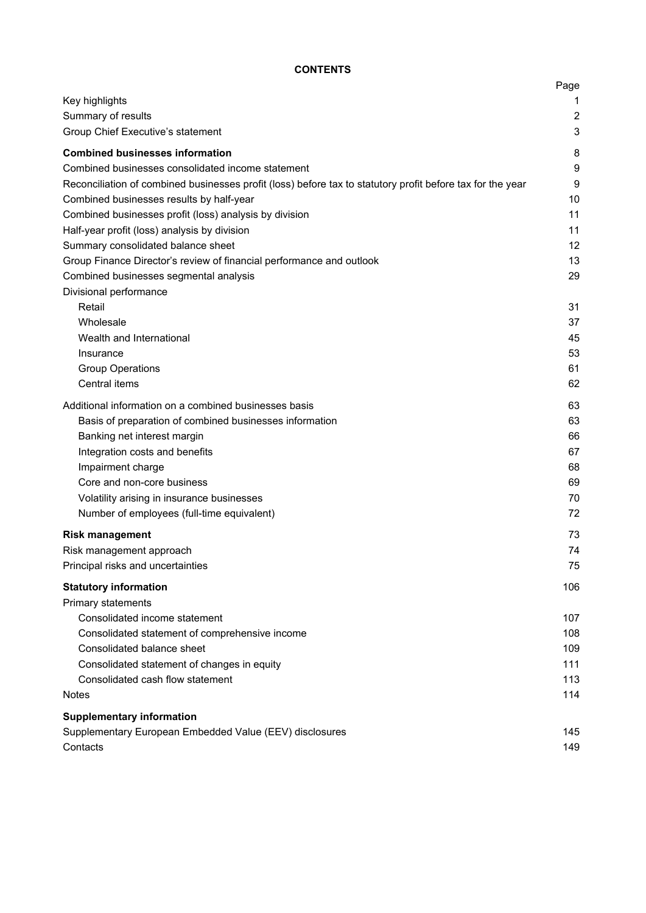## **CONTENTS**

|                                                                                                            | Page |
|------------------------------------------------------------------------------------------------------------|------|
| Key highlights                                                                                             | 1    |
| Summary of results                                                                                         | 2    |
| Group Chief Executive's statement                                                                          | 3    |
| <b>Combined businesses information</b>                                                                     | 8    |
| Combined businesses consolidated income statement                                                          | 9    |
| Reconciliation of combined businesses profit (loss) before tax to statutory profit before tax for the year | 9    |
| Combined businesses results by half-year                                                                   | 10   |
| Combined businesses profit (loss) analysis by division                                                     | 11   |
| Half-year profit (loss) analysis by division                                                               | 11   |
| Summary consolidated balance sheet                                                                         | 12   |
| Group Finance Director's review of financial performance and outlook                                       | 13   |
| Combined businesses segmental analysis                                                                     | 29   |
| Divisional performance                                                                                     |      |
| Retail                                                                                                     | 31   |
| Wholesale                                                                                                  | 37   |
| Wealth and International                                                                                   | 45   |
| Insurance                                                                                                  | 53   |
| <b>Group Operations</b>                                                                                    | 61   |
| Central items                                                                                              | 62   |
| Additional information on a combined businesses basis                                                      | 63   |
| Basis of preparation of combined businesses information                                                    | 63   |
| Banking net interest margin                                                                                | 66   |
| Integration costs and benefits                                                                             | 67   |
| Impairment charge                                                                                          | 68   |
| Core and non-core business                                                                                 | 69   |
| Volatility arising in insurance businesses                                                                 | 70   |
| Number of employees (full-time equivalent)                                                                 | 72   |
| <b>Risk management</b>                                                                                     | 73   |
| Risk management approach                                                                                   | 74   |
| Principal risks and uncertainties                                                                          | 75   |
| <b>Statutory information</b>                                                                               | 106  |
| Primary statements                                                                                         |      |
| Consolidated income statement                                                                              | 107  |
| Consolidated statement of comprehensive income                                                             | 108  |
| Consolidated balance sheet                                                                                 | 109  |
| Consolidated statement of changes in equity                                                                | 111  |
| Consolidated cash flow statement                                                                           | 113  |
| Notes                                                                                                      | 114  |
| <b>Supplementary information</b>                                                                           |      |
| Supplementary European Embedded Value (EEV) disclosures                                                    | 145  |
| Contacts                                                                                                   | 149  |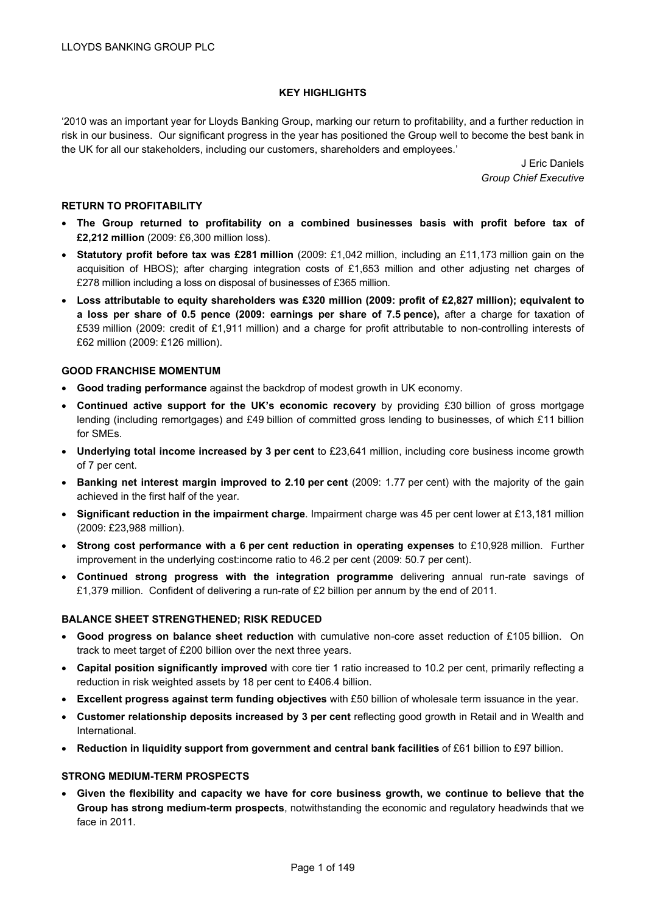## **KEY HIGHLIGHTS**

'2010 was an important year for Lloyds Banking Group, marking our return to profitability, and a further reduction in risk in our business. Our significant progress in the year has positioned the Group well to become the best bank in the UK for all our stakeholders, including our customers, shareholders and employees.'

> J Eric Daniels *Group Chief Executive*

#### **RETURN TO PROFITABILITY**

- **The Group returned to profitability on a combined businesses basis with profit before tax of £2,212 million** (2009: £6,300 million loss).
- **Statutory profit before tax was £281 million** (2009: £1,042 million, including an £11,173 million gain on the acquisition of HBOS); after charging integration costs of £1,653 million and other adjusting net charges of £278 million including a loss on disposal of businesses of £365 million.
- **Loss attributable to equity shareholders was £320 million (2009: profit of £2,827 million); equivalent to a loss per share of 0.5 pence (2009: earnings per share of 7.5 pence),** after a charge for taxation of £539 million (2009: credit of £1,911 million) and a charge for profit attributable to non-controlling interests of £62 million (2009: £126 million).

#### **GOOD FRANCHISE MOMENTUM**

- **Good trading performance** against the backdrop of modest growth in UK economy.
- **Continued active support for the UK's economic recovery** by providing £30 billion of gross mortgage lending (including remortgages) and £49 billion of committed gross lending to businesses, of which £11 billion for SMEs.
- **Underlying total income increased by 3 per cent** to £23,641 million, including core business income growth of 7 per cent.
- **Banking net interest margin improved to 2.10 per cent** (2009: 1.77 per cent) with the majority of the gain achieved in the first half of the year.
- **Significant reduction in the impairment charge**. Impairment charge was 45 per cent lower at £13,181 million (2009: £23,988 million).
- **Strong cost performance with a 6 per cent reduction in operating expenses** to £10,928 million. Further improvement in the underlying cost:income ratio to 46.2 per cent (2009: 50.7 per cent).
- **Continued strong progress with the integration programme** delivering annual run-rate savings of £1,379 million. Confident of delivering a run-rate of £2 billion per annum by the end of 2011.

#### **BALANCE SHEET STRENGTHENED; RISK REDUCED**

- **Good progress on balance sheet reduction** with cumulative non-core asset reduction of £105 billion. On track to meet target of £200 billion over the next three years.
- **Capital position significantly improved** with core tier 1 ratio increased to 10.2 per cent, primarily reflecting a reduction in risk weighted assets by 18 per cent to £406.4 billion.
- **Excellent progress against term funding objectives** with £50 billion of wholesale term issuance in the year.
- **Customer relationship deposits increased by 3 per cent** reflecting good growth in Retail and in Wealth and International.
- **Reduction in liquidity support from government and central bank facilities** of £61 billion to £97 billion.

#### **STRONG MEDIUM-TERM PROSPECTS**

 **Given the flexibility and capacity we have for core business growth, we continue to believe that the Group has strong medium-term prospects**, notwithstanding the economic and regulatory headwinds that we face in 2011.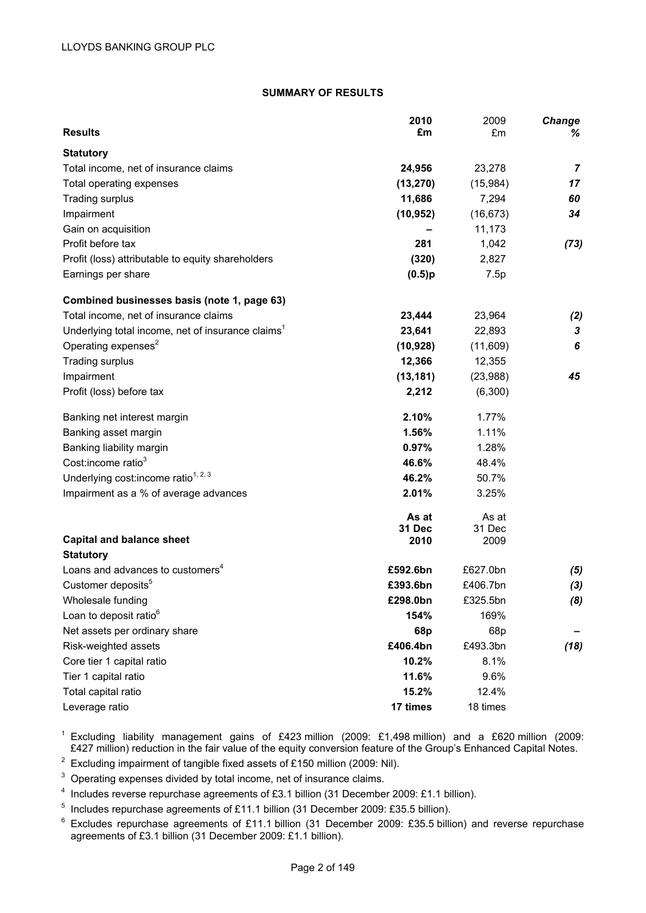#### **SUMMARY OF RESULTS**

| <b>Results</b><br>£m<br>£m<br>℅<br><b>Statutory</b><br>Total income, net of insurance claims<br>24,956<br>23,278<br>$\overline{7}$<br>Total operating expenses<br>(13, 270)<br>(15,984)<br>17<br>11,686<br>Trading surplus<br>7,294<br>60<br>Impairment<br>(10, 952)<br>(16, 673)<br>34<br>Gain on acquisition<br>11,173<br>Profit before tax<br>281<br>1,042<br>(73)<br>Profit (loss) attributable to equity shareholders<br>(320)<br>2,827<br>Earnings per share<br>(0.5)p<br>7.5p<br>Combined businesses basis (note 1, page 63)<br>Total income, net of insurance claims<br>23,444<br>23,964<br>(2)<br>Underlying total income, net of insurance claims <sup>1</sup><br>$\boldsymbol{3}$<br>23,641<br>22,893<br>Operating expenses <sup>2</sup><br>6<br>(10, 928)<br>(11,609)<br><b>Trading surplus</b><br>12,366<br>12,355<br>45<br>Impairment<br>(13, 181)<br>(23,988)<br>Profit (loss) before tax<br>2,212<br>(6,300)<br>2.10%<br>1.77%<br>Banking net interest margin<br>1.56%<br>1.11%<br>Banking asset margin<br>Banking liability margin<br>0.97%<br>1.28%<br>Cost:income ratio <sup>3</sup><br>46.6%<br>48.4%<br>Underlying cost: income ratio <sup>1, 2, 3</sup><br>46.2%<br>50.7%<br>Impairment as a % of average advances<br>2.01%<br>3.25%<br>As at<br>As at<br>31 Dec<br>31 Dec<br><b>Capital and balance sheet</b><br>2010<br>2009<br><b>Statutory</b><br>Loans and advances to customers <sup>4</sup><br>£592.6bn<br>£627.0bn<br>(5)<br>Customer deposits <sup>5</sup><br>£393.6bn<br>£406.7bn<br>$(3)$<br>Wholesale funding<br>£298.0bn<br>£325.5bn<br>(8)<br>Loan to deposit ratio <sup>6</sup><br>169%<br>154%<br>Net assets per ordinary share<br>68p<br>68p<br>Risk-weighted assets<br>£406.4bn<br>£493.3bn<br>(18)<br>Core tier 1 capital ratio<br>10.2%<br>8.1%<br>9.6%<br>Tier 1 capital ratio<br>11.6%<br>12.4%<br>Total capital ratio<br>15.2%<br>Leverage ratio<br>17 times<br>18 times | 2010 | 2009 | Change |
|-----------------------------------------------------------------------------------------------------------------------------------------------------------------------------------------------------------------------------------------------------------------------------------------------------------------------------------------------------------------------------------------------------------------------------------------------------------------------------------------------------------------------------------------------------------------------------------------------------------------------------------------------------------------------------------------------------------------------------------------------------------------------------------------------------------------------------------------------------------------------------------------------------------------------------------------------------------------------------------------------------------------------------------------------------------------------------------------------------------------------------------------------------------------------------------------------------------------------------------------------------------------------------------------------------------------------------------------------------------------------------------------------------------------------------------------------------------------------------------------------------------------------------------------------------------------------------------------------------------------------------------------------------------------------------------------------------------------------------------------------------------------------------------------------------------------------------------------------------------------------------------------------------------------------|------|------|--------|
|                                                                                                                                                                                                                                                                                                                                                                                                                                                                                                                                                                                                                                                                                                                                                                                                                                                                                                                                                                                                                                                                                                                                                                                                                                                                                                                                                                                                                                                                                                                                                                                                                                                                                                                                                                                                                                                                                                                       |      |      |        |
|                                                                                                                                                                                                                                                                                                                                                                                                                                                                                                                                                                                                                                                                                                                                                                                                                                                                                                                                                                                                                                                                                                                                                                                                                                                                                                                                                                                                                                                                                                                                                                                                                                                                                                                                                                                                                                                                                                                       |      |      |        |
|                                                                                                                                                                                                                                                                                                                                                                                                                                                                                                                                                                                                                                                                                                                                                                                                                                                                                                                                                                                                                                                                                                                                                                                                                                                                                                                                                                                                                                                                                                                                                                                                                                                                                                                                                                                                                                                                                                                       |      |      |        |
|                                                                                                                                                                                                                                                                                                                                                                                                                                                                                                                                                                                                                                                                                                                                                                                                                                                                                                                                                                                                                                                                                                                                                                                                                                                                                                                                                                                                                                                                                                                                                                                                                                                                                                                                                                                                                                                                                                                       |      |      |        |
|                                                                                                                                                                                                                                                                                                                                                                                                                                                                                                                                                                                                                                                                                                                                                                                                                                                                                                                                                                                                                                                                                                                                                                                                                                                                                                                                                                                                                                                                                                                                                                                                                                                                                                                                                                                                                                                                                                                       |      |      |        |
|                                                                                                                                                                                                                                                                                                                                                                                                                                                                                                                                                                                                                                                                                                                                                                                                                                                                                                                                                                                                                                                                                                                                                                                                                                                                                                                                                                                                                                                                                                                                                                                                                                                                                                                                                                                                                                                                                                                       |      |      |        |
|                                                                                                                                                                                                                                                                                                                                                                                                                                                                                                                                                                                                                                                                                                                                                                                                                                                                                                                                                                                                                                                                                                                                                                                                                                                                                                                                                                                                                                                                                                                                                                                                                                                                                                                                                                                                                                                                                                                       |      |      |        |
|                                                                                                                                                                                                                                                                                                                                                                                                                                                                                                                                                                                                                                                                                                                                                                                                                                                                                                                                                                                                                                                                                                                                                                                                                                                                                                                                                                                                                                                                                                                                                                                                                                                                                                                                                                                                                                                                                                                       |      |      |        |
|                                                                                                                                                                                                                                                                                                                                                                                                                                                                                                                                                                                                                                                                                                                                                                                                                                                                                                                                                                                                                                                                                                                                                                                                                                                                                                                                                                                                                                                                                                                                                                                                                                                                                                                                                                                                                                                                                                                       |      |      |        |
|                                                                                                                                                                                                                                                                                                                                                                                                                                                                                                                                                                                                                                                                                                                                                                                                                                                                                                                                                                                                                                                                                                                                                                                                                                                                                                                                                                                                                                                                                                                                                                                                                                                                                                                                                                                                                                                                                                                       |      |      |        |
|                                                                                                                                                                                                                                                                                                                                                                                                                                                                                                                                                                                                                                                                                                                                                                                                                                                                                                                                                                                                                                                                                                                                                                                                                                                                                                                                                                                                                                                                                                                                                                                                                                                                                                                                                                                                                                                                                                                       |      |      |        |
|                                                                                                                                                                                                                                                                                                                                                                                                                                                                                                                                                                                                                                                                                                                                                                                                                                                                                                                                                                                                                                                                                                                                                                                                                                                                                                                                                                                                                                                                                                                                                                                                                                                                                                                                                                                                                                                                                                                       |      |      |        |
|                                                                                                                                                                                                                                                                                                                                                                                                                                                                                                                                                                                                                                                                                                                                                                                                                                                                                                                                                                                                                                                                                                                                                                                                                                                                                                                                                                                                                                                                                                                                                                                                                                                                                                                                                                                                                                                                                                                       |      |      |        |
|                                                                                                                                                                                                                                                                                                                                                                                                                                                                                                                                                                                                                                                                                                                                                                                                                                                                                                                                                                                                                                                                                                                                                                                                                                                                                                                                                                                                                                                                                                                                                                                                                                                                                                                                                                                                                                                                                                                       |      |      |        |
|                                                                                                                                                                                                                                                                                                                                                                                                                                                                                                                                                                                                                                                                                                                                                                                                                                                                                                                                                                                                                                                                                                                                                                                                                                                                                                                                                                                                                                                                                                                                                                                                                                                                                                                                                                                                                                                                                                                       |      |      |        |
|                                                                                                                                                                                                                                                                                                                                                                                                                                                                                                                                                                                                                                                                                                                                                                                                                                                                                                                                                                                                                                                                                                                                                                                                                                                                                                                                                                                                                                                                                                                                                                                                                                                                                                                                                                                                                                                                                                                       |      |      |        |
|                                                                                                                                                                                                                                                                                                                                                                                                                                                                                                                                                                                                                                                                                                                                                                                                                                                                                                                                                                                                                                                                                                                                                                                                                                                                                                                                                                                                                                                                                                                                                                                                                                                                                                                                                                                                                                                                                                                       |      |      |        |
|                                                                                                                                                                                                                                                                                                                                                                                                                                                                                                                                                                                                                                                                                                                                                                                                                                                                                                                                                                                                                                                                                                                                                                                                                                                                                                                                                                                                                                                                                                                                                                                                                                                                                                                                                                                                                                                                                                                       |      |      |        |
|                                                                                                                                                                                                                                                                                                                                                                                                                                                                                                                                                                                                                                                                                                                                                                                                                                                                                                                                                                                                                                                                                                                                                                                                                                                                                                                                                                                                                                                                                                                                                                                                                                                                                                                                                                                                                                                                                                                       |      |      |        |
|                                                                                                                                                                                                                                                                                                                                                                                                                                                                                                                                                                                                                                                                                                                                                                                                                                                                                                                                                                                                                                                                                                                                                                                                                                                                                                                                                                                                                                                                                                                                                                                                                                                                                                                                                                                                                                                                                                                       |      |      |        |
|                                                                                                                                                                                                                                                                                                                                                                                                                                                                                                                                                                                                                                                                                                                                                                                                                                                                                                                                                                                                                                                                                                                                                                                                                                                                                                                                                                                                                                                                                                                                                                                                                                                                                                                                                                                                                                                                                                                       |      |      |        |
|                                                                                                                                                                                                                                                                                                                                                                                                                                                                                                                                                                                                                                                                                                                                                                                                                                                                                                                                                                                                                                                                                                                                                                                                                                                                                                                                                                                                                                                                                                                                                                                                                                                                                                                                                                                                                                                                                                                       |      |      |        |
|                                                                                                                                                                                                                                                                                                                                                                                                                                                                                                                                                                                                                                                                                                                                                                                                                                                                                                                                                                                                                                                                                                                                                                                                                                                                                                                                                                                                                                                                                                                                                                                                                                                                                                                                                                                                                                                                                                                       |      |      |        |
|                                                                                                                                                                                                                                                                                                                                                                                                                                                                                                                                                                                                                                                                                                                                                                                                                                                                                                                                                                                                                                                                                                                                                                                                                                                                                                                                                                                                                                                                                                                                                                                                                                                                                                                                                                                                                                                                                                                       |      |      |        |
|                                                                                                                                                                                                                                                                                                                                                                                                                                                                                                                                                                                                                                                                                                                                                                                                                                                                                                                                                                                                                                                                                                                                                                                                                                                                                                                                                                                                                                                                                                                                                                                                                                                                                                                                                                                                                                                                                                                       |      |      |        |
|                                                                                                                                                                                                                                                                                                                                                                                                                                                                                                                                                                                                                                                                                                                                                                                                                                                                                                                                                                                                                                                                                                                                                                                                                                                                                                                                                                                                                                                                                                                                                                                                                                                                                                                                                                                                                                                                                                                       |      |      |        |
|                                                                                                                                                                                                                                                                                                                                                                                                                                                                                                                                                                                                                                                                                                                                                                                                                                                                                                                                                                                                                                                                                                                                                                                                                                                                                                                                                                                                                                                                                                                                                                                                                                                                                                                                                                                                                                                                                                                       |      |      |        |
|                                                                                                                                                                                                                                                                                                                                                                                                                                                                                                                                                                                                                                                                                                                                                                                                                                                                                                                                                                                                                                                                                                                                                                                                                                                                                                                                                                                                                                                                                                                                                                                                                                                                                                                                                                                                                                                                                                                       |      |      |        |
|                                                                                                                                                                                                                                                                                                                                                                                                                                                                                                                                                                                                                                                                                                                                                                                                                                                                                                                                                                                                                                                                                                                                                                                                                                                                                                                                                                                                                                                                                                                                                                                                                                                                                                                                                                                                                                                                                                                       |      |      |        |
|                                                                                                                                                                                                                                                                                                                                                                                                                                                                                                                                                                                                                                                                                                                                                                                                                                                                                                                                                                                                                                                                                                                                                                                                                                                                                                                                                                                                                                                                                                                                                                                                                                                                                                                                                                                                                                                                                                                       |      |      |        |
|                                                                                                                                                                                                                                                                                                                                                                                                                                                                                                                                                                                                                                                                                                                                                                                                                                                                                                                                                                                                                                                                                                                                                                                                                                                                                                                                                                                                                                                                                                                                                                                                                                                                                                                                                                                                                                                                                                                       |      |      |        |
|                                                                                                                                                                                                                                                                                                                                                                                                                                                                                                                                                                                                                                                                                                                                                                                                                                                                                                                                                                                                                                                                                                                                                                                                                                                                                                                                                                                                                                                                                                                                                                                                                                                                                                                                                                                                                                                                                                                       |      |      |        |
|                                                                                                                                                                                                                                                                                                                                                                                                                                                                                                                                                                                                                                                                                                                                                                                                                                                                                                                                                                                                                                                                                                                                                                                                                                                                                                                                                                                                                                                                                                                                                                                                                                                                                                                                                                                                                                                                                                                       |      |      |        |
|                                                                                                                                                                                                                                                                                                                                                                                                                                                                                                                                                                                                                                                                                                                                                                                                                                                                                                                                                                                                                                                                                                                                                                                                                                                                                                                                                                                                                                                                                                                                                                                                                                                                                                                                                                                                                                                                                                                       |      |      |        |
|                                                                                                                                                                                                                                                                                                                                                                                                                                                                                                                                                                                                                                                                                                                                                                                                                                                                                                                                                                                                                                                                                                                                                                                                                                                                                                                                                                                                                                                                                                                                                                                                                                                                                                                                                                                                                                                                                                                       |      |      |        |
|                                                                                                                                                                                                                                                                                                                                                                                                                                                                                                                                                                                                                                                                                                                                                                                                                                                                                                                                                                                                                                                                                                                                                                                                                                                                                                                                                                                                                                                                                                                                                                                                                                                                                                                                                                                                                                                                                                                       |      |      |        |

<sup>1</sup> Excluding liability management gains of £423 million (2009: £1,498 million) and a £620 million (2009: £427 million) reduction in the fair value of the equity conversion feature of the Group's Enhanced Capital Notes.

<sup>2</sup> Excluding impairment of tangible fixed assets of £150 million (2009: Nil).

 $3$  Operating expenses divided by total income, net of insurance claims.

4 Includes reverse repurchase agreements of £3.1 billion (31 December 2009: £1.1 billion).

5 Includes repurchase agreements of £11.1 billion (31 December 2009: £35.5 billion).

 $6$  Excludes repurchase agreements of £11.1 billion (31 December 2009: £35.5 billion) and reverse repurchase agreements of £3.1 billion (31 December 2009: £1.1 billion).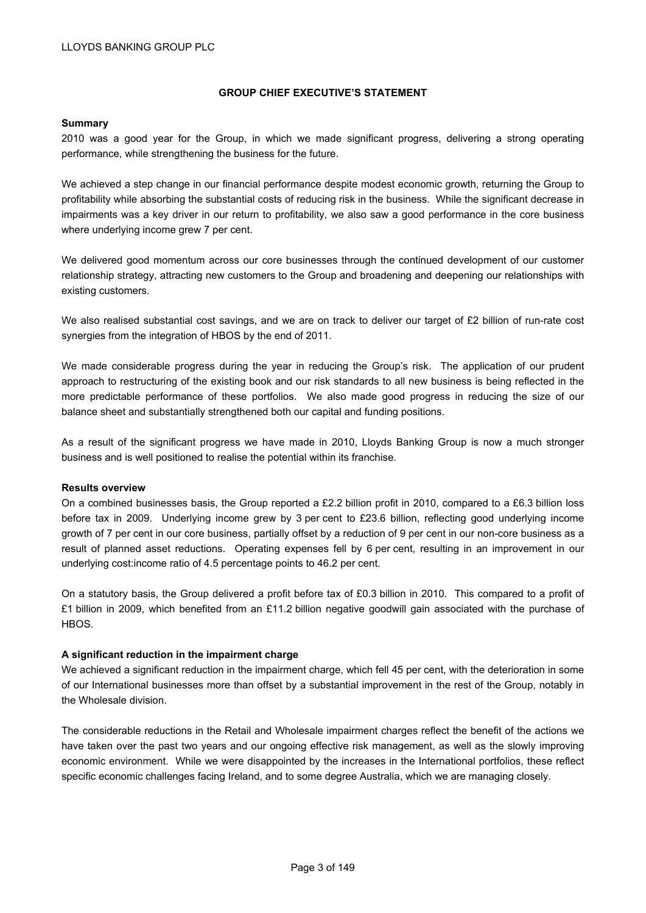#### **GROUP CHIEF EXECUTIVE'S STATEMENT**

#### **Summary**

2010 was a good year for the Group, in which we made significant progress, delivering a strong operating performance, while strengthening the business for the future.

We achieved a step change in our financial performance despite modest economic growth, returning the Group to profitability while absorbing the substantial costs of reducing risk in the business. While the significant decrease in impairments was a key driver in our return to profitability, we also saw a good performance in the core business where underlying income grew 7 per cent.

We delivered good momentum across our core businesses through the continued development of our customer relationship strategy, attracting new customers to the Group and broadening and deepening our relationships with existing customers.

We also realised substantial cost savings, and we are on track to deliver our target of £2 billion of run-rate cost synergies from the integration of HBOS by the end of 2011.

We made considerable progress during the year in reducing the Group's risk. The application of our prudent approach to restructuring of the existing book and our risk standards to all new business is being reflected in the more predictable performance of these portfolios. We also made good progress in reducing the size of our balance sheet and substantially strengthened both our capital and funding positions.

As a result of the significant progress we have made in 2010, Lloyds Banking Group is now a much stronger business and is well positioned to realise the potential within its franchise.

#### **Results overview**

On a combined businesses basis, the Group reported a £2.2 billion profit in 2010, compared to a £6.3 billion loss before tax in 2009. Underlying income grew by 3 per cent to £23.6 billion, reflecting good underlying income growth of 7 per cent in our core business, partially offset by a reduction of 9 per cent in our non-core business as a result of planned asset reductions. Operating expenses fell by 6 per cent, resulting in an improvement in our underlying cost:income ratio of 4.5 percentage points to 46.2 per cent.

On a statutory basis, the Group delivered a profit before tax of £0.3 billion in 2010. This compared to a profit of £1 billion in 2009, which benefited from an £11.2 billion negative goodwill gain associated with the purchase of HBOS.

#### **A significant reduction in the impairment charge**

We achieved a significant reduction in the impairment charge, which fell 45 per cent, with the deterioration in some of our International businesses more than offset by a substantial improvement in the rest of the Group, notably in the Wholesale division.

The considerable reductions in the Retail and Wholesale impairment charges reflect the benefit of the actions we have taken over the past two years and our ongoing effective risk management, as well as the slowly improving economic environment. While we were disappointed by the increases in the International portfolios, these reflect specific economic challenges facing Ireland, and to some degree Australia, which we are managing closely.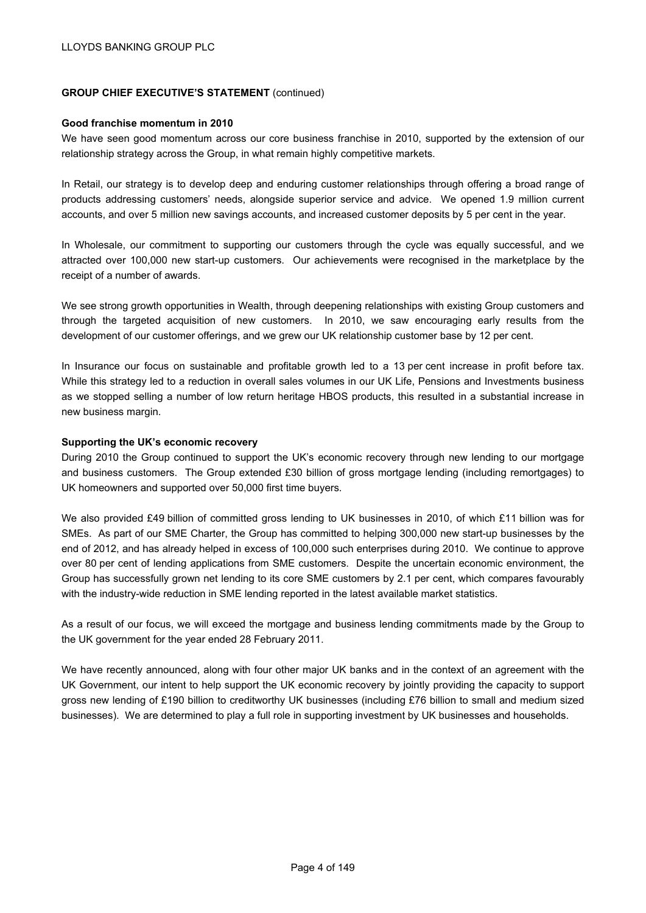#### **GROUP CHIEF EXECUTIVE'S STATEMENT** (continued)

#### **Good franchise momentum in 2010**

We have seen good momentum across our core business franchise in 2010, supported by the extension of our relationship strategy across the Group, in what remain highly competitive markets.

In Retail, our strategy is to develop deep and enduring customer relationships through offering a broad range of products addressing customers' needs, alongside superior service and advice. We opened 1.9 million current accounts, and over 5 million new savings accounts, and increased customer deposits by 5 per cent in the year.

In Wholesale, our commitment to supporting our customers through the cycle was equally successful, and we attracted over 100,000 new start-up customers. Our achievements were recognised in the marketplace by the receipt of a number of awards.

We see strong growth opportunities in Wealth, through deepening relationships with existing Group customers and through the targeted acquisition of new customers. In 2010, we saw encouraging early results from the development of our customer offerings, and we grew our UK relationship customer base by 12 per cent.

In Insurance our focus on sustainable and profitable growth led to a 13 per cent increase in profit before tax. While this strategy led to a reduction in overall sales volumes in our UK Life, Pensions and Investments business as we stopped selling a number of low return heritage HBOS products, this resulted in a substantial increase in new business margin.

#### **Supporting the UK's economic recovery**

During 2010 the Group continued to support the UK's economic recovery through new lending to our mortgage and business customers. The Group extended £30 billion of gross mortgage lending (including remortgages) to UK homeowners and supported over 50,000 first time buyers.

We also provided £49 billion of committed gross lending to UK businesses in 2010, of which £11 billion was for SMEs. As part of our SME Charter, the Group has committed to helping 300,000 new start-up businesses by the end of 2012, and has already helped in excess of 100,000 such enterprises during 2010. We continue to approve over 80 per cent of lending applications from SME customers. Despite the uncertain economic environment, the Group has successfully grown net lending to its core SME customers by 2.1 per cent, which compares favourably with the industry-wide reduction in SME lending reported in the latest available market statistics.

As a result of our focus, we will exceed the mortgage and business lending commitments made by the Group to the UK government for the year ended 28 February 2011.

We have recently announced, along with four other major UK banks and in the context of an agreement with the UK Government, our intent to help support the UK economic recovery by jointly providing the capacity to support gross new lending of £190 billion to creditworthy UK businesses (including £76 billion to small and medium sized businesses). We are determined to play a full role in supporting investment by UK businesses and households.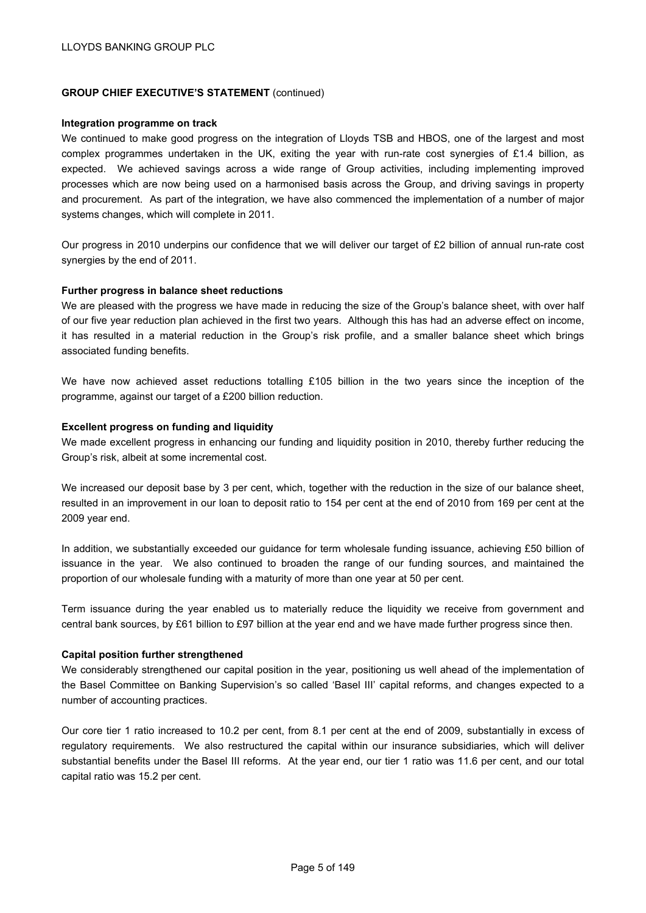#### **GROUP CHIEF EXECUTIVE'S STATEMENT** (continued)

#### **Integration programme on track**

We continued to make good progress on the integration of Lloyds TSB and HBOS, one of the largest and most complex programmes undertaken in the UK, exiting the year with run-rate cost synergies of £1.4 billion, as expected. We achieved savings across a wide range of Group activities, including implementing improved processes which are now being used on a harmonised basis across the Group, and driving savings in property and procurement. As part of the integration, we have also commenced the implementation of a number of major systems changes, which will complete in 2011.

Our progress in 2010 underpins our confidence that we will deliver our target of £2 billion of annual run-rate cost synergies by the end of 2011.

#### **Further progress in balance sheet reductions**

We are pleased with the progress we have made in reducing the size of the Group's balance sheet, with over half of our five year reduction plan achieved in the first two years. Although this has had an adverse effect on income, it has resulted in a material reduction in the Group's risk profile, and a smaller balance sheet which brings associated funding benefits.

We have now achieved asset reductions totalling £105 billion in the two years since the inception of the programme, against our target of a £200 billion reduction.

#### **Excellent progress on funding and liquidity**

We made excellent progress in enhancing our funding and liquidity position in 2010, thereby further reducing the Group's risk, albeit at some incremental cost.

We increased our deposit base by 3 per cent, which, together with the reduction in the size of our balance sheet, resulted in an improvement in our loan to deposit ratio to 154 per cent at the end of 2010 from 169 per cent at the 2009 year end.

In addition, we substantially exceeded our guidance for term wholesale funding issuance, achieving £50 billion of issuance in the year. We also continued to broaden the range of our funding sources, and maintained the proportion of our wholesale funding with a maturity of more than one year at 50 per cent.

Term issuance during the year enabled us to materially reduce the liquidity we receive from government and central bank sources, by £61 billion to £97 billion at the year end and we have made further progress since then.

#### **Capital position further strengthened**

We considerably strengthened our capital position in the year, positioning us well ahead of the implementation of the Basel Committee on Banking Supervision's so called 'Basel III' capital reforms, and changes expected to a number of accounting practices.

Our core tier 1 ratio increased to 10.2 per cent, from 8.1 per cent at the end of 2009, substantially in excess of regulatory requirements. We also restructured the capital within our insurance subsidiaries, which will deliver substantial benefits under the Basel III reforms. At the year end, our tier 1 ratio was 11.6 per cent, and our total capital ratio was 15.2 per cent.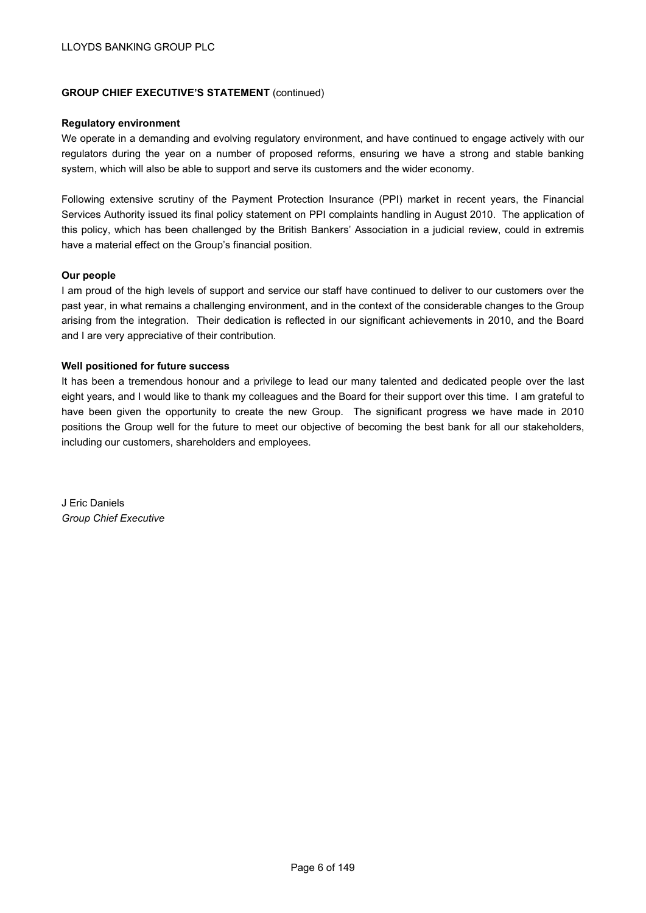#### **GROUP CHIEF EXECUTIVE'S STATEMENT** (continued)

#### **Regulatory environment**

We operate in a demanding and evolving regulatory environment, and have continued to engage actively with our regulators during the year on a number of proposed reforms, ensuring we have a strong and stable banking system, which will also be able to support and serve its customers and the wider economy.

Following extensive scrutiny of the Payment Protection Insurance (PPI) market in recent years, the Financial Services Authority issued its final policy statement on PPI complaints handling in August 2010. The application of this policy, which has been challenged by the British Bankers' Association in a judicial review, could in extremis have a material effect on the Group's financial position.

#### **Our people**

I am proud of the high levels of support and service our staff have continued to deliver to our customers over the past year, in what remains a challenging environment, and in the context of the considerable changes to the Group arising from the integration. Their dedication is reflected in our significant achievements in 2010, and the Board and I are very appreciative of their contribution.

#### **Well positioned for future success**

It has been a tremendous honour and a privilege to lead our many talented and dedicated people over the last eight years, and I would like to thank my colleagues and the Board for their support over this time. I am grateful to have been given the opportunity to create the new Group. The significant progress we have made in 2010 positions the Group well for the future to meet our objective of becoming the best bank for all our stakeholders, including our customers, shareholders and employees.

J Eric Daniels *Group Chief Executive*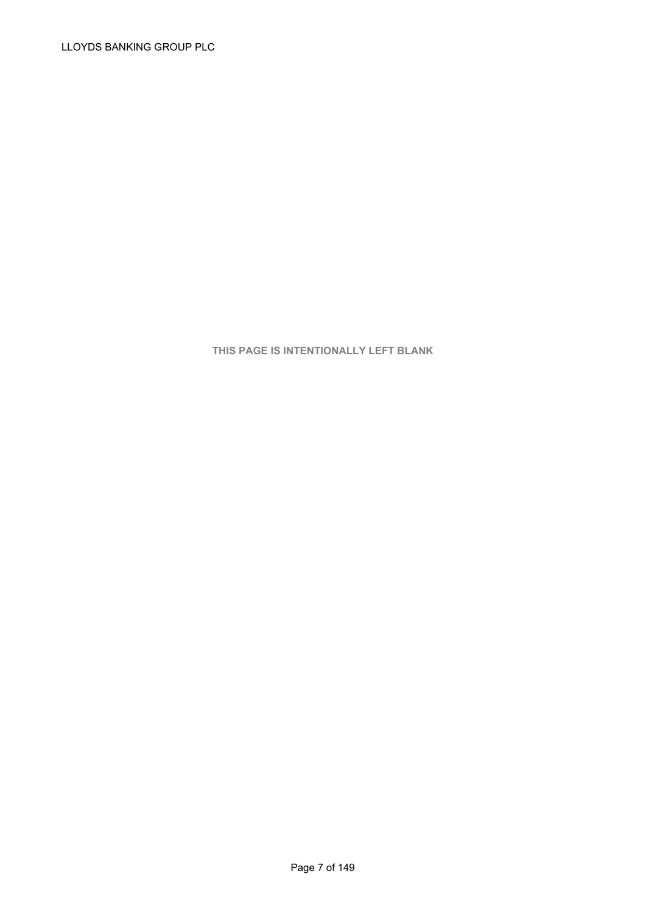## **THIS PAGE IS INTENTIONALLY LEFT BLANK**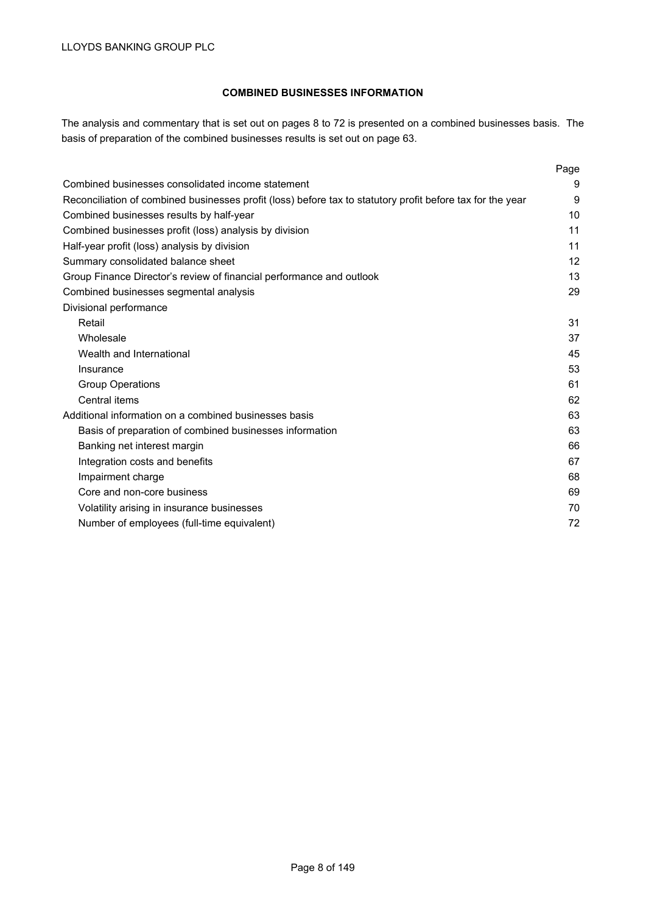## **COMBINED BUSINESSES INFORMATION**

The analysis and commentary that is set out on pages 8 to 72 is presented on a combined businesses basis. The basis of preparation of the combined businesses results is set out on page 63.

| Page |
|------|
| 9    |
| 9    |
| 10   |
| 11   |
| 11   |
| 12   |
| 13   |
| 29   |
|      |
| 31   |
| 37   |
| 45   |
| 53   |
| 61   |
| 62   |
| 63   |
| 63   |
| 66   |
| 67   |
| 68   |
| 69   |
| 70   |
| 72   |
|      |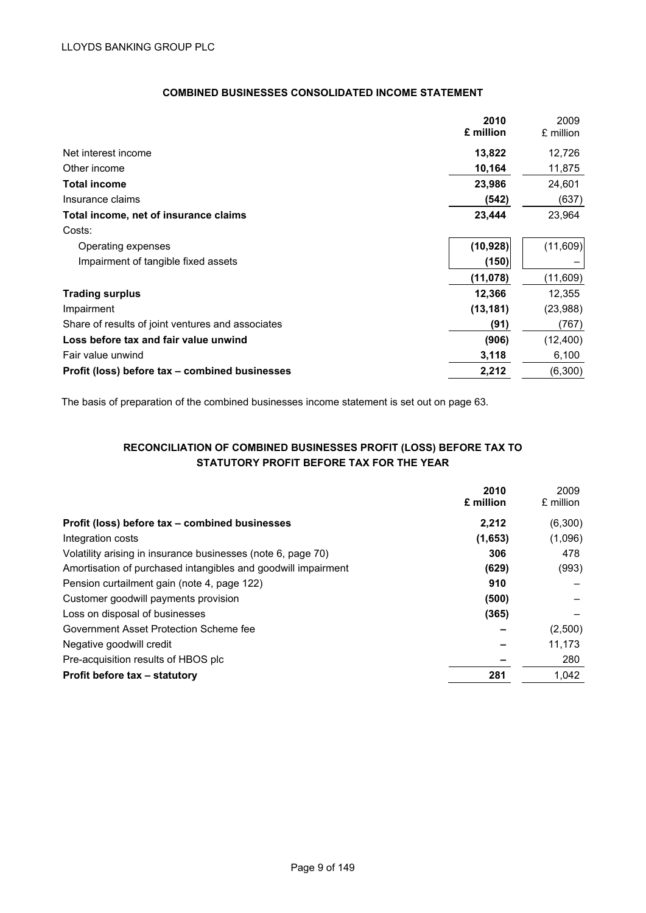| £ million<br>£ million<br>Net interest income<br>13,822<br>12,726<br>10,164<br>11,875<br>Other income<br><b>Total income</b><br>23,986<br>24,601<br>Insurance claims<br>(542)<br>23,444<br>23,964<br>Total income, net of insurance claims<br>Costs:<br>(10, 928)<br>Operating expenses<br>Impairment of tangible fixed assets<br>(150)<br>(11, 078)<br>(11,609)<br><b>Trading surplus</b><br>12,366<br>12,355<br>(23,988)<br>Impairment<br>(13, 181)<br>(91)<br>Share of results of joint ventures and associates<br>(767)<br>Loss before tax and fair value unwind<br>(906)<br>6,100<br>3,118<br>(6,300)<br>Profit (loss) before tax - combined businesses<br>2,212 |                   | 2010 | 2009      |
|-----------------------------------------------------------------------------------------------------------------------------------------------------------------------------------------------------------------------------------------------------------------------------------------------------------------------------------------------------------------------------------------------------------------------------------------------------------------------------------------------------------------------------------------------------------------------------------------------------------------------------------------------------------------------|-------------------|------|-----------|
|                                                                                                                                                                                                                                                                                                                                                                                                                                                                                                                                                                                                                                                                       |                   |      |           |
|                                                                                                                                                                                                                                                                                                                                                                                                                                                                                                                                                                                                                                                                       |                   |      |           |
|                                                                                                                                                                                                                                                                                                                                                                                                                                                                                                                                                                                                                                                                       |                   |      |           |
|                                                                                                                                                                                                                                                                                                                                                                                                                                                                                                                                                                                                                                                                       |                   |      |           |
|                                                                                                                                                                                                                                                                                                                                                                                                                                                                                                                                                                                                                                                                       |                   |      | (637)     |
|                                                                                                                                                                                                                                                                                                                                                                                                                                                                                                                                                                                                                                                                       |                   |      |           |
|                                                                                                                                                                                                                                                                                                                                                                                                                                                                                                                                                                                                                                                                       |                   |      |           |
|                                                                                                                                                                                                                                                                                                                                                                                                                                                                                                                                                                                                                                                                       |                   |      | (11,609)  |
|                                                                                                                                                                                                                                                                                                                                                                                                                                                                                                                                                                                                                                                                       |                   |      |           |
|                                                                                                                                                                                                                                                                                                                                                                                                                                                                                                                                                                                                                                                                       |                   |      |           |
|                                                                                                                                                                                                                                                                                                                                                                                                                                                                                                                                                                                                                                                                       |                   |      |           |
|                                                                                                                                                                                                                                                                                                                                                                                                                                                                                                                                                                                                                                                                       |                   |      |           |
|                                                                                                                                                                                                                                                                                                                                                                                                                                                                                                                                                                                                                                                                       |                   |      |           |
|                                                                                                                                                                                                                                                                                                                                                                                                                                                                                                                                                                                                                                                                       |                   |      | (12, 400) |
|                                                                                                                                                                                                                                                                                                                                                                                                                                                                                                                                                                                                                                                                       | Fair value unwind |      |           |
|                                                                                                                                                                                                                                                                                                                                                                                                                                                                                                                                                                                                                                                                       |                   |      |           |

The basis of preparation of the combined businesses income statement is set out on page 63.

## **RECONCILIATION OF COMBINED BUSINESSES PROFIT (LOSS) BEFORE TAX TO STATUTORY PROFIT BEFORE TAX FOR THE YEAR**

|                                                               | 2010<br>£ million | 2009<br>£ million |
|---------------------------------------------------------------|-------------------|-------------------|
| Profit (loss) before tax – combined businesses                | 2.212             | (6,300)           |
| Integration costs                                             | (1,653)           | (1,096)           |
| Volatility arising in insurance businesses (note 6, page 70)  | 306               | 478               |
| Amortisation of purchased intangibles and goodwill impairment | (629)             | (993)             |
| Pension curtailment gain (note 4, page 122)                   | 910               |                   |
| Customer goodwill payments provision                          | (500)             |                   |
| Loss on disposal of businesses                                | (365)             |                   |
| Government Asset Protection Scheme fee                        |                   | (2,500)           |
| Negative goodwill credit                                      |                   | 11.173            |
| Pre-acquisition results of HBOS plc                           |                   | 280               |
| Profit before tax - statutory                                 | 281               | 1.042             |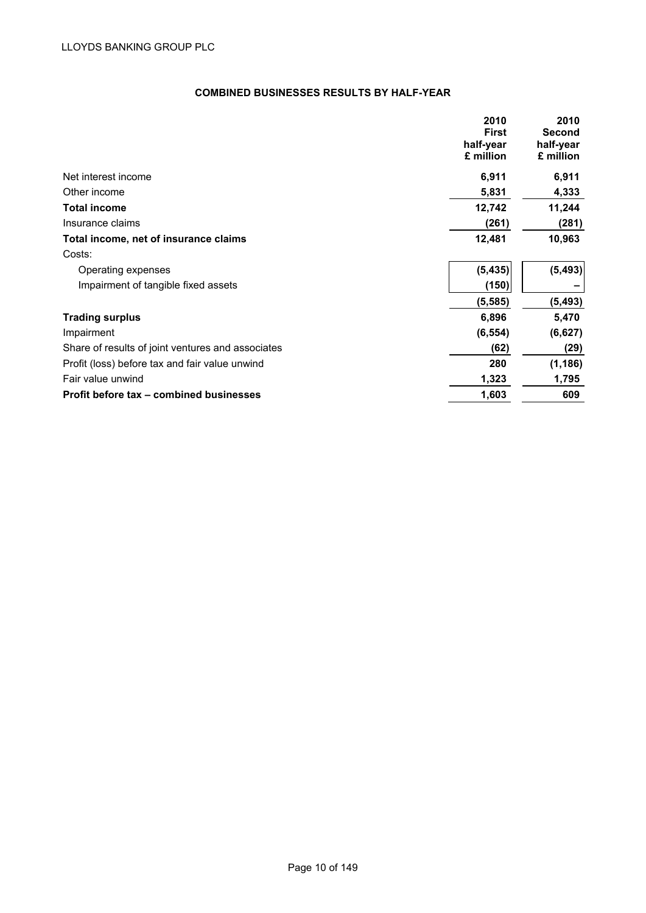## **COMBINED BUSINESSES RESULTS BY HALF-YEAR**

|                                                   | 2010         | 2010          |
|---------------------------------------------------|--------------|---------------|
|                                                   | <b>First</b> | <b>Second</b> |
|                                                   | half-year    | half-year     |
|                                                   | £ million    | £ million     |
| Net interest income                               | 6,911        | 6,911         |
| Other income                                      | 5,831        | 4,333         |
| <b>Total income</b>                               | 12,742       | 11,244        |
| Insurance claims                                  | (261)        | (281)         |
| Total income, net of insurance claims             | 12,481       | 10,963        |
| Costs:                                            |              |               |
| Operating expenses                                | (5, 435)     | (5, 493)      |
| Impairment of tangible fixed assets               | (150)        |               |
|                                                   | (5, 585)     | (5, 493)      |
| <b>Trading surplus</b>                            | 6,896        | 5,470         |
| Impairment                                        | (6, 554)     | (6, 627)      |
| Share of results of joint ventures and associates | (62)         | (29)          |
| Profit (loss) before tax and fair value unwind    | 280          | (1, 186)      |
| Fair value unwind                                 | 1,323        | 1,795         |
| Profit before tax – combined businesses           | 1,603        | 609           |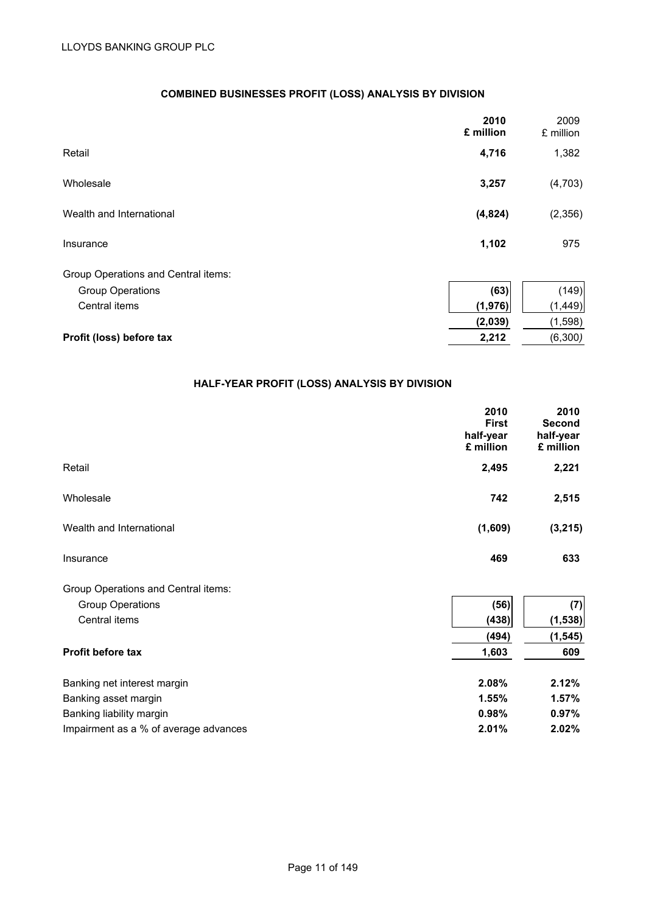# **COMBINED BUSINESSES PROFIT (LOSS) ANALYSIS BY DIVISION**

|                                     | 2010<br>£ million | 2009<br>£ million |
|-------------------------------------|-------------------|-------------------|
| Retail                              | 4,716             | 1,382             |
| Wholesale                           | 3,257             | (4,703)           |
| Wealth and International            | (4,824)           | (2,356)           |
| Insurance                           | 1,102             | 975               |
| Group Operations and Central items: |                   |                   |
| <b>Group Operations</b>             | (63)              | (149)             |
| Central items                       | (1,976)           | (1,449)           |
|                                     | (2,039)           | (1,598)           |
| Profit (loss) before tax            | 2,212             | (6,300)           |

## **HALF-YEAR PROFIT (LOSS) ANALYSIS BY DIVISION**

|                                       | 2010<br><b>First</b><br>half-year<br>£ million | 2010<br><b>Second</b><br>half-year<br>£ million |
|---------------------------------------|------------------------------------------------|-------------------------------------------------|
| Retail                                | 2,495                                          | 2,221                                           |
| Wholesale                             | 742                                            | 2,515                                           |
| Wealth and International              | (1,609)                                        | (3, 215)                                        |
| Insurance                             | 469                                            | 633                                             |
| Group Operations and Central items:   |                                                |                                                 |
| <b>Group Operations</b>               | (56)                                           | (7)                                             |
| Central items                         | (438)                                          | (1, 538)                                        |
|                                       | (494)                                          | (1, 545)                                        |
| Profit before tax                     | 1,603                                          | 609                                             |
| Banking net interest margin           | 2.08%                                          | 2.12%                                           |
| Banking asset margin                  | 1.55%                                          | 1.57%                                           |
| Banking liability margin              | 0.98%                                          | 0.97%                                           |
| Impairment as a % of average advances | 2.01%                                          | 2.02%                                           |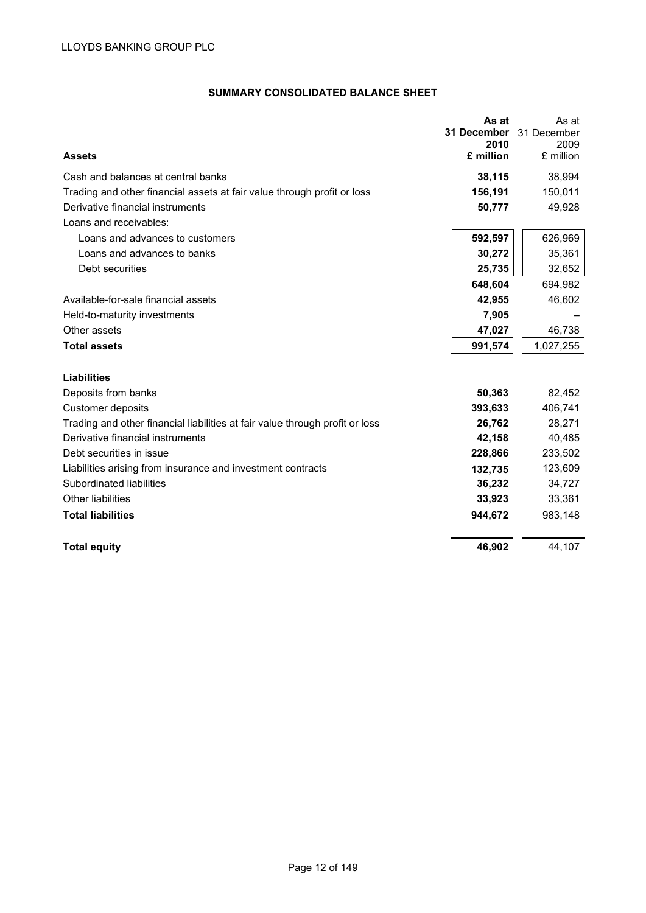## **SUMMARY CONSOLIDATED BALANCE SHEET**

| <b>Assets</b>                                                                | As at<br>31 December 31 December<br>2010<br>£ million | As at<br>2009<br>£ million |
|------------------------------------------------------------------------------|-------------------------------------------------------|----------------------------|
| Cash and balances at central banks                                           | 38,115                                                | 38,994                     |
| Trading and other financial assets at fair value through profit or loss      | 156,191                                               | 150,011                    |
| Derivative financial instruments                                             | 50,777                                                | 49,928                     |
| Loans and receivables:                                                       |                                                       |                            |
| Loans and advances to customers                                              | 592,597                                               | 626,969                    |
| Loans and advances to banks                                                  | 30,272                                                | 35,361                     |
| Debt securities                                                              | 25,735                                                | 32,652                     |
|                                                                              | 648,604                                               | 694,982                    |
| Available-for-sale financial assets                                          | 42,955                                                | 46,602                     |
| Held-to-maturity investments                                                 | 7,905                                                 |                            |
| Other assets                                                                 | 47,027                                                | 46,738                     |
| <b>Total assets</b>                                                          | 991,574                                               | 1,027,255                  |
|                                                                              |                                                       |                            |
| <b>Liabilities</b>                                                           |                                                       |                            |
| Deposits from banks                                                          | 50,363                                                | 82,452                     |
| <b>Customer deposits</b>                                                     | 393,633                                               | 406,741                    |
| Trading and other financial liabilities at fair value through profit or loss | 26,762                                                | 28,271                     |
| Derivative financial instruments                                             | 42,158                                                | 40,485                     |
| Debt securities in issue                                                     | 228,866                                               | 233,502                    |
| Liabilities arising from insurance and investment contracts                  | 132,735                                               | 123,609                    |
| Subordinated liabilities                                                     | 36,232                                                | 34,727                     |
| Other liabilities                                                            | 33,923                                                | 33,361                     |
| <b>Total liabilities</b>                                                     | 944,672                                               | 983,148                    |
|                                                                              |                                                       |                            |
| <b>Total equity</b>                                                          | 46,902                                                | 44,107                     |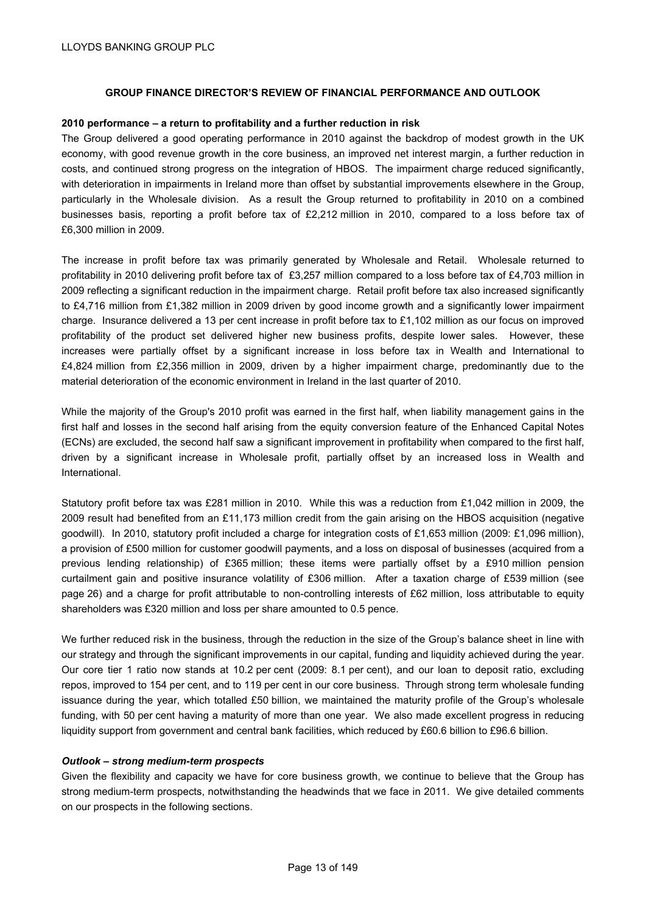#### **2010 performance – a return to profitability and a further reduction in risk**

The Group delivered a good operating performance in 2010 against the backdrop of modest growth in the UK economy, with good revenue growth in the core business, an improved net interest margin, a further reduction in costs, and continued strong progress on the integration of HBOS. The impairment charge reduced significantly, with deterioration in impairments in Ireland more than offset by substantial improvements elsewhere in the Group, particularly in the Wholesale division. As a result the Group returned to profitability in 2010 on a combined businesses basis, reporting a profit before tax of £2,212 million in 2010, compared to a loss before tax of £6,300 million in 2009.

The increase in profit before tax was primarily generated by Wholesale and Retail. Wholesale returned to profitability in 2010 delivering profit before tax of £3,257 million compared to a loss before tax of £4,703 million in 2009 reflecting a significant reduction in the impairment charge. Retail profit before tax also increased significantly to £4,716 million from £1,382 million in 2009 driven by good income growth and a significantly lower impairment charge. Insurance delivered a 13 per cent increase in profit before tax to £1,102 million as our focus on improved profitability of the product set delivered higher new business profits, despite lower sales. However, these increases were partially offset by a significant increase in loss before tax in Wealth and International to £4,824 million from £2,356 million in 2009, driven by a higher impairment charge, predominantly due to the material deterioration of the economic environment in Ireland in the last quarter of 2010.

While the majority of the Group's 2010 profit was earned in the first half, when liability management gains in the first half and losses in the second half arising from the equity conversion feature of the Enhanced Capital Notes (ECNs) are excluded, the second half saw a significant improvement in profitability when compared to the first half, driven by a significant increase in Wholesale profit, partially offset by an increased loss in Wealth and International.

Statutory profit before tax was £281 million in 2010. While this was a reduction from £1,042 million in 2009, the 2009 result had benefited from an £11,173 million credit from the gain arising on the HBOS acquisition (negative goodwill). In 2010, statutory profit included a charge for integration costs of £1,653 million (2009: £1,096 million), a provision of £500 million for customer goodwill payments, and a loss on disposal of businesses (acquired from a previous lending relationship) of £365 million; these items were partially offset by a £910 million pension curtailment gain and positive insurance volatility of £306 million. After a taxation charge of £539 million (see page 26) and a charge for profit attributable to non-controlling interests of £62 million, loss attributable to equity shareholders was £320 million and loss per share amounted to 0.5 pence.

We further reduced risk in the business, through the reduction in the size of the Group's balance sheet in line with our strategy and through the significant improvements in our capital, funding and liquidity achieved during the year. Our core tier 1 ratio now stands at 10.2 per cent (2009: 8.1 per cent), and our loan to deposit ratio, excluding repos, improved to 154 per cent, and to 119 per cent in our core business. Through strong term wholesale funding issuance during the year, which totalled £50 billion, we maintained the maturity profile of the Group's wholesale funding, with 50 per cent having a maturity of more than one year. We also made excellent progress in reducing liquidity support from government and central bank facilities, which reduced by £60.6 billion to £96.6 billion.

#### *Outlook – strong medium-term prospects*

Given the flexibility and capacity we have for core business growth, we continue to believe that the Group has strong medium-term prospects, notwithstanding the headwinds that we face in 2011. We give detailed comments on our prospects in the following sections.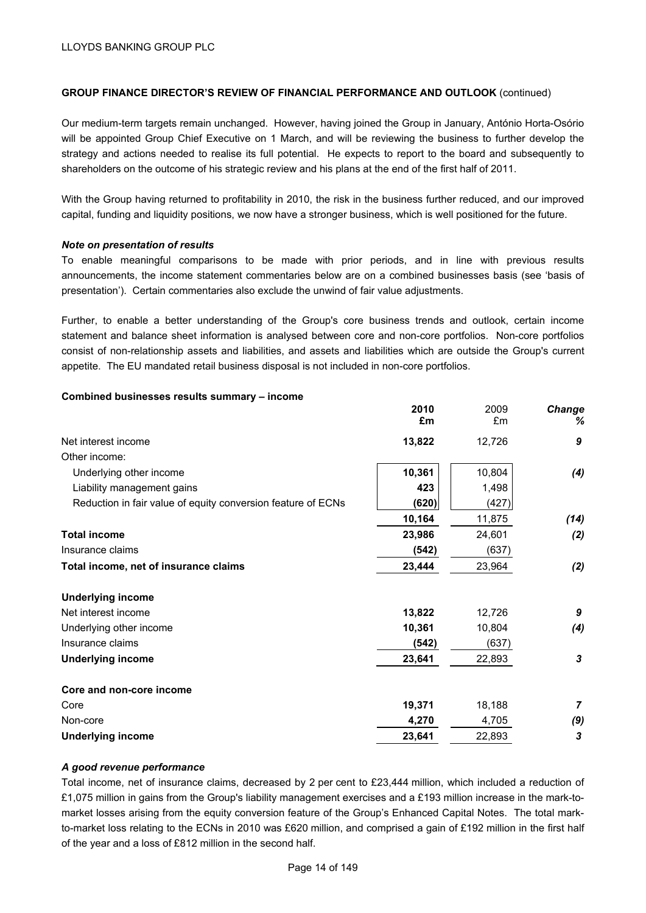Our medium-term targets remain unchanged. However, having joined the Group in January, António Horta-Osório will be appointed Group Chief Executive on 1 March, and will be reviewing the business to further develop the strategy and actions needed to realise its full potential. He expects to report to the board and subsequently to shareholders on the outcome of his strategic review and his plans at the end of the first half of 2011.

With the Group having returned to profitability in 2010, the risk in the business further reduced, and our improved capital, funding and liquidity positions, we now have a stronger business, which is well positioned for the future.

#### *Note on presentation of results*

To enable meaningful comparisons to be made with prior periods, and in line with previous results announcements, the income statement commentaries below are on a combined businesses basis (see 'basis of presentation'). Certain commentaries also exclude the unwind of fair value adjustments.

Further, to enable a better understanding of the Group's core business trends and outlook, certain income statement and balance sheet information is analysed between core and non-core portfolios. Non-core portfolios consist of non-relationship assets and liabilities, and assets and liabilities which are outside the Group's current appetite. The EU mandated retail business disposal is not included in non-core portfolios.

#### **Combined businesses results summary – income**

| £m<br>£m<br>9<br>13,822<br>12,726<br>Net interest income<br>Other income:<br>10,361<br>10,804<br>Underlying other income<br>423<br>Liability management gains<br>1,498<br>Reduction in fair value of equity conversion feature of ECNs<br>(620)<br>(427)<br>10,164<br>11,875<br><b>Total income</b><br>23,986<br>24,601<br>Insurance claims<br>(542)<br>(637)<br>23,444<br>23,964<br>Total income, net of insurance claims<br><b>Underlying income</b><br>13,822<br>Net interest income<br>12,726<br>9<br>10,361<br>10,804<br>Underlying other income<br>Insurance claims<br>(637)<br>(542)<br>23,641<br>3<br>22,893<br><b>Underlying income</b><br>Core and non-core income<br>$\overline{7}$<br>19,371<br>18,188<br>Core<br>Non-core<br>4,270<br>4,705<br>23,641<br>3<br>22,893<br><b>Underlying income</b> | 2010 | 2009 | <b>Change</b> |
|---------------------------------------------------------------------------------------------------------------------------------------------------------------------------------------------------------------------------------------------------------------------------------------------------------------------------------------------------------------------------------------------------------------------------------------------------------------------------------------------------------------------------------------------------------------------------------------------------------------------------------------------------------------------------------------------------------------------------------------------------------------------------------------------------------------|------|------|---------------|
|                                                                                                                                                                                                                                                                                                                                                                                                                                                                                                                                                                                                                                                                                                                                                                                                               |      |      | ℅             |
|                                                                                                                                                                                                                                                                                                                                                                                                                                                                                                                                                                                                                                                                                                                                                                                                               |      |      |               |
|                                                                                                                                                                                                                                                                                                                                                                                                                                                                                                                                                                                                                                                                                                                                                                                                               |      |      |               |
|                                                                                                                                                                                                                                                                                                                                                                                                                                                                                                                                                                                                                                                                                                                                                                                                               |      |      | (4)           |
|                                                                                                                                                                                                                                                                                                                                                                                                                                                                                                                                                                                                                                                                                                                                                                                                               |      |      |               |
|                                                                                                                                                                                                                                                                                                                                                                                                                                                                                                                                                                                                                                                                                                                                                                                                               |      |      |               |
|                                                                                                                                                                                                                                                                                                                                                                                                                                                                                                                                                                                                                                                                                                                                                                                                               |      |      | (14)          |
|                                                                                                                                                                                                                                                                                                                                                                                                                                                                                                                                                                                                                                                                                                                                                                                                               |      |      | (2)           |
|                                                                                                                                                                                                                                                                                                                                                                                                                                                                                                                                                                                                                                                                                                                                                                                                               |      |      |               |
|                                                                                                                                                                                                                                                                                                                                                                                                                                                                                                                                                                                                                                                                                                                                                                                                               |      |      | (2)           |
|                                                                                                                                                                                                                                                                                                                                                                                                                                                                                                                                                                                                                                                                                                                                                                                                               |      |      |               |
|                                                                                                                                                                                                                                                                                                                                                                                                                                                                                                                                                                                                                                                                                                                                                                                                               |      |      |               |
|                                                                                                                                                                                                                                                                                                                                                                                                                                                                                                                                                                                                                                                                                                                                                                                                               |      |      | (4)           |
|                                                                                                                                                                                                                                                                                                                                                                                                                                                                                                                                                                                                                                                                                                                                                                                                               |      |      |               |
|                                                                                                                                                                                                                                                                                                                                                                                                                                                                                                                                                                                                                                                                                                                                                                                                               |      |      |               |
|                                                                                                                                                                                                                                                                                                                                                                                                                                                                                                                                                                                                                                                                                                                                                                                                               |      |      |               |
|                                                                                                                                                                                                                                                                                                                                                                                                                                                                                                                                                                                                                                                                                                                                                                                                               |      |      |               |
|                                                                                                                                                                                                                                                                                                                                                                                                                                                                                                                                                                                                                                                                                                                                                                                                               |      |      | (9)           |
|                                                                                                                                                                                                                                                                                                                                                                                                                                                                                                                                                                                                                                                                                                                                                                                                               |      |      |               |

#### *A good revenue performance*

Total income, net of insurance claims, decreased by 2 per cent to £23,444 million, which included a reduction of £1,075 million in gains from the Group's liability management exercises and a £193 million increase in the mark-tomarket losses arising from the equity conversion feature of the Group's Enhanced Capital Notes. The total markto-market loss relating to the ECNs in 2010 was £620 million, and comprised a gain of £192 million in the first half of the year and a loss of £812 million in the second half.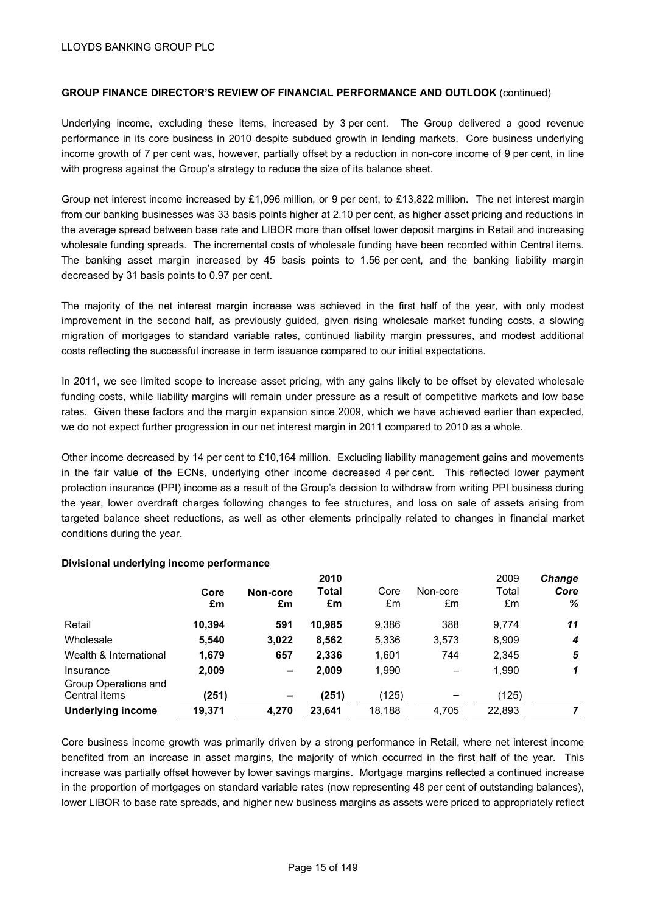Underlying income, excluding these items, increased by 3 per cent. The Group delivered a good revenue performance in its core business in 2010 despite subdued growth in lending markets. Core business underlying income growth of 7 per cent was, however, partially offset by a reduction in non-core income of 9 per cent, in line with progress against the Group's strategy to reduce the size of its balance sheet.

Group net interest income increased by £1,096 million, or 9 per cent, to £13,822 million. The net interest margin from our banking businesses was 33 basis points higher at 2.10 per cent, as higher asset pricing and reductions in the average spread between base rate and LIBOR more than offset lower deposit margins in Retail and increasing wholesale funding spreads. The incremental costs of wholesale funding have been recorded within Central items. The banking asset margin increased by 45 basis points to 1.56 per cent, and the banking liability margin decreased by 31 basis points to 0.97 per cent.

The majority of the net interest margin increase was achieved in the first half of the year, with only modest improvement in the second half, as previously guided, given rising wholesale market funding costs, a slowing migration of mortgages to standard variable rates, continued liability margin pressures, and modest additional costs reflecting the successful increase in term issuance compared to our initial expectations.

In 2011, we see limited scope to increase asset pricing, with any gains likely to be offset by elevated wholesale funding costs, while liability margins will remain under pressure as a result of competitive markets and low base rates. Given these factors and the margin expansion since 2009, which we have achieved earlier than expected, we do not expect further progression in our net interest margin in 2011 compared to 2010 as a whole.

Other income decreased by 14 per cent to £10,164 million. Excluding liability management gains and movements in the fair value of the ECNs, underlying other income decreased 4 per cent. This reflected lower payment protection insurance (PPI) income as a result of the Group's decision to withdraw from writing PPI business during the year, lower overdraft charges following changes to fee structures, and loss on sale of assets arising from targeted balance sheet reductions, as well as other elements principally related to changes in financial market conditions during the year.

|                        |        |                          | 2010   |        |          | 2009   | Change |
|------------------------|--------|--------------------------|--------|--------|----------|--------|--------|
|                        | Core   | Non-core                 | Total  | Core   | Non-core | Total  | Core   |
|                        | £m     | £m                       | £m     | £m     | £m       | £m     | %      |
| Retail                 | 10.394 | 591                      | 10,985 | 9,386  | 388      | 9.774  | 11     |
| Wholesale              | 5.540  | 3,022                    | 8,562  | 5.336  | 3,573    | 8,909  | 4      |
| Wealth & International | 1,679  | 657                      | 2,336  | 1,601  | 744      | 2,345  | 5      |
| Insurance              | 2.009  | $\overline{\phantom{a}}$ | 2.009  | 1.990  | -        | 1.990  | 1      |
| Group Operations and   |        |                          |        |        |          |        |        |
| Central items          | (251)  | $\sim$                   | (251)  | (125)  |          | (125)  |        |
| Underlying income      | 19.371 | 4.270                    | 23.641 | 18.188 | 4.705    | 22.893 |        |

#### **Divisional underlying income performance**

Core business income growth was primarily driven by a strong performance in Retail, where net interest income benefited from an increase in asset margins, the majority of which occurred in the first half of the year. This increase was partially offset however by lower savings margins. Mortgage margins reflected a continued increase in the proportion of mortgages on standard variable rates (now representing 48 per cent of outstanding balances), lower LIBOR to base rate spreads, and higher new business margins as assets were priced to appropriately reflect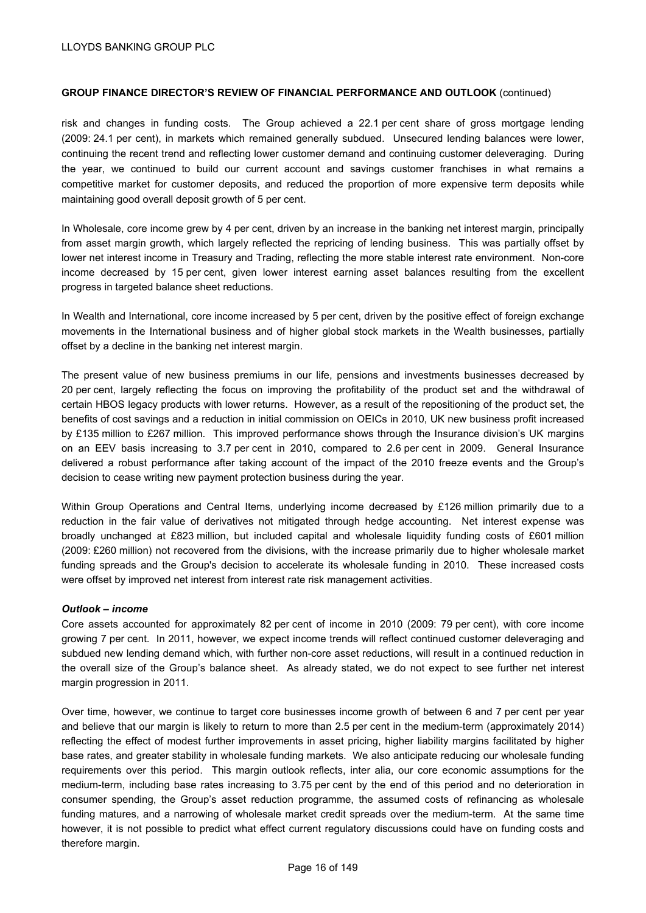risk and changes in funding costs. The Group achieved a 22.1 per cent share of gross mortgage lending (2009: 24.1 per cent), in markets which remained generally subdued. Unsecured lending balances were lower, continuing the recent trend and reflecting lower customer demand and continuing customer deleveraging. During the year, we continued to build our current account and savings customer franchises in what remains a competitive market for customer deposits, and reduced the proportion of more expensive term deposits while maintaining good overall deposit growth of 5 per cent.

In Wholesale, core income grew by 4 per cent, driven by an increase in the banking net interest margin, principally from asset margin growth, which largely reflected the repricing of lending business. This was partially offset by lower net interest income in Treasury and Trading, reflecting the more stable interest rate environment. Non-core income decreased by 15 per cent, given lower interest earning asset balances resulting from the excellent progress in targeted balance sheet reductions.

In Wealth and International, core income increased by 5 per cent, driven by the positive effect of foreign exchange movements in the International business and of higher global stock markets in the Wealth businesses, partially offset by a decline in the banking net interest margin.

The present value of new business premiums in our life, pensions and investments businesses decreased by 20 per cent, largely reflecting the focus on improving the profitability of the product set and the withdrawal of certain HBOS legacy products with lower returns. However, as a result of the repositioning of the product set, the benefits of cost savings and a reduction in initial commission on OEICs in 2010, UK new business profit increased by £135 million to £267 million. This improved performance shows through the Insurance division's UK margins on an EEV basis increasing to 3.7 per cent in 2010, compared to 2.6 per cent in 2009. General Insurance delivered a robust performance after taking account of the impact of the 2010 freeze events and the Group's decision to cease writing new payment protection business during the year.

Within Group Operations and Central Items, underlying income decreased by £126 million primarily due to a reduction in the fair value of derivatives not mitigated through hedge accounting. Net interest expense was broadly unchanged at £823 million, but included capital and wholesale liquidity funding costs of £601 million (2009: £260 million) not recovered from the divisions, with the increase primarily due to higher wholesale market funding spreads and the Group's decision to accelerate its wholesale funding in 2010. These increased costs were offset by improved net interest from interest rate risk management activities.

#### *Outlook – income*

Core assets accounted for approximately 82 per cent of income in 2010 (2009: 79 per cent), with core income growing 7 per cent. In 2011, however, we expect income trends will reflect continued customer deleveraging and subdued new lending demand which, with further non-core asset reductions, will result in a continued reduction in the overall size of the Group's balance sheet. As already stated, we do not expect to see further net interest margin progression in 2011.

Over time, however, we continue to target core businesses income growth of between 6 and 7 per cent per year and believe that our margin is likely to return to more than 2.5 per cent in the medium-term (approximately 2014) reflecting the effect of modest further improvements in asset pricing, higher liability margins facilitated by higher base rates, and greater stability in wholesale funding markets. We also anticipate reducing our wholesale funding requirements over this period. This margin outlook reflects, inter alia, our core economic assumptions for the medium-term, including base rates increasing to 3.75 per cent by the end of this period and no deterioration in consumer spending, the Group's asset reduction programme, the assumed costs of refinancing as wholesale funding matures, and a narrowing of wholesale market credit spreads over the medium-term. At the same time however, it is not possible to predict what effect current regulatory discussions could have on funding costs and therefore margin.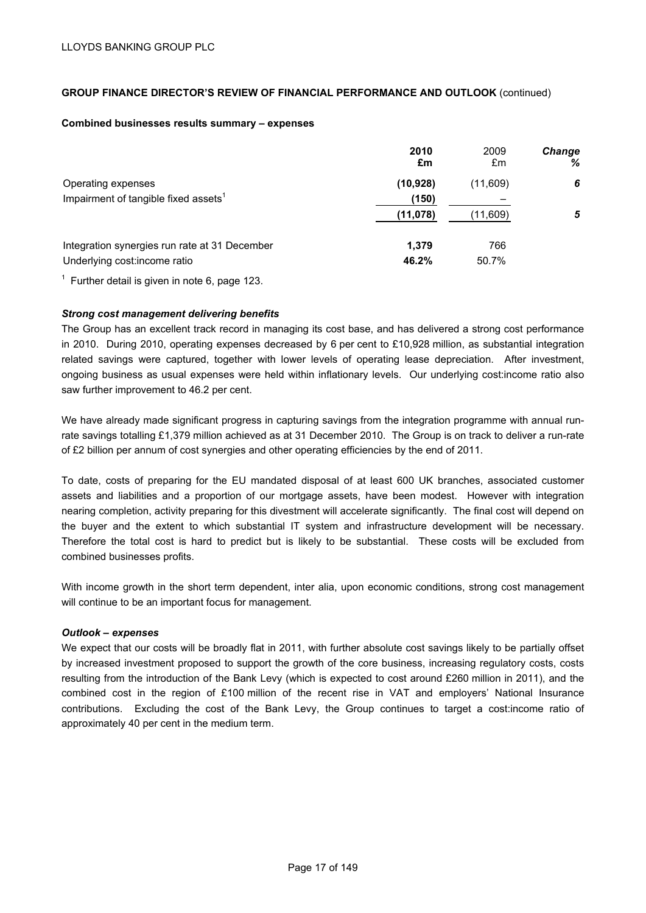#### **Combined businesses results summary – expenses**

|                                                  | 2010<br>£m | 2009<br>£m | <b>Change</b><br>% |
|--------------------------------------------------|------------|------------|--------------------|
| Operating expenses                               | (10, 928)  | (11,609)   | 6                  |
| Impairment of tangible fixed assets <sup>1</sup> | (150)      |            |                    |
|                                                  | (11,078)   | (11,609)   | 5                  |
| Integration synergies run rate at 31 December    | 1.379      | 766        |                    |
| Underlying cost:income ratio                     | 46.2%      | 50.7%      |                    |

 $<sup>1</sup>$  Further detail is given in note 6, page 123.</sup>

#### *Strong cost management delivering benefits*

The Group has an excellent track record in managing its cost base, and has delivered a strong cost performance in 2010. During 2010, operating expenses decreased by 6 per cent to £10,928 million, as substantial integration related savings were captured, together with lower levels of operating lease depreciation. After investment, ongoing business as usual expenses were held within inflationary levels. Our underlying cost:income ratio also saw further improvement to 46.2 per cent.

We have already made significant progress in capturing savings from the integration programme with annual runrate savings totalling £1,379 million achieved as at 31 December 2010. The Group is on track to deliver a run-rate of £2 billion per annum of cost synergies and other operating efficiencies by the end of 2011.

To date, costs of preparing for the EU mandated disposal of at least 600 UK branches, associated customer assets and liabilities and a proportion of our mortgage assets, have been modest. However with integration nearing completion, activity preparing for this divestment will accelerate significantly. The final cost will depend on the buyer and the extent to which substantial IT system and infrastructure development will be necessary. Therefore the total cost is hard to predict but is likely to be substantial. These costs will be excluded from combined businesses profits.

With income growth in the short term dependent, inter alia, upon economic conditions, strong cost management will continue to be an important focus for management.

#### *Outlook – expenses*

We expect that our costs will be broadly flat in 2011, with further absolute cost savings likely to be partially offset by increased investment proposed to support the growth of the core business, increasing regulatory costs, costs resulting from the introduction of the Bank Levy (which is expected to cost around £260 million in 2011), and the combined cost in the region of £100 million of the recent rise in VAT and employers' National Insurance contributions. Excluding the cost of the Bank Levy, the Group continues to target a cost:income ratio of approximately 40 per cent in the medium term.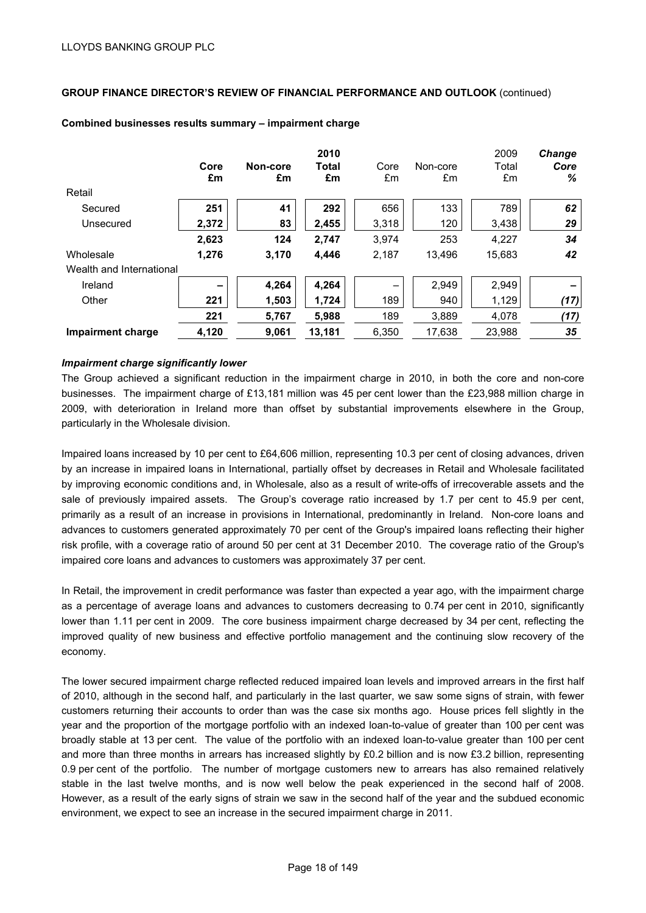| Retail                   | Core<br>£m               | Non-core<br>£m | 2010<br>Total<br>£m | Core<br>£m | Non-core<br>£m | 2009<br>Total<br>£m | Change<br>Core<br>% |
|--------------------------|--------------------------|----------------|---------------------|------------|----------------|---------------------|---------------------|
| Secured                  | 251                      | 41             | 292                 | 656        | 133            | 789                 | 62                  |
| Unsecured                | 2,372                    | 83             | 2,455               | 3,318      | 120            | 3,438               | 29                  |
|                          | 2,623                    | 124            | 2,747               | 3.974      | 253            | 4.227               | 34                  |
| Wholesale                | 1,276                    | 3,170          | 4,446               | 2,187      | 13.496         | 15,683              | 42                  |
| Wealth and International |                          |                |                     |            |                |                     |                     |
| Ireland                  | $\overline{\phantom{a}}$ | 4,264          | 4,264               |            | 2,949          | 2,949               | -                   |
| Other                    | 221                      | 1,503          | 1,724               | 189        | 940            | 1,129               | (17)                |
|                          | 221                      | 5,767          | 5,988               | 189        | 3,889          | 4,078               | (17)                |
| Impairment charge        | 4,120                    | 9.061          | 13,181              | 6.350      | 17,638         | 23,988              | 35                  |

#### **Combined businesses results summary – impairment charge**

#### *Impairment charge significantly lower*

The Group achieved a significant reduction in the impairment charge in 2010, in both the core and non-core businesses. The impairment charge of £13,181 million was 45 per cent lower than the £23,988 million charge in 2009, with deterioration in Ireland more than offset by substantial improvements elsewhere in the Group, particularly in the Wholesale division.

Impaired loans increased by 10 per cent to £64,606 million, representing 10.3 per cent of closing advances, driven by an increase in impaired loans in International, partially offset by decreases in Retail and Wholesale facilitated by improving economic conditions and, in Wholesale, also as a result of write-offs of irrecoverable assets and the sale of previously impaired assets. The Group's coverage ratio increased by 1.7 per cent to 45.9 per cent, primarily as a result of an increase in provisions in International, predominantly in Ireland. Non-core loans and advances to customers generated approximately 70 per cent of the Group's impaired loans reflecting their higher risk profile, with a coverage ratio of around 50 per cent at 31 December 2010. The coverage ratio of the Group's impaired core loans and advances to customers was approximately 37 per cent.

In Retail, the improvement in credit performance was faster than expected a year ago, with the impairment charge as a percentage of average loans and advances to customers decreasing to 0.74 per cent in 2010, significantly lower than 1.11 per cent in 2009. The core business impairment charge decreased by 34 per cent, reflecting the improved quality of new business and effective portfolio management and the continuing slow recovery of the economy.

The lower secured impairment charge reflected reduced impaired loan levels and improved arrears in the first half of 2010, although in the second half, and particularly in the last quarter, we saw some signs of strain, with fewer customers returning their accounts to order than was the case six months ago. House prices fell slightly in the year and the proportion of the mortgage portfolio with an indexed loan-to-value of greater than 100 per cent was broadly stable at 13 per cent. The value of the portfolio with an indexed loan-to-value greater than 100 per cent and more than three months in arrears has increased slightly by £0.2 billion and is now £3.2 billion, representing 0.9 per cent of the portfolio. The number of mortgage customers new to arrears has also remained relatively stable in the last twelve months, and is now well below the peak experienced in the second half of 2008. However, as a result of the early signs of strain we saw in the second half of the year and the subdued economic environment, we expect to see an increase in the secured impairment charge in 2011.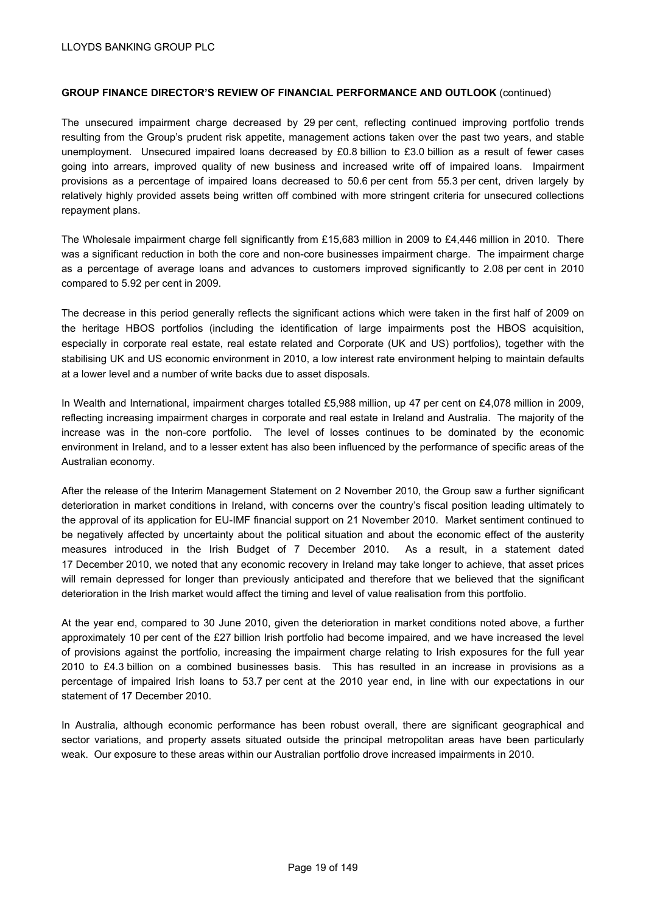The unsecured impairment charge decreased by 29 per cent, reflecting continued improving portfolio trends resulting from the Group's prudent risk appetite, management actions taken over the past two years, and stable unemployment. Unsecured impaired loans decreased by £0.8 billion to £3.0 billion as a result of fewer cases going into arrears, improved quality of new business and increased write off of impaired loans. Impairment provisions as a percentage of impaired loans decreased to 50.6 per cent from 55.3 per cent, driven largely by relatively highly provided assets being written off combined with more stringent criteria for unsecured collections repayment plans.

The Wholesale impairment charge fell significantly from £15,683 million in 2009 to £4,446 million in 2010. There was a significant reduction in both the core and non-core businesses impairment charge. The impairment charge as a percentage of average loans and advances to customers improved significantly to 2.08 per cent in 2010 compared to 5.92 per cent in 2009.

The decrease in this period generally reflects the significant actions which were taken in the first half of 2009 on the heritage HBOS portfolios (including the identification of large impairments post the HBOS acquisition, especially in corporate real estate, real estate related and Corporate (UK and US) portfolios), together with the stabilising UK and US economic environment in 2010, a low interest rate environment helping to maintain defaults at a lower level and a number of write backs due to asset disposals.

In Wealth and International, impairment charges totalled £5,988 million, up 47 per cent on £4,078 million in 2009, reflecting increasing impairment charges in corporate and real estate in Ireland and Australia. The majority of the increase was in the non-core portfolio. The level of losses continues to be dominated by the economic environment in Ireland, and to a lesser extent has also been influenced by the performance of specific areas of the Australian economy.

After the release of the Interim Management Statement on 2 November 2010, the Group saw a further significant deterioration in market conditions in Ireland, with concerns over the country's fiscal position leading ultimately to the approval of its application for EU-IMF financial support on 21 November 2010. Market sentiment continued to be negatively affected by uncertainty about the political situation and about the economic effect of the austerity measures introduced in the Irish Budget of 7 December 2010. As a result, in a statement dated 17 December 2010, we noted that any economic recovery in Ireland may take longer to achieve, that asset prices will remain depressed for longer than previously anticipated and therefore that we believed that the significant deterioration in the Irish market would affect the timing and level of value realisation from this portfolio.

At the year end, compared to 30 June 2010, given the deterioration in market conditions noted above, a further approximately 10 per cent of the £27 billion Irish portfolio had become impaired, and we have increased the level of provisions against the portfolio, increasing the impairment charge relating to Irish exposures for the full year 2010 to £4.3 billion on a combined businesses basis. This has resulted in an increase in provisions as a percentage of impaired Irish loans to 53.7 per cent at the 2010 year end, in line with our expectations in our statement of 17 December 2010.

In Australia, although economic performance has been robust overall, there are significant geographical and sector variations, and property assets situated outside the principal metropolitan areas have been particularly weak. Our exposure to these areas within our Australian portfolio drove increased impairments in 2010.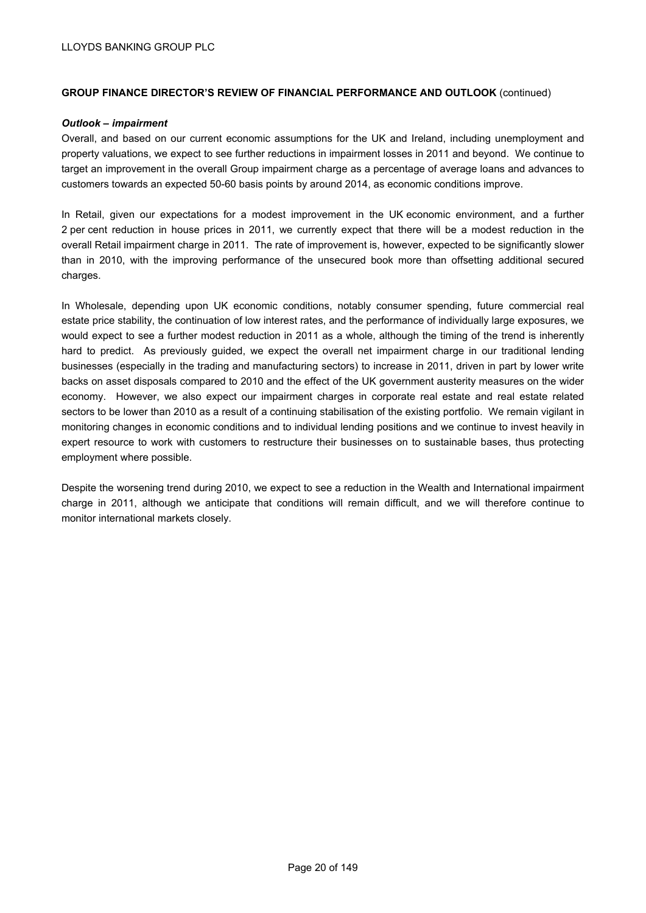#### *Outlook – impairment*

Overall, and based on our current economic assumptions for the UK and Ireland, including unemployment and property valuations, we expect to see further reductions in impairment losses in 2011 and beyond. We continue to target an improvement in the overall Group impairment charge as a percentage of average loans and advances to customers towards an expected 50-60 basis points by around 2014, as economic conditions improve.

In Retail, given our expectations for a modest improvement in the UK economic environment, and a further 2 per cent reduction in house prices in 2011, we currently expect that there will be a modest reduction in the overall Retail impairment charge in 2011. The rate of improvement is, however, expected to be significantly slower than in 2010, with the improving performance of the unsecured book more than offsetting additional secured charges.

In Wholesale, depending upon UK economic conditions, notably consumer spending, future commercial real estate price stability, the continuation of low interest rates, and the performance of individually large exposures, we would expect to see a further modest reduction in 2011 as a whole, although the timing of the trend is inherently hard to predict. As previously guided, we expect the overall net impairment charge in our traditional lending businesses (especially in the trading and manufacturing sectors) to increase in 2011, driven in part by lower write backs on asset disposals compared to 2010 and the effect of the UK government austerity measures on the wider economy. However, we also expect our impairment charges in corporate real estate and real estate related sectors to be lower than 2010 as a result of a continuing stabilisation of the existing portfolio. We remain vigilant in monitoring changes in economic conditions and to individual lending positions and we continue to invest heavily in expert resource to work with customers to restructure their businesses on to sustainable bases, thus protecting employment where possible.

Despite the worsening trend during 2010, we expect to see a reduction in the Wealth and International impairment charge in 2011, although we anticipate that conditions will remain difficult, and we will therefore continue to monitor international markets closely.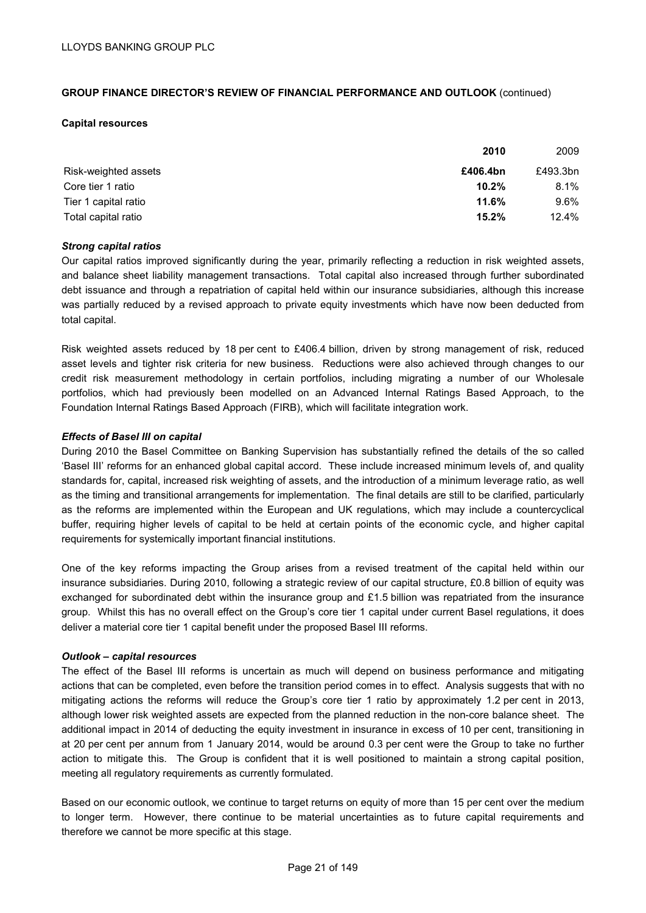#### **Capital resources**

|                      | 2010     | 2009     |
|----------------------|----------|----------|
| Risk-weighted assets | £406.4bn | £493.3bn |
| Core tier 1 ratio    | 10.2%    | 8.1%     |
| Tier 1 capital ratio | 11.6%    | $9.6\%$  |
| Total capital ratio  | 15.2%    | 12.4%    |

#### *Strong capital ratios*

Our capital ratios improved significantly during the year, primarily reflecting a reduction in risk weighted assets, and balance sheet liability management transactions. Total capital also increased through further subordinated debt issuance and through a repatriation of capital held within our insurance subsidiaries, although this increase was partially reduced by a revised approach to private equity investments which have now been deducted from total capital.

Risk weighted assets reduced by 18 per cent to £406.4 billion, driven by strong management of risk, reduced asset levels and tighter risk criteria for new business. Reductions were also achieved through changes to our credit risk measurement methodology in certain portfolios, including migrating a number of our Wholesale portfolios, which had previously been modelled on an Advanced Internal Ratings Based Approach, to the Foundation Internal Ratings Based Approach (FIRB), which will facilitate integration work.

#### *Effects of Basel III on capital*

During 2010 the Basel Committee on Banking Supervision has substantially refined the details of the so called 'Basel III' reforms for an enhanced global capital accord. These include increased minimum levels of, and quality standards for, capital, increased risk weighting of assets, and the introduction of a minimum leverage ratio, as well as the timing and transitional arrangements for implementation. The final details are still to be clarified, particularly as the reforms are implemented within the European and UK regulations, which may include a countercyclical buffer, requiring higher levels of capital to be held at certain points of the economic cycle, and higher capital requirements for systemically important financial institutions.

One of the key reforms impacting the Group arises from a revised treatment of the capital held within our insurance subsidiaries. During 2010, following a strategic review of our capital structure, £0.8 billion of equity was exchanged for subordinated debt within the insurance group and £1.5 billion was repatriated from the insurance group. Whilst this has no overall effect on the Group's core tier 1 capital under current Basel regulations, it does deliver a material core tier 1 capital benefit under the proposed Basel III reforms.

#### *Outlook – capital resources*

The effect of the Basel III reforms is uncertain as much will depend on business performance and mitigating actions that can be completed, even before the transition period comes in to effect. Analysis suggests that with no mitigating actions the reforms will reduce the Group's core tier 1 ratio by approximately 1.2 per cent in 2013, although lower risk weighted assets are expected from the planned reduction in the non-core balance sheet. The additional impact in 2014 of deducting the equity investment in insurance in excess of 10 per cent, transitioning in at 20 per cent per annum from 1 January 2014, would be around 0.3 per cent were the Group to take no further action to mitigate this. The Group is confident that it is well positioned to maintain a strong capital position, meeting all regulatory requirements as currently formulated.

Based on our economic outlook, we continue to target returns on equity of more than 15 per cent over the medium to longer term. However, there continue to be material uncertainties as to future capital requirements and therefore we cannot be more specific at this stage.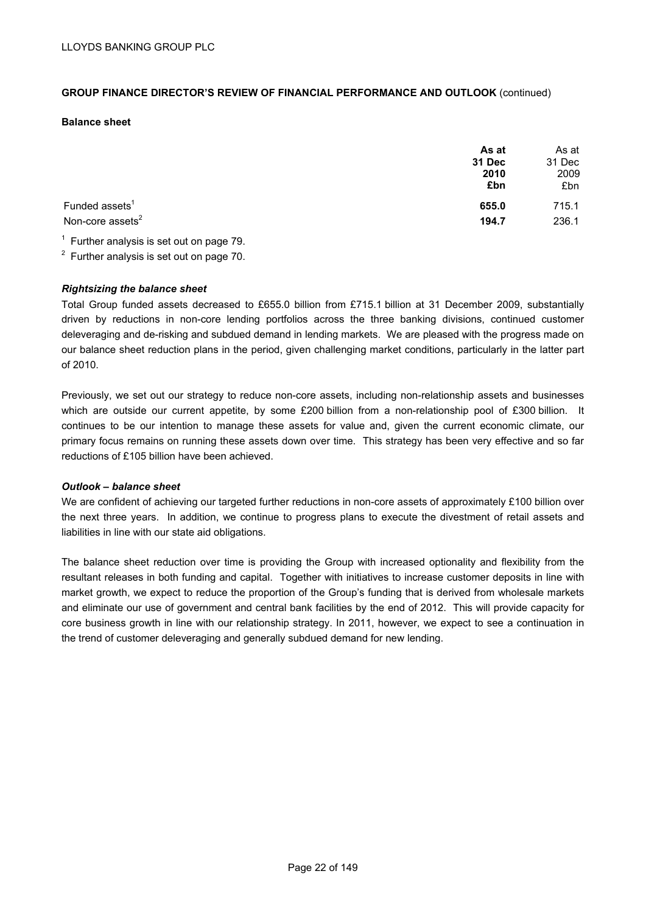#### **Balance sheet**

| As at  |
|--------|
| 31 Dec |
| 2009   |
| £bn    |
| 715.1  |
| 236.1  |
|        |

 $1$  Further analysis is set out on page 79.

 $2$  Further analysis is set out on page 70.

#### *Rightsizing the balance sheet*

Total Group funded assets decreased to £655.0 billion from £715.1 billion at 31 December 2009, substantially driven by reductions in non-core lending portfolios across the three banking divisions, continued customer deleveraging and de-risking and subdued demand in lending markets. We are pleased with the progress made on our balance sheet reduction plans in the period, given challenging market conditions, particularly in the latter part of 2010.

Previously, we set out our strategy to reduce non-core assets, including non-relationship assets and businesses which are outside our current appetite, by some £200 billion from a non-relationship pool of £300 billion. It continues to be our intention to manage these assets for value and, given the current economic climate, our primary focus remains on running these assets down over time. This strategy has been very effective and so far reductions of £105 billion have been achieved.

#### *Outlook – balance sheet*

We are confident of achieving our targeted further reductions in non-core assets of approximately £100 billion over the next three years. In addition, we continue to progress plans to execute the divestment of retail assets and liabilities in line with our state aid obligations.

The balance sheet reduction over time is providing the Group with increased optionality and flexibility from the resultant releases in both funding and capital. Together with initiatives to increase customer deposits in line with market growth, we expect to reduce the proportion of the Group's funding that is derived from wholesale markets and eliminate our use of government and central bank facilities by the end of 2012. This will provide capacity for core business growth in line with our relationship strategy. In 2011, however, we expect to see a continuation in the trend of customer deleveraging and generally subdued demand for new lending.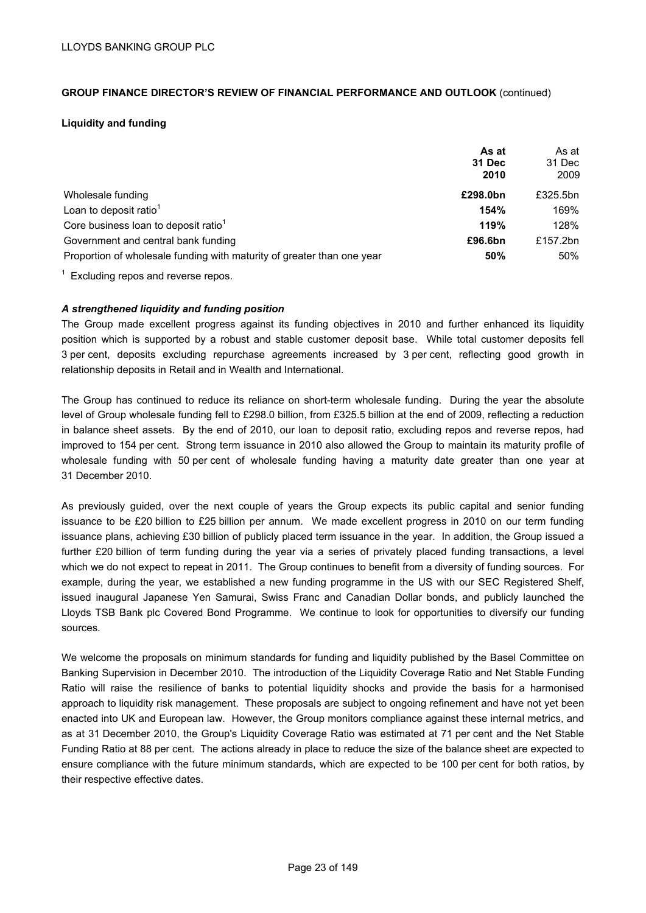#### **Liquidity and funding**

|                                                                        | As at<br>31 Dec<br>2010 | As at<br>31 Dec<br>2009 |
|------------------------------------------------------------------------|-------------------------|-------------------------|
| Wholesale funding                                                      | £298.0bn                | £325.5bn                |
| Loan to deposit ratio <sup>1</sup>                                     | 154%                    | 169%                    |
| Core business loan to deposit ratio <sup>1</sup>                       | 119%                    | 128%                    |
| Government and central bank funding                                    | £96.6bn                 | £157.2bn                |
| Proportion of wholesale funding with maturity of greater than one year | 50%                     | 50%                     |

 $1$  Excluding repos and reverse repos.

## *A strengthened liquidity and funding position*

The Group made excellent progress against its funding objectives in 2010 and further enhanced its liquidity position which is supported by a robust and stable customer deposit base. While total customer deposits fell 3 per cent, deposits excluding repurchase agreements increased by 3 per cent, reflecting good growth in relationship deposits in Retail and in Wealth and International.

The Group has continued to reduce its reliance on short-term wholesale funding. During the year the absolute level of Group wholesale funding fell to £298.0 billion, from £325.5 billion at the end of 2009, reflecting a reduction in balance sheet assets. By the end of 2010, our loan to deposit ratio, excluding repos and reverse repos, had improved to 154 per cent. Strong term issuance in 2010 also allowed the Group to maintain its maturity profile of wholesale funding with 50 per cent of wholesale funding having a maturity date greater than one year at 31 December 2010.

As previously guided, over the next couple of years the Group expects its public capital and senior funding issuance to be £20 billion to £25 billion per annum. We made excellent progress in 2010 on our term funding issuance plans, achieving £30 billion of publicly placed term issuance in the year. In addition, the Group issued a further £20 billion of term funding during the year via a series of privately placed funding transactions, a level which we do not expect to repeat in 2011. The Group continues to benefit from a diversity of funding sources. For example, during the year, we established a new funding programme in the US with our SEC Registered Shelf, issued inaugural Japanese Yen Samurai, Swiss Franc and Canadian Dollar bonds, and publicly launched the Lloyds TSB Bank plc Covered Bond Programme. We continue to look for opportunities to diversify our funding sources.

We welcome the proposals on minimum standards for funding and liquidity published by the Basel Committee on Banking Supervision in December 2010. The introduction of the Liquidity Coverage Ratio and Net Stable Funding Ratio will raise the resilience of banks to potential liquidity shocks and provide the basis for a harmonised approach to liquidity risk management. These proposals are subject to ongoing refinement and have not yet been enacted into UK and European law. However, the Group monitors compliance against these internal metrics, and as at 31 December 2010, the Group's Liquidity Coverage Ratio was estimated at 71 per cent and the Net Stable Funding Ratio at 88 per cent. The actions already in place to reduce the size of the balance sheet are expected to ensure compliance with the future minimum standards, which are expected to be 100 per cent for both ratios, by their respective effective dates.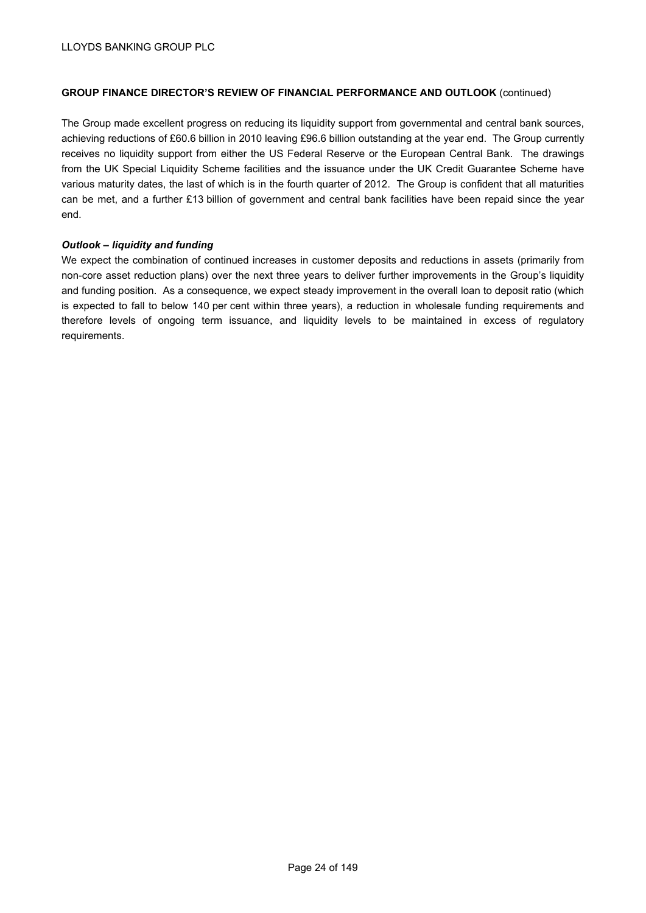The Group made excellent progress on reducing its liquidity support from governmental and central bank sources, achieving reductions of £60.6 billion in 2010 leaving £96.6 billion outstanding at the year end. The Group currently receives no liquidity support from either the US Federal Reserve or the European Central Bank. The drawings from the UK Special Liquidity Scheme facilities and the issuance under the UK Credit Guarantee Scheme have various maturity dates, the last of which is in the fourth quarter of 2012. The Group is confident that all maturities can be met, and a further £13 billion of government and central bank facilities have been repaid since the year end.

#### *Outlook – liquidity and funding*

We expect the combination of continued increases in customer deposits and reductions in assets (primarily from non-core asset reduction plans) over the next three years to deliver further improvements in the Group's liquidity and funding position. As a consequence, we expect steady improvement in the overall loan to deposit ratio (which is expected to fall to below 140 per cent within three years), a reduction in wholesale funding requirements and therefore levels of ongoing term issuance, and liquidity levels to be maintained in excess of regulatory requirements.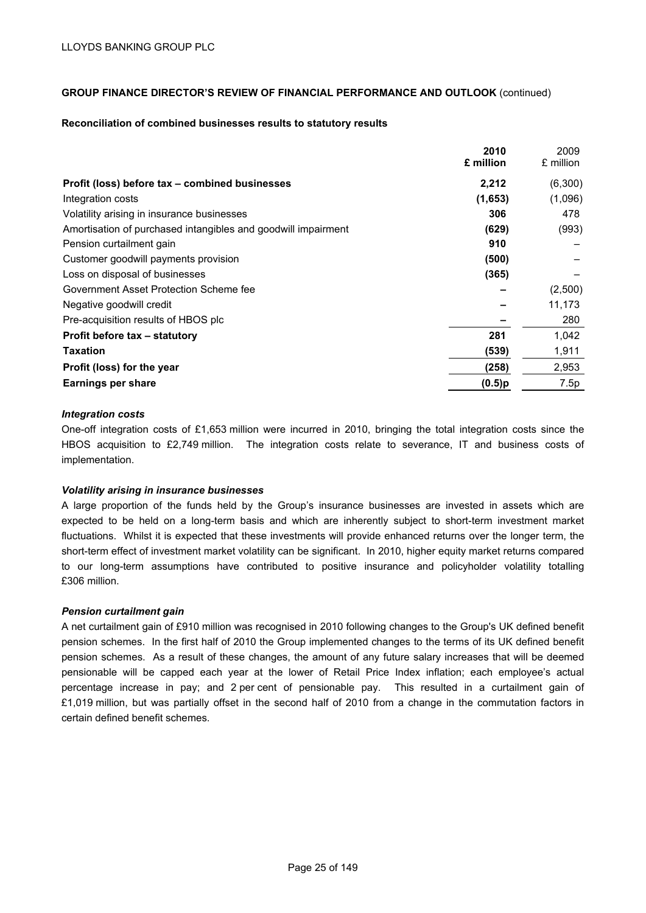#### **Reconciliation of combined businesses results to statutory results**

|                                                               | 2010<br>£ million | 2009<br>£ million |
|---------------------------------------------------------------|-------------------|-------------------|
| Profit (loss) before tax – combined businesses                | 2,212             | (6,300)           |
| Integration costs                                             | (1,653)           | (1,096)           |
| Volatility arising in insurance businesses                    | 306               | 478               |
| Amortisation of purchased intangibles and goodwill impairment | (629)             | (993)             |
| Pension curtailment gain                                      | 910               |                   |
| Customer goodwill payments provision                          | (500)             |                   |
| Loss on disposal of businesses                                | (365)             |                   |
| Government Asset Protection Scheme fee                        |                   | (2,500)           |
| Negative goodwill credit                                      |                   | 11,173            |
| Pre-acquisition results of HBOS plc                           |                   | 280               |
| Profit before tax - statutory                                 | 281               | 1,042             |
| Taxation                                                      | (539)             | 1,911             |
| Profit (loss) for the year                                    | (258)             | 2,953             |
| Earnings per share                                            | (0.5)p            | 7.5p              |

#### *Integration costs*

One-off integration costs of £1,653 million were incurred in 2010, bringing the total integration costs since the HBOS acquisition to £2,749 million. The integration costs relate to severance, IT and business costs of implementation.

#### *Volatility arising in insurance businesses*

A large proportion of the funds held by the Group's insurance businesses are invested in assets which are expected to be held on a long-term basis and which are inherently subject to short-term investment market fluctuations. Whilst it is expected that these investments will provide enhanced returns over the longer term, the short-term effect of investment market volatility can be significant. In 2010, higher equity market returns compared to our long-term assumptions have contributed to positive insurance and policyholder volatility totalling £306 million.

#### *Pension curtailment gain*

A net curtailment gain of £910 million was recognised in 2010 following changes to the Group's UK defined benefit pension schemes. In the first half of 2010 the Group implemented changes to the terms of its UK defined benefit pension schemes. As a result of these changes, the amount of any future salary increases that will be deemed pensionable will be capped each year at the lower of Retail Price Index inflation; each employee's actual percentage increase in pay; and 2 per cent of pensionable pay. This resulted in a curtailment gain of £1,019 million, but was partially offset in the second half of 2010 from a change in the commutation factors in certain defined benefit schemes.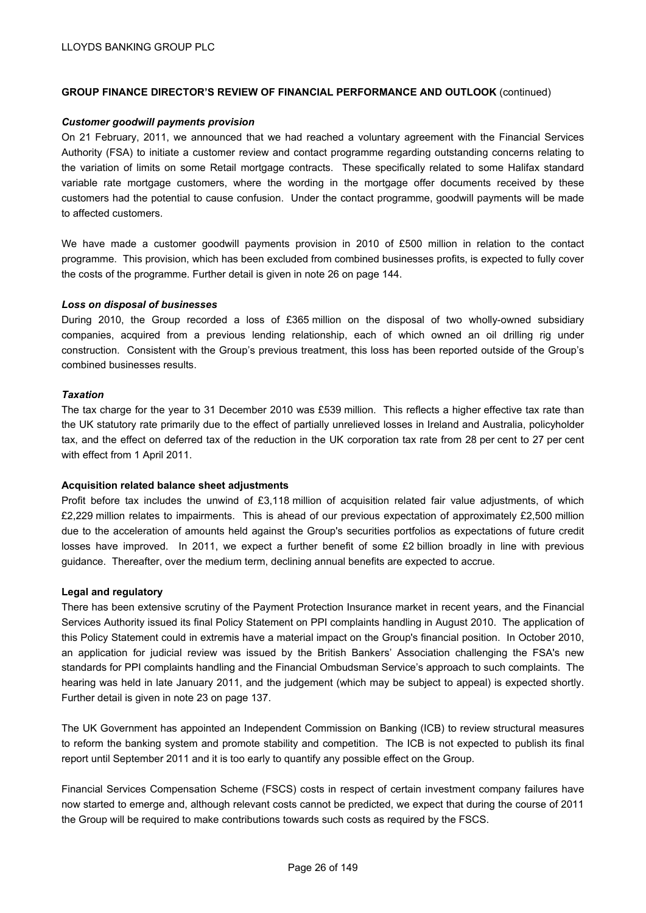#### *Customer goodwill payments provision*

On 21 February, 2011, we announced that we had reached a voluntary agreement with the Financial Services Authority (FSA) to initiate a customer review and contact programme regarding outstanding concerns relating to the variation of limits on some Retail mortgage contracts. These specifically related to some Halifax standard variable rate mortgage customers, where the wording in the mortgage offer documents received by these customers had the potential to cause confusion. Under the contact programme, goodwill payments will be made to affected customers.

We have made a customer goodwill payments provision in 2010 of £500 million in relation to the contact programme. This provision, which has been excluded from combined businesses profits, is expected to fully cover the costs of the programme. Further detail is given in note 26 on page 144.

#### *Loss on disposal of businesses*

During 2010, the Group recorded a loss of £365 million on the disposal of two wholly-owned subsidiary companies, acquired from a previous lending relationship, each of which owned an oil drilling rig under construction. Consistent with the Group's previous treatment, this loss has been reported outside of the Group's combined businesses results.

#### *Taxation*

The tax charge for the year to 31 December 2010 was £539 million. This reflects a higher effective tax rate than the UK statutory rate primarily due to the effect of partially unrelieved losses in Ireland and Australia, policyholder tax, and the effect on deferred tax of the reduction in the UK corporation tax rate from 28 per cent to 27 per cent with effect from 1 April 2011.

#### **Acquisition related balance sheet adjustments**

Profit before tax includes the unwind of £3,118 million of acquisition related fair value adjustments, of which £2,229 million relates to impairments. This is ahead of our previous expectation of approximately £2,500 million due to the acceleration of amounts held against the Group's securities portfolios as expectations of future credit losses have improved. In 2011, we expect a further benefit of some £2 billion broadly in line with previous guidance. Thereafter, over the medium term, declining annual benefits are expected to accrue.

#### **Legal and regulatory**

There has been extensive scrutiny of the Payment Protection Insurance market in recent years, and the Financial Services Authority issued its final Policy Statement on PPI complaints handling in August 2010. The application of this Policy Statement could in extremis have a material impact on the Group's financial position. In October 2010, an application for judicial review was issued by the British Bankers' Association challenging the FSA's new standards for PPI complaints handling and the Financial Ombudsman Service's approach to such complaints. The hearing was held in late January 2011, and the judgement (which may be subject to appeal) is expected shortly. Further detail is given in note 23 on page 137.

The UK Government has appointed an Independent Commission on Banking (ICB) to review structural measures to reform the banking system and promote stability and competition. The ICB is not expected to publish its final report until September 2011 and it is too early to quantify any possible effect on the Group.

Financial Services Compensation Scheme (FSCS) costs in respect of certain investment company failures have now started to emerge and, although relevant costs cannot be predicted, we expect that during the course of 2011 the Group will be required to make contributions towards such costs as required by the FSCS.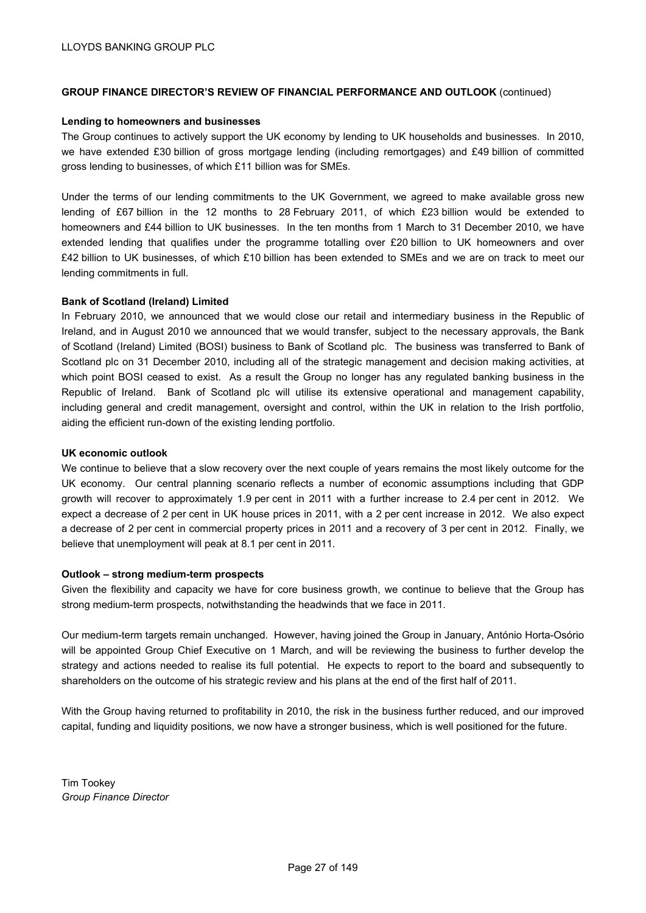#### **Lending to homeowners and businesses**

The Group continues to actively support the UK economy by lending to UK households and businesses. In 2010, we have extended £30 billion of gross mortgage lending (including remortgages) and £49 billion of committed gross lending to businesses, of which £11 billion was for SMEs.

Under the terms of our lending commitments to the UK Government, we agreed to make available gross new lending of £67 billion in the 12 months to 28 February 2011, of which £23 billion would be extended to homeowners and £44 billion to UK businesses. In the ten months from 1 March to 31 December 2010, we have extended lending that qualifies under the programme totalling over £20 billion to UK homeowners and over £42 billion to UK businesses, of which £10 billion has been extended to SMEs and we are on track to meet our lending commitments in full.

#### **Bank of Scotland (Ireland) Limited**

In February 2010, we announced that we would close our retail and intermediary business in the Republic of Ireland, and in August 2010 we announced that we would transfer, subject to the necessary approvals, the Bank of Scotland (Ireland) Limited (BOSI) business to Bank of Scotland plc. The business was transferred to Bank of Scotland plc on 31 December 2010, including all of the strategic management and decision making activities, at which point BOSI ceased to exist. As a result the Group no longer has any regulated banking business in the Republic of Ireland. Bank of Scotland plc will utilise its extensive operational and management capability, including general and credit management, oversight and control, within the UK in relation to the Irish portfolio, aiding the efficient run-down of the existing lending portfolio.

#### **UK economic outlook**

We continue to believe that a slow recovery over the next couple of years remains the most likely outcome for the UK economy. Our central planning scenario reflects a number of economic assumptions including that GDP growth will recover to approximately 1.9 per cent in 2011 with a further increase to 2.4 per cent in 2012. We expect a decrease of 2 per cent in UK house prices in 2011, with a 2 per cent increase in 2012. We also expect a decrease of 2 per cent in commercial property prices in 2011 and a recovery of 3 per cent in 2012. Finally, we believe that unemployment will peak at 8.1 per cent in 2011.

#### **Outlook – strong medium-term prospects**

Given the flexibility and capacity we have for core business growth, we continue to believe that the Group has strong medium-term prospects, notwithstanding the headwinds that we face in 2011.

Our medium-term targets remain unchanged. However, having joined the Group in January, António Horta-Osório will be appointed Group Chief Executive on 1 March, and will be reviewing the business to further develop the strategy and actions needed to realise its full potential. He expects to report to the board and subsequently to shareholders on the outcome of his strategic review and his plans at the end of the first half of 2011.

With the Group having returned to profitability in 2010, the risk in the business further reduced, and our improved capital, funding and liquidity positions, we now have a stronger business, which is well positioned for the future.

Tim Tookey *Group Finance Director*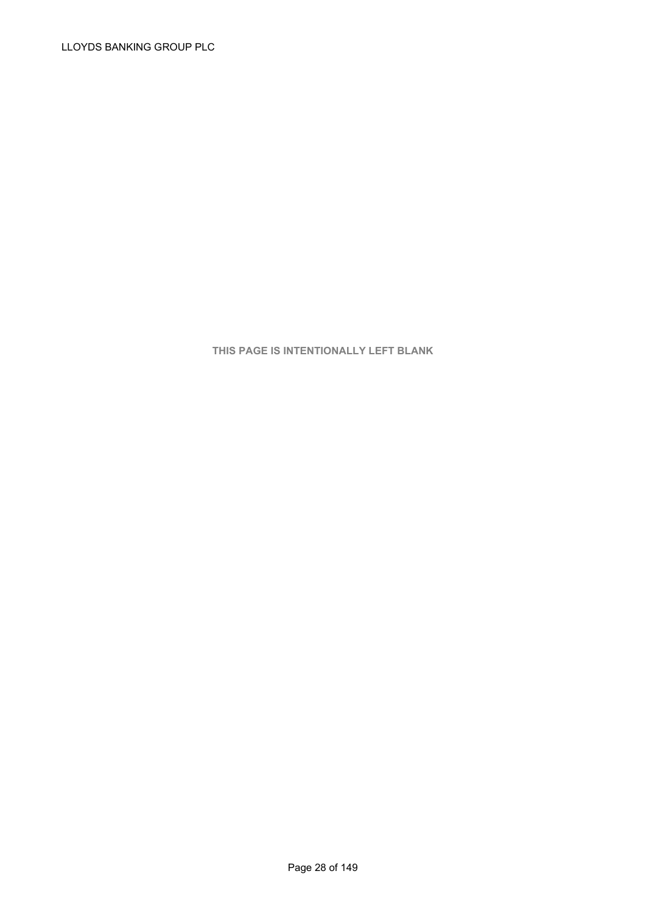## **THIS PAGE IS INTENTIONALLY LEFT BLANK**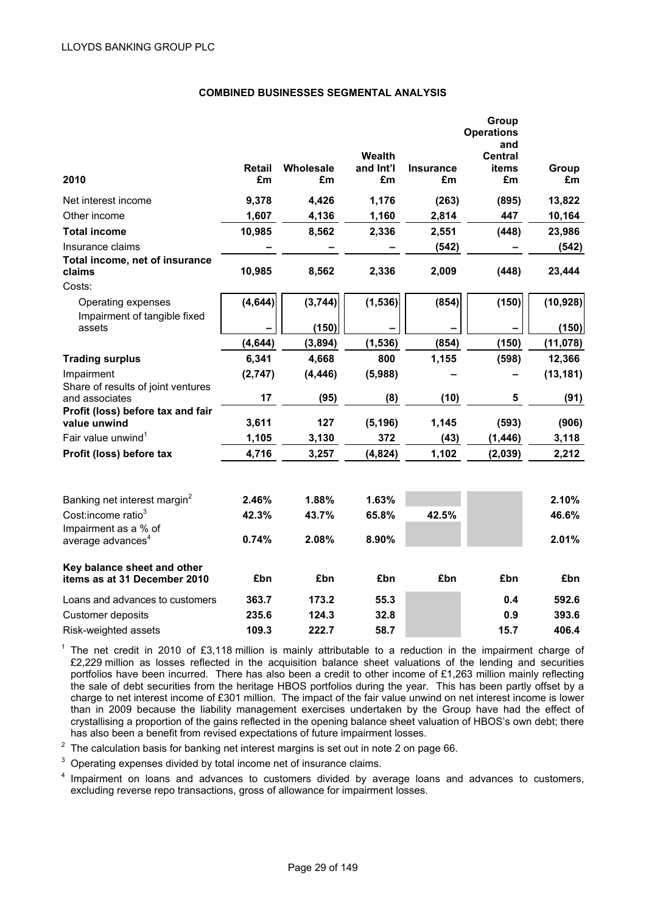## **COMBINED BUSINESSES SEGMENTAL ANALYSIS**

|                                                      |          |           |                     |                        | Group<br><b>Operations</b><br>and |             |
|------------------------------------------------------|----------|-----------|---------------------|------------------------|-----------------------------------|-------------|
|                                                      | Retail   | Wholesale | Wealth<br>and Int'l |                        | <b>Central</b><br>items           |             |
| 2010                                                 | £m       | £m        | £m                  | <b>Insurance</b><br>£m | £m                                | Group<br>£m |
| Net interest income                                  | 9,378    | 4,426     | 1,176               | (263)                  | (895)                             | 13,822      |
| Other income                                         | 1,607    | 4,136     | 1,160               | 2,814                  | 447                               | 10,164      |
| <b>Total income</b>                                  | 10,985   | 8,562     | 2,336               | 2,551                  | (448)                             | 23,986      |
| Insurance claims                                     |          |           |                     | (542)                  |                                   | (542)       |
| Total income, net of insurance<br>claims             | 10,985   | 8,562     | 2,336               | 2,009                  | (448)                             | 23,444      |
| Costs:                                               |          |           |                     |                        |                                   |             |
| Operating expenses<br>Impairment of tangible fixed   | (4, 644) | (3,744)   | (1, 536)            | (854)                  | (150)                             | (10, 928)   |
| assets                                               |          | (150)     |                     |                        |                                   | (150)       |
|                                                      | (4, 644) | (3,894)   | (1, 536)            | (854)                  | (150)                             | (11,078)    |
| <b>Trading surplus</b>                               | 6,341    | 4,668     | 800                 | 1,155                  | (598)                             | 12,366      |
| Impairment                                           | (2,747)  | (4, 446)  | (5,988)             |                        |                                   | (13, 181)   |
| Share of results of joint ventures<br>and associates | 17       | (95)      | (8)                 | (10)                   | 5                                 | (91)        |
| Profit (loss) before tax and fair<br>value unwind    | 3,611    | 127       | (5, 196)            | 1,145                  | (593)                             | (906)       |
| Fair value unwind <sup>1</sup>                       | 1,105    | 3,130     | 372                 | (43)                   | (1, 446)                          | 3,118       |
| Profit (loss) before tax                             | 4,716    | 3,257     | (4, 824)            | 1,102                  | (2,039)                           | 2,212       |
|                                                      |          |           |                     |                        |                                   |             |
| Banking net interest margin <sup>2</sup>             | 2.46%    | 1.88%     | 1.63%               |                        |                                   | 2.10%       |
| Cost:income ratio <sup>3</sup>                       | 42.3%    | 43.7%     | 65.8%               | 42.5%                  |                                   | 46.6%       |
| Impairment as a % of                                 |          |           |                     |                        |                                   |             |
| average advances <sup>4</sup>                        | 0.74%    | 2.08%     | 8.90%               |                        |                                   | 2.01%       |
| Key balance sheet and other                          |          |           |                     |                        |                                   |             |
| items as at 31 December 2010                         | £bn      | £bn       | £bn                 | £bn                    | £bn                               | £bn         |
| Loans and advances to customers                      | 363.7    | 173.2     | 55.3                |                        | 0.4                               | 592.6       |
| <b>Customer deposits</b>                             | 235.6    | 124.3     | 32.8                |                        | 0.9                               | 393.6       |
| Risk-weighted assets                                 | 109.3    | 222.7     | 58.7                |                        | 15.7                              | 406.4       |

<sup>1</sup> The net credit in 2010 of £3,118 million is mainly attributable to a reduction in the impairment charge of £2,229 million as losses reflected in the acquisition balance sheet valuations of the lending and securities portfolios have been incurred. There has also been a credit to other income of £1,263 million mainly reflecting the sale of debt securities from the heritage HBOS portfolios during the year. This has been partly offset by a charge to net interest income of £301 million. The impact of the fair value unwind on net interest income is lower than in 2009 because the liability management exercises undertaken by the Group have had the effect of crystallising a proportion of the gains reflected in the opening balance sheet valuation of HBOS's own debt; there has also been a benefit from revised expectations of future impairment losses.

 $2$  The calculation basis for banking net interest margins is set out in note 2 on page 66.

 $3$  Operating expenses divided by total income net of insurance claims.

<sup>4</sup> Impairment on loans and advances to customers divided by average loans and advances to customers, excluding reverse repo transactions, gross of allowance for impairment losses.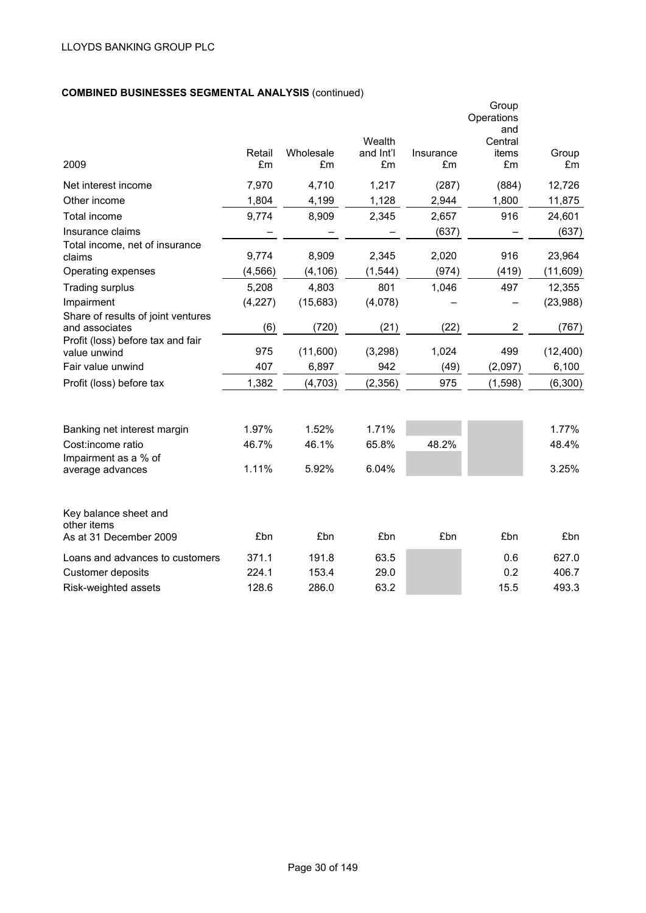## **COMBINED BUSINESSES SEGMENTAL ANALYSIS** (continued)

|                                                                                           |                |                 | Wealth          |                 | Group<br>Operations<br>and<br>Central |                |
|-------------------------------------------------------------------------------------------|----------------|-----------------|-----------------|-----------------|---------------------------------------|----------------|
| 2009                                                                                      | Retail<br>£m   | Wholesale<br>£m | and Int'l<br>£m | Insurance<br>£m | items<br>£m                           | Group<br>£m    |
| Net interest income                                                                       | 7,970          | 4,710           | 1,217           | (287)           | (884)                                 | 12,726         |
| Other income                                                                              | 1,804          | 4,199           | 1,128           | 2,944           | 1,800                                 | 11,875         |
| Total income                                                                              | 9,774          | 8,909           | 2,345           | 2,657           | 916                                   | 24,601         |
| Insurance claims                                                                          |                |                 |                 | (637)           |                                       | (637)          |
| Total income, net of insurance<br>claims                                                  | 9,774          | 8,909           | 2,345           | 2,020           | 916                                   | 23,964         |
| Operating expenses                                                                        | (4, 566)       | (4, 106)        | (1, 544)        | (974)           | (419)                                 | (11,609)       |
| Trading surplus                                                                           | 5,208          | 4,803           | 801             | 1,046           | 497                                   | 12,355         |
| Impairment                                                                                | (4,227)        | (15,683)        | (4,078)         |                 |                                       | (23,988)       |
| Share of results of joint ventures<br>and associates<br>Profit (loss) before tax and fair | (6)            | (720)           | (21)            | (22)            | $\overline{2}$                        | (767)          |
| value unwind                                                                              | 975            | (11,600)        | (3, 298)        | 1,024           | 499                                   | (12, 400)      |
| Fair value unwind                                                                         | 407            | 6,897           | 942             | (49)            | (2,097)                               | 6,100          |
| Profit (loss) before tax                                                                  | 1,382          | (4, 703)        | (2, 356)        | 975             | (1, 598)                              | (6,300)        |
| Banking net interest margin                                                               | 1.97%          | 1.52%           | 1.71%           |                 |                                       | 1.77%          |
| Cost:income ratio                                                                         | 46.7%          | 46.1%           | 65.8%           | 48.2%           |                                       | 48.4%          |
| Impairment as a % of<br>average advances                                                  | 1.11%          | 5.92%           | 6.04%           |                 |                                       | 3.25%          |
| Key balance sheet and<br>other items<br>As at 31 December 2009                            | £bn            | £bn             | £bn             | £bn             | £bn                                   | £bn            |
|                                                                                           |                |                 |                 |                 |                                       |                |
| Loans and advances to customers                                                           | 371.1          | 191.8           | 63.5            |                 | 0.6<br>0.2                            | 627.0          |
| Customer deposits<br>Risk-weighted assets                                                 | 224.1<br>128.6 | 153.4<br>286.0  | 29.0<br>63.2    |                 | 15.5                                  | 406.7<br>493.3 |
|                                                                                           |                |                 |                 |                 |                                       |                |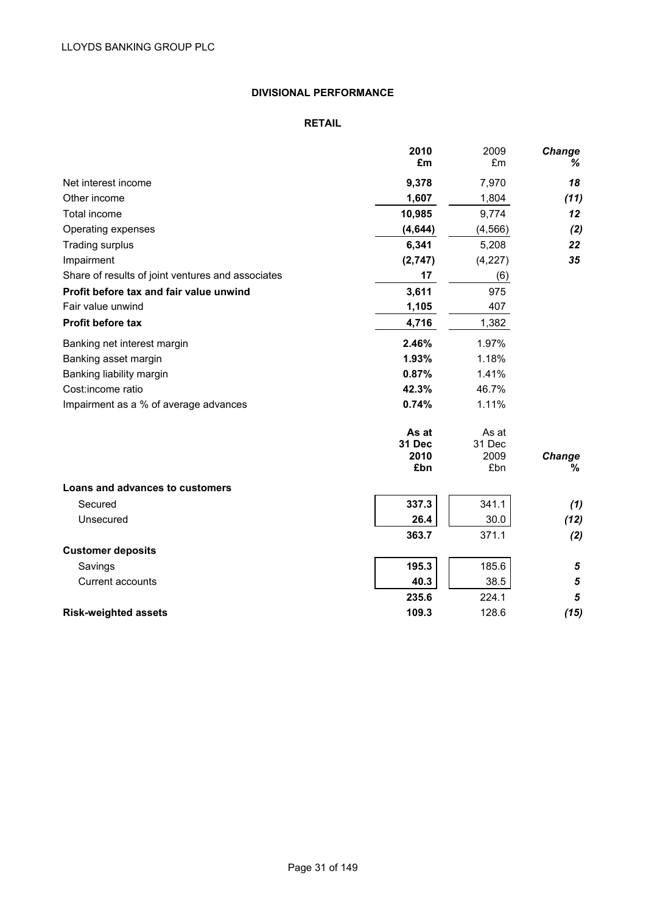## **DIVISIONAL PERFORMANCE**

## **RETAIL**

|                                                   | 2010<br>£m | 2009<br>£m | Change<br>% |
|---------------------------------------------------|------------|------------|-------------|
| Net interest income                               | 9,378      | 7,970      | 18          |
| Other income                                      | 1,607      | 1,804      | (11)        |
| <b>Total income</b>                               | 10,985     | 9,774      | 12          |
| Operating expenses                                | (4, 644)   | (4, 566)   | (2)         |
| Trading surplus                                   | 6,341      | 5,208      | 22          |
| Impairment                                        | (2,747)    | (4,227)    | 35          |
| Share of results of joint ventures and associates | 17         | (6)        |             |
| Profit before tax and fair value unwind           | 3,611      | 975        |             |
| Fair value unwind                                 | 1,105      | 407        |             |
| Profit before tax                                 | 4,716      | 1,382      |             |
| Banking net interest margin                       | 2.46%      | 1.97%      |             |
| Banking asset margin                              | 1.93%      | 1.18%      |             |
| Banking liability margin                          | 0.87%      | 1.41%      |             |
| Cost:income ratio                                 | 42.3%      | 46.7%      |             |
| Impairment as a % of average advances             | 0.74%      | 1.11%      |             |
|                                                   | As at      | As at      |             |
|                                                   | 31 Dec     | 31 Dec     |             |
|                                                   | 2010       | 2009       | Change      |
|                                                   | £bn        | £bn        | %           |
| Loans and advances to customers                   |            |            |             |
| Secured                                           | 337.3      | 341.1      | (1)         |
| Unsecured                                         | 26.4       | 30.0       | (12)        |
|                                                   | 363.7      | 371.1      | (2)         |
| <b>Customer deposits</b>                          |            |            |             |
| Savings                                           | 195.3      | 185.6      | 5           |
| <b>Current accounts</b>                           | 40.3       | 38.5       | 5           |
|                                                   | 235.6      | 224.1      | 5           |
| <b>Risk-weighted assets</b>                       | 109.3      | 128.6      | (15)        |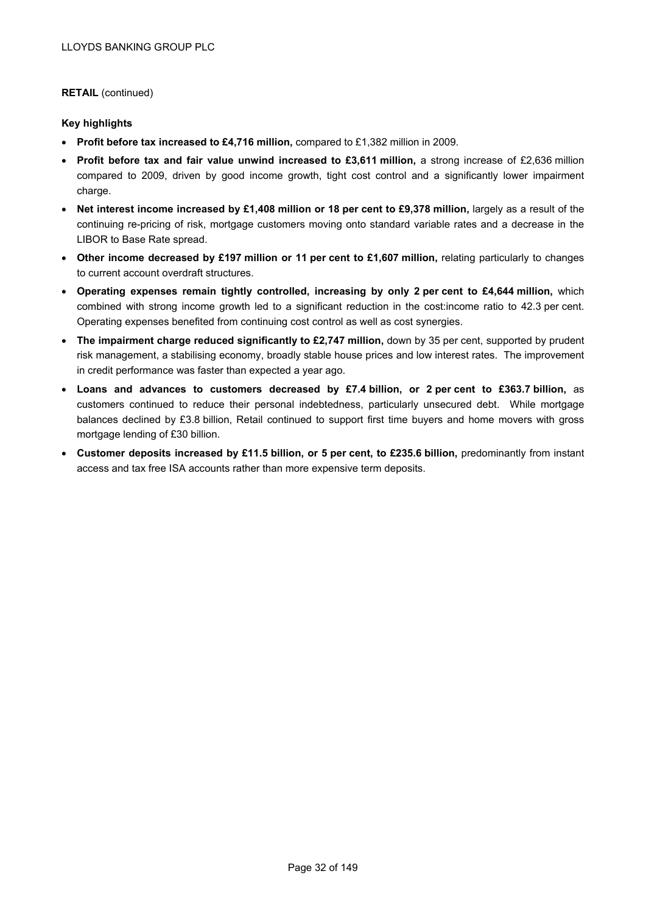## **RETAIL** (continued)

#### **Key highlights**

- **Profit before tax increased to £4,716 million,** compared to £1,382 million in 2009.
- **Profit before tax and fair value unwind increased to £3,611 million,** a strong increase of £2,636 million compared to 2009, driven by good income growth, tight cost control and a significantly lower impairment charge.
- **Net interest income increased by £1,408 million or 18 per cent to £9,378 million, largely as a result of the** continuing re-pricing of risk, mortgage customers moving onto standard variable rates and a decrease in the LIBOR to Base Rate spread.
- **Other income decreased by £197 million or 11 per cent to £1,607 million,** relating particularly to changes to current account overdraft structures.
- **Operating expenses remain tightly controlled, increasing by only 2 per cent to £4,644 million,** which combined with strong income growth led to a significant reduction in the cost:income ratio to 42.3 per cent. Operating expenses benefited from continuing cost control as well as cost synergies.
- **The impairment charge reduced significantly to £2,747 million,** down by 35 per cent, supported by prudent risk management, a stabilising economy, broadly stable house prices and low interest rates. The improvement in credit performance was faster than expected a year ago.
- **Loans and advances to customers decreased by £7.4 billion, or 2 per cent to £363.7 billion,** as customers continued to reduce their personal indebtedness, particularly unsecured debt. While mortgage balances declined by £3.8 billion, Retail continued to support first time buyers and home movers with gross mortgage lending of £30 billion.
- **Customer deposits increased by £11.5 billion, or 5 per cent, to £235.6 billion,** predominantly from instant access and tax free ISA accounts rather than more expensive term deposits.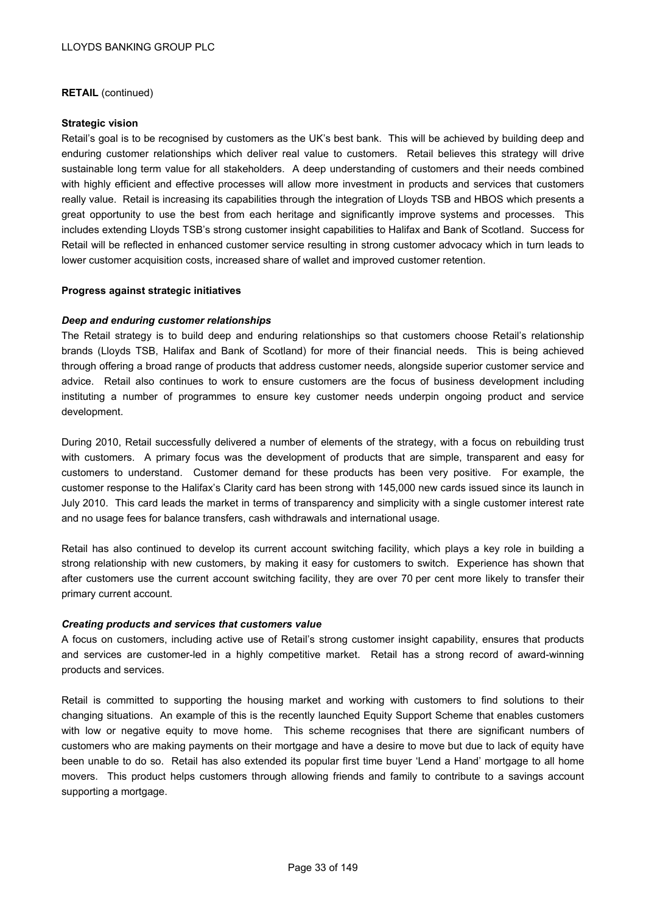#### **RETAIL** (continued)

#### **Strategic vision**

Retail's goal is to be recognised by customers as the UK's best bank. This will be achieved by building deep and enduring customer relationships which deliver real value to customers. Retail believes this strategy will drive sustainable long term value for all stakeholders. A deep understanding of customers and their needs combined with highly efficient and effective processes will allow more investment in products and services that customers really value. Retail is increasing its capabilities through the integration of Lloyds TSB and HBOS which presents a great opportunity to use the best from each heritage and significantly improve systems and processes. This includes extending Lloyds TSB's strong customer insight capabilities to Halifax and Bank of Scotland. Success for Retail will be reflected in enhanced customer service resulting in strong customer advocacy which in turn leads to lower customer acquisition costs, increased share of wallet and improved customer retention.

#### **Progress against strategic initiatives**

#### *Deep and enduring customer relationships*

The Retail strategy is to build deep and enduring relationships so that customers choose Retail's relationship brands (Lloyds TSB, Halifax and Bank of Scotland) for more of their financial needs. This is being achieved through offering a broad range of products that address customer needs, alongside superior customer service and advice. Retail also continues to work to ensure customers are the focus of business development including instituting a number of programmes to ensure key customer needs underpin ongoing product and service development.

During 2010, Retail successfully delivered a number of elements of the strategy, with a focus on rebuilding trust with customers. A primary focus was the development of products that are simple, transparent and easy for customers to understand. Customer demand for these products has been very positive. For example, the customer response to the Halifax's Clarity card has been strong with 145,000 new cards issued since its launch in July 2010. This card leads the market in terms of transparency and simplicity with a single customer interest rate and no usage fees for balance transfers, cash withdrawals and international usage.

Retail has also continued to develop its current account switching facility, which plays a key role in building a strong relationship with new customers, by making it easy for customers to switch. Experience has shown that after customers use the current account switching facility, they are over 70 per cent more likely to transfer their primary current account.

## *Creating products and services that customers value*

A focus on customers, including active use of Retail's strong customer insight capability, ensures that products and services are customer-led in a highly competitive market. Retail has a strong record of award-winning products and services.

Retail is committed to supporting the housing market and working with customers to find solutions to their changing situations. An example of this is the recently launched Equity Support Scheme that enables customers with low or negative equity to move home. This scheme recognises that there are significant numbers of customers who are making payments on their mortgage and have a desire to move but due to lack of equity have been unable to do so. Retail has also extended its popular first time buyer 'Lend a Hand' mortgage to all home movers. This product helps customers through allowing friends and family to contribute to a savings account supporting a mortgage.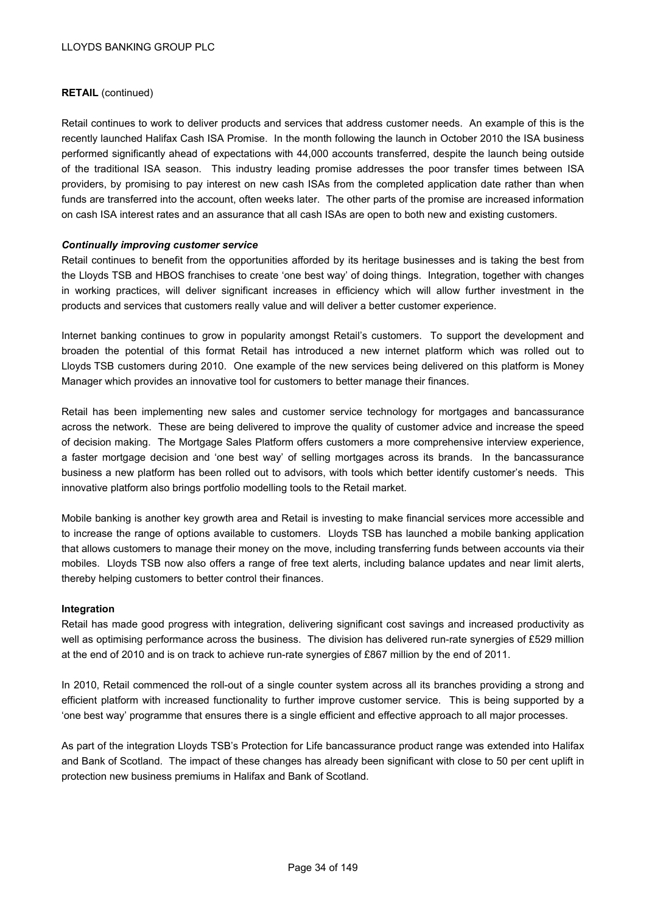## **RETAIL** (continued)

Retail continues to work to deliver products and services that address customer needs. An example of this is the recently launched Halifax Cash ISA Promise. In the month following the launch in October 2010 the ISA business performed significantly ahead of expectations with 44,000 accounts transferred, despite the launch being outside of the traditional ISA season. This industry leading promise addresses the poor transfer times between ISA providers, by promising to pay interest on new cash ISAs from the completed application date rather than when funds are transferred into the account, often weeks later. The other parts of the promise are increased information on cash ISA interest rates and an assurance that all cash ISAs are open to both new and existing customers.

## *Continually improving customer service*

Retail continues to benefit from the opportunities afforded by its heritage businesses and is taking the best from the Lloyds TSB and HBOS franchises to create 'one best way' of doing things. Integration, together with changes in working practices, will deliver significant increases in efficiency which will allow further investment in the products and services that customers really value and will deliver a better customer experience.

Internet banking continues to grow in popularity amongst Retail's customers. To support the development and broaden the potential of this format Retail has introduced a new internet platform which was rolled out to Lloyds TSB customers during 2010. One example of the new services being delivered on this platform is Money Manager which provides an innovative tool for customers to better manage their finances.

Retail has been implementing new sales and customer service technology for mortgages and bancassurance across the network. These are being delivered to improve the quality of customer advice and increase the speed of decision making. The Mortgage Sales Platform offers customers a more comprehensive interview experience, a faster mortgage decision and 'one best way' of selling mortgages across its brands. In the bancassurance business a new platform has been rolled out to advisors, with tools which better identify customer's needs. This innovative platform also brings portfolio modelling tools to the Retail market.

Mobile banking is another key growth area and Retail is investing to make financial services more accessible and to increase the range of options available to customers. Lloyds TSB has launched a mobile banking application that allows customers to manage their money on the move, including transferring funds between accounts via their mobiles. Lloyds TSB now also offers a range of free text alerts, including balance updates and near limit alerts, thereby helping customers to better control their finances.

#### **Integration**

Retail has made good progress with integration, delivering significant cost savings and increased productivity as well as optimising performance across the business. The division has delivered run-rate synergies of £529 million at the end of 2010 and is on track to achieve run-rate synergies of £867 million by the end of 2011.

In 2010, Retail commenced the roll-out of a single counter system across all its branches providing a strong and efficient platform with increased functionality to further improve customer service. This is being supported by a 'one best way' programme that ensures there is a single efficient and effective approach to all major processes.

As part of the integration Lloyds TSB's Protection for Life bancassurance product range was extended into Halifax and Bank of Scotland. The impact of these changes has already been significant with close to 50 per cent uplift in protection new business premiums in Halifax and Bank of Scotland.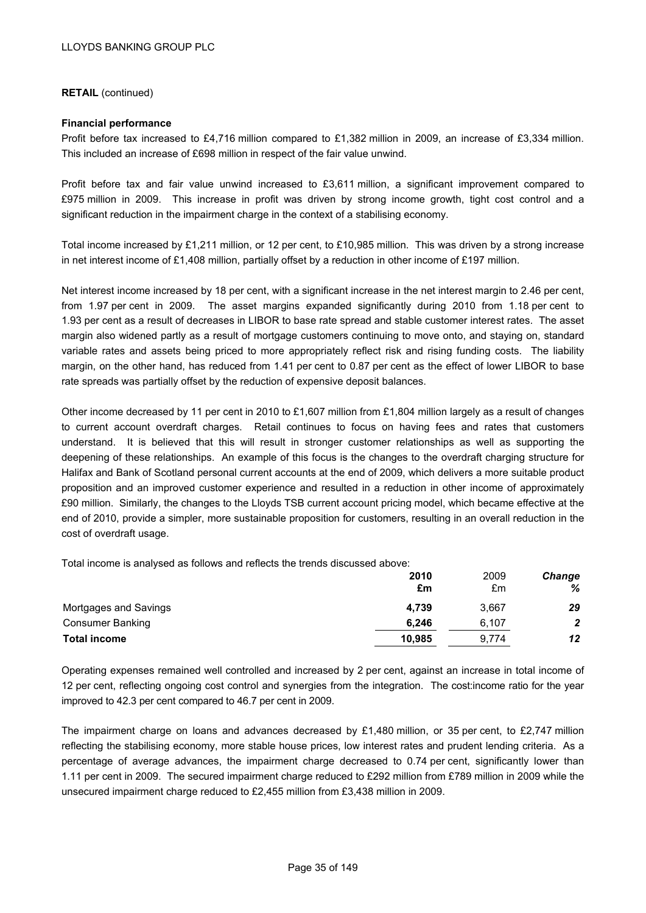## **RETAIL** (continued)

## **Financial performance**

Profit before tax increased to £4,716 million compared to £1,382 million in 2009, an increase of £3,334 million. This included an increase of £698 million in respect of the fair value unwind.

Profit before tax and fair value unwind increased to £3,611 million, a significant improvement compared to £975 million in 2009. This increase in profit was driven by strong income growth, tight cost control and a significant reduction in the impairment charge in the context of a stabilising economy.

Total income increased by £1,211 million, or 12 per cent, to £10,985 million. This was driven by a strong increase in net interest income of £1,408 million, partially offset by a reduction in other income of £197 million.

Net interest income increased by 18 per cent, with a significant increase in the net interest margin to 2.46 per cent, from 1.97 per cent in 2009. The asset margins expanded significantly during 2010 from 1.18 per cent to 1.93 per cent as a result of decreases in LIBOR to base rate spread and stable customer interest rates. The asset margin also widened partly as a result of mortgage customers continuing to move onto, and staying on, standard variable rates and assets being priced to more appropriately reflect risk and rising funding costs. The liability margin, on the other hand, has reduced from 1.41 per cent to 0.87 per cent as the effect of lower LIBOR to base rate spreads was partially offset by the reduction of expensive deposit balances.

Other income decreased by 11 per cent in 2010 to £1,607 million from £1,804 million largely as a result of changes to current account overdraft charges. Retail continues to focus on having fees and rates that customers understand. It is believed that this will result in stronger customer relationships as well as supporting the deepening of these relationships. An example of this focus is the changes to the overdraft charging structure for Halifax and Bank of Scotland personal current accounts at the end of 2009, which delivers a more suitable product proposition and an improved customer experience and resulted in a reduction in other income of approximately £90 million. Similarly, the changes to the Lloyds TSB current account pricing model, which became effective at the end of 2010, provide a simpler, more sustainable proposition for customers, resulting in an overall reduction in the cost of overdraft usage.

Total income is analysed as follows and reflects the trends discussed above:

|                         | 2010<br>£m | 2009<br>£m | <b>Change</b><br>% |
|-------------------------|------------|------------|--------------------|
| Mortgages and Savings   | 4.739      | 3.667      | 29                 |
| <b>Consumer Banking</b> | 6.246      | 6.107      |                    |
| <b>Total income</b>     | 10,985     | 9,774      | 12                 |

Operating expenses remained well controlled and increased by 2 per cent, against an increase in total income of 12 per cent, reflecting ongoing cost control and synergies from the integration. The cost:income ratio for the year improved to 42.3 per cent compared to 46.7 per cent in 2009.

The impairment charge on loans and advances decreased by £1,480 million, or 35 per cent, to £2,747 million reflecting the stabilising economy, more stable house prices, low interest rates and prudent lending criteria. As a percentage of average advances, the impairment charge decreased to 0.74 per cent, significantly lower than 1.11 per cent in 2009. The secured impairment charge reduced to £292 million from £789 million in 2009 while the unsecured impairment charge reduced to £2,455 million from £3,438 million in 2009.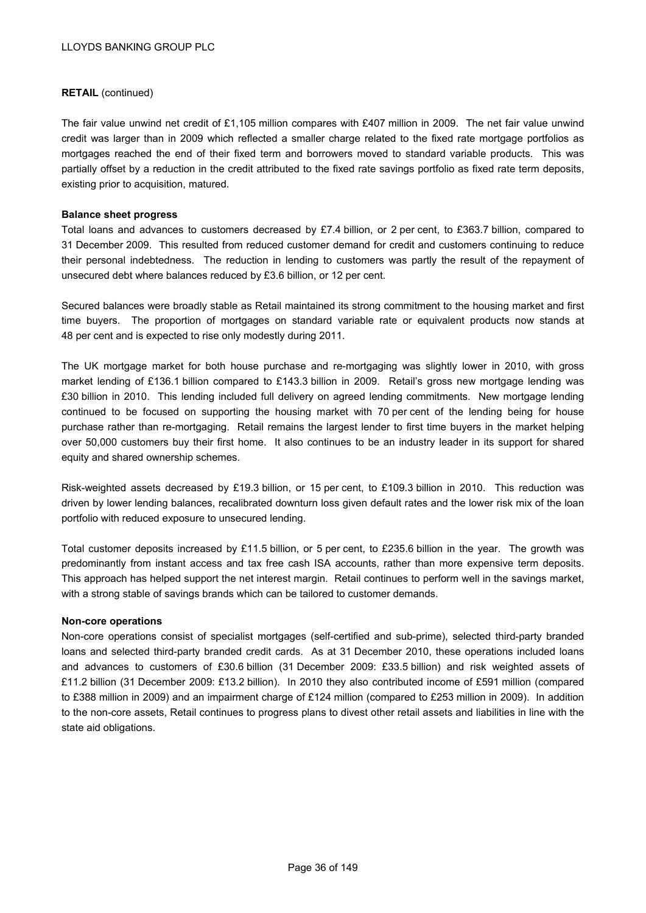## **RETAIL** (continued)

The fair value unwind net credit of £1,105 million compares with £407 million in 2009. The net fair value unwind credit was larger than in 2009 which reflected a smaller charge related to the fixed rate mortgage portfolios as mortgages reached the end of their fixed term and borrowers moved to standard variable products. This was partially offset by a reduction in the credit attributed to the fixed rate savings portfolio as fixed rate term deposits, existing prior to acquisition, matured.

## **Balance sheet progress**

Total loans and advances to customers decreased by £7.4 billion, or 2 per cent, to £363.7 billion, compared to 31 December 2009. This resulted from reduced customer demand for credit and customers continuing to reduce their personal indebtedness. The reduction in lending to customers was partly the result of the repayment of unsecured debt where balances reduced by £3.6 billion, or 12 per cent.

Secured balances were broadly stable as Retail maintained its strong commitment to the housing market and first time buyers. The proportion of mortgages on standard variable rate or equivalent products now stands at 48 per cent and is expected to rise only modestly during 2011.

The UK mortgage market for both house purchase and re-mortgaging was slightly lower in 2010, with gross market lending of £136.1 billion compared to £143.3 billion in 2009. Retail's gross new mortgage lending was £30 billion in 2010. This lending included full delivery on agreed lending commitments. New mortgage lending continued to be focused on supporting the housing market with 70 per cent of the lending being for house purchase rather than re-mortgaging. Retail remains the largest lender to first time buyers in the market helping over 50,000 customers buy their first home. It also continues to be an industry leader in its support for shared equity and shared ownership schemes.

Risk-weighted assets decreased by £19.3 billion, or 15 per cent, to £109.3 billion in 2010. This reduction was driven by lower lending balances, recalibrated downturn loss given default rates and the lower risk mix of the loan portfolio with reduced exposure to unsecured lending.

Total customer deposits increased by £11.5 billion, or 5 per cent, to £235.6 billion in the year. The growth was predominantly from instant access and tax free cash ISA accounts, rather than more expensive term deposits. This approach has helped support the net interest margin. Retail continues to perform well in the savings market, with a strong stable of savings brands which can be tailored to customer demands.

#### **Non-core operations**

Non-core operations consist of specialist mortgages (self-certified and sub-prime), selected third-party branded loans and selected third-party branded credit cards. As at 31 December 2010, these operations included loans and advances to customers of £30.6 billion (31 December 2009: £33.5 billion) and risk weighted assets of £11.2 billion (31 December 2009: £13.2 billion). In 2010 they also contributed income of £591 million (compared to £388 million in 2009) and an impairment charge of £124 million (compared to £253 million in 2009). In addition to the non-core assets, Retail continues to progress plans to divest other retail assets and liabilities in line with the state aid obligations.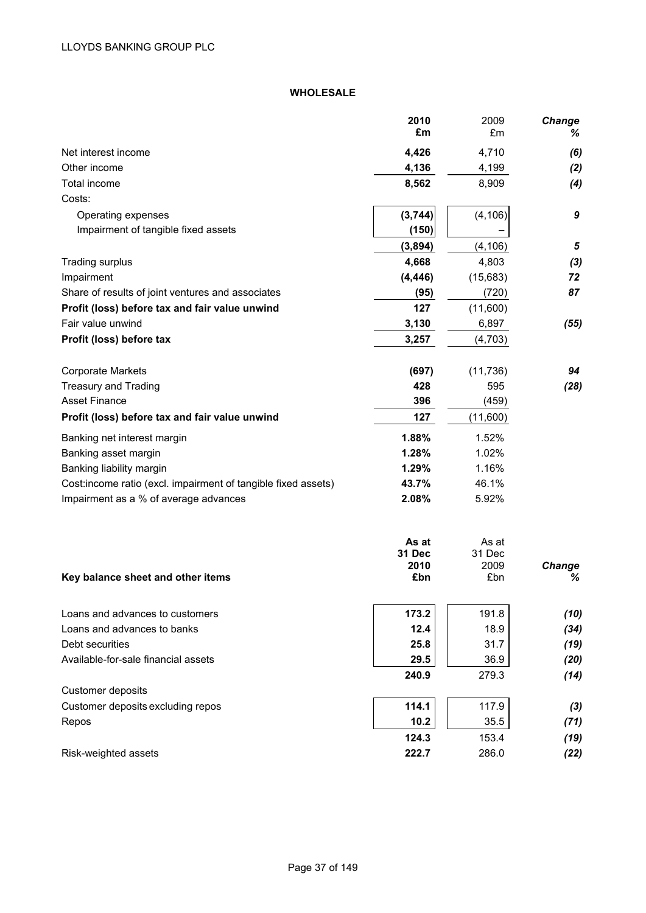# **WHOLESALE**

|                                                               | 2010<br>£m | 2009<br>£m | <b>Change</b><br>℅ |
|---------------------------------------------------------------|------------|------------|--------------------|
| Net interest income                                           | 4,426      | 4,710      |                    |
| Other income                                                  | 4,136      | 4,199      | (6)<br>(2)         |
| Total income                                                  | 8,562      | 8,909      | (4)                |
| Costs:                                                        |            |            |                    |
| Operating expenses                                            | (3,744)    | (4, 106)   | $\boldsymbol{9}$   |
| Impairment of tangible fixed assets                           | (150)      |            |                    |
|                                                               | (3,894)    | (4, 106)   | ${\bf 5}$          |
| Trading surplus                                               | 4,668      | 4,803      | (3)                |
| Impairment                                                    | (4, 446)   | (15,683)   | 72                 |
| Share of results of joint ventures and associates             | (95)       | (720)      | 87                 |
| Profit (loss) before tax and fair value unwind                | 127        | (11,600)   |                    |
| Fair value unwind                                             | 3,130      | 6,897      | (55)               |
| Profit (loss) before tax                                      | 3,257      | (4,703)    |                    |
| <b>Corporate Markets</b>                                      | (697)      | (11, 736)  | 94                 |
| <b>Treasury and Trading</b>                                   | 428        | 595        | (28)               |
| <b>Asset Finance</b>                                          | 396        | (459)      |                    |
| Profit (loss) before tax and fair value unwind                | 127        | (11,600)   |                    |
| Banking net interest margin                                   | 1.88%      | 1.52%      |                    |
| Banking asset margin                                          | 1.28%      | 1.02%      |                    |
| Banking liability margin                                      | 1.29%      | 1.16%      |                    |
| Cost:income ratio (excl. impairment of tangible fixed assets) | 43.7%      | 46.1%      |                    |
| Impairment as a % of average advances                         | 2.08%      | 5.92%      |                    |
|                                                               | As at      | As at      |                    |
|                                                               | 31 Dec     | 31 Dec     |                    |
|                                                               | 2010       | 2009       | Change             |
| Key balance sheet and other items                             | £bn        | £bn        | ℅                  |
| Loans and advances to customers                               | 173.2      | 191.8      | (10)               |
| Loans and advances to banks                                   | 12.4       | 18.9       | (34)               |
| Debt securities                                               | 25.8       | 31.7       | (19)               |
| Available-for-sale financial assets                           | 29.5       | 36.9       | (20)               |
|                                                               | 240.9      | 279.3      | (14)               |
| Customer deposits                                             |            |            |                    |
| Customer deposits excluding repos                             | 114.1      | 117.9      | (3)                |
| Repos                                                         | 10.2       | 35.5       | (71)               |
|                                                               | 124.3      | 153.4      | (19)               |
| Risk-weighted assets                                          | 222.7      | 286.0      | (22)               |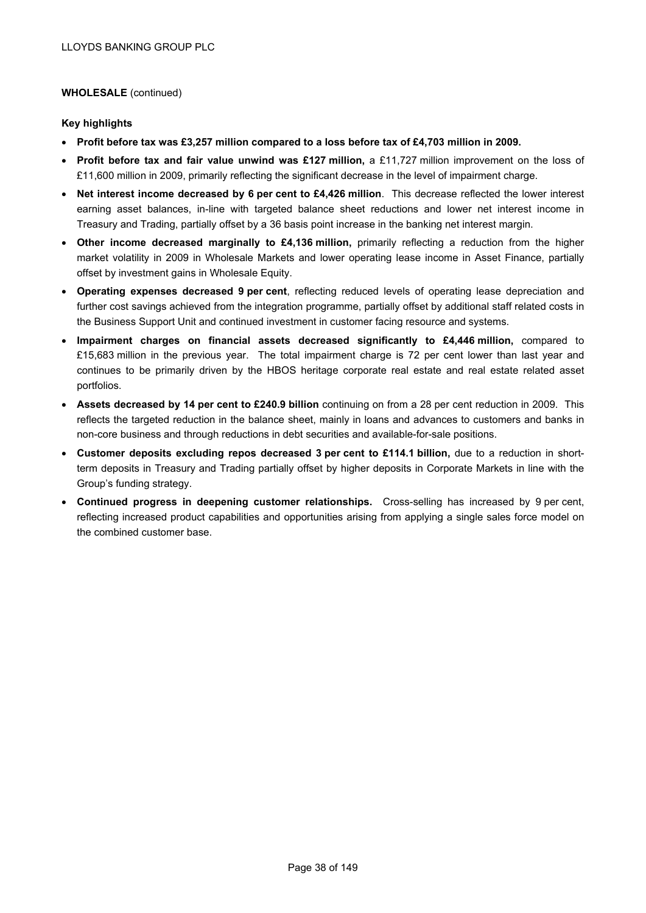## **Key highlights**

- **Profit before tax was £3,257 million compared to a loss before tax of £4,703 million in 2009.**
- **Profit before tax and fair value unwind was £127 million, a £11,727 million improvement on the loss of** £11,600 million in 2009, primarily reflecting the significant decrease in the level of impairment charge.
- **Net interest income decreased by 6 per cent to £4,426 million**.This decrease reflected the lower interest earning asset balances, in-line with targeted balance sheet reductions and lower net interest income in Treasury and Trading, partially offset by a 36 basis point increase in the banking net interest margin.
- **Other income decreased marginally to £4,136 million,** primarily reflecting a reduction from the higher market volatility in 2009 in Wholesale Markets and lower operating lease income in Asset Finance, partially offset by investment gains in Wholesale Equity.
- **Operating expenses decreased 9 per cent**, reflecting reduced levels of operating lease depreciation and further cost savings achieved from the integration programme, partially offset by additional staff related costs in the Business Support Unit and continued investment in customer facing resource and systems.
- **Impairment charges on financial assets decreased significantly to £4,446 million,** compared to £15,683 million in the previous year. The total impairment charge is 72 per cent lower than last year and continues to be primarily driven by the HBOS heritage corporate real estate and real estate related asset portfolios.
- **Assets decreased by 14 per cent to £240.9 billion** continuing on from a 28 per cent reduction in 2009. This reflects the targeted reduction in the balance sheet, mainly in loans and advances to customers and banks in non-core business and through reductions in debt securities and available-for-sale positions.
- **Customer deposits excluding repos decreased 3 per cent to £114.1 billion,** due to a reduction in shortterm deposits in Treasury and Trading partially offset by higher deposits in Corporate Markets in line with the Group's funding strategy.
- **Continued progress in deepening customer relationships.** Cross-selling has increased by 9 per cent, reflecting increased product capabilities and opportunities arising from applying a single sales force model on the combined customer base.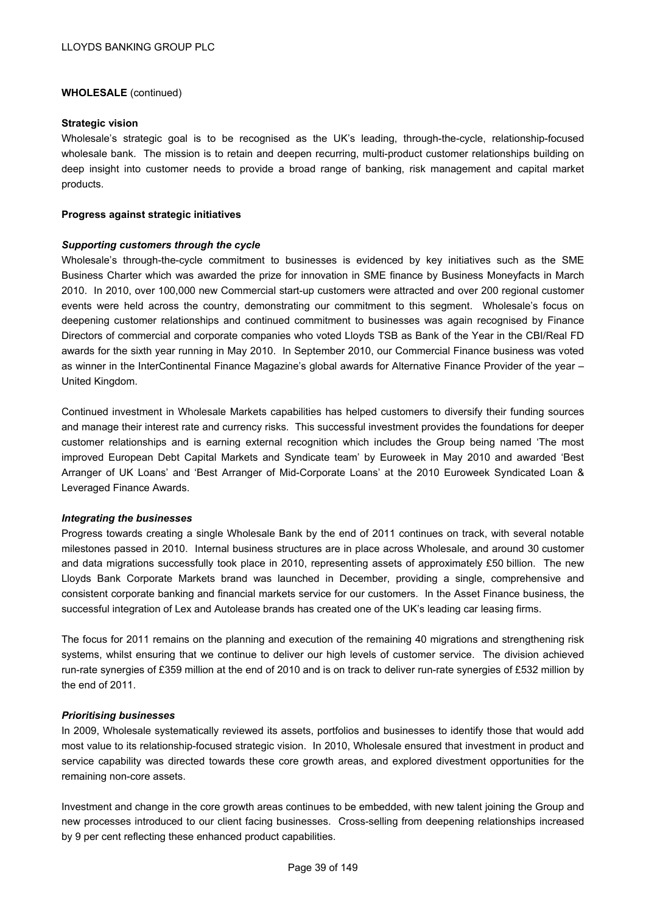## **Strategic vision**

Wholesale's strategic goal is to be recognised as the UK's leading, through-the-cycle, relationship-focused wholesale bank. The mission is to retain and deepen recurring, multi-product customer relationships building on deep insight into customer needs to provide a broad range of banking, risk management and capital market products.

## **Progress against strategic initiatives**

## *Supporting customers through the cycle*

Wholesale's through-the-cycle commitment to businesses is evidenced by key initiatives such as the SME Business Charter which was awarded the prize for innovation in SME finance by Business Moneyfacts in March 2010. In 2010, over 100,000 new Commercial start-up customers were attracted and over 200 regional customer events were held across the country, demonstrating our commitment to this segment. Wholesale's focus on deepening customer relationships and continued commitment to businesses was again recognised by Finance Directors of commercial and corporate companies who voted Lloyds TSB as Bank of the Year in the CBI/Real FD awards for the sixth year running in May 2010. In September 2010, our Commercial Finance business was voted as winner in the InterContinental Finance Magazine's global awards for Alternative Finance Provider of the year – United Kingdom.

Continued investment in Wholesale Markets capabilities has helped customers to diversify their funding sources and manage their interest rate and currency risks. This successful investment provides the foundations for deeper customer relationships and is earning external recognition which includes the Group being named 'The most improved European Debt Capital Markets and Syndicate team' by Euroweek in May 2010 and awarded 'Best Arranger of UK Loans' and 'Best Arranger of Mid-Corporate Loans' at the 2010 Euroweek Syndicated Loan & Leveraged Finance Awards.

#### *Integrating the businesses*

Progress towards creating a single Wholesale Bank by the end of 2011 continues on track, with several notable milestones passed in 2010. Internal business structures are in place across Wholesale, and around 30 customer and data migrations successfully took place in 2010, representing assets of approximately £50 billion. The new Lloyds Bank Corporate Markets brand was launched in December, providing a single, comprehensive and consistent corporate banking and financial markets service for our customers. In the Asset Finance business, the successful integration of Lex and Autolease brands has created one of the UK's leading car leasing firms.

The focus for 2011 remains on the planning and execution of the remaining 40 migrations and strengthening risk systems, whilst ensuring that we continue to deliver our high levels of customer service. The division achieved run-rate synergies of £359 million at the end of 2010 and is on track to deliver run-rate synergies of £532 million by the end of 2011.

## *Prioritising businesses*

In 2009, Wholesale systematically reviewed its assets, portfolios and businesses to identify those that would add most value to its relationship-focused strategic vision. In 2010, Wholesale ensured that investment in product and service capability was directed towards these core growth areas, and explored divestment opportunities for the remaining non-core assets.

Investment and change in the core growth areas continues to be embedded, with new talent joining the Group and new processes introduced to our client facing businesses. Cross-selling from deepening relationships increased by 9 per cent reflecting these enhanced product capabilities.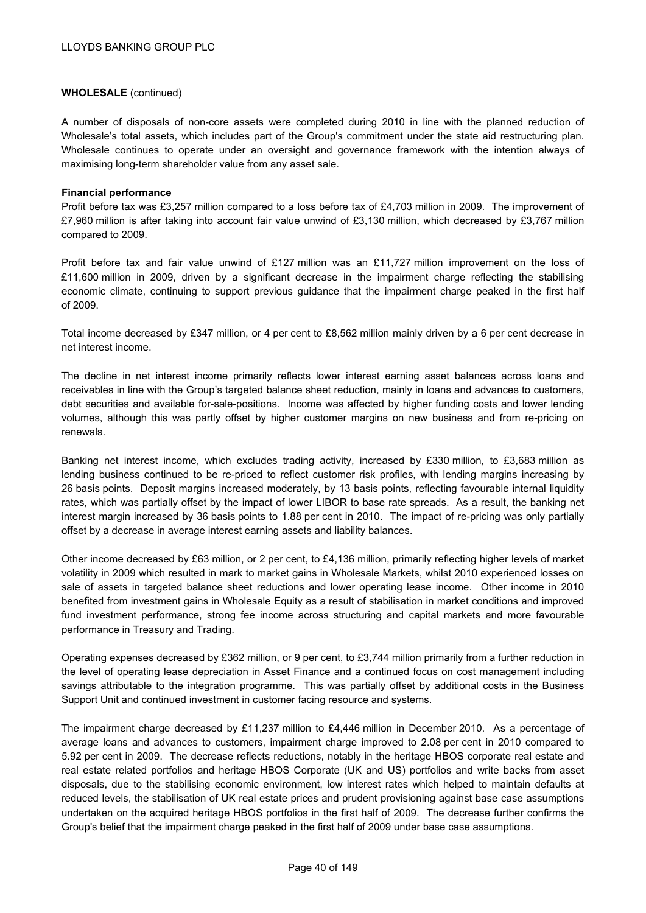A number of disposals of non-core assets were completed during 2010 in line with the planned reduction of Wholesale's total assets, which includes part of the Group's commitment under the state aid restructuring plan. Wholesale continues to operate under an oversight and governance framework with the intention always of maximising long-term shareholder value from any asset sale.

#### **Financial performance**

Profit before tax was £3,257 million compared to a loss before tax of £4,703 million in 2009. The improvement of £7,960 million is after taking into account fair value unwind of £3,130 million, which decreased by £3,767 million compared to 2009.

Profit before tax and fair value unwind of £127 million was an £11,727 million improvement on the loss of £11,600 million in 2009, driven by a significant decrease in the impairment charge reflecting the stabilising economic climate, continuing to support previous guidance that the impairment charge peaked in the first half of 2009.

Total income decreased by £347 million, or 4 per cent to £8,562 million mainly driven by a 6 per cent decrease in net interest income.

The decline in net interest income primarily reflects lower interest earning asset balances across loans and receivables in line with the Group's targeted balance sheet reduction, mainly in loans and advances to customers, debt securities and available for-sale-positions. Income was affected by higher funding costs and lower lending volumes, although this was partly offset by higher customer margins on new business and from re-pricing on renewals.

Banking net interest income, which excludes trading activity, increased by £330 million, to £3,683 million as lending business continued to be re-priced to reflect customer risk profiles, with lending margins increasing by 26 basis points. Deposit margins increased moderately, by 13 basis points, reflecting favourable internal liquidity rates, which was partially offset by the impact of lower LIBOR to base rate spreads. As a result, the banking net interest margin increased by 36 basis points to 1.88 per cent in 2010. The impact of re-pricing was only partially offset by a decrease in average interest earning assets and liability balances.

Other income decreased by £63 million, or 2 per cent, to £4,136 million, primarily reflecting higher levels of market volatility in 2009 which resulted in mark to market gains in Wholesale Markets, whilst 2010 experienced losses on sale of assets in targeted balance sheet reductions and lower operating lease income. Other income in 2010 benefited from investment gains in Wholesale Equity as a result of stabilisation in market conditions and improved fund investment performance, strong fee income across structuring and capital markets and more favourable performance in Treasury and Trading.

Operating expenses decreased by £362 million, or 9 per cent, to £3,744 million primarily from a further reduction in the level of operating lease depreciation in Asset Finance and a continued focus on cost management including savings attributable to the integration programme. This was partially offset by additional costs in the Business Support Unit and continued investment in customer facing resource and systems.

The impairment charge decreased by £11,237 million to £4,446 million in December 2010. As a percentage of average loans and advances to customers, impairment charge improved to 2.08 per cent in 2010 compared to 5.92 per cent in 2009. The decrease reflects reductions, notably in the heritage HBOS corporate real estate and real estate related portfolios and heritage HBOS Corporate (UK and US) portfolios and write backs from asset disposals, due to the stabilising economic environment, low interest rates which helped to maintain defaults at reduced levels, the stabilisation of UK real estate prices and prudent provisioning against base case assumptions undertaken on the acquired heritage HBOS portfolios in the first half of 2009. The decrease further confirms the Group's belief that the impairment charge peaked in the first half of 2009 under base case assumptions.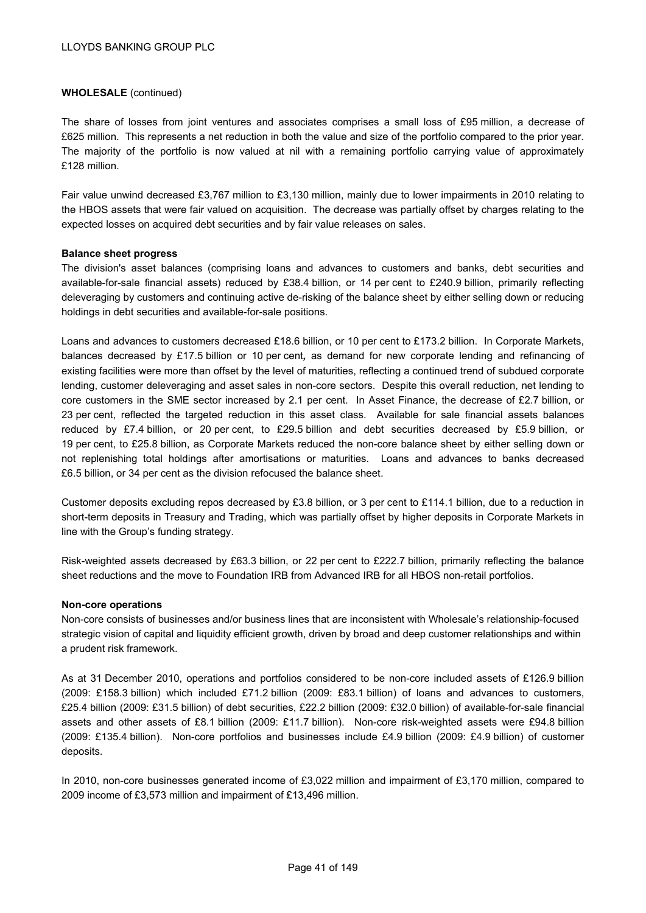The share of losses from joint ventures and associates comprises a small loss of £95 million, a decrease of £625 million. This represents a net reduction in both the value and size of the portfolio compared to the prior year. The majority of the portfolio is now valued at nil with a remaining portfolio carrying value of approximately £128 million.

Fair value unwind decreased £3,767 million to £3,130 million, mainly due to lower impairments in 2010 relating to the HBOS assets that were fair valued on acquisition. The decrease was partially offset by charges relating to the expected losses on acquired debt securities and by fair value releases on sales.

#### **Balance sheet progress**

The division's asset balances (comprising loans and advances to customers and banks, debt securities and available-for-sale financial assets) reduced by £38.4 billion, or 14 per cent to £240.9 billion, primarily reflecting deleveraging by customers and continuing active de-risking of the balance sheet by either selling down or reducing holdings in debt securities and available-for-sale positions.

Loans and advances to customers decreased £18.6 billion, or 10 per cent to £173.2 billion. In Corporate Markets, balances decreased by £17.5 billion or 10 per cent*,* as demand for new corporate lending and refinancing of existing facilities were more than offset by the level of maturities, reflecting a continued trend of subdued corporate lending, customer deleveraging and asset sales in non-core sectors. Despite this overall reduction, net lending to core customers in the SME sector increased by 2.1 per cent. In Asset Finance, the decrease of £2.7 billion, or 23 per cent, reflected the targeted reduction in this asset class. Available for sale financial assets balances reduced by £7.4 billion, or 20 per cent, to £29.5 billion and debt securities decreased by £5.9 billion, or 19 per cent, to £25.8 billion, as Corporate Markets reduced the non-core balance sheet by either selling down or not replenishing total holdings after amortisations or maturities. Loans and advances to banks decreased £6.5 billion, or 34 per cent as the division refocused the balance sheet.

Customer deposits excluding repos decreased by £3.8 billion, or 3 per cent to £114.1 billion, due to a reduction in short-term deposits in Treasury and Trading, which was partially offset by higher deposits in Corporate Markets in line with the Group's funding strategy.

Risk-weighted assets decreased by £63.3 billion, or 22 per cent to £222.7 billion, primarily reflecting the balance sheet reductions and the move to Foundation IRB from Advanced IRB for all HBOS non-retail portfolios.

#### **Non-core operations**

Non-core consists of businesses and/or business lines that are inconsistent with Wholesale's relationship-focused strategic vision of capital and liquidity efficient growth, driven by broad and deep customer relationships and within a prudent risk framework.

As at 31 December 2010, operations and portfolios considered to be non-core included assets of £126.9 billion (2009: £158.3 billion) which included £71.2 billion (2009: £83.1 billion) of loans and advances to customers, £25.4 billion (2009: £31.5 billion) of debt securities, £22.2 billion (2009: £32.0 billion) of available-for-sale financial assets and other assets of £8.1 billion (2009: £11.7 billion). Non-core risk-weighted assets were £94.8 billion (2009: £135.4 billion). Non-core portfolios and businesses include £4.9 billion (2009: £4.9 billion) of customer deposits.

In 2010, non-core businesses generated income of £3,022 million and impairment of £3,170 million, compared to 2009 income of £3,573 million and impairment of £13,496 million.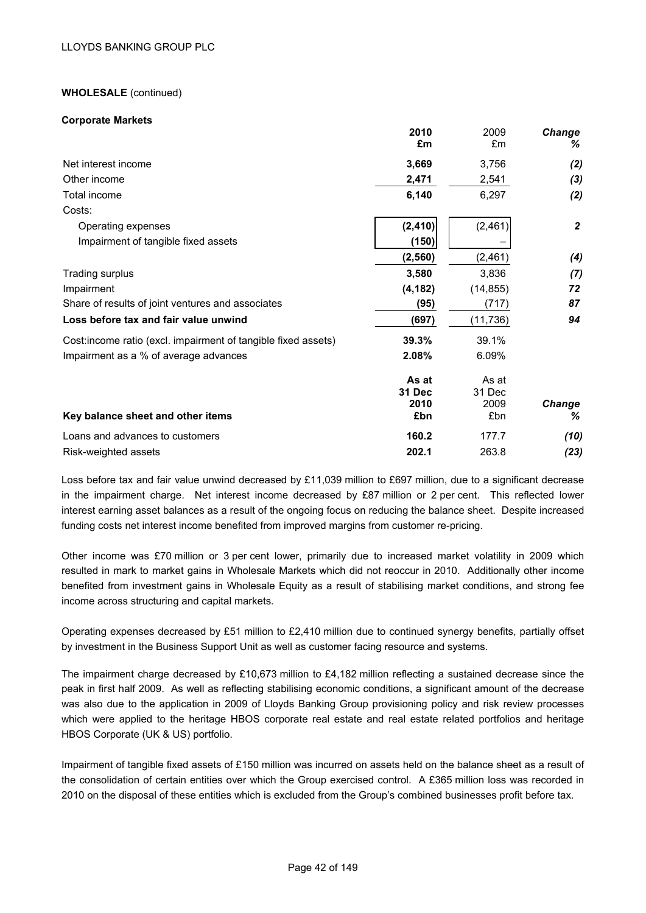#### **Corporate Markets**

|                                                                | 2010          | 2009      | <b>Change</b>  |
|----------------------------------------------------------------|---------------|-----------|----------------|
|                                                                | £m            | £m        | ℅              |
| Net interest income                                            | 3,669         | 3,756     | (2)            |
| Other income                                                   | 2,471         | 2,541     | (3)            |
| Total income                                                   | 6,140         | 6,297     | (2)            |
| Costs:                                                         |               |           |                |
| Operating expenses                                             | (2, 410)      | (2, 461)  | $\overline{2}$ |
| Impairment of tangible fixed assets                            | (150)         |           |                |
|                                                                | (2, 560)      | (2, 461)  | (4)            |
| <b>Trading surplus</b>                                         | 3,580         | 3,836     | (7)            |
| Impairment                                                     | (4, 182)      | (14, 855) | 72             |
| Share of results of joint ventures and associates              | (95)          | (717)     | 87             |
| Loss before tax and fair value unwind                          | (697)         | (11, 736) | 94             |
| Cost: income ratio (excl. impairment of tangible fixed assets) | 39.3%         | 39.1%     |                |
| Impairment as a % of average advances                          | 2.08%         | 6.09%     |                |
|                                                                | As at         | As at     |                |
|                                                                | <b>31 Dec</b> | 31 Dec    |                |
|                                                                | 2010          | 2009      | Change         |
| Key balance sheet and other items                              | £bn           | £bn       | ℅              |
| Loans and advances to customers                                | 160.2         | 177.7     | (10)           |
| Risk-weighted assets                                           | 202.1         | 263.8     | (23)           |

Loss before tax and fair value unwind decreased by £11,039 million to £697 million, due to a significant decrease in the impairment charge. Net interest income decreased by £87 million or 2 per cent. This reflected lower interest earning asset balances as a result of the ongoing focus on reducing the balance sheet. Despite increased funding costs net interest income benefited from improved margins from customer re-pricing.

Other income was £70 million or 3 per cent lower, primarily due to increased market volatility in 2009 which resulted in mark to market gains in Wholesale Markets which did not reoccur in 2010. Additionally other income benefited from investment gains in Wholesale Equity as a result of stabilising market conditions, and strong fee income across structuring and capital markets.

Operating expenses decreased by £51 million to £2,410 million due to continued synergy benefits, partially offset by investment in the Business Support Unit as well as customer facing resource and systems.

The impairment charge decreased by £10,673 million to £4,182 million reflecting a sustained decrease since the peak in first half 2009. As well as reflecting stabilising economic conditions, a significant amount of the decrease was also due to the application in 2009 of Lloyds Banking Group provisioning policy and risk review processes which were applied to the heritage HBOS corporate real estate and real estate related portfolios and heritage HBOS Corporate (UK & US) portfolio.

Impairment of tangible fixed assets of £150 million was incurred on assets held on the balance sheet as a result of the consolidation of certain entities over which the Group exercised control. A £365 million loss was recorded in 2010 on the disposal of these entities which is excluded from the Group's combined businesses profit before tax.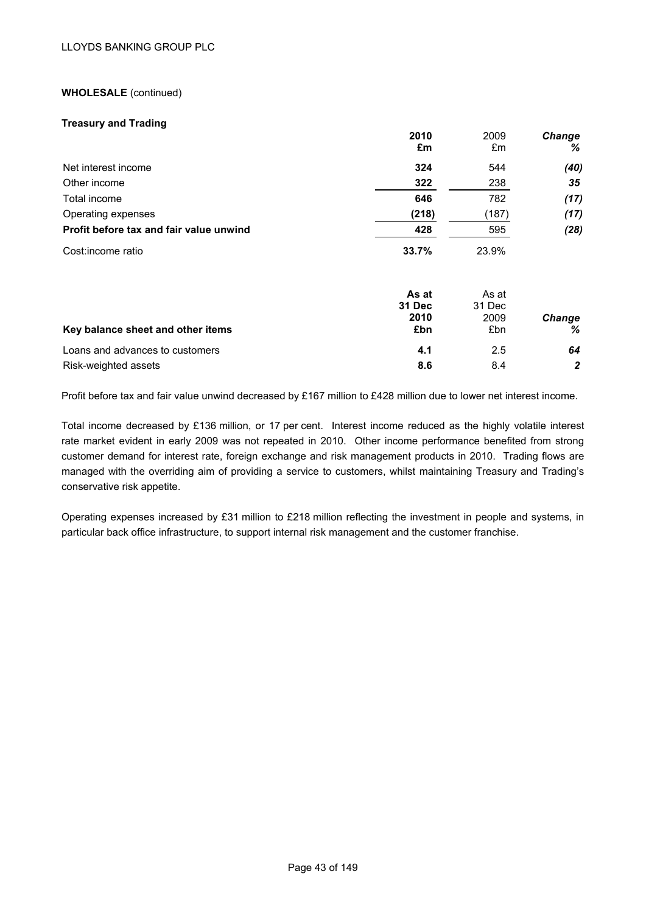## **Treasury and Trading**

|                                         | 2010<br>£m | 2009<br>£m | <b>Change</b><br>% |
|-----------------------------------------|------------|------------|--------------------|
| Net interest income                     | 324        | 544        | (40)               |
| Other income                            | 322        | 238        | 35                 |
| Total income                            | 646        | 782        | (17)               |
| Operating expenses                      | (218)      | (187)      | (17)               |
| Profit before tax and fair value unwind | 428        | 595        | (28)               |
| Cost: income ratio                      | 33.7%      | 23.9%      |                    |
|                                         |            |            |                    |

| Key balance sheet and other items | As at<br><b>31 Dec</b><br>2010<br>£bn | As at<br>31 Dec<br>2009<br>£bn | <b>Change</b><br>% |
|-----------------------------------|---------------------------------------|--------------------------------|--------------------|
| Loans and advances to customers   | 4.1                                   | 2.5                            | 64                 |
| Risk-weighted assets              | 8.6                                   | 8.4                            |                    |

Profit before tax and fair value unwind decreased by £167 million to £428 million due to lower net interest income.

Total income decreased by £136 million, or 17 per cent. Interest income reduced as the highly volatile interest rate market evident in early 2009 was not repeated in 2010. Other income performance benefited from strong customer demand for interest rate, foreign exchange and risk management products in 2010. Trading flows are managed with the overriding aim of providing a service to customers, whilst maintaining Treasury and Trading's conservative risk appetite.

Operating expenses increased by £31 million to £218 million reflecting the investment in people and systems, in particular back office infrastructure, to support internal risk management and the customer franchise.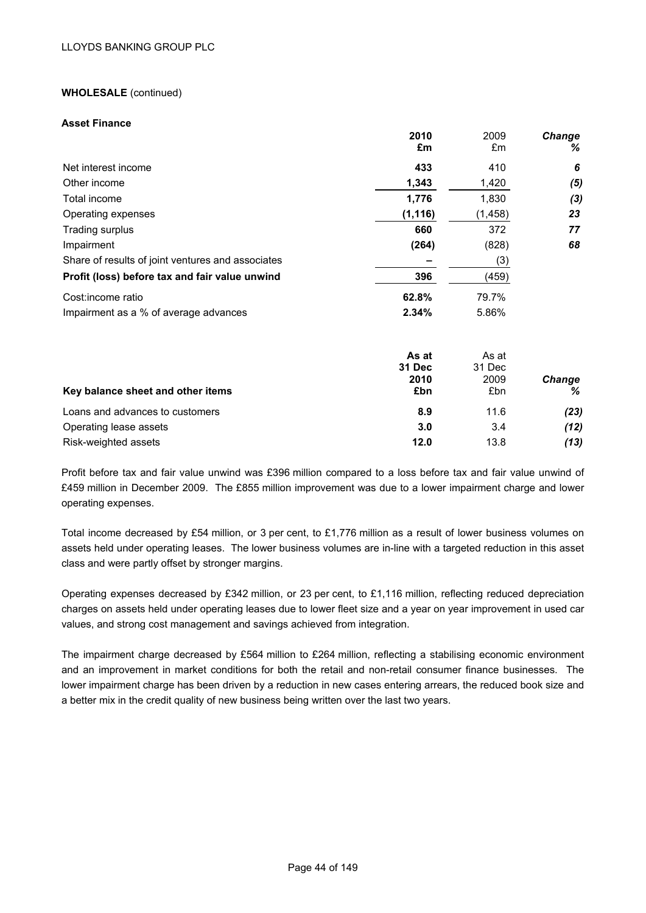#### **Asset Finance**

|                                                   | 2010<br>£m    | 2009<br>£m | <b>Change</b><br>℅ |
|---------------------------------------------------|---------------|------------|--------------------|
|                                                   |               |            |                    |
| Net interest income                               | 433           | 410        | 6                  |
| Other income                                      | 1,343         | 1,420      | (5)                |
| Total income                                      | 1,776         | 1,830      | (3)                |
| Operating expenses                                | (1, 116)      | (1, 458)   | 23                 |
| Trading surplus                                   | 660           | 372        | 77                 |
| Impairment                                        | (264)         | (828)      | 68                 |
| Share of results of joint ventures and associates |               | (3)        |                    |
| Profit (loss) before tax and fair value unwind    | 396           | (459)      |                    |
| Cost: income ratio                                | 62.8%         | 79.7%      |                    |
| Impairment as a % of average advances             | 2.34%         | 5.86%      |                    |
|                                                   | As at         | As at      |                    |
|                                                   | <b>31 Dec</b> | 31 Dec     |                    |
|                                                   | 2010          | 2009       | <b>Change</b>      |
| Key balance sheet and other items                 | £bn           | £bn        | ℅                  |
| Loans and advances to customers                   | 8.9           | 11.6       | (23)               |
| Operating lease assets                            | 3.0           | 3.4        | (12)               |
| Risk-weighted assets                              | 12.0          | 13.8       | (13)               |

Profit before tax and fair value unwind was £396 million compared to a loss before tax and fair value unwind of £459 million in December 2009. The £855 million improvement was due to a lower impairment charge and lower operating expenses.

Total income decreased by £54 million, or 3 per cent, to £1,776 million as a result of lower business volumes on assets held under operating leases. The lower business volumes are in-line with a targeted reduction in this asset class and were partly offset by stronger margins.

Operating expenses decreased by £342 million, or 23 per cent, to £1,116 million, reflecting reduced depreciation charges on assets held under operating leases due to lower fleet size and a year on year improvement in used car values, and strong cost management and savings achieved from integration.

The impairment charge decreased by £564 million to £264 million, reflecting a stabilising economic environment and an improvement in market conditions for both the retail and non-retail consumer finance businesses. The lower impairment charge has been driven by a reduction in new cases entering arrears, the reduced book size and a better mix in the credit quality of new business being written over the last two years.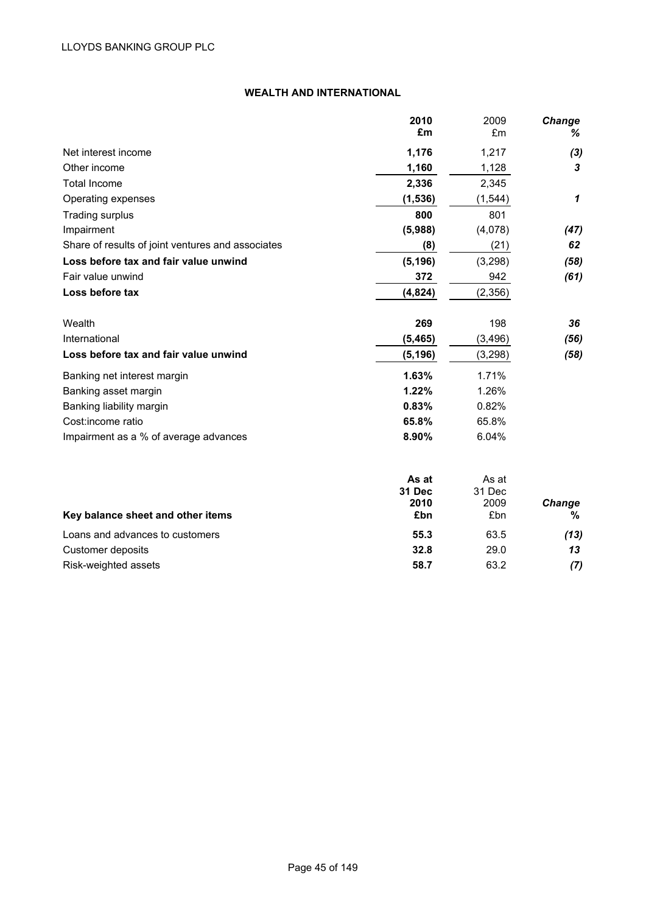# **WEALTH AND INTERNATIONAL**

|                                                   | 2010        | 2009        | Change      |
|---------------------------------------------------|-------------|-------------|-------------|
|                                                   | £m          | £m          | ℅           |
| Net interest income                               | 1,176       | 1,217       | (3)         |
| Other income                                      | 1,160       | 1,128       | 3           |
| <b>Total Income</b>                               | 2,336       | 2,345       |             |
| Operating expenses                                | (1, 536)    | (1, 544)    | 1           |
| Trading surplus                                   | 800         | 801         |             |
| Impairment                                        | (5,988)     | (4,078)     | (47)        |
| Share of results of joint ventures and associates | (8)         | (21)        | 62          |
| Loss before tax and fair value unwind             | (5, 196)    | (3,298)     | (58)        |
| Fair value unwind                                 | 372         | 942         | (61)        |
| Loss before tax                                   | (4,824)     | (2,356)     |             |
|                                                   |             |             |             |
| Wealth                                            | 269         | 198         | 36          |
| International                                     | (5, 465)    | (3, 496)    | (56)        |
| Loss before tax and fair value unwind             | (5, 196)    | (3, 298)    | (58)        |
| Banking net interest margin                       | 1.63%       | 1.71%       |             |
| Banking asset margin                              | 1.22%       | 1.26%       |             |
| Banking liability margin                          | 0.83%       | 0.82%       |             |
| Cost:income ratio                                 | 65.8%       | 65.8%       |             |
| Impairment as a % of average advances             | 8.90%       | 6.04%       |             |
|                                                   | As at       | As at       |             |
|                                                   | 31 Dec      | 31 Dec      |             |
| Key balance sheet and other items                 | 2010<br>£bn | 2009<br>£bn | Change<br>% |
|                                                   |             |             |             |
| Loans and advances to customers                   | 55.3        | 63.5        | (13)        |
| Customer deposits                                 | 32.8        | 29.0        | 13          |

Customer deposits **32.8** 29.0 *13*  Risk-weighted assets **58.7** 63.2 *(7)*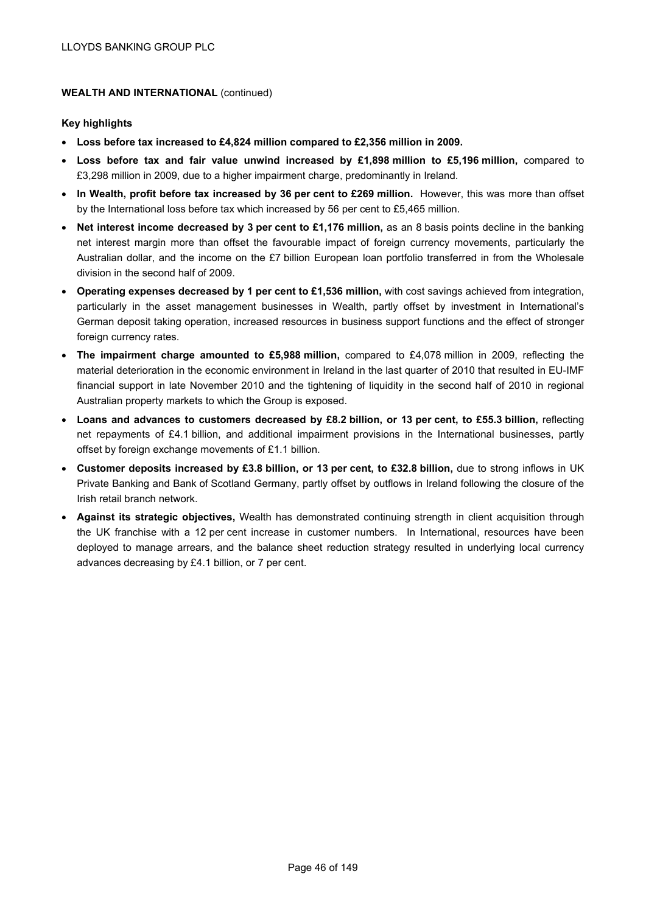## **Key highlights**

- **Loss before tax increased to £4,824 million compared to £2,356 million in 2009.**
- **Loss before tax and fair value unwind increased by £1,898 million to £5,196 million,** compared to £3,298 million in 2009, due to a higher impairment charge, predominantly in Ireland.
- In Wealth, profit before tax increased by 36 per cent to £269 million. However, this was more than offset by the International loss before tax which increased by 56 per cent to £5,465 million.
- **Net interest income decreased by 3 per cent to £1,176 million,** as an 8 basis points decline in the banking net interest margin more than offset the favourable impact of foreign currency movements, particularly the Australian dollar, and the income on the £7 billion European loan portfolio transferred in from the Wholesale division in the second half of 2009.
- **Operating expenses decreased by 1 per cent to £1,536 million,** with cost savings achieved from integration, particularly in the asset management businesses in Wealth, partly offset by investment in International's German deposit taking operation, increased resources in business support functions and the effect of stronger foreign currency rates.
- **The impairment charge amounted to £5,988 million,** compared to £4,078 million in 2009, reflecting the material deterioration in the economic environment in Ireland in the last quarter of 2010 that resulted in EU-IMF financial support in late November 2010 and the tightening of liquidity in the second half of 2010 in regional Australian property markets to which the Group is exposed.
- **Loans and advances to customers decreased by £8.2 billion, or 13 per cent, to £55.3 billion, reflecting** net repayments of £4.1 billion, and additional impairment provisions in the International businesses, partly offset by foreign exchange movements of £1.1 billion.
- **Customer deposits increased by £3.8 billion, or 13 per cent, to £32.8 billion,** due to strong inflows in UK Private Banking and Bank of Scotland Germany, partly offset by outflows in Ireland following the closure of the Irish retail branch network.
- **Against its strategic objectives,** Wealth has demonstrated continuing strength in client acquisition through the UK franchise with a 12 per cent increase in customer numbers. In International, resources have been deployed to manage arrears, and the balance sheet reduction strategy resulted in underlying local currency advances decreasing by £4.1 billion, or 7 per cent.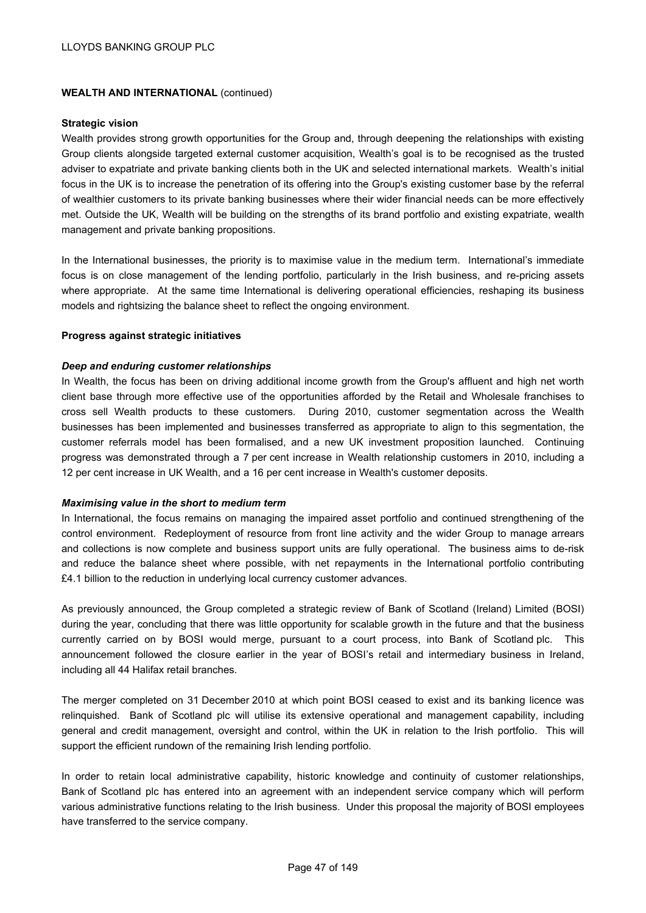## **Strategic vision**

Wealth provides strong growth opportunities for the Group and, through deepening the relationships with existing Group clients alongside targeted external customer acquisition, Wealth's goal is to be recognised as the trusted adviser to expatriate and private banking clients both in the UK and selected international markets. Wealth's initial focus in the UK is to increase the penetration of its offering into the Group's existing customer base by the referral of wealthier customers to its private banking businesses where their wider financial needs can be more effectively met. Outside the UK, Wealth will be building on the strengths of its brand portfolio and existing expatriate, wealth management and private banking propositions.

In the International businesses, the priority is to maximise value in the medium term. International's immediate focus is on close management of the lending portfolio, particularly in the Irish business, and re-pricing assets where appropriate. At the same time International is delivering operational efficiencies, reshaping its business models and rightsizing the balance sheet to reflect the ongoing environment.

## **Progress against strategic initiatives**

## *Deep and enduring customer relationships*

In Wealth, the focus has been on driving additional income growth from the Group's affluent and high net worth client base through more effective use of the opportunities afforded by the Retail and Wholesale franchises to cross sell Wealth products to these customers. During 2010, customer segmentation across the Wealth businesses has been implemented and businesses transferred as appropriate to align to this segmentation, the customer referrals model has been formalised, and a new UK investment proposition launched. Continuing progress was demonstrated through a 7 per cent increase in Wealth relationship customers in 2010, including a 12 per cent increase in UK Wealth, and a 16 per cent increase in Wealth's customer deposits.

#### *Maximising value in the short to medium term*

In International, the focus remains on managing the impaired asset portfolio and continued strengthening of the control environment. Redeployment of resource from front line activity and the wider Group to manage arrears and collections is now complete and business support units are fully operational. The business aims to de-risk and reduce the balance sheet where possible, with net repayments in the International portfolio contributing £4.1 billion to the reduction in underlying local currency customer advances.

As previously announced, the Group completed a strategic review of Bank of Scotland (Ireland) Limited (BOSI) during the year, concluding that there was little opportunity for scalable growth in the future and that the business currently carried on by BOSI would merge, pursuant to a court process, into Bank of Scotland plc. This announcement followed the closure earlier in the year of BOSI's retail and intermediary business in Ireland, including all 44 Halifax retail branches.

The merger completed on 31 December 2010 at which point BOSI ceased to exist and its banking licence was relinquished. Bank of Scotland plc will utilise its extensive operational and management capability, including general and credit management, oversight and control, within the UK in relation to the Irish portfolio. This will support the efficient rundown of the remaining Irish lending portfolio.

In order to retain local administrative capability, historic knowledge and continuity of customer relationships, Bank of Scotland plc has entered into an agreement with an independent service company which will perform various administrative functions relating to the Irish business. Under this proposal the majority of BOSI employees have transferred to the service company.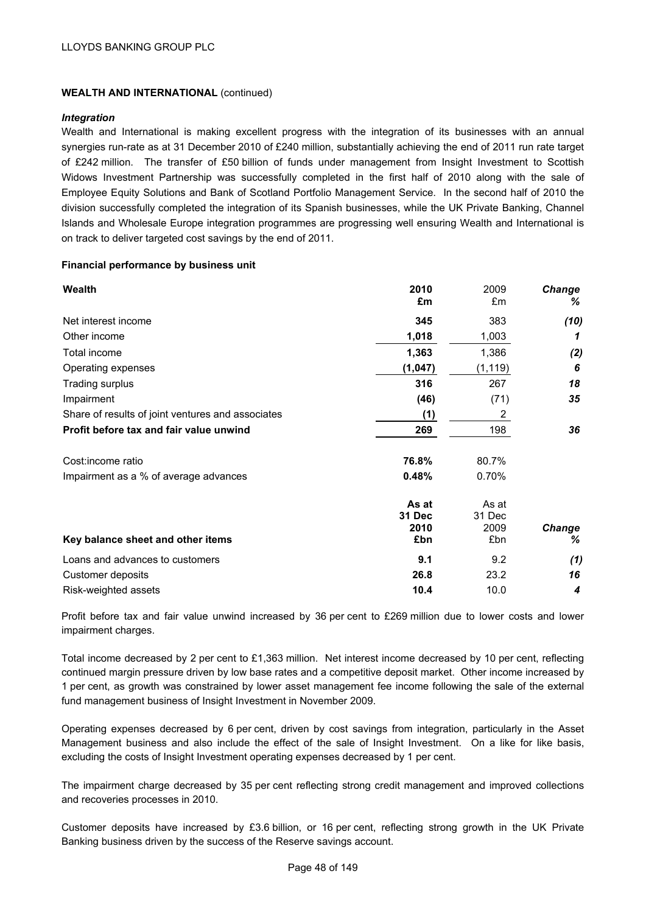## *Integration*

Wealth and International is making excellent progress with the integration of its businesses with an annual synergies run-rate as at 31 December 2010 of £240 million, substantially achieving the end of 2011 run rate target of £242 million. The transfer of £50 billion of funds under management from Insight Investment to Scottish Widows Investment Partnership was successfully completed in the first half of 2010 along with the sale of Employee Equity Solutions and Bank of Scotland Portfolio Management Service. In the second half of 2010 the division successfully completed the integration of its Spanish businesses, while the UK Private Banking, Channel Islands and Wholesale Europe integration programmes are progressing well ensuring Wealth and International is on track to deliver targeted cost savings by the end of 2011.

## **Financial performance by business unit**

| Wealth                                            | 2010        | 2009        | Change             |
|---------------------------------------------------|-------------|-------------|--------------------|
|                                                   | £m          | £m          | %                  |
| Net interest income                               | 345         | 383         | (10)               |
| Other income                                      | 1,018       | 1,003       | 1                  |
| Total income                                      | 1,363       | 1,386       | (2)                |
| Operating expenses                                | (1, 047)    | (1, 119)    | 6                  |
| Trading surplus                                   | 316         | 267         | 18                 |
| Impairment                                        | (46)        | (71)        | 35                 |
| Share of results of joint ventures and associates | (1)         | 2           |                    |
| Profit before tax and fair value unwind           | 269         | 198         | 36                 |
| Cost: income ratio                                | 76.8%       | 80.7%       |                    |
| Impairment as a % of average advances             | 0.48%       | 0.70%       |                    |
|                                                   | As at       | As at       |                    |
|                                                   | 31 Dec      | 31 Dec      |                    |
| Key balance sheet and other items                 | 2010<br>£bn | 2009<br>£bn | <b>Change</b><br>℅ |
| Loans and advances to customers                   | 9.1         | 9.2         | (1)                |
| Customer deposits                                 | 26.8        | 23.2        | 16                 |
| Risk-weighted assets                              | 10.4        | 10.0        | 4                  |

Profit before tax and fair value unwind increased by 36 per cent to £269 million due to lower costs and lower impairment charges.

Total income decreased by 2 per cent to £1,363 million. Net interest income decreased by 10 per cent, reflecting continued margin pressure driven by low base rates and a competitive deposit market. Other income increased by 1 per cent, as growth was constrained by lower asset management fee income following the sale of the external fund management business of Insight Investment in November 2009.

Operating expenses decreased by 6 per cent, driven by cost savings from integration, particularly in the Asset Management business and also include the effect of the sale of Insight Investment. On a like for like basis, excluding the costs of Insight Investment operating expenses decreased by 1 per cent.

The impairment charge decreased by 35 per cent reflecting strong credit management and improved collections and recoveries processes in 2010.

Customer deposits have increased by £3.6 billion, or 16 per cent, reflecting strong growth in the UK Private Banking business driven by the success of the Reserve savings account.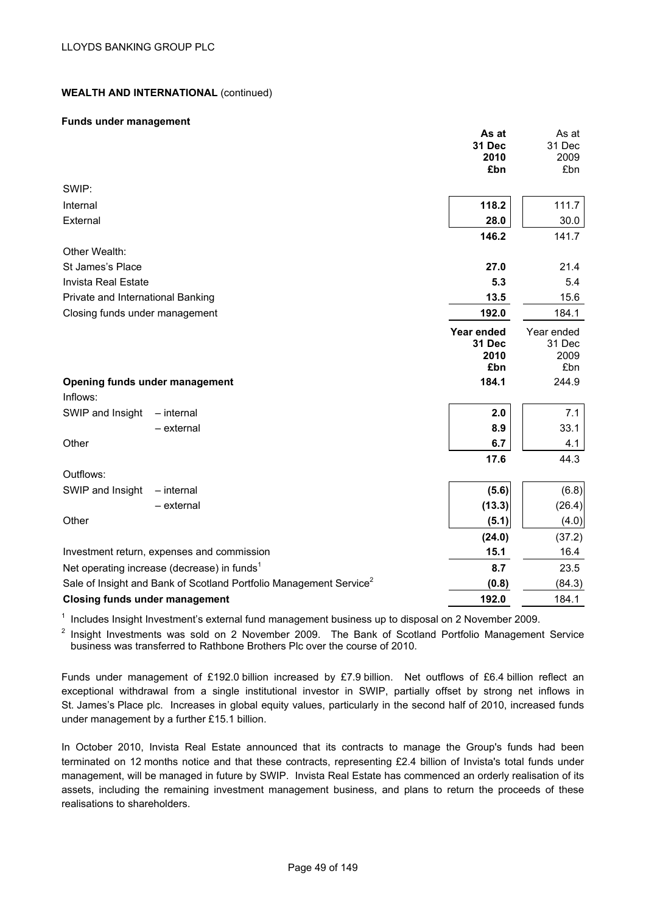#### **Funds under management**

|                                       |                                                                                | As at<br>31 Dec<br>2010<br>£bn      | As at<br>31 Dec<br>2009<br>£bn      |
|---------------------------------------|--------------------------------------------------------------------------------|-------------------------------------|-------------------------------------|
| SWIP:                                 |                                                                                |                                     |                                     |
| Internal                              |                                                                                | 118.2                               | 111.7                               |
| External                              |                                                                                | 28.0                                | 30.0                                |
|                                       |                                                                                | 146.2                               | 141.7                               |
| Other Wealth:                         |                                                                                |                                     |                                     |
| St James's Place                      |                                                                                | 27.0                                | 21.4                                |
| Invista Real Estate                   |                                                                                | 5.3                                 | 5.4                                 |
| Private and International Banking     |                                                                                | 13.5                                | 15.6                                |
| Closing funds under management        |                                                                                | 192.0                               | 184.1                               |
|                                       |                                                                                | Year ended<br>31 Dec<br>2010<br>£bn | Year ended<br>31 Dec<br>2009<br>£bn |
| Inflows:                              | Opening funds under management                                                 | 184.1                               | 244.9                               |
| SWIP and Insight                      | $-$ internal                                                                   | 2.0                                 | 7.1                                 |
|                                       | - external                                                                     | 8.9                                 | 33.1                                |
| Other                                 |                                                                                | 6.7                                 | 4.1                                 |
|                                       |                                                                                | 17.6                                | 44.3                                |
| Outflows:                             |                                                                                |                                     |                                     |
| SWIP and Insight                      | $-$ internal                                                                   | (5.6)                               | (6.8)                               |
|                                       | - external                                                                     | (13.3)                              | (26.4)                              |
| Other                                 |                                                                                | (5.1)                               | (4.0)                               |
|                                       |                                                                                | (24.0)                              | (37.2)                              |
|                                       | Investment return, expenses and commission                                     | 15.1                                | 16.4                                |
|                                       | Net operating increase (decrease) in funds <sup>1</sup>                        | 8.7                                 | 23.5                                |
|                                       | Sale of Insight and Bank of Scotland Portfolio Management Service <sup>2</sup> | (0.8)                               | (84.3)                              |
| <b>Closing funds under management</b> |                                                                                | 192.0                               | 184.1                               |

 $1$  Includes Insight Investment's external fund management business up to disposal on 2 November 2009.

<sup>2</sup> Insight Investments was sold on 2 November 2009. The Bank of Scotland Portfolio Management Service business was transferred to Rathbone Brothers Plc over the course of 2010.

Funds under management of £192.0 billion increased by £7.9 billion. Net outflows of £6.4 billion reflect an exceptional withdrawal from a single institutional investor in SWIP, partially offset by strong net inflows in St. James's Place plc. Increases in global equity values, particularly in the second half of 2010, increased funds under management by a further £15.1 billion.

In October 2010, Invista Real Estate announced that its contracts to manage the Group's funds had been terminated on 12 months notice and that these contracts, representing £2.4 billion of Invista's total funds under management, will be managed in future by SWIP. Invista Real Estate has commenced an orderly realisation of its assets, including the remaining investment management business, and plans to return the proceeds of these realisations to shareholders.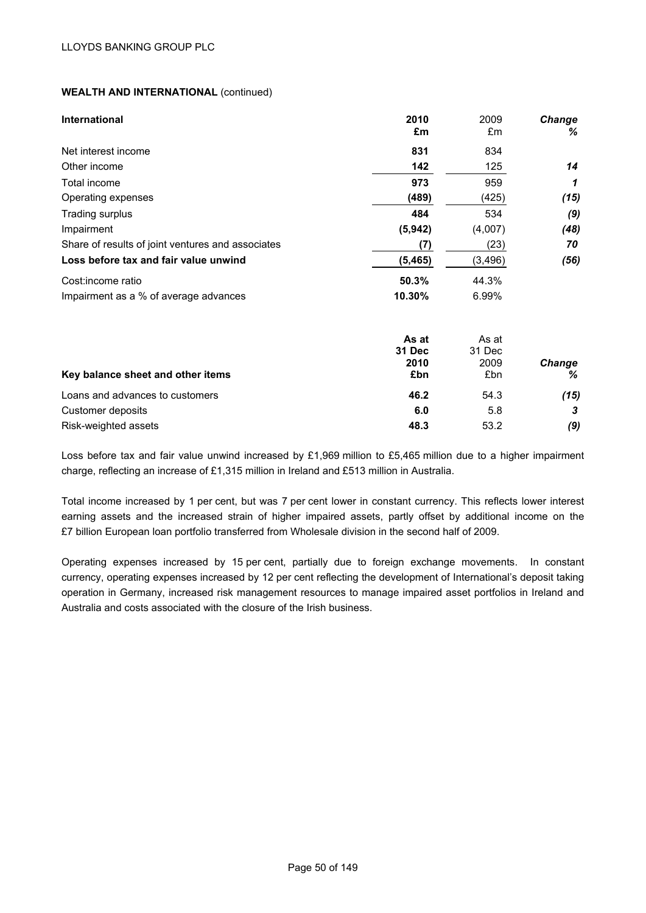| <b>International</b>                              | 2010        | 2009        | <b>Change</b>      |
|---------------------------------------------------|-------------|-------------|--------------------|
|                                                   | £m          | £m          | %                  |
| Net interest income                               | 831         | 834         |                    |
| Other income                                      | 142         | 125         | 14                 |
| Total income                                      | 973         | 959         | 1                  |
| Operating expenses                                | (489)       | (425)       | (15)               |
| Trading surplus                                   | 484         | 534         | (9)                |
| Impairment                                        | (5, 942)    | (4,007)     | (48)               |
| Share of results of joint ventures and associates | (7)         | (23)        | 70                 |
| Loss before tax and fair value unwind             | (5, 465)    | (3, 496)    | (56)               |
| Cost: income ratio                                | 50.3%       | 44.3%       |                    |
| Impairment as a % of average advances             | 10.30%      | 6.99%       |                    |
|                                                   | As at       | As at       |                    |
|                                                   | 31 Dec      | 31 Dec      |                    |
| Key balance sheet and other items                 | 2010<br>£bn | 2009<br>£bn | <b>Change</b><br>% |
|                                                   |             |             |                    |
| Loans and advances to customers                   | 46.2        | 54.3        | (15)               |
| Customer deposits                                 | 6.0         | 5.8         | 3                  |
| Risk-weighted assets                              | 48.3        | 53.2        | (9)                |

Loss before tax and fair value unwind increased by £1,969 million to £5,465 million due to a higher impairment charge, reflecting an increase of £1,315 million in Ireland and £513 million in Australia.

Total income increased by 1 per cent, but was 7 per cent lower in constant currency. This reflects lower interest earning assets and the increased strain of higher impaired assets, partly offset by additional income on the £7 billion European loan portfolio transferred from Wholesale division in the second half of 2009.

Operating expenses increased by 15 per cent, partially due to foreign exchange movements. In constant currency, operating expenses increased by 12 per cent reflecting the development of International's deposit taking operation in Germany, increased risk management resources to manage impaired asset portfolios in Ireland and Australia and costs associated with the closure of the Irish business.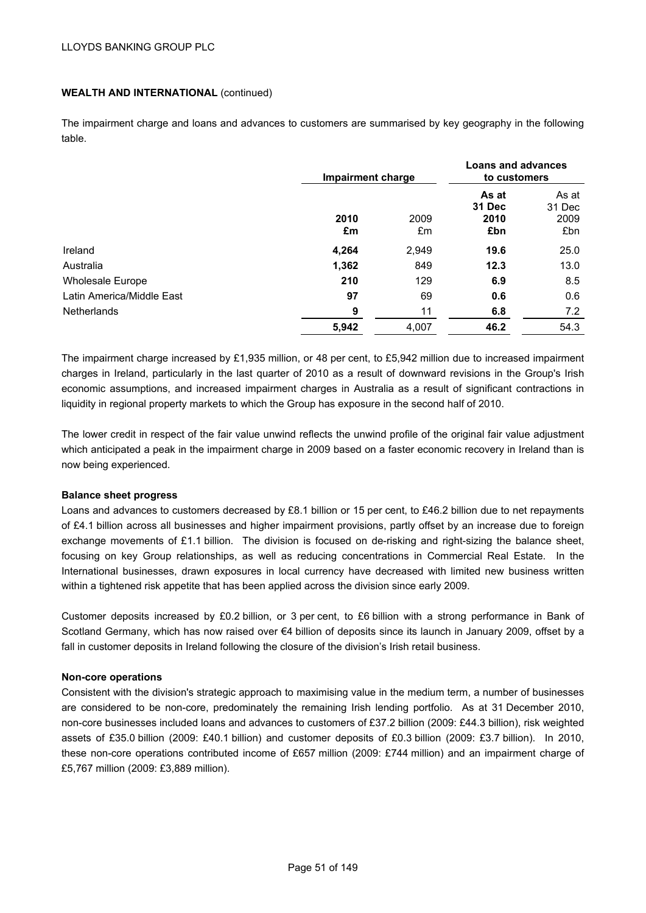The impairment charge and loans and advances to customers are summarised by key geography in the following table.

|                           | <b>Impairment charge</b> |            | <b>Loans and advances</b><br>to customers |                                |
|---------------------------|--------------------------|------------|-------------------------------------------|--------------------------------|
|                           | 2010<br>£m               | 2009<br>£m | As at<br><b>31 Dec</b><br>2010<br>£bn     | As at<br>31 Dec<br>2009<br>£bn |
| Ireland                   | 4,264                    | 2,949      | 19.6                                      | 25.0                           |
| Australia                 | 1,362                    | 849        | 12.3                                      | 13.0                           |
| <b>Wholesale Europe</b>   | 210                      | 129        | 6.9                                       | 8.5                            |
| Latin America/Middle East | 97                       | 69         | 0.6                                       | 0.6                            |
| <b>Netherlands</b>        | 9                        | 11         | 6.8                                       | 7.2                            |
|                           | 5,942                    | 4.007      | 46.2                                      | 54.3                           |

The impairment charge increased by £1,935 million, or 48 per cent, to £5,942 million due to increased impairment charges in Ireland, particularly in the last quarter of 2010 as a result of downward revisions in the Group's Irish economic assumptions, and increased impairment charges in Australia as a result of significant contractions in liquidity in regional property markets to which the Group has exposure in the second half of 2010.

The lower credit in respect of the fair value unwind reflects the unwind profile of the original fair value adjustment which anticipated a peak in the impairment charge in 2009 based on a faster economic recovery in Ireland than is now being experienced.

#### **Balance sheet progress**

Loans and advances to customers decreased by £8.1 billion or 15 per cent, to £46.2 billion due to net repayments of £4.1 billion across all businesses and higher impairment provisions, partly offset by an increase due to foreign exchange movements of £1.1 billion. The division is focused on de-risking and right-sizing the balance sheet, focusing on key Group relationships, as well as reducing concentrations in Commercial Real Estate. In the International businesses, drawn exposures in local currency have decreased with limited new business written within a tightened risk appetite that has been applied across the division since early 2009.

Customer deposits increased by £0.2 billion, or 3 per cent, to £6 billion with a strong performance in Bank of Scotland Germany, which has now raised over €4 billion of deposits since its launch in January 2009, offset by a fall in customer deposits in Ireland following the closure of the division's Irish retail business.

#### **Non-core operations**

Consistent with the division's strategic approach to maximising value in the medium term, a number of businesses are considered to be non-core, predominately the remaining Irish lending portfolio. As at 31 December 2010, non-core businesses included loans and advances to customers of £37.2 billion (2009: £44.3 billion), risk weighted assets of £35.0 billion (2009: £40.1 billion) and customer deposits of £0.3 billion (2009: £3.7 billion). In 2010, these non-core operations contributed income of £657 million (2009: £744 million) and an impairment charge of £5,767 million (2009: £3,889 million).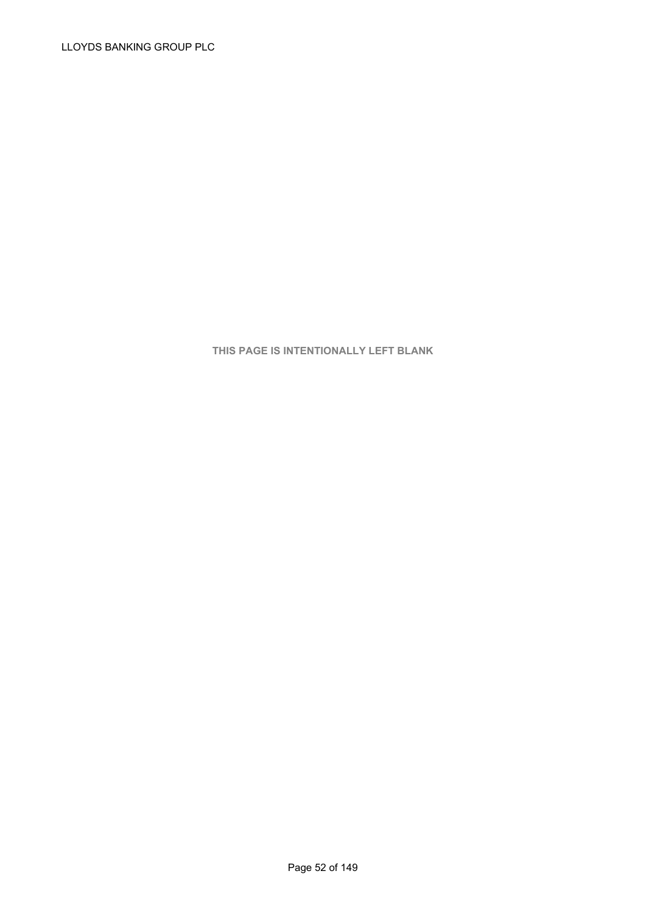# **THIS PAGE IS INTENTIONALLY LEFT BLANK**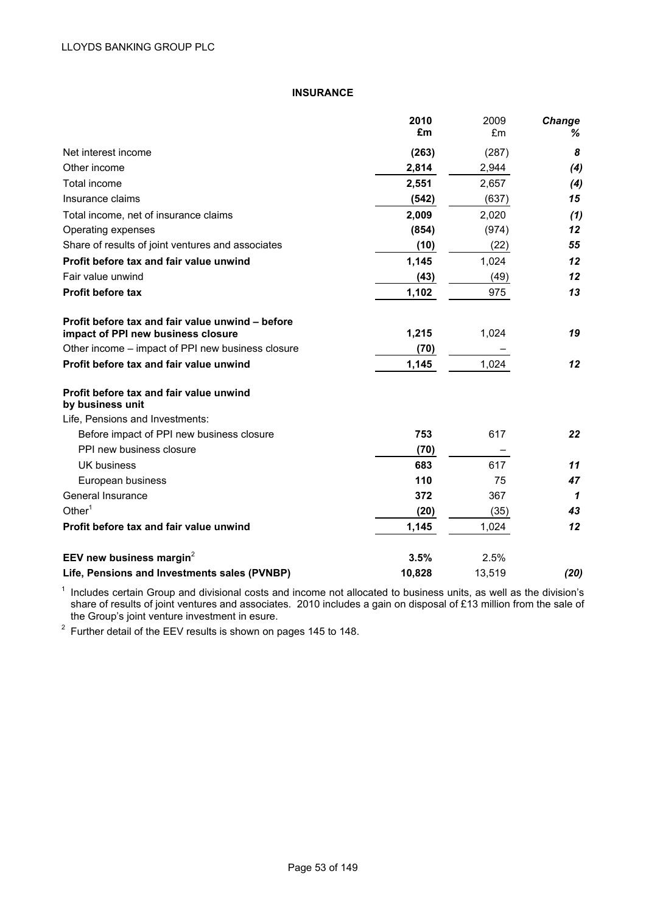# **INSURANCE**

|                                                                                                | 2010   | 2009   | Change |
|------------------------------------------------------------------------------------------------|--------|--------|--------|
|                                                                                                | £m     | £m     | ℅      |
| Net interest income                                                                            | (263)  | (287)  | 8      |
| Other income                                                                                   | 2,814  | 2,944  | (4)    |
| Total income                                                                                   | 2,551  | 2,657  | (4)    |
| Insurance claims                                                                               | (542)  | (637)  | 15     |
| Total income, net of insurance claims                                                          | 2,009  | 2,020  | (1)    |
| Operating expenses                                                                             | (854)  | (974)  | 12     |
| Share of results of joint ventures and associates                                              | (10)   | (22)   | 55     |
| Profit before tax and fair value unwind                                                        | 1,145  | 1,024  | 12     |
| Fair value unwind                                                                              | (43)   | (49)   | 12     |
| <b>Profit before tax</b>                                                                       | 1,102  | 975    | 13     |
| Profit before tax and fair value unwind - before<br>impact of PPI new business closure         | 1,215  | 1,024  | 19     |
| Other income – impact of PPI new business closure                                              | (70)   |        |        |
| Profit before tax and fair value unwind                                                        | 1,145  | 1,024  | 12     |
| Profit before tax and fair value unwind<br>by business unit<br>Life, Pensions and Investments: |        |        |        |
| Before impact of PPI new business closure                                                      | 753    | 617    | 22     |
| PPI new business closure                                                                       | (70)   |        |        |
| <b>UK business</b>                                                                             | 683    | 617    | 11     |
| European business                                                                              | 110    | 75     | 47     |
| General Insurance                                                                              | 372    | 367    | 1      |
| Other <sup>1</sup>                                                                             | (20)   | (35)   | 43     |
| Profit before tax and fair value unwind                                                        | 1,145  | 1,024  | 12     |
| EEV new business margin <sup>2</sup>                                                           | 3.5%   | 2.5%   |        |
| Life, Pensions and Investments sales (PVNBP)                                                   | 10,828 | 13,519 | (20)   |
|                                                                                                |        |        |        |

 $1$  Includes certain Group and divisional costs and income not allocated to business units, as well as the division's share of results of joint ventures and associates. 2010 includes a gain on disposal of £13 million from the sale of the Group's joint venture investment in esure.

<sup>2</sup> Further detail of the EEV results is shown on pages 145 to 148.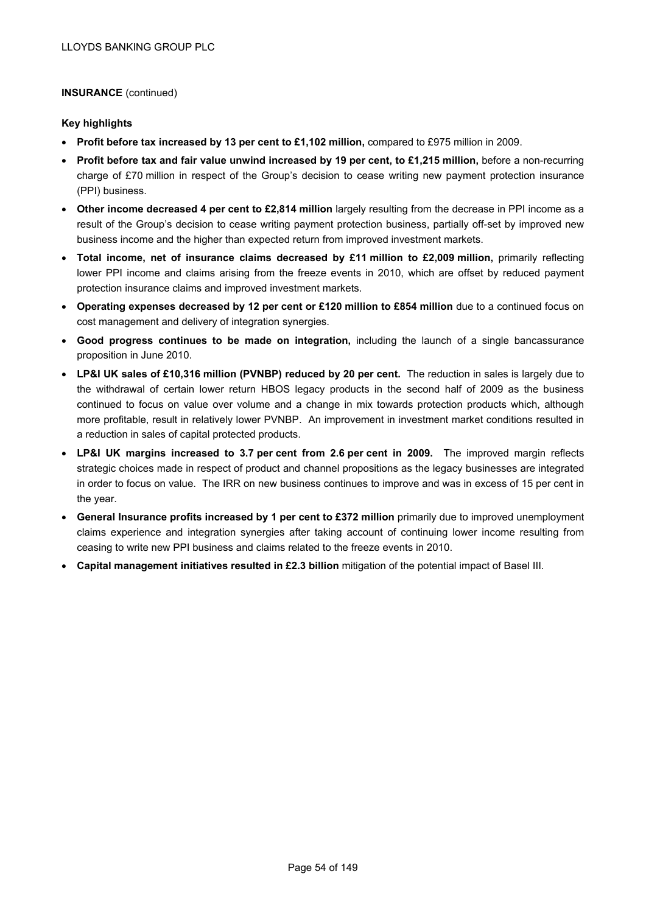## **Key highlights**

- **Profit before tax increased by 13 per cent to £1,102 million, compared to £975 million in 2009.**
- **Profit before tax and fair value unwind increased by 19 per cent, to £1,215 million, before a non-recurring** charge of £70 million in respect of the Group's decision to cease writing new payment protection insurance (PPI) business.
- **Other income decreased 4 per cent to £2,814 million** largely resulting from the decrease in PPI income as a result of the Group's decision to cease writing payment protection business, partially off-set by improved new business income and the higher than expected return from improved investment markets.
- **Total income, net of insurance claims decreased by £11 million to £2,009 million,** primarily reflecting lower PPI income and claims arising from the freeze events in 2010, which are offset by reduced payment protection insurance claims and improved investment markets.
- **Operating expenses decreased by 12 per cent or £120 million to £854 million** due to a continued focus on cost management and delivery of integration synergies.
- **Good progress continues to be made on integration,** including the launch of a single bancassurance proposition in June 2010.
- **LP&I UK sales of £10,316 million (PVNBP) reduced by 20 per cent.** The reduction in sales is largely due to the withdrawal of certain lower return HBOS legacy products in the second half of 2009 as the business continued to focus on value over volume and a change in mix towards protection products which, although more profitable, result in relatively lower PVNBP. An improvement in investment market conditions resulted in a reduction in sales of capital protected products.
- **LP&I UK margins increased to 3.7 per cent from 2.6 per cent in 2009.** The improved margin reflects strategic choices made in respect of product and channel propositions as the legacy businesses are integrated in order to focus on value. The IRR on new business continues to improve and was in excess of 15 per cent in the year.
- **General Insurance profits increased by 1 per cent to £372 million** primarily due to improved unemployment claims experience and integration synergies after taking account of continuing lower income resulting from ceasing to write new PPI business and claims related to the freeze events in 2010.
- **Capital management initiatives resulted in £2.3 billion** mitigation of the potential impact of Basel III.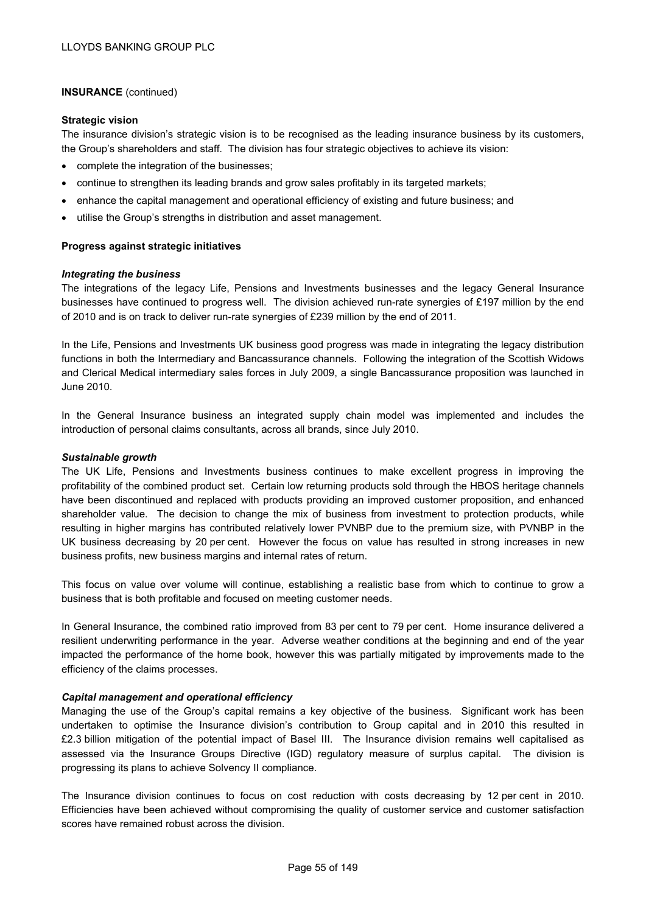#### **Strategic vision**

The insurance division's strategic vision is to be recognised as the leading insurance business by its customers, the Group's shareholders and staff. The division has four strategic objectives to achieve its vision:

- complete the integration of the businesses:
- continue to strengthen its leading brands and grow sales profitably in its targeted markets;
- enhance the capital management and operational efficiency of existing and future business; and
- utilise the Group's strengths in distribution and asset management.

#### **Progress against strategic initiatives**

#### *Integrating the business*

The integrations of the legacy Life, Pensions and Investments businesses and the legacy General Insurance businesses have continued to progress well. The division achieved run-rate synergies of £197 million by the end of 2010 and is on track to deliver run-rate synergies of £239 million by the end of 2011.

In the Life, Pensions and Investments UK business good progress was made in integrating the legacy distribution functions in both the Intermediary and Bancassurance channels. Following the integration of the Scottish Widows and Clerical Medical intermediary sales forces in July 2009, a single Bancassurance proposition was launched in June 2010.

In the General Insurance business an integrated supply chain model was implemented and includes the introduction of personal claims consultants, across all brands, since July 2010.

#### *Sustainable growth*

The UK Life, Pensions and Investments business continues to make excellent progress in improving the profitability of the combined product set. Certain low returning products sold through the HBOS heritage channels have been discontinued and replaced with products providing an improved customer proposition, and enhanced shareholder value. The decision to change the mix of business from investment to protection products, while resulting in higher margins has contributed relatively lower PVNBP due to the premium size, with PVNBP in the UK business decreasing by 20 per cent. However the focus on value has resulted in strong increases in new business profits, new business margins and internal rates of return.

This focus on value over volume will continue, establishing a realistic base from which to continue to grow a business that is both profitable and focused on meeting customer needs.

In General Insurance, the combined ratio improved from 83 per cent to 79 per cent.Home insurance delivered a resilient underwriting performance in the year. Adverse weather conditions at the beginning and end of the year impacted the performance of the home book, however this was partially mitigated by improvements made to the efficiency of the claims processes.

# *Capital management and operational efficiency*

Managing the use of the Group's capital remains a key objective of the business. Significant work has been undertaken to optimise the Insurance division's contribution to Group capital and in 2010 this resulted in £2.3 billion mitigation of the potential impact of Basel III. The Insurance division remains well capitalised as assessed via the Insurance Groups Directive (IGD) regulatory measure of surplus capital. The division is progressing its plans to achieve Solvency II compliance.

The Insurance division continues to focus on cost reduction with costs decreasing by 12 per cent in 2010. Efficiencies have been achieved without compromising the quality of customer service and customer satisfaction scores have remained robust across the division.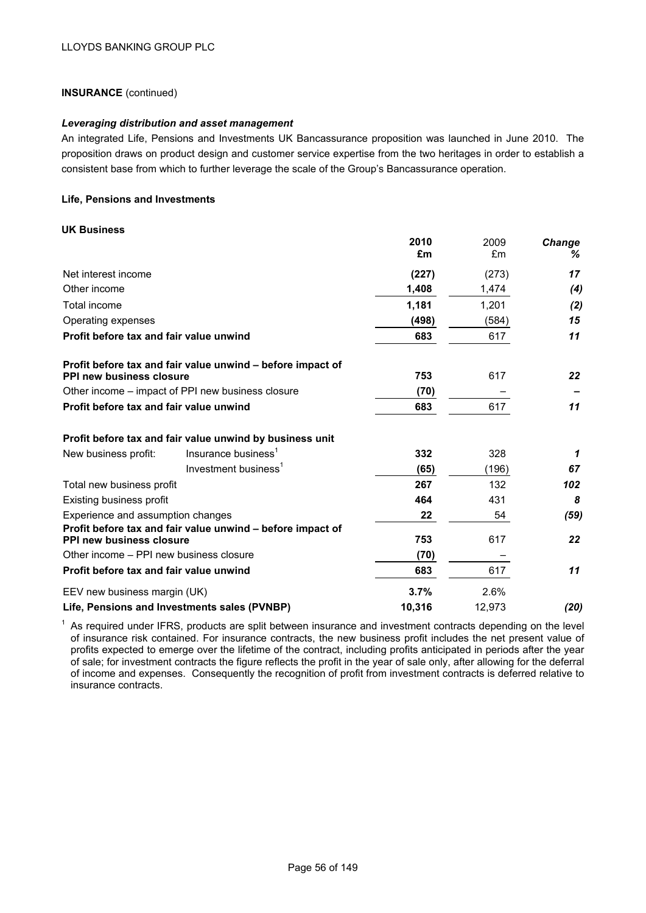#### *Leveraging distribution and asset management*

An integrated Life, Pensions and Investments UK Bancassurance proposition was launched in June 2010. The proposition draws on product design and customer service expertise from the two heritages in order to establish a consistent base from which to further leverage the scale of the Group's Bancassurance operation.

#### **Life, Pensions and Investments**

#### **UK Business**

|                                                            | 2010   | 2009   | <b>Change</b> |
|------------------------------------------------------------|--------|--------|---------------|
|                                                            | £m     | £m     | ℅             |
| Net interest income                                        | (227)  | (273)  | 17            |
| Other income                                               | 1,408  | 1,474  | (4)           |
| Total income                                               | 1,181  | 1,201  | (2)           |
| Operating expenses                                         | (498)  | (584)  | 15            |
| Profit before tax and fair value unwind                    | 683    | 617    | 11            |
| Profit before tax and fair value unwind - before impact of |        |        |               |
| PPI new business closure                                   | 753    | 617    | 22            |
| Other income – impact of PPI new business closure          | (70)   |        |               |
| Profit before tax and fair value unwind                    | 683    | 617    | 11            |
| Profit before tax and fair value unwind by business unit   |        |        |               |
| Insurance business <sup>1</sup><br>New business profit:    | 332    | 328    | 1             |
| Investment business <sup>1</sup>                           | (65)   | (196)  | 67            |
| Total new business profit                                  | 267    | 132    | 102           |
| Existing business profit                                   | 464    | 431    | 8             |
| Experience and assumption changes                          | 22     | 54     | (59)          |
| Profit before tax and fair value unwind – before impact of |        |        |               |
| PPI new business closure                                   | 753    | 617    | 22            |
| Other income – PPI new business closure                    | (70)   |        |               |
| Profit before tax and fair value unwind                    | 683    | 617    | 11            |
| EEV new business margin (UK)                               | 3.7%   | 2.6%   |               |
| Life, Pensions and Investments sales (PVNBP)               | 10,316 | 12,973 | (20)          |

 $1$  As required under IFRS, products are split between insurance and investment contracts depending on the level of insurance risk contained. For insurance contracts, the new business profit includes the net present value of profits expected to emerge over the lifetime of the contract, including profits anticipated in periods after the year of sale; for investment contracts the figure reflects the profit in the year of sale only, after allowing for the deferral of income and expenses. Consequently the recognition of profit from investment contracts is deferred relative to insurance contracts.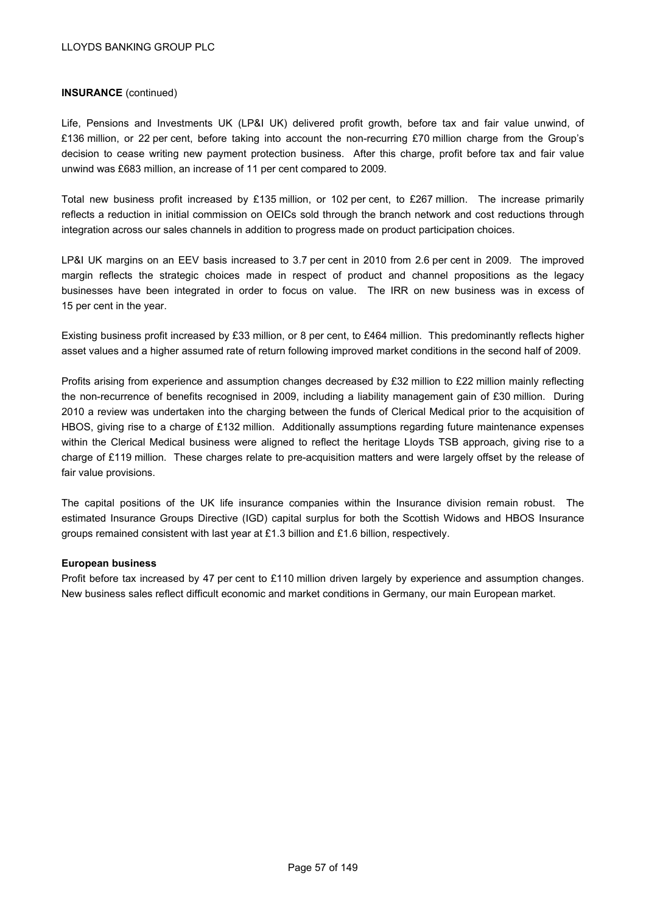## LLOYDS BANKING GROUP PLC

#### **INSURANCE** (continued)

Life, Pensions and Investments UK (LP&I UK) delivered profit growth, before tax and fair value unwind, of £136 million, or 22 per cent, before taking into account the non-recurring £70 million charge from the Group's decision to cease writing new payment protection business. After this charge, profit before tax and fair value unwind was £683 million, an increase of 11 per cent compared to 2009.

Total new business profit increased by £135 million, or 102 per cent, to £267 million. The increase primarily reflects a reduction in initial commission on OEICs sold through the branch network and cost reductions through integration across our sales channels in addition to progress made on product participation choices.

LP&I UK margins on an EEV basis increased to 3.7 per cent in 2010 from 2.6 per cent in 2009. The improved margin reflects the strategic choices made in respect of product and channel propositions as the legacy businesses have been integrated in order to focus on value. The IRR on new business was in excess of 15 per cent in the year.

Existing business profit increased by £33 million, or 8 per cent, to £464 million. This predominantly reflects higher asset values and a higher assumed rate of return following improved market conditions in the second half of 2009.

Profits arising from experience and assumption changes decreased by £32 million to £22 million mainly reflecting the non-recurrence of benefits recognised in 2009, including a liability management gain of £30 million. During 2010 a review was undertaken into the charging between the funds of Clerical Medical prior to the acquisition of HBOS, giving rise to a charge of £132 million. Additionally assumptions regarding future maintenance expenses within the Clerical Medical business were aligned to reflect the heritage Lloyds TSB approach, giving rise to a charge of £119 million. These charges relate to pre-acquisition matters and were largely offset by the release of fair value provisions.

The capital positions of the UK life insurance companies within the Insurance division remain robust. The estimated Insurance Groups Directive (IGD) capital surplus for both the Scottish Widows and HBOS Insurance groups remained consistent with last year at £1.3 billion and £1.6 billion, respectively.

#### **European business**

Profit before tax increased by 47 per cent to £110 million driven largely by experience and assumption changes. New business sales reflect difficult economic and market conditions in Germany, our main European market.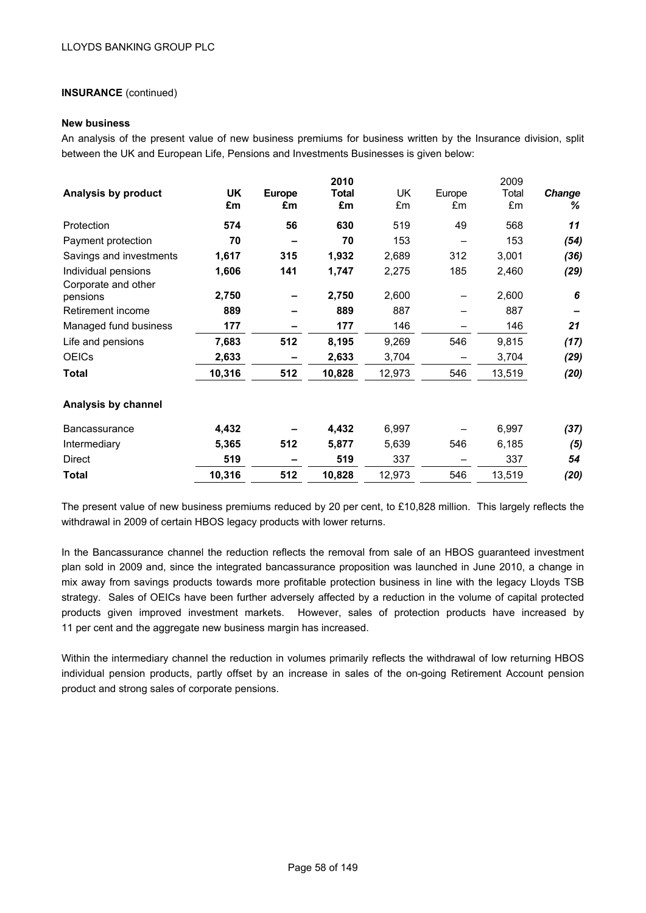### **New business**

An analysis of the present value of new business premiums for business written by the Insurance division, split between the UK and European Life, Pensions and Investments Businesses is given below:

|                         |           |        | 2010         |           |        | 2009   |        |
|-------------------------|-----------|--------|--------------|-----------|--------|--------|--------|
| Analysis by product     | <b>UK</b> | Europe | <b>Total</b> | <b>UK</b> | Europe | Total  | Change |
|                         | £m        | £m     | £m           | £m        | £m     | £m     | ℅      |
| Protection              | 574       | 56     | 630          | 519       | 49     | 568    | 11     |
| Payment protection      | 70        |        | 70           | 153       |        | 153    | (54)   |
| Savings and investments | 1,617     | 315    | 1,932        | 2,689     | 312    | 3,001  | (36)   |
| Individual pensions     | 1,606     | 141    | 1,747        | 2,275     | 185    | 2,460  | (29)   |
| Corporate and other     |           |        |              |           |        |        |        |
| pensions                | 2,750     |        | 2,750        | 2,600     |        | 2,600  | 6      |
| Retirement income       | 889       |        | 889          | 887       |        | 887    |        |
| Managed fund business   | 177       | -      | 177          | 146       |        | 146    | 21     |
| Life and pensions       | 7,683     | 512    | 8,195        | 9,269     | 546    | 9,815  | (17)   |
| <b>OEICs</b>            | 2,633     |        | 2,633        | 3,704     |        | 3,704  | (29)   |
| Total                   | 10,316    | 512    | 10,828       | 12,973    | 546    | 13,519 | (20)   |
| Analysis by channel     |           |        |              |           |        |        |        |
| <b>Bancassurance</b>    | 4,432     |        | 4,432        | 6,997     |        | 6,997  | (37)   |
| Intermediary            | 5,365     | 512    | 5,877        | 5,639     | 546    | 6,185  | (5)    |
| Direct                  | 519       |        | 519          | 337       |        | 337    | 54     |
| Total                   | 10,316    | 512    | 10,828       | 12,973    | 546    | 13,519 | (20)   |
|                         |           |        |              |           |        |        |        |

The present value of new business premiums reduced by 20 per cent, to £10,828 million. This largely reflects the withdrawal in 2009 of certain HBOS legacy products with lower returns.

In the Bancassurance channel the reduction reflects the removal from sale of an HBOS guaranteed investment plan sold in 2009 and, since the integrated bancassurance proposition was launched in June 2010, a change in mix away from savings products towards more profitable protection business in line with the legacy Lloyds TSB strategy. Sales of OEICs have been further adversely affected by a reduction in the volume of capital protected products given improved investment markets. However, sales of protection products have increased by 11 per cent and the aggregate new business margin has increased.

Within the intermediary channel the reduction in volumes primarily reflects the withdrawal of low returning HBOS individual pension products, partly offset by an increase in sales of the on-going Retirement Account pension product and strong sales of corporate pensions.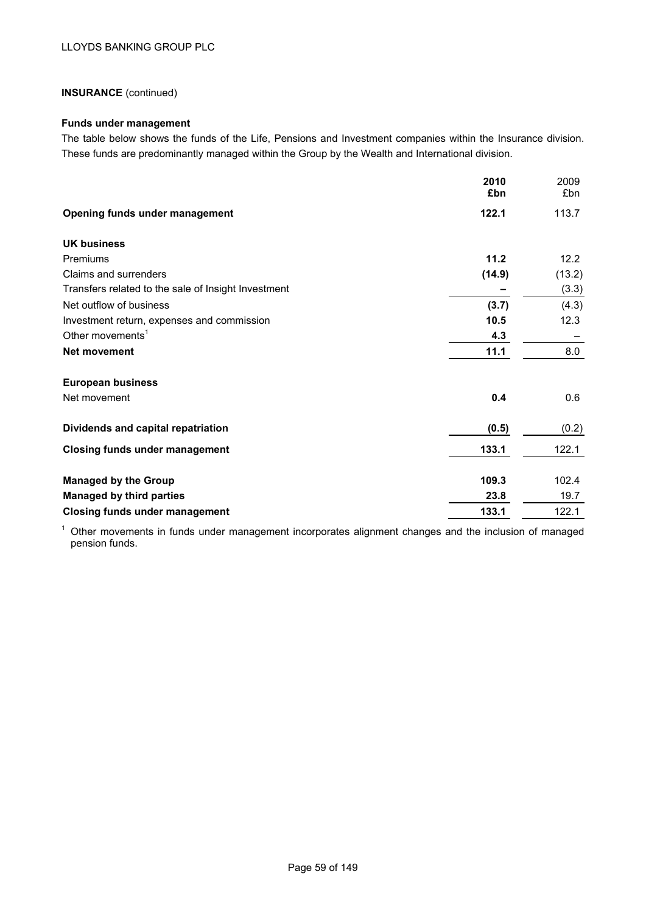### **Funds under management**

The table below shows the funds of the Life, Pensions and Investment companies within the Insurance division. These funds are predominantly managed within the Group by the Wealth and International division.

|                                                     | 2010<br>£bn | 2009<br>£bn |
|-----------------------------------------------------|-------------|-------------|
| Opening funds under management                      | 122.1       | 113.7       |
| <b>UK business</b>                                  |             |             |
| Premiums                                            | 11.2        | 12.2        |
| Claims and surrenders                               | (14.9)      | (13.2)      |
| Transfers related to the sale of Insight Investment |             | (3.3)       |
| Net outflow of business                             | (3.7)       | (4.3)       |
| Investment return, expenses and commission          | 10.5        | 12.3        |
| Other movements <sup>1</sup>                        | 4.3         |             |
| <b>Net movement</b>                                 | 11.1        | 8.0         |
| <b>European business</b>                            |             |             |
| Net movement                                        | 0.4         | 0.6         |
| Dividends and capital repatriation                  | (0.5)       | (0.2)       |
| <b>Closing funds under management</b>               | 133.1       | 122.1       |
| <b>Managed by the Group</b>                         | 109.3       | 102.4       |
| <b>Managed by third parties</b>                     | 23.8        | 19.7        |
| <b>Closing funds under management</b>               | 133.1       | 122.1       |
|                                                     |             |             |

 $1$  Other movements in funds under management incorporates alignment changes and the inclusion of managed pension funds.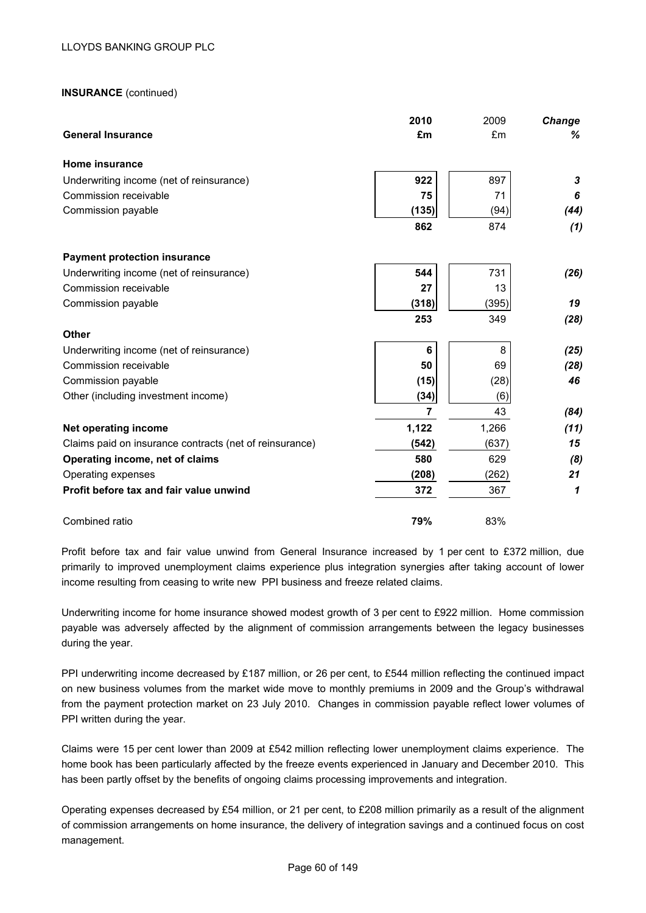|                                                         | 2010  | 2009  | Change |
|---------------------------------------------------------|-------|-------|--------|
| <b>General Insurance</b>                                | £m    | £m    | ℅      |
| Home insurance                                          |       |       |        |
| Underwriting income (net of reinsurance)                | 922   | 897   | 3      |
| Commission receivable                                   | 75    | 71    | 6      |
| Commission payable                                      | (135) | (94)  | (44)   |
|                                                         | 862   | 874   | (1)    |
| <b>Payment protection insurance</b>                     |       |       |        |
| Underwriting income (net of reinsurance)                | 544   | 731   | (26)   |
| Commission receivable                                   | 27    | 13    |        |
| Commission payable                                      | (318) | (395) | 19     |
|                                                         | 253   | 349   | (28)   |
| <b>Other</b>                                            |       |       |        |
| Underwriting income (net of reinsurance)                | 6     | 8     | (25)   |
| Commission receivable                                   | 50    | 69    | (28)   |
| Commission payable                                      | (15)  | (28)  | 46     |
| Other (including investment income)                     | (34)  | (6)   |        |
|                                                         | 7     | 43    | (84)   |
| Net operating income                                    | 1,122 | 1,266 | (11)   |
| Claims paid on insurance contracts (net of reinsurance) | (542) | (637) | 15     |
| Operating income, net of claims                         | 580   | 629   | (8)    |
| Operating expenses                                      | (208) | (262) | 21     |
| Profit before tax and fair value unwind                 | 372   | 367   | 1      |
| Combined ratio                                          | 79%   | 83%   |        |

Profit before tax and fair value unwind from General Insurance increased by 1 per cent to £372 million, due primarily to improved unemployment claims experience plus integration synergies after taking account of lower income resulting from ceasing to write new PPI business and freeze related claims.

Underwriting income for home insurance showed modest growth of 3 per cent to £922 million. Home commission payable was adversely affected by the alignment of commission arrangements between the legacy businesses during the year.

PPI underwriting income decreased by £187 million, or 26 per cent, to £544 million reflecting the continued impact on new business volumes from the market wide move to monthly premiums in 2009 and the Group's withdrawal from the payment protection market on 23 July 2010. Changes in commission payable reflect lower volumes of PPI written during the year.

Claims were 15 per cent lower than 2009 at £542 million reflecting lower unemployment claims experience. The home book has been particularly affected by the freeze events experienced in January and December 2010. This has been partly offset by the benefits of ongoing claims processing improvements and integration.

Operating expenses decreased by £54 million, or 21 per cent, to £208 million primarily as a result of the alignment of commission arrangements on home insurance, the delivery of integration savings and a continued focus on cost management.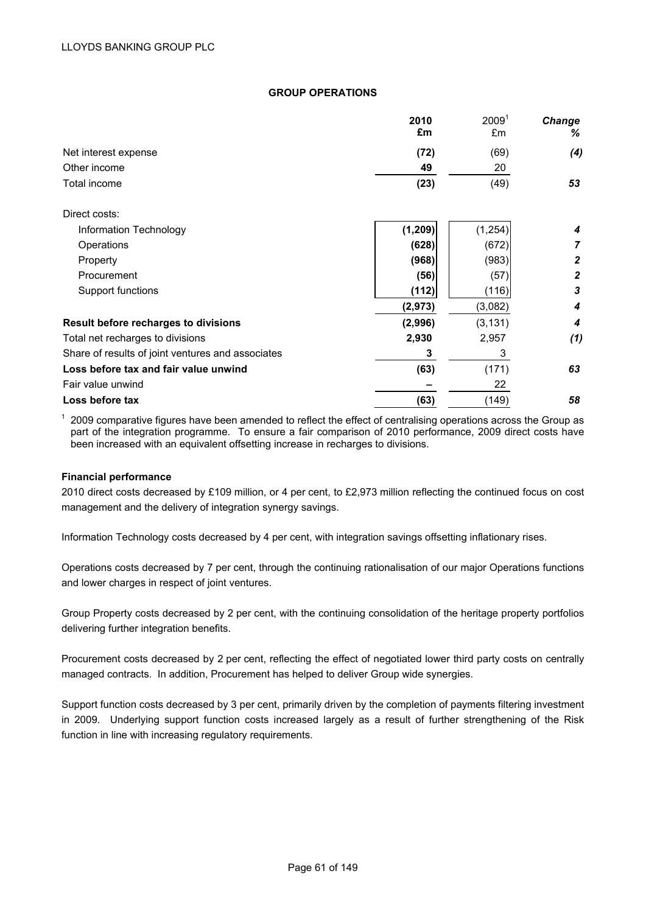## **GROUP OPERATIONS**

|                                                   | 2010<br>£m | 2009 <sup>1</sup><br>£m | Change<br>℅  |
|---------------------------------------------------|------------|-------------------------|--------------|
| Net interest expense                              | (72)       | (69)                    | (4)          |
| Other income                                      | 49         | 20                      |              |
| Total income                                      | (23)       | (49)                    | 53           |
| Direct costs:                                     |            |                         |              |
| Information Technology                            | (1, 209)   | (1, 254)                | 4            |
| Operations                                        | (628)      | (672)                   | 7            |
| Property                                          | (968)      | (983)                   | $\mathbf{2}$ |
| Procurement                                       | (56)       | (57)                    | $\mathbf{2}$ |
| Support functions                                 | (112)      | (116)                   | 3            |
|                                                   | (2, 973)   | (3,082)                 | 4            |
| Result before recharges to divisions              | (2,996)    | (3, 131)                | 4            |
| Total net recharges to divisions                  | 2,930      | 2,957                   | (1)          |
| Share of results of joint ventures and associates | 3          | 3                       |              |
| Loss before tax and fair value unwind             | (63)       | (171)                   | 63           |
| Fair value unwind                                 |            | 22                      |              |
| Loss before tax                                   | (63)       | (149)                   | 58           |

 $<sup>1</sup>$  2009 comparative figures have been amended to reflect the effect of centralising operations across the Group as</sup> part of the integration programme. To ensure a fair comparison of 2010 performance, 2009 direct costs have been increased with an equivalent offsetting increase in recharges to divisions.

#### **Financial performance**

2010 direct costs decreased by £109 million, or 4 per cent, to £2,973 million reflecting the continued focus on cost management and the delivery of integration synergy savings.

Information Technology costs decreased by 4 per cent, with integration savings offsetting inflationary rises.

Operations costs decreased by 7 per cent, through the continuing rationalisation of our major Operations functions and lower charges in respect of joint ventures.

Group Property costs decreased by 2 per cent, with the continuing consolidation of the heritage property portfolios delivering further integration benefits.

Procurement costs decreased by 2 per cent, reflecting the effect of negotiated lower third party costs on centrally managed contracts. In addition, Procurement has helped to deliver Group wide synergies.

Support function costs decreased by 3 per cent, primarily driven by the completion of payments filtering investment in 2009. Underlying support function costs increased largely as a result of further strengthening of the Risk function in line with increasing regulatory requirements.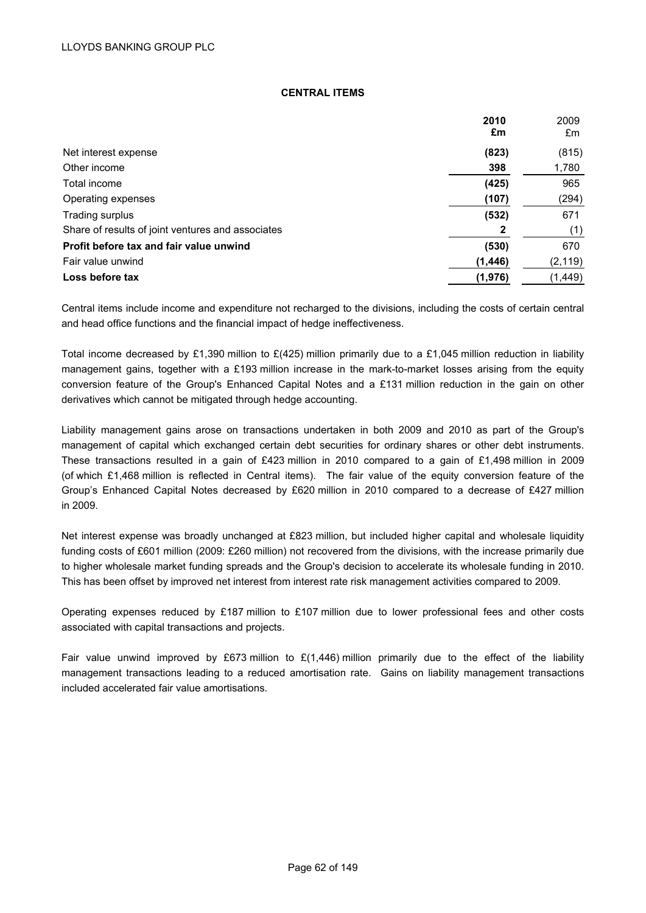#### **CENTRAL ITEMS**

|                                                   | 2010<br>£m | 2009<br>£m |
|---------------------------------------------------|------------|------------|
| Net interest expense                              | (823)      | (815)      |
| Other income                                      | 398        | 1,780      |
| Total income                                      | (425)      | 965        |
| Operating expenses                                | (107)      | (294)      |
| Trading surplus                                   | (532)      | 671        |
| Share of results of joint ventures and associates |            | (1)        |
| Profit before tax and fair value unwind           | (530)      | 670        |
| Fair value unwind                                 | (1, 446)   | (2, 119)   |
| Loss before tax                                   | (1,976)    | (1, 449)   |

Central items include income and expenditure not recharged to the divisions, including the costs of certain central and head office functions and the financial impact of hedge ineffectiveness.

Total income decreased by £1,390 million to £(425) million primarily due to a £1,045 million reduction in liability management gains, together with a £193 million increase in the mark-to-market losses arising from the equity conversion feature of the Group's Enhanced Capital Notes and a £131 million reduction in the gain on other derivatives which cannot be mitigated through hedge accounting.

Liability management gains arose on transactions undertaken in both 2009 and 2010 as part of the Group's management of capital which exchanged certain debt securities for ordinary shares or other debt instruments. These transactions resulted in a gain of £423 million in 2010 compared to a gain of £1,498 million in 2009 (of which £1,468 million is reflected in Central items). The fair value of the equity conversion feature of the Group's Enhanced Capital Notes decreased by £620 million in 2010 compared to a decrease of £427 million in 2009.

Net interest expense was broadly unchanged at £823 million, but included higher capital and wholesale liquidity funding costs of £601 million (2009: £260 million) not recovered from the divisions, with the increase primarily due to higher wholesale market funding spreads and the Group's decision to accelerate its wholesale funding in 2010. This has been offset by improved net interest from interest rate risk management activities compared to 2009.

Operating expenses reduced by £187 million to £107 million due to lower professional fees and other costs associated with capital transactions and projects.

Fair value unwind improved by £673 million to £(1,446) million primarily due to the effect of the liability management transactions leading to a reduced amortisation rate. Gains on liability management transactions included accelerated fair value amortisations.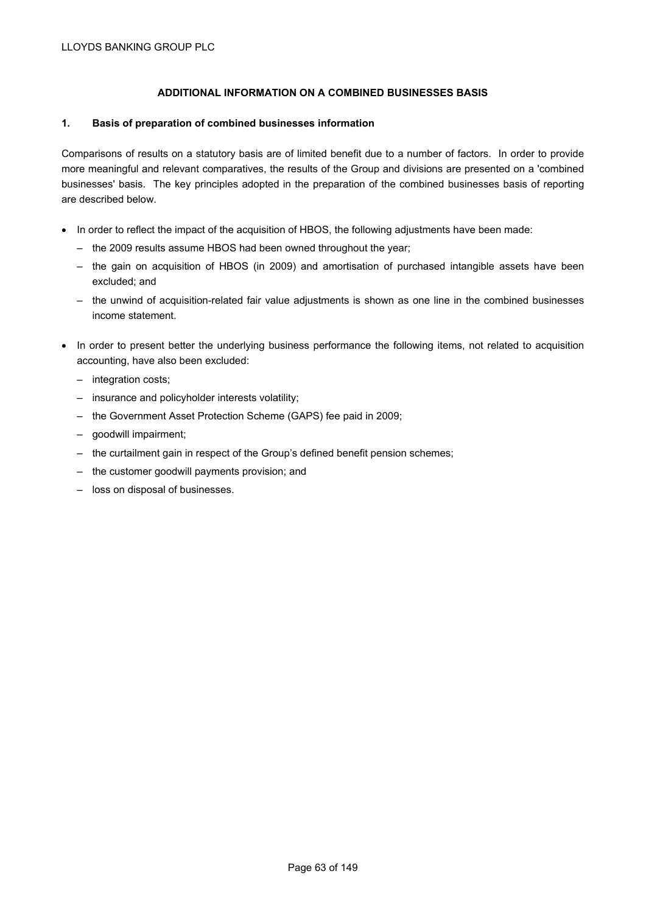# **ADDITIONAL INFORMATION ON A COMBINED BUSINESSES BASIS**

## **1. Basis of preparation of combined businesses information**

Comparisons of results on a statutory basis are of limited benefit due to a number of factors. In order to provide more meaningful and relevant comparatives, the results of the Group and divisions are presented on a 'combined businesses' basis. The key principles adopted in the preparation of the combined businesses basis of reporting are described below.

- In order to reflect the impact of the acquisition of HBOS, the following adjustments have been made:
	- the 2009 results assume HBOS had been owned throughout the year;
	- the gain on acquisition of HBOS (in 2009) and amortisation of purchased intangible assets have been excluded; and
	- the unwind of acquisition-related fair value adjustments is shown as one line in the combined businesses income statement.
- In order to present better the underlying business performance the following items, not related to acquisition accounting, have also been excluded:
	- integration costs;
	- insurance and policyholder interests volatility;
	- the Government Asset Protection Scheme (GAPS) fee paid in 2009;
	- goodwill impairment;
	- the curtailment gain in respect of the Group's defined benefit pension schemes;
	- the customer goodwill payments provision; and
	- loss on disposal of businesses.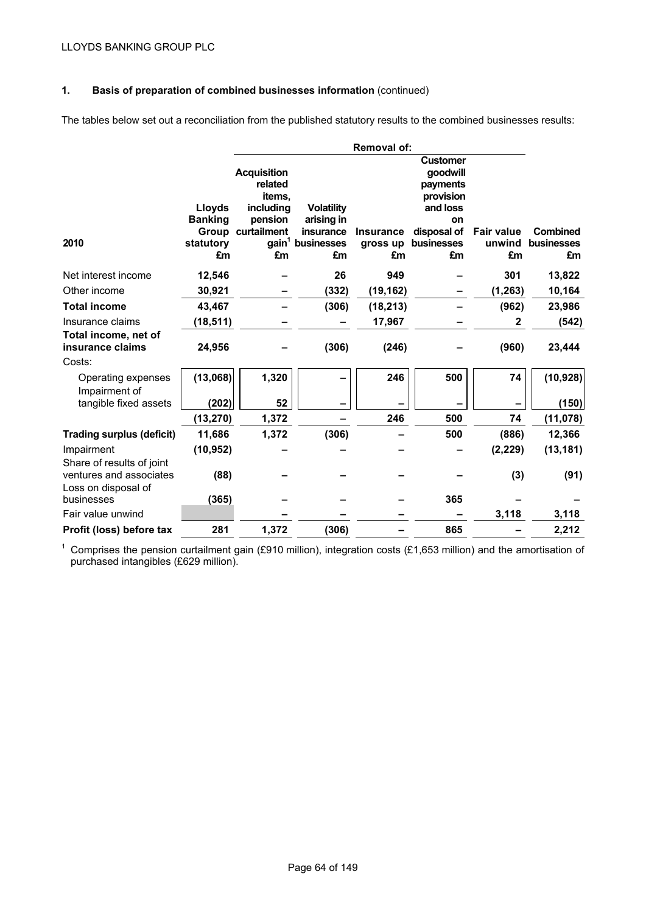# **1. Basis of preparation of combined businesses information** (continued)

The tables below set out a reconciliation from the published statutory results to the combined businesses results:

|                                                      | Removal of:    |                     |                              |                  |                       |                   |                 |
|------------------------------------------------------|----------------|---------------------|------------------------------|------------------|-----------------------|-------------------|-----------------|
|                                                      |                |                     |                              |                  | <b>Customer</b>       |                   |                 |
|                                                      |                | <b>Acquisition</b>  |                              |                  | goodwill              |                   |                 |
|                                                      |                | related             |                              |                  | payments              |                   |                 |
|                                                      | Lloyds         | items,<br>including | <b>Volatility</b>            |                  | provision<br>and loss |                   |                 |
|                                                      | <b>Banking</b> | pension             | arising in                   |                  | on                    |                   |                 |
|                                                      |                | Group curtailment   | insurance                    | <b>Insurance</b> | disposal of           | <b>Fair value</b> | <b>Combined</b> |
| 2010                                                 | statutory      |                     | gain <sup>1</sup> businesses | gross up         | businesses            | unwind            | businesses      |
|                                                      | £m             | £m                  | £m                           | £m               | £m                    | £m                | £m              |
| Net interest income                                  | 12,546         |                     | 26                           | 949              |                       | 301               | 13,822          |
| Other income                                         | 30,921         |                     | (332)                        | (19, 162)        |                       | (1, 263)          | 10,164          |
| <b>Total income</b>                                  | 43,467         |                     | (306)                        | (18, 213)        |                       | (962)             | 23,986          |
| Insurance claims                                     | (18,511)       |                     |                              | 17,967           |                       | $\mathbf{2}$      | (542)           |
| Total income, net of<br>insurance claims             | 24,956         |                     | (306)                        | (246)            |                       | (960)             | 23,444          |
| Costs:                                               |                |                     |                              |                  |                       |                   |                 |
| Operating expenses<br>Impairment of                  | (13,068)       | 1,320               |                              | 246              | 500                   | 74                | (10, 928)       |
| tangible fixed assets                                | (202)          | 52                  | -                            |                  |                       |                   | (150)           |
|                                                      | (13, 270)      | 1,372               |                              | 246              | 500                   | 74                | (11,078)        |
| <b>Trading surplus (deficit)</b>                     | 11,686         | 1,372               | (306)                        |                  | 500                   | (886)             | 12,366          |
| Impairment                                           | (10, 952)      |                     |                              |                  |                       | (2, 229)          | (13, 181)       |
| Share of results of joint<br>ventures and associates | (88)           |                     |                              |                  |                       | (3)               | (91)            |
| Loss on disposal of<br>businesses                    | (365)          |                     |                              |                  | 365                   |                   |                 |
| Fair value unwind                                    |                |                     |                              |                  |                       | 3,118             | 3,118           |
| Profit (loss) before tax                             | 281            | 1,372               | (306)                        |                  | 865                   |                   | 2,212           |
|                                                      |                |                     |                              |                  |                       |                   |                 |

<sup>1</sup> Comprises the pension curtailment gain (£910 million), integration costs (£1,653 million) and the amortisation of purchased intangibles (£629 million).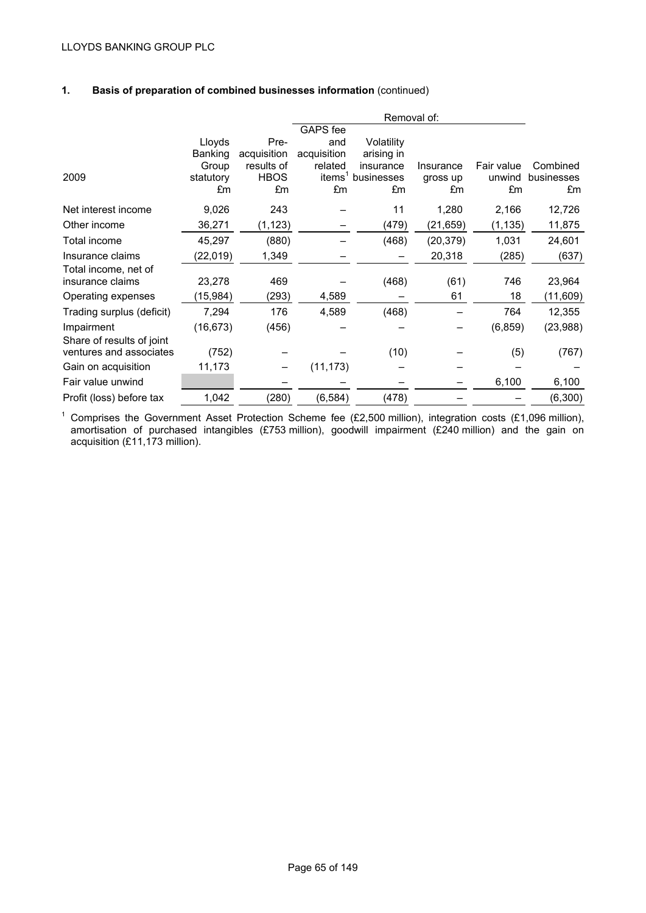# **1. Basis of preparation of combined businesses information** (continued)

|           | Removal of:                         |                                                |                                           |                                                                |                             |                                                                    |
|-----------|-------------------------------------|------------------------------------------------|-------------------------------------------|----------------------------------------------------------------|-----------------------------|--------------------------------------------------------------------|
|           |                                     | GAPS fee                                       |                                           |                                                                |                             |                                                                    |
| Lloyds    | Pre-                                | and                                            | Volatility                                |                                                                |                             |                                                                    |
|           |                                     |                                                |                                           |                                                                |                             |                                                                    |
|           |                                     |                                                |                                           |                                                                |                             | Combined                                                           |
|           |                                     |                                                |                                           |                                                                |                             | businesses                                                         |
|           |                                     |                                                |                                           |                                                                |                             | £m                                                                 |
| 9,026     | 243                                 |                                                | 11                                        | 1,280                                                          | 2,166                       | 12,726                                                             |
| 36,271    | (1, 123)                            |                                                | (479)                                     | (21, 659)                                                      |                             | 11,875                                                             |
| 45,297    | (880)                               |                                                | (468)                                     | (20, 379)                                                      | 1,031                       | 24,601                                                             |
| (22, 019) | 1,349                               |                                                |                                           | 20,318                                                         |                             | (637)                                                              |
|           |                                     |                                                |                                           |                                                                |                             |                                                                    |
| 23,278    | 469                                 |                                                | (468)                                     | (61)                                                           | 746                         | 23,964                                                             |
| (15,984)  | (293)                               | 4,589                                          |                                           | 61                                                             | 18                          | (11,609)                                                           |
| 7,294     | 176                                 | 4,589                                          | (468)                                     |                                                                | 764                         | 12,355                                                             |
| (16, 673) | (456)                               |                                                |                                           |                                                                |                             | (23,988)                                                           |
|           |                                     |                                                |                                           |                                                                |                             |                                                                    |
| (752)     |                                     |                                                | (10)                                      |                                                                |                             | (767)                                                              |
| 11,173    |                                     |                                                |                                           |                                                                |                             |                                                                    |
|           |                                     |                                                |                                           |                                                                | 6,100                       | 6,100                                                              |
| 1,042     | (280)                               | (6, 584)                                       | (478)                                     |                                                                |                             | (6,300)                                                            |
|           | Banking<br>Group<br>statutory<br>£m | acquisition<br>results of<br><b>HBOS</b><br>£m | acquisition<br>related<br>£m<br>(11, 173) | arising in<br>insurance<br>items <sup>1</sup> businesses<br>£m | Insurance<br>gross up<br>£m | Fair value<br>unwind<br>£m<br>(1, 135)<br>(285)<br>(6, 859)<br>(5) |

<sup>1</sup> Comprises the Government Asset Protection Scheme fee (£2,500 million), integration costs (£1,096 million), amortisation of purchased intangibles (£753 million), goodwill impairment (£240 million) and the gain on acquisition (£11,173 million).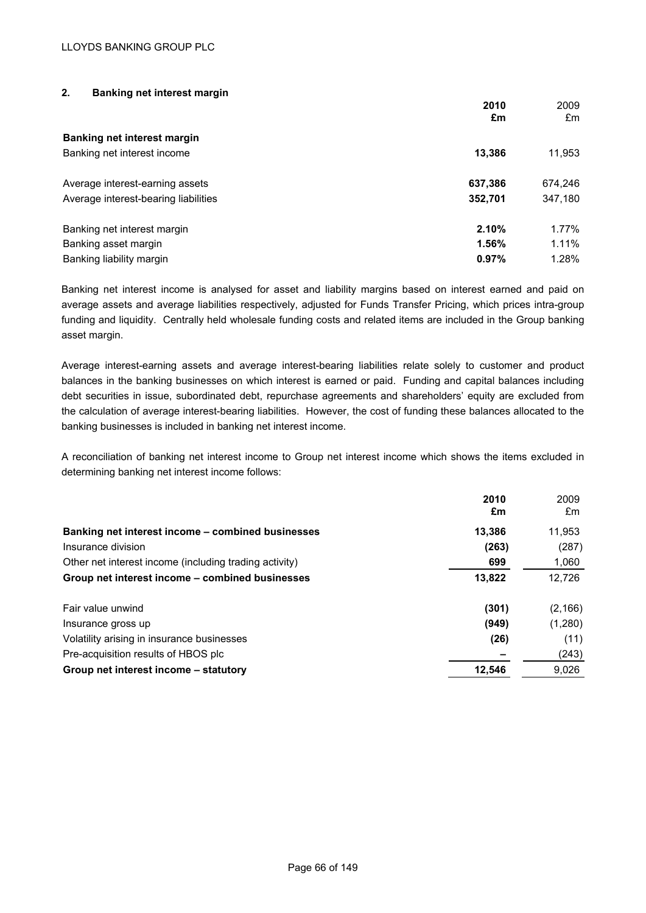## **2. Banking net interest margin**

|                                      | 2010<br>£m | 2009<br>£m |
|--------------------------------------|------------|------------|
| <b>Banking net interest margin</b>   |            |            |
| Banking net interest income          | 13,386     | 11,953     |
| Average interest-earning assets      | 637,386    | 674,246    |
| Average interest-bearing liabilities | 352,701    | 347,180    |
| Banking net interest margin          | 2.10%      | $1.77\%$   |
| Banking asset margin                 | 1.56%      | 1.11%      |
| Banking liability margin             | 0.97%      | 1.28%      |

Banking net interest income is analysed for asset and liability margins based on interest earned and paid on average assets and average liabilities respectively, adjusted for Funds Transfer Pricing, which prices intra-group funding and liquidity. Centrally held wholesale funding costs and related items are included in the Group banking asset margin.

Average interest-earning assets and average interest-bearing liabilities relate solely to customer and product balances in the banking businesses on which interest is earned or paid. Funding and capital balances including debt securities in issue, subordinated debt, repurchase agreements and shareholders' equity are excluded from the calculation of average interest-bearing liabilities. However, the cost of funding these balances allocated to the banking businesses is included in banking net interest income.

A reconciliation of banking net interest income to Group net interest income which shows the items excluded in determining banking net interest income follows:

|                                                        | 2010<br>£m | 2009<br>£m |
|--------------------------------------------------------|------------|------------|
| Banking net interest income – combined businesses      | 13,386     | 11,953     |
| Insurance division                                     | (263)      | (287)      |
| Other net interest income (including trading activity) | 699        | 1,060      |
| Group net interest income – combined businesses        | 13.822     | 12.726     |
| Fair value unwind                                      | (301)      | (2, 166)   |
| Insurance gross up                                     | (949)      | (1,280)    |
| Volatility arising in insurance businesses             | (26)       | (11)       |
| Pre-acquisition results of HBOS plc                    |            | (243)      |
| Group net interest income - statutory                  | 12.546     | 9,026      |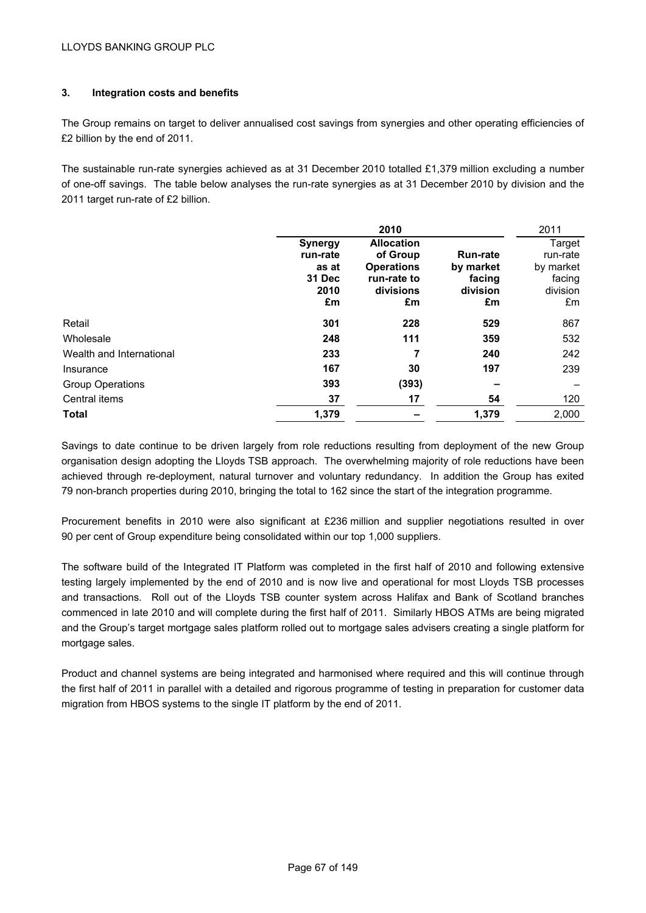## **3. Integration costs and benefits**

The Group remains on target to deliver annualised cost savings from synergies and other operating efficiencies of £2 billion by the end of 2011.

The sustainable run-rate synergies achieved as at 31 December 2010 totalled £1,379 million excluding a number of one-off savings. The table below analyses the run-rate synergies as at 31 December 2010 by division and the 2011 target run-rate of £2 billion.

|                          |                | 2010              |                 | 2011      |
|--------------------------|----------------|-------------------|-----------------|-----------|
|                          | <b>Synergy</b> | <b>Allocation</b> |                 | Target    |
|                          | run-rate       | of Group          | <b>Run-rate</b> | run-rate  |
|                          | as at          | <b>Operations</b> | by market       | by market |
|                          | <b>31 Dec</b>  | run-rate to       | facing          | facing    |
|                          | 2010           | divisions         | division        | division  |
|                          | £m             | £m                | £m              | £m        |
| Retail                   | 301            | 228               | 529             | 867       |
| Wholesale                | 248            | 111               | 359             | 532       |
| Wealth and International | 233            | 7                 | 240             | 242       |
| Insurance                | 167            | 30                | 197             | 239       |
| <b>Group Operations</b>  | 393            | (393)             |                 |           |
| Central items            | 37             | 17                | 54              | 120       |
| <b>Total</b>             | 1,379          |                   | 1,379           | 2,000     |

Savings to date continue to be driven largely from role reductions resulting from deployment of the new Group organisation design adopting the Lloyds TSB approach. The overwhelming majority of role reductions have been achieved through re-deployment, natural turnover and voluntary redundancy. In addition the Group has exited 79 non-branch properties during 2010, bringing the total to 162 since the start of the integration programme.

Procurement benefits in 2010 were also significant at £236 million and supplier negotiations resulted in over 90 per cent of Group expenditure being consolidated within our top 1,000 suppliers.

The software build of the Integrated IT Platform was completed in the first half of 2010 and following extensive testing largely implemented by the end of 2010 and is now live and operational for most Lloyds TSB processes and transactions. Roll out of the Lloyds TSB counter system across Halifax and Bank of Scotland branches commenced in late 2010 and will complete during the first half of 2011. Similarly HBOS ATMs are being migrated and the Group's target mortgage sales platform rolled out to mortgage sales advisers creating a single platform for mortgage sales.

Product and channel systems are being integrated and harmonised where required and this will continue through the first half of 2011 in parallel with a detailed and rigorous programme of testing in preparation for customer data migration from HBOS systems to the single IT platform by the end of 2011.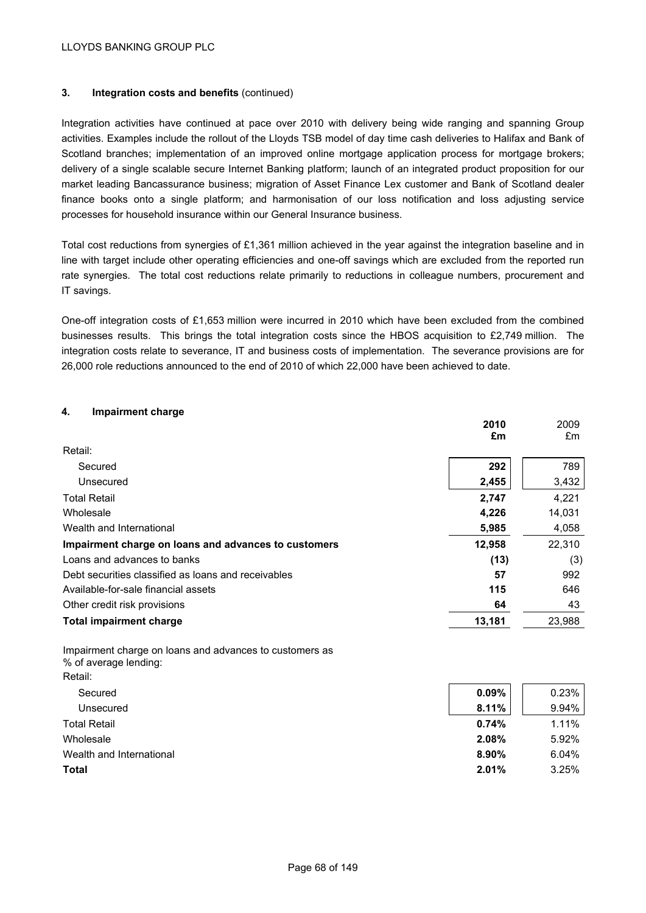## **3. Integration costs and benefits** (continued)

Integration activities have continued at pace over 2010 with delivery being wide ranging and spanning Group activities. Examples include the rollout of the Lloyds TSB model of day time cash deliveries to Halifax and Bank of Scotland branches; implementation of an improved online mortgage application process for mortgage brokers; delivery of a single scalable secure Internet Banking platform; launch of an integrated product proposition for our market leading Bancassurance business; migration of Asset Finance Lex customer and Bank of Scotland dealer finance books onto a single platform; and harmonisation of our loss notification and loss adjusting service processes for household insurance within our General Insurance business.

Total cost reductions from synergies of £1,361 million achieved in the year against the integration baseline and in line with target include other operating efficiencies and one-off savings which are excluded from the reported run rate synergies. The total cost reductions relate primarily to reductions in colleague numbers, procurement and IT savings.

One-off integration costs of £1,653 million were incurred in 2010 which have been excluded from the combined businesses results. This brings the total integration costs since the HBOS acquisition to £2,749 million. The integration costs relate to severance, IT and business costs of implementation. The severance provisions are for 26,000 role reductions announced to the end of 2010 of which 22,000 have been achieved to date.

## **4. Impairment charge**

|                                                                                  | 2010<br>£m | 2009<br>£m |
|----------------------------------------------------------------------------------|------------|------------|
| Retail:                                                                          |            |            |
| Secured                                                                          | 292        | 789        |
| Unsecured                                                                        | 2,455      | 3,432      |
| <b>Total Retail</b>                                                              | 2,747      | 4,221      |
| Wholesale                                                                        | 4,226      | 14,031     |
| Wealth and International                                                         | 5,985      | 4,058      |
| Impairment charge on loans and advances to customers                             | 12,958     | 22,310     |
| Loans and advances to banks                                                      | (13)       | (3)        |
| Debt securities classified as loans and receivables                              | 57         | 992        |
| Available-for-sale financial assets                                              | 115        | 646        |
| Other credit risk provisions                                                     | 64         | 43         |
| <b>Total impairment charge</b>                                                   | 13,181     | 23,988     |
| Impairment charge on loans and advances to customers as<br>% of average lending: |            |            |
| Retail:                                                                          |            |            |
| Secured                                                                          | 0.09%      | 0.23%      |

| Secured                  | $0.09\%$ | 0.23% |
|--------------------------|----------|-------|
| Unsecured                | 8.11%    | 9.94% |
| <b>Total Retail</b>      | 0.74%    | 1.11% |
| Wholesale                | 2.08%    | 5.92% |
| Wealth and International | $8.90\%$ | 6.04% |
| Total                    | 2.01%    | 3.25% |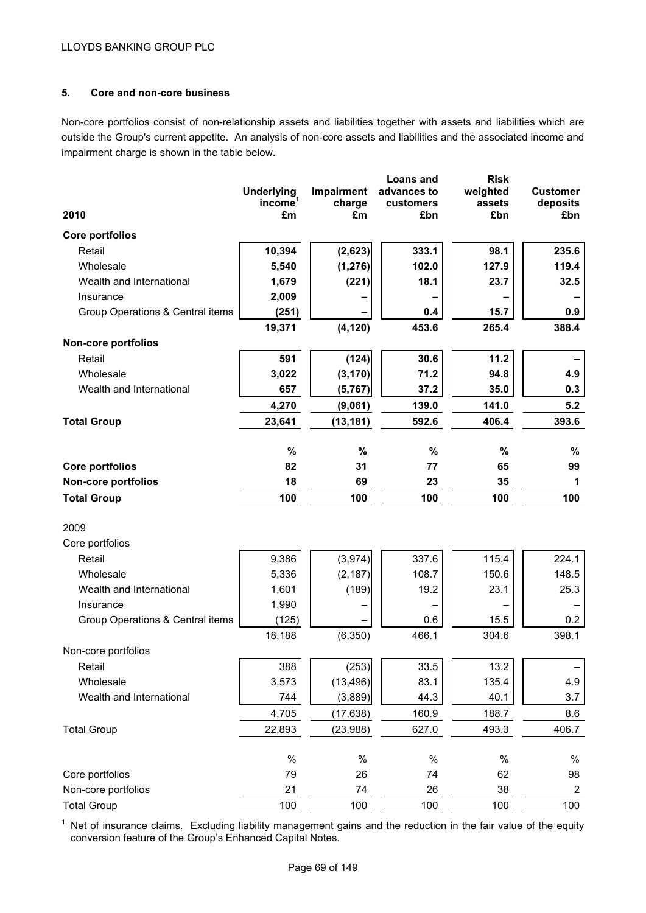# **5. Core and non-core business**

Non-core portfolios consist of non-relationship assets and liabilities together with assets and liabilities which are outside the Group's current appetite. An analysis of non-core assets and liabilities and the associated income and impairment charge is shown in the table below.

|                                  | <b>Underlying</b>   | Impairment | <b>Loans and</b><br>advances to | <b>Risk</b><br>weighted | <b>Customer</b> |
|----------------------------------|---------------------|------------|---------------------------------|-------------------------|-----------------|
|                                  | income <sup>1</sup> | charge     | customers                       | assets                  | deposits        |
| 2010                             | £m                  | £m         | £bn                             | £bn                     | £bn             |
| <b>Core portfolios</b>           |                     |            |                                 |                         |                 |
| Retail                           | 10,394              | (2,623)    | 333.1                           | 98.1                    | 235.6           |
| Wholesale                        | 5,540               | (1, 276)   | 102.0                           | 127.9                   | 119.4           |
| Wealth and International         | 1,679               | (221)      | 18.1                            | 23.7                    | 32.5            |
| Insurance                        | 2,009               |            |                                 |                         |                 |
| Group Operations & Central items | (251)               |            | 0.4                             | 15.7                    | 0.9             |
|                                  | 19,371              | (4, 120)   | 453.6                           | 265.4                   | 388.4           |
| <b>Non-core portfolios</b>       |                     |            |                                 |                         |                 |
| Retail                           | 591                 | (124)      | 30.6                            | 11.2                    |                 |
| Wholesale                        | 3,022               | (3, 170)   | 71.2                            | 94.8                    | 4.9             |
| Wealth and International         | 657                 | (5, 767)   | 37.2                            | 35.0                    | 0.3             |
|                                  | 4,270               | (9,061)    | 139.0                           | 141.0                   | 5.2             |
| <b>Total Group</b>               | 23,641              | (13, 181)  | 592.6                           | 406.4                   | 393.6           |
|                                  | $\%$                | $\%$       | $\%$                            | $\%$                    | %               |
| <b>Core portfolios</b>           | 82                  | 31         | 77                              | 65                      | 99              |
| <b>Non-core portfolios</b>       | 18                  | 69         | 23                              | 35                      | 1               |
| <b>Total Group</b>               | 100                 | 100        | 100                             | 100                     | 100             |
|                                  |                     |            |                                 |                         |                 |
| 2009                             |                     |            |                                 |                         |                 |
| Core portfolios                  |                     |            |                                 |                         |                 |
| Retail                           | 9,386               | (3,974)    | 337.6                           | 115.4                   | 224.1           |
| Wholesale                        | 5,336               | (2, 187)   | 108.7                           | 150.6                   | 148.5           |
| Wealth and International         | 1,601               | (189)      | 19.2                            | 23.1                    | 25.3            |
| Insurance                        | 1,990               |            |                                 |                         |                 |
| Group Operations & Central items | (125)               |            | 0.6                             | 15.5                    | 0.2             |
|                                  | 18,188              | (6, 350)   | 466.1                           | 304.6                   | 398.1           |
| Non-core portfolios              |                     |            |                                 |                         |                 |
| Retail                           | 388                 | (253)      | 33.5                            | 13.2                    |                 |
| Wholesale                        | 3,573               | (13, 496)  | 83.1                            | 135.4                   | 4.9             |
| Wealth and International         | 744                 | (3,889)    | 44.3                            | 40.1                    | 3.7             |
|                                  | 4,705               | (17, 638)  | 160.9                           | 188.7                   | 8.6             |
| <b>Total Group</b>               | 22,893              | (23,988)   | 627.0                           | 493.3                   | 406.7           |
|                                  |                     |            |                                 |                         |                 |
|                                  | $\%$                | $\%$       | $\%$                            | $\%$                    | $\%$            |
| Core portfolios                  | 79                  | 26         | 74                              | 62                      | 98              |
| Non-core portfolios              | 21                  | 74         | 26                              | 38                      | $\overline{c}$  |
| <b>Total Group</b>               | 100                 | 100        | 100                             | 100                     | 100             |

 $1$  Net of insurance claims. Excluding liability management gains and the reduction in the fair value of the equity conversion feature of the Group's Enhanced Capital Notes.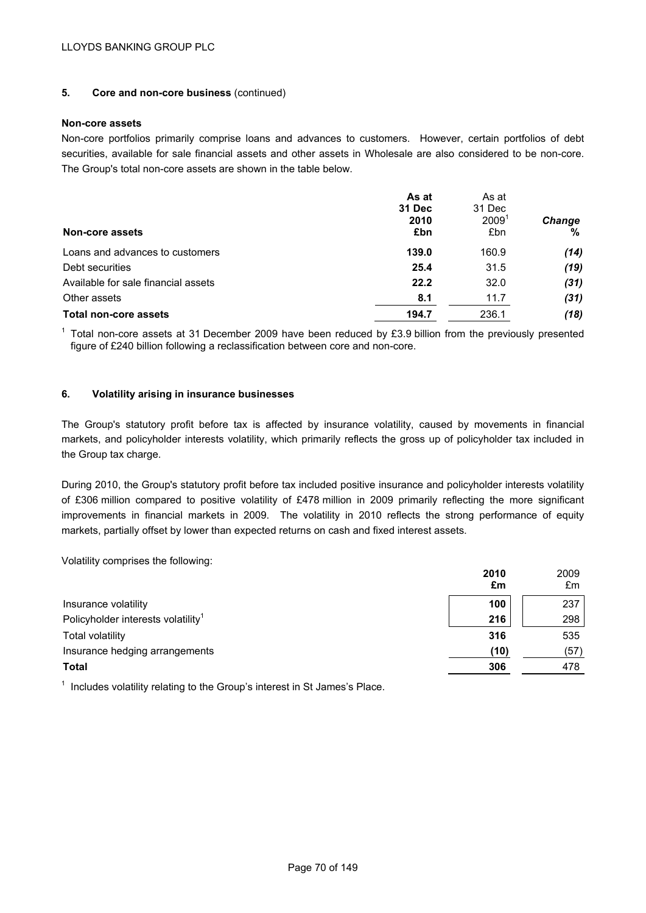## **5. Core and non-core business** (continued)

## **Non-core assets**

Non-core portfolios primarily comprise loans and advances to customers. However, certain portfolios of debt securities, available for sale financial assets and other assets in Wholesale are also considered to be non-core. The Group's total non-core assets are shown in the table below.

| Non-core assets                     | As at<br>31 Dec<br>2010<br>£bn | As at<br>31 Dec<br>2009 <sup>1</sup><br>£bn | <b>Change</b><br>% |
|-------------------------------------|--------------------------------|---------------------------------------------|--------------------|
| Loans and advances to customers     | 139.0                          | 160.9                                       | (14)               |
| Debt securities                     | 25.4                           | 31.5                                        | (19)               |
| Available for sale financial assets | 22.2                           | 32.0                                        | (31)               |
| Other assets                        | 8.1                            | 11.7                                        | (31)               |
| Total non-core assets               | 194.7                          | 236.1                                       | (18)               |

 $1$  Total non-core assets at 31 December 2009 have been reduced by £3.9 billion from the previously presented figure of £240 billion following a reclassification between core and non-core.

## **6. Volatility arising in insurance businesses**

The Group's statutory profit before tax is affected by insurance volatility, caused by movements in financial markets, and policyholder interests volatility, which primarily reflects the gross up of policyholder tax included in the Group tax charge.

During 2010, the Group's statutory profit before tax included positive insurance and policyholder interests volatility of £306 million compared to positive volatility of £478 million in 2009 primarily reflecting the more significant improvements in financial markets in 2009. The volatility in 2010 reflects the strong performance of equity markets, partially offset by lower than expected returns on cash and fixed interest assets.

Volatility comprises the following:

|                                                | 2010<br>£m | 2009<br>£m |
|------------------------------------------------|------------|------------|
| Insurance volatility                           | 100        | 237        |
| Policyholder interests volatility <sup>1</sup> | 216        | 298        |
| <b>Total volatility</b>                        | 316        | 535        |
| Insurance hedging arrangements                 | (10)       | (57)       |
| <b>Total</b>                                   | 306        | 478        |

 $1$  Includes volatility relating to the Group's interest in St James's Place.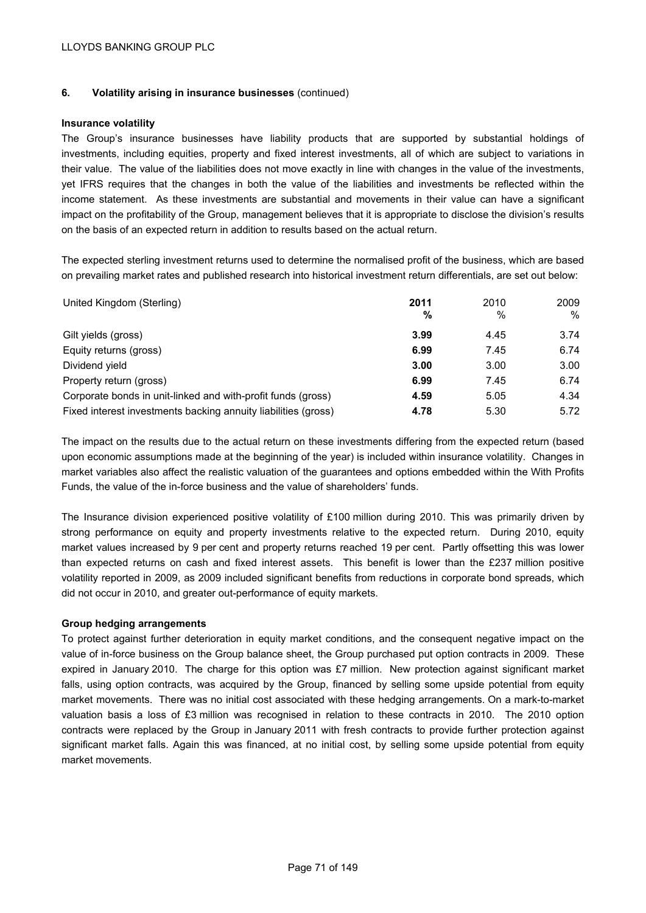## **6. Volatility arising in insurance businesses** (continued)

#### **Insurance volatility**

The Group's insurance businesses have liability products that are supported by substantial holdings of investments, including equities, property and fixed interest investments, all of which are subject to variations in their value. The value of the liabilities does not move exactly in line with changes in the value of the investments, yet IFRS requires that the changes in both the value of the liabilities and investments be reflected within the income statement. As these investments are substantial and movements in their value can have a significant impact on the profitability of the Group, management believes that it is appropriate to disclose the division's results on the basis of an expected return in addition to results based on the actual return.

The expected sterling investment returns used to determine the normalised profit of the business, which are based on prevailing market rates and published research into historical investment return differentials, are set out below:

| United Kingdom (Sterling)                                      | 2011 | 2010          | 2009 |
|----------------------------------------------------------------|------|---------------|------|
|                                                                | %    | $\frac{0}{0}$ | %    |
| Gilt yields (gross)                                            | 3.99 | 4.45          | 3.74 |
| Equity returns (gross)                                         | 6.99 | 7.45          | 6.74 |
| Dividend yield                                                 | 3.00 | 3.00          | 3.00 |
| Property return (gross)                                        | 6.99 | 7.45          | 6.74 |
| Corporate bonds in unit-linked and with-profit funds (gross)   | 4.59 | 5.05          | 4.34 |
| Fixed interest investments backing annuity liabilities (gross) | 4.78 | 5.30          | 5.72 |

The impact on the results due to the actual return on these investments differing from the expected return (based upon economic assumptions made at the beginning of the year) is included within insurance volatility. Changes in market variables also affect the realistic valuation of the guarantees and options embedded within the With Profits Funds, the value of the in-force business and the value of shareholders' funds.

The Insurance division experienced positive volatility of £100 million during 2010. This was primarily driven by strong performance on equity and property investments relative to the expected return. During 2010, equity market values increased by 9 per cent and property returns reached 19 per cent. Partly offsetting this was lower than expected returns on cash and fixed interest assets. This benefit is lower than the £237 million positive volatility reported in 2009, as 2009 included significant benefits from reductions in corporate bond spreads, which did not occur in 2010, and greater out-performance of equity markets.

#### **Group hedging arrangements**

To protect against further deterioration in equity market conditions, and the consequent negative impact on the value of in-force business on the Group balance sheet, the Group purchased put option contracts in 2009. These expired in January 2010. The charge for this option was £7 million. New protection against significant market falls, using option contracts, was acquired by the Group, financed by selling some upside potential from equity market movements. There was no initial cost associated with these hedging arrangements. On a mark-to-market valuation basis a loss of £3 million was recognised in relation to these contracts in 2010. The 2010 option contracts were replaced by the Group in January 2011 with fresh contracts to provide further protection against significant market falls. Again this was financed, at no initial cost, by selling some upside potential from equity market movements.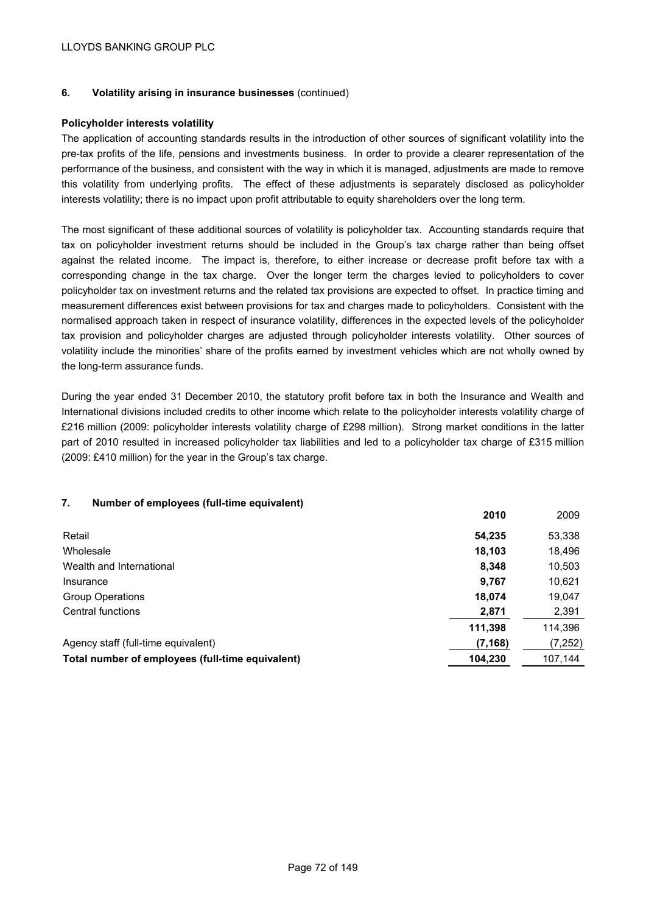## **6. Volatility arising in insurance businesses** (continued)

## **Policyholder interests volatility**

The application of accounting standards results in the introduction of other sources of significant volatility into the pre-tax profits of the life, pensions and investments business. In order to provide a clearer representation of the performance of the business, and consistent with the way in which it is managed, adjustments are made to remove this volatility from underlying profits. The effect of these adjustments is separately disclosed as policyholder interests volatility; there is no impact upon profit attributable to equity shareholders over the long term.

The most significant of these additional sources of volatility is policyholder tax. Accounting standards require that tax on policyholder investment returns should be included in the Group's tax charge rather than being offset against the related income. The impact is, therefore, to either increase or decrease profit before tax with a corresponding change in the tax charge. Over the longer term the charges levied to policyholders to cover policyholder tax on investment returns and the related tax provisions are expected to offset. In practice timing and measurement differences exist between provisions for tax and charges made to policyholders. Consistent with the normalised approach taken in respect of insurance volatility, differences in the expected levels of the policyholder tax provision and policyholder charges are adjusted through policyholder interests volatility. Other sources of volatility include the minorities' share of the profits earned by investment vehicles which are not wholly owned by the long-term assurance funds.

During the year ended 31 December 2010, the statutory profit before tax in both the Insurance and Wealth and International divisions included credits to other income which relate to the policyholder interests volatility charge of £216 million (2009: policyholder interests volatility charge of £298 million). Strong market conditions in the latter part of 2010 resulted in increased policyholder tax liabilities and led to a policyholder tax charge of £315 million (2009: £410 million) for the year in the Group's tax charge.

**2010** 2009

#### **7. Number of employees (full-time equivalent)**

| Retail<br>53,338<br>54,235<br>18,496<br>18,103<br>Wholesale<br>Wealth and International<br>10,503<br>8,348<br>10,621<br>9,767<br>Insurance<br>18,074<br>19,047<br><b>Group Operations</b><br>Central functions<br>2,391<br>2,871<br>111,398<br>114,396<br>Agency staff (full-time equivalent)<br>(7,252)<br>(7, 168)<br>Total number of employees (full-time equivalent)<br>104,230<br>107,144 | ZU I U | ∠ບບອ |
|------------------------------------------------------------------------------------------------------------------------------------------------------------------------------------------------------------------------------------------------------------------------------------------------------------------------------------------------------------------------------------------------|--------|------|
|                                                                                                                                                                                                                                                                                                                                                                                                |        |      |
|                                                                                                                                                                                                                                                                                                                                                                                                |        |      |
|                                                                                                                                                                                                                                                                                                                                                                                                |        |      |
|                                                                                                                                                                                                                                                                                                                                                                                                |        |      |
|                                                                                                                                                                                                                                                                                                                                                                                                |        |      |
|                                                                                                                                                                                                                                                                                                                                                                                                |        |      |
|                                                                                                                                                                                                                                                                                                                                                                                                |        |      |
|                                                                                                                                                                                                                                                                                                                                                                                                |        |      |
|                                                                                                                                                                                                                                                                                                                                                                                                |        |      |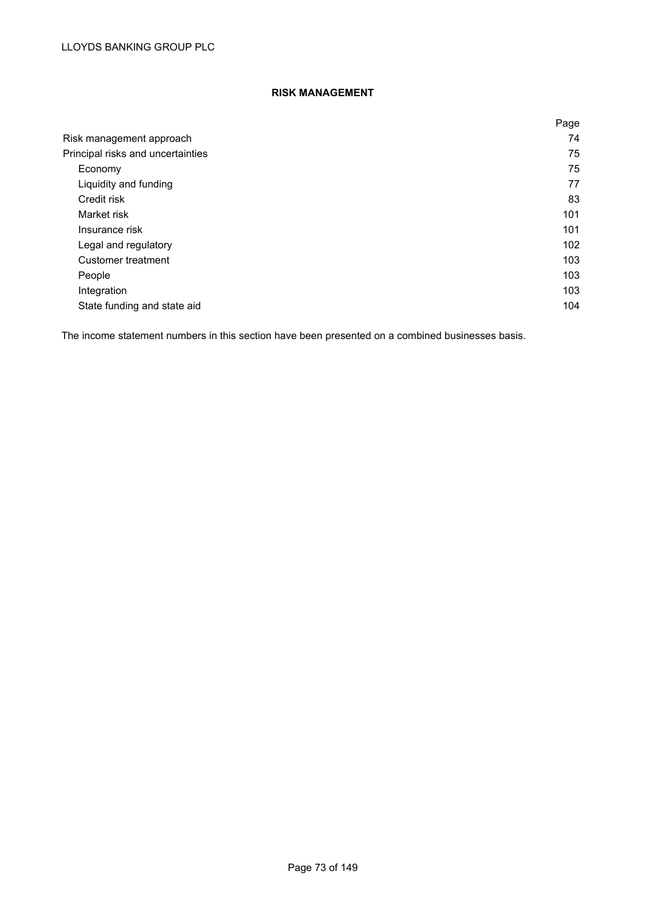## **RISK MANAGEMENT**

|                                   | Page |
|-----------------------------------|------|
| Risk management approach          | 74   |
| Principal risks and uncertainties | 75   |
| Economy                           | 75   |
| Liquidity and funding             | 77   |
| Credit risk                       | 83   |
| Market risk                       | 101  |
| Insurance risk                    | 101  |
| Legal and regulatory              | 102  |
| Customer treatment                | 103  |
| People                            | 103  |
| Integration                       | 103  |
| State funding and state aid       | 104  |

The income statement numbers in this section have been presented on a combined businesses basis.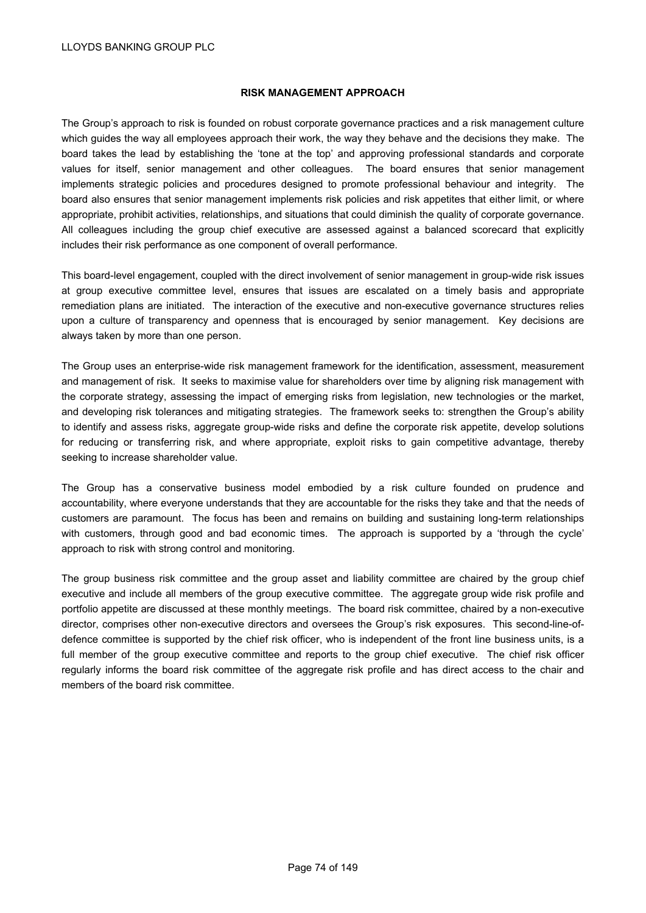### **RISK MANAGEMENT APPROACH**

The Group's approach to risk is founded on robust corporate governance practices and a risk management culture which guides the way all employees approach their work, the way they behave and the decisions they make. The board takes the lead by establishing the 'tone at the top' and approving professional standards and corporate values for itself, senior management and other colleagues. The board ensures that senior management implements strategic policies and procedures designed to promote professional behaviour and integrity. The board also ensures that senior management implements risk policies and risk appetites that either limit, or where appropriate, prohibit activities, relationships, and situations that could diminish the quality of corporate governance. All colleagues including the group chief executive are assessed against a balanced scorecard that explicitly includes their risk performance as one component of overall performance.

This board-level engagement, coupled with the direct involvement of senior management in group-wide risk issues at group executive committee level, ensures that issues are escalated on a timely basis and appropriate remediation plans are initiated. The interaction of the executive and non-executive governance structures relies upon a culture of transparency and openness that is encouraged by senior management. Key decisions are always taken by more than one person.

The Group uses an enterprise-wide risk management framework for the identification, assessment, measurement and management of risk. It seeks to maximise value for shareholders over time by aligning risk management with the corporate strategy, assessing the impact of emerging risks from legislation, new technologies or the market, and developing risk tolerances and mitigating strategies. The framework seeks to: strengthen the Group's ability to identify and assess risks, aggregate group-wide risks and define the corporate risk appetite, develop solutions for reducing or transferring risk, and where appropriate, exploit risks to gain competitive advantage, thereby seeking to increase shareholder value.

The Group has a conservative business model embodied by a risk culture founded on prudence and accountability, where everyone understands that they are accountable for the risks they take and that the needs of customers are paramount. The focus has been and remains on building and sustaining long-term relationships with customers, through good and bad economic times. The approach is supported by a 'through the cycle' approach to risk with strong control and monitoring.

The group business risk committee and the group asset and liability committee are chaired by the group chief executive and include all members of the group executive committee. The aggregate group wide risk profile and portfolio appetite are discussed at these monthly meetings. The board risk committee, chaired by a non-executive director, comprises other non-executive directors and oversees the Group's risk exposures. This second-line-ofdefence committee is supported by the chief risk officer, who is independent of the front line business units, is a full member of the group executive committee and reports to the group chief executive. The chief risk officer regularly informs the board risk committee of the aggregate risk profile and has direct access to the chair and members of the board risk committee.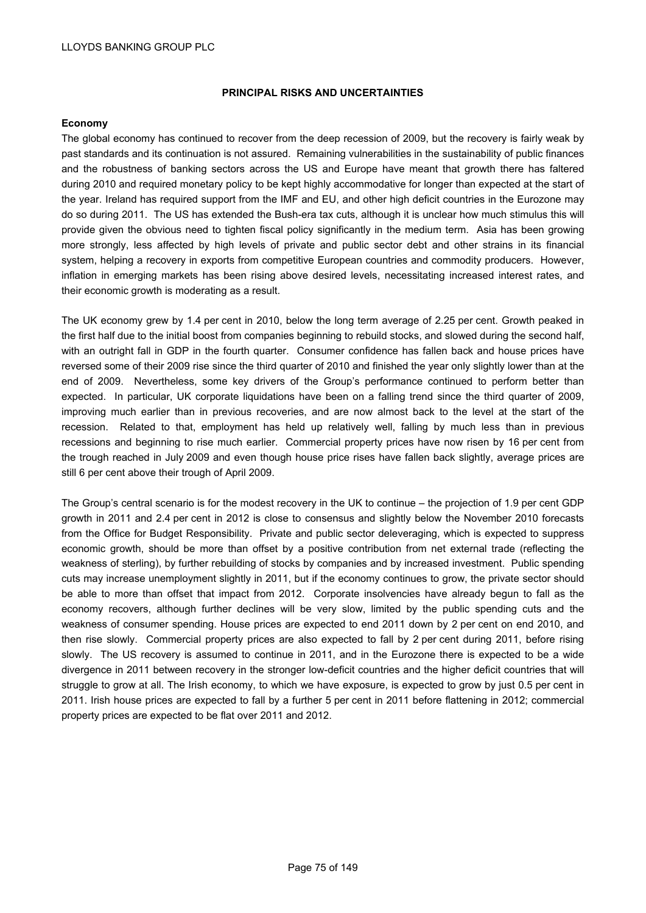### **PRINCIPAL RISKS AND UNCERTAINTIES**

## **Economy**

The global economy has continued to recover from the deep recession of 2009, but the recovery is fairly weak by past standards and its continuation is not assured. Remaining vulnerabilities in the sustainability of public finances and the robustness of banking sectors across the US and Europe have meant that growth there has faltered during 2010 and required monetary policy to be kept highly accommodative for longer than expected at the start of the year. Ireland has required support from the IMF and EU, and other high deficit countries in the Eurozone may do so during 2011. The US has extended the Bush-era tax cuts, although it is unclear how much stimulus this will provide given the obvious need to tighten fiscal policy significantly in the medium term. Asia has been growing more strongly, less affected by high levels of private and public sector debt and other strains in its financial system, helping a recovery in exports from competitive European countries and commodity producers. However, inflation in emerging markets has been rising above desired levels, necessitating increased interest rates, and their economic growth is moderating as a result.

The UK economy grew by 1.4 per cent in 2010, below the long term average of 2.25 per cent. Growth peaked in the first half due to the initial boost from companies beginning to rebuild stocks, and slowed during the second half, with an outright fall in GDP in the fourth quarter. Consumer confidence has fallen back and house prices have reversed some of their 2009 rise since the third quarter of 2010 and finished the year only slightly lower than at the end of 2009. Nevertheless, some key drivers of the Group's performance continued to perform better than expected. In particular, UK corporate liquidations have been on a falling trend since the third quarter of 2009, improving much earlier than in previous recoveries, and are now almost back to the level at the start of the recession. Related to that, employment has held up relatively well, falling by much less than in previous recessions and beginning to rise much earlier. Commercial property prices have now risen by 16 per cent from the trough reached in July 2009 and even though house price rises have fallen back slightly, average prices are still 6 per cent above their trough of April 2009.

The Group's central scenario is for the modest recovery in the UK to continue – the projection of 1.9 per cent GDP growth in 2011 and 2.4 per cent in 2012 is close to consensus and slightly below the November 2010 forecasts from the Office for Budget Responsibility. Private and public sector deleveraging, which is expected to suppress economic growth, should be more than offset by a positive contribution from net external trade (reflecting the weakness of sterling), by further rebuilding of stocks by companies and by increased investment. Public spending cuts may increase unemployment slightly in 2011, but if the economy continues to grow, the private sector should be able to more than offset that impact from 2012. Corporate insolvencies have already begun to fall as the economy recovers, although further declines will be very slow, limited by the public spending cuts and the weakness of consumer spending. House prices are expected to end 2011 down by 2 per cent on end 2010, and then rise slowly. Commercial property prices are also expected to fall by 2 per cent during 2011, before rising slowly. The US recovery is assumed to continue in 2011, and in the Eurozone there is expected to be a wide divergence in 2011 between recovery in the stronger low-deficit countries and the higher deficit countries that will struggle to grow at all. The Irish economy, to which we have exposure, is expected to grow by just 0.5 per cent in 2011. Irish house prices are expected to fall by a further 5 per cent in 2011 before flattening in 2012; commercial property prices are expected to be flat over 2011 and 2012.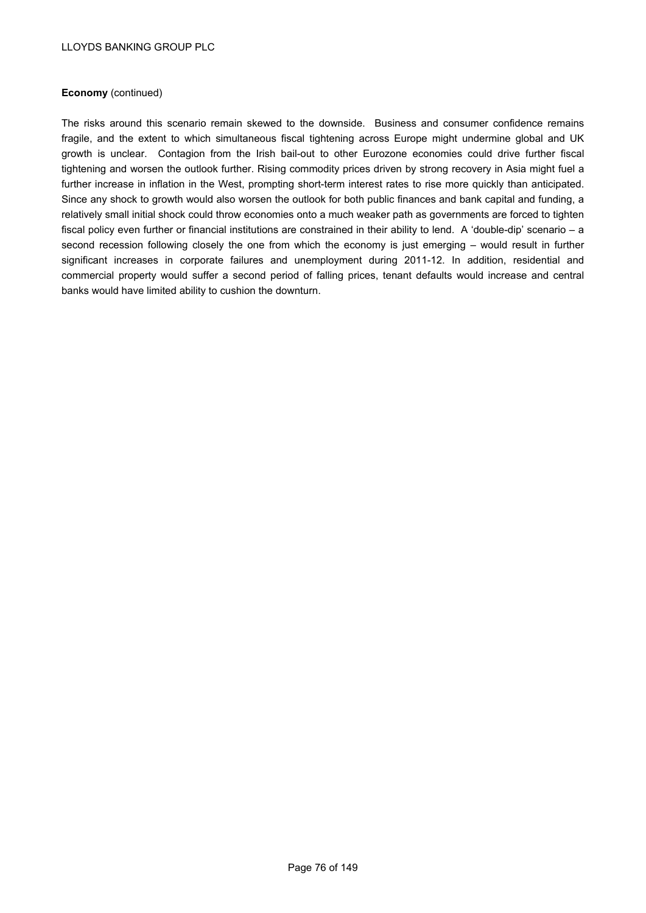## **Economy** (continued)

The risks around this scenario remain skewed to the downside. Business and consumer confidence remains fragile, and the extent to which simultaneous fiscal tightening across Europe might undermine global and UK growth is unclear. Contagion from the Irish bail-out to other Eurozone economies could drive further fiscal tightening and worsen the outlook further. Rising commodity prices driven by strong recovery in Asia might fuel a further increase in inflation in the West, prompting short-term interest rates to rise more quickly than anticipated. Since any shock to growth would also worsen the outlook for both public finances and bank capital and funding, a relatively small initial shock could throw economies onto a much weaker path as governments are forced to tighten fiscal policy even further or financial institutions are constrained in their ability to lend. A 'double-dip' scenario – a second recession following closely the one from which the economy is just emerging – would result in further significant increases in corporate failures and unemployment during 2011-12. In addition, residential and commercial property would suffer a second period of falling prices, tenant defaults would increase and central banks would have limited ability to cushion the downturn.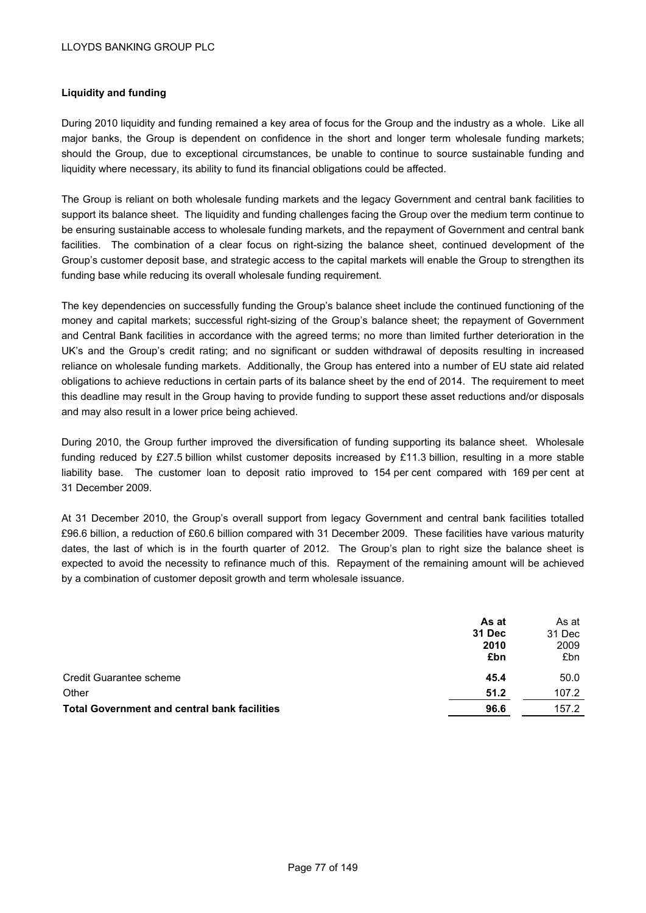## **Liquidity and funding**

During 2010 liquidity and funding remained a key area of focus for the Group and the industry as a whole. Like all major banks, the Group is dependent on confidence in the short and longer term wholesale funding markets; should the Group, due to exceptional circumstances, be unable to continue to source sustainable funding and liquidity where necessary, its ability to fund its financial obligations could be affected.

The Group is reliant on both wholesale funding markets and the legacy Government and central bank facilities to support its balance sheet. The liquidity and funding challenges facing the Group over the medium term continue to be ensuring sustainable access to wholesale funding markets, and the repayment of Government and central bank facilities. The combination of a clear focus on right-sizing the balance sheet, continued development of the Group's customer deposit base, and strategic access to the capital markets will enable the Group to strengthen its funding base while reducing its overall wholesale funding requirement.

The key dependencies on successfully funding the Group's balance sheet include the continued functioning of the money and capital markets; successful right-sizing of the Group's balance sheet; the repayment of Government and Central Bank facilities in accordance with the agreed terms; no more than limited further deterioration in the UK's and the Group's credit rating; and no significant or sudden withdrawal of deposits resulting in increased reliance on wholesale funding markets. Additionally, the Group has entered into a number of EU state aid related obligations to achieve reductions in certain parts of its balance sheet by the end of 2014. The requirement to meet this deadline may result in the Group having to provide funding to support these asset reductions and/or disposals and may also result in a lower price being achieved.

During 2010, the Group further improved the diversification of funding supporting its balance sheet. Wholesale funding reduced by £27.5 billion whilst customer deposits increased by £11.3 billion, resulting in a more stable liability base. The customer loan to deposit ratio improved to 154 per cent compared with 169 per cent at 31 December 2009.

At 31 December 2010, the Group's overall support from legacy Government and central bank facilities totalled £96.6 billion, a reduction of £60.6 billion compared with 31 December 2009. These facilities have various maturity dates, the last of which is in the fourth quarter of 2012. The Group's plan to right size the balance sheet is expected to avoid the necessity to refinance much of this. Repayment of the remaining amount will be achieved by a combination of customer deposit growth and term wholesale issuance.

|                                                     | As at         | As at  |
|-----------------------------------------------------|---------------|--------|
|                                                     | <b>31 Dec</b> | 31 Dec |
|                                                     | 2010          | 2009   |
|                                                     | £bn           | £bn    |
| Credit Guarantee scheme                             | 45.4          | 50.0   |
| Other                                               | 51.2          | 107.2  |
| <b>Total Government and central bank facilities</b> | 96.6          | 157.2  |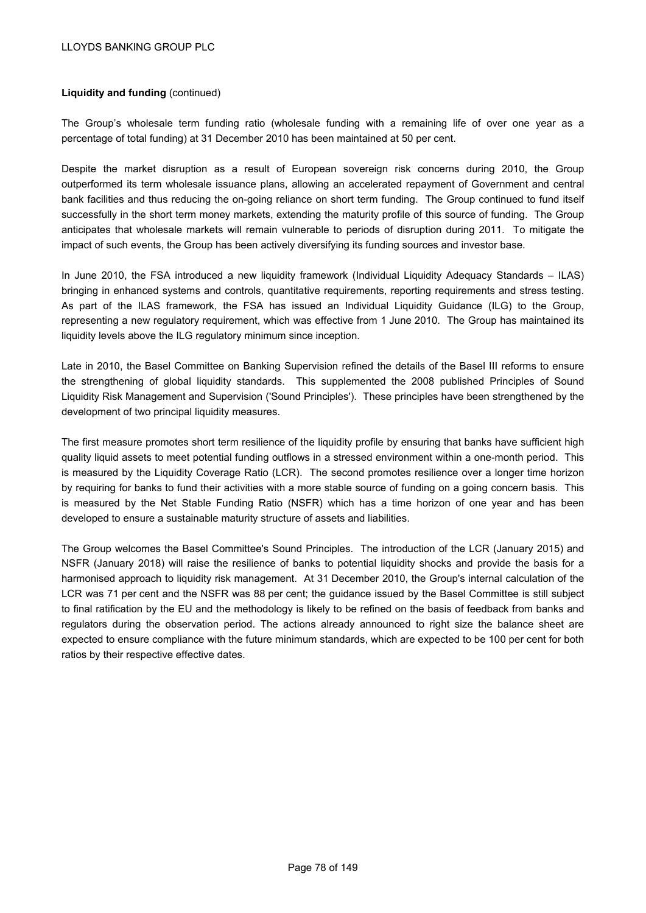The Group's wholesale term funding ratio (wholesale funding with a remaining life of over one year as a percentage of total funding) at 31 December 2010 has been maintained at 50 per cent.

Despite the market disruption as a result of European sovereign risk concerns during 2010, the Group outperformed its term wholesale issuance plans, allowing an accelerated repayment of Government and central bank facilities and thus reducing the on-going reliance on short term funding. The Group continued to fund itself successfully in the short term money markets, extending the maturity profile of this source of funding. The Group anticipates that wholesale markets will remain vulnerable to periods of disruption during 2011. To mitigate the impact of such events, the Group has been actively diversifying its funding sources and investor base.

In June 2010, the FSA introduced a new liquidity framework (Individual Liquidity Adequacy Standards – ILAS) bringing in enhanced systems and controls, quantitative requirements, reporting requirements and stress testing. As part of the ILAS framework, the FSA has issued an Individual Liquidity Guidance (ILG) to the Group, representing a new regulatory requirement, which was effective from 1 June 2010. The Group has maintained its liquidity levels above the ILG regulatory minimum since inception.

Late in 2010, the Basel Committee on Banking Supervision refined the details of the Basel III reforms to ensure the strengthening of global liquidity standards. This supplemented the 2008 published Principles of Sound Liquidity Risk Management and Supervision ('Sound Principles'). These principles have been strengthened by the development of two principal liquidity measures.

The first measure promotes short term resilience of the liquidity profile by ensuring that banks have sufficient high quality liquid assets to meet potential funding outflows in a stressed environment within a one-month period. This is measured by the Liquidity Coverage Ratio (LCR). The second promotes resilience over a longer time horizon by requiring for banks to fund their activities with a more stable source of funding on a going concern basis. This is measured by the Net Stable Funding Ratio (NSFR) which has a time horizon of one year and has been developed to ensure a sustainable maturity structure of assets and liabilities.

The Group welcomes the Basel Committee's Sound Principles. The introduction of the LCR (January 2015) and NSFR (January 2018) will raise the resilience of banks to potential liquidity shocks and provide the basis for a harmonised approach to liquidity risk management. At 31 December 2010, the Group's internal calculation of the LCR was 71 per cent and the NSFR was 88 per cent; the guidance issued by the Basel Committee is still subject to final ratification by the EU and the methodology is likely to be refined on the basis of feedback from banks and regulators during the observation period. The actions already announced to right size the balance sheet are expected to ensure compliance with the future minimum standards, which are expected to be 100 per cent for both ratios by their respective effective dates.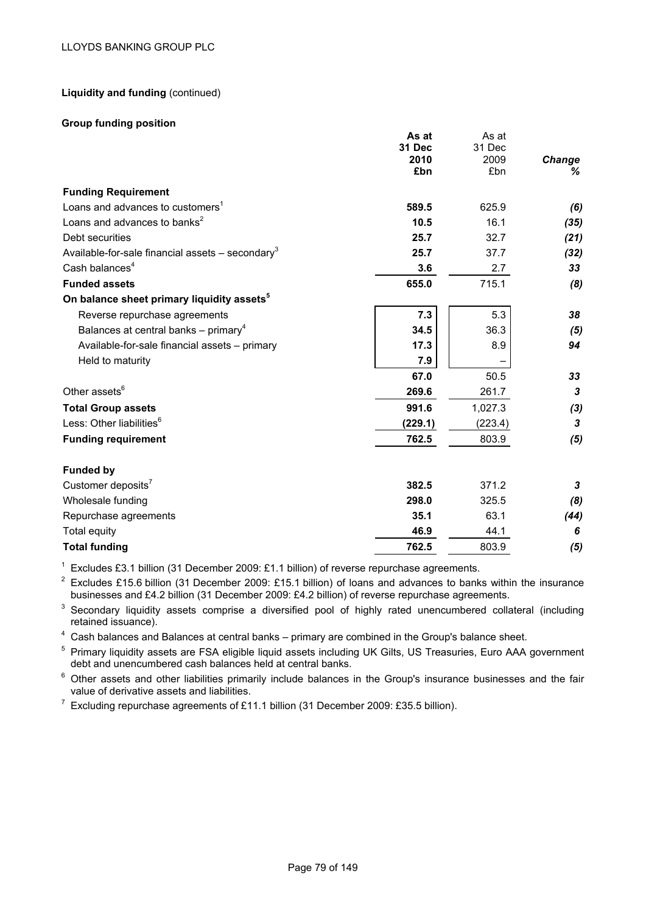#### **Group funding position**

| <b>Funding Requirement</b><br>Loans and advances to customers <sup>1</sup><br>Loans and advances to banks <sup>2</sup><br>Debt securities<br>Available-for-sale financial assets $-$ secondary <sup>3</sup><br>Cash balances <sup>4</sup><br><b>Funded assets</b><br>On balance sheet primary liquidity assets <sup>5</sup><br>Reverse repurchase agreements<br>Balances at central banks – primary <sup>4</sup><br>Available-for-sale financial assets - primary<br>Held to maturity<br>Other assets <sup>6</sup><br><b>Total Group assets</b><br>Less: Other liabilities <sup>6</sup><br><b>Funding requirement</b><br><b>Funded by</b><br>Customer deposits <sup>7</sup> | <b>31 Dec</b><br>2010<br>£bn | 31 Dec<br>2009 |        |
|-----------------------------------------------------------------------------------------------------------------------------------------------------------------------------------------------------------------------------------------------------------------------------------------------------------------------------------------------------------------------------------------------------------------------------------------------------------------------------------------------------------------------------------------------------------------------------------------------------------------------------------------------------------------------------|------------------------------|----------------|--------|
|                                                                                                                                                                                                                                                                                                                                                                                                                                                                                                                                                                                                                                                                             |                              |                |        |
|                                                                                                                                                                                                                                                                                                                                                                                                                                                                                                                                                                                                                                                                             |                              |                | Change |
|                                                                                                                                                                                                                                                                                                                                                                                                                                                                                                                                                                                                                                                                             |                              | £bn            | ℅      |
|                                                                                                                                                                                                                                                                                                                                                                                                                                                                                                                                                                                                                                                                             |                              |                |        |
|                                                                                                                                                                                                                                                                                                                                                                                                                                                                                                                                                                                                                                                                             | 589.5                        | 625.9          | (6)    |
|                                                                                                                                                                                                                                                                                                                                                                                                                                                                                                                                                                                                                                                                             | 10.5                         | 16.1           | (35)   |
|                                                                                                                                                                                                                                                                                                                                                                                                                                                                                                                                                                                                                                                                             | 25.7                         | 32.7           | (21)   |
|                                                                                                                                                                                                                                                                                                                                                                                                                                                                                                                                                                                                                                                                             | 25.7                         | 37.7           | (32)   |
|                                                                                                                                                                                                                                                                                                                                                                                                                                                                                                                                                                                                                                                                             | 3.6                          | 2.7            | 33     |
|                                                                                                                                                                                                                                                                                                                                                                                                                                                                                                                                                                                                                                                                             | 655.0                        | 715.1          | (8)    |
|                                                                                                                                                                                                                                                                                                                                                                                                                                                                                                                                                                                                                                                                             |                              |                |        |
|                                                                                                                                                                                                                                                                                                                                                                                                                                                                                                                                                                                                                                                                             | 7.3                          | 5.3            | 38     |
|                                                                                                                                                                                                                                                                                                                                                                                                                                                                                                                                                                                                                                                                             | 34.5                         | 36.3           | (5)    |
|                                                                                                                                                                                                                                                                                                                                                                                                                                                                                                                                                                                                                                                                             | 17.3                         | 8.9            | 94     |
|                                                                                                                                                                                                                                                                                                                                                                                                                                                                                                                                                                                                                                                                             | 7.9                          |                |        |
|                                                                                                                                                                                                                                                                                                                                                                                                                                                                                                                                                                                                                                                                             | 67.0                         | 50.5           | 33     |
|                                                                                                                                                                                                                                                                                                                                                                                                                                                                                                                                                                                                                                                                             | 269.6                        | 261.7          | 3      |
|                                                                                                                                                                                                                                                                                                                                                                                                                                                                                                                                                                                                                                                                             | 991.6                        | 1,027.3        | (3)    |
|                                                                                                                                                                                                                                                                                                                                                                                                                                                                                                                                                                                                                                                                             | (229.1)                      | (223.4)        | 3      |
|                                                                                                                                                                                                                                                                                                                                                                                                                                                                                                                                                                                                                                                                             | 762.5                        | 803.9          | (5)    |
|                                                                                                                                                                                                                                                                                                                                                                                                                                                                                                                                                                                                                                                                             |                              |                |        |
|                                                                                                                                                                                                                                                                                                                                                                                                                                                                                                                                                                                                                                                                             | 382.5                        | 371.2          | 3      |
| Wholesale funding                                                                                                                                                                                                                                                                                                                                                                                                                                                                                                                                                                                                                                                           | 298.0                        | 325.5          | (8)    |
| Repurchase agreements                                                                                                                                                                                                                                                                                                                                                                                                                                                                                                                                                                                                                                                       | 35.1                         | 63.1           | (44)   |
| Total equity                                                                                                                                                                                                                                                                                                                                                                                                                                                                                                                                                                                                                                                                | 46.9                         | 44.1           | 6      |
| <b>Total funding</b>                                                                                                                                                                                                                                                                                                                                                                                                                                                                                                                                                                                                                                                        | 762.5                        | 803.9          | (5)    |

1 Excludes £3.1 billion (31 December 2009: £1.1 billion) of reverse repurchase agreements.

 $2$  Excludes £15.6 billion (31 December 2009: £15.1 billion) of loans and advances to banks within the insurance businesses and £4.2 billion (31 December 2009: £4.2 billion) of reverse repurchase agreements.

<sup>3</sup> Secondary liquidity assets comprise a diversified pool of highly rated unencumbered collateral (including retained issuance).

4 Cash balances and Balances at central banks – primary are combined in the Group's balance sheet.

<sup>5</sup> Primary liquidity assets are FSA eligible liquid assets including UK Gilts, US Treasuries, Euro AAA government debt and unencumbered cash balances held at central banks.

<sup>6</sup> Other assets and other liabilities primarily include balances in the Group's insurance businesses and the fair value of derivative assets and liabilities.

 $7$  Excluding repurchase agreements of £11.1 billion (31 December 2009: £35.5 billion).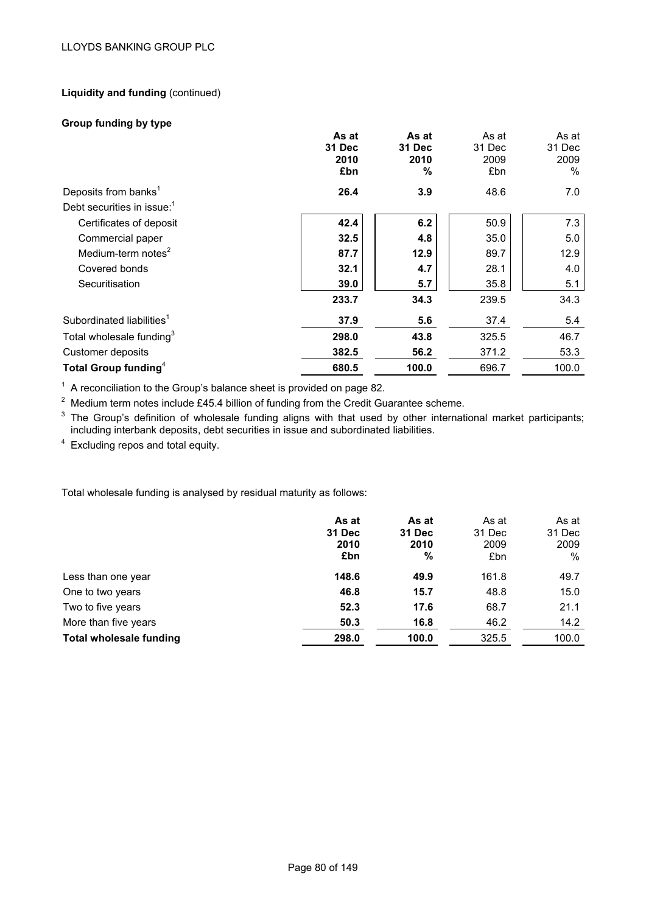## **Group funding by type**

|                                        | As at         | As at  | As at  | As at  |
|----------------------------------------|---------------|--------|--------|--------|
|                                        | <b>31 Dec</b> | 31 Dec | 31 Dec | 31 Dec |
|                                        | 2010          | 2010   | 2009   | 2009   |
|                                        | £bn           | %      | £bn    | $\%$   |
| Deposits from banks <sup>1</sup>       | 26.4          | 3.9    | 48.6   | 7.0    |
| Debt securities in issue: <sup>1</sup> |               |        |        |        |
| Certificates of deposit                | 42.4          | 6.2    | 50.9   | 7.3    |
| Commercial paper                       | 32.5          | 4.8    | 35.0   | 5.0    |
| Medium-term notes $2$                  | 87.7          | 12.9   | 89.7   | 12.9   |
| Covered bonds                          | 32.1          | 4.7    | 28.1   | 4.0    |
| Securitisation                         | 39.0          | 5.7    | 35.8   | 5.1    |
|                                        | 233.7         | 34.3   | 239.5  | 34.3   |
| Subordinated liabilities <sup>1</sup>  | 37.9          | 5.6    | 37.4   | 5.4    |
| Total wholesale funding <sup>3</sup>   | 298.0         | 43.8   | 325.5  | 46.7   |
| Customer deposits                      | 382.5         | 56.2   | 371.2  | 53.3   |
| Total Group funding <sup>4</sup>       | 680.5         | 100.0  | 696.7  | 100.0  |

<sup>1</sup> A reconciliation to the Group's balance sheet is provided on page 82.<br><sup>2</sup> Medium term notes include £45.4 billion of funding from the Credit Guarantee scheme.

 $3$  The Group's definition of wholesale funding aligns with that used by other international market participants; including interbank deposits, debt securities in issue and subordinated liabilities.

4 Excluding repos and total equity.

Total wholesale funding is analysed by residual maturity as follows:

|                                | As at<br><b>31 Dec</b><br>2010<br>£bn | As at<br>31 Dec<br>2010<br>% | As at<br>31 Dec<br>2009<br>£bn | As at<br>31 Dec<br>2009<br>$\%$ |
|--------------------------------|---------------------------------------|------------------------------|--------------------------------|---------------------------------|
| Less than one year             | 148.6                                 | 49.9                         | 161.8                          | 49.7                            |
| One to two years               | 46.8                                  | 15.7                         | 48.8                           | 15.0                            |
| Two to five years              | 52.3                                  | 17.6                         | 68.7                           | 21.1                            |
| More than five years           | 50.3                                  | 16.8                         | 46.2                           | 14.2                            |
| <b>Total wholesale funding</b> | 298.0                                 | 100.0                        | 325.5                          | 100.0                           |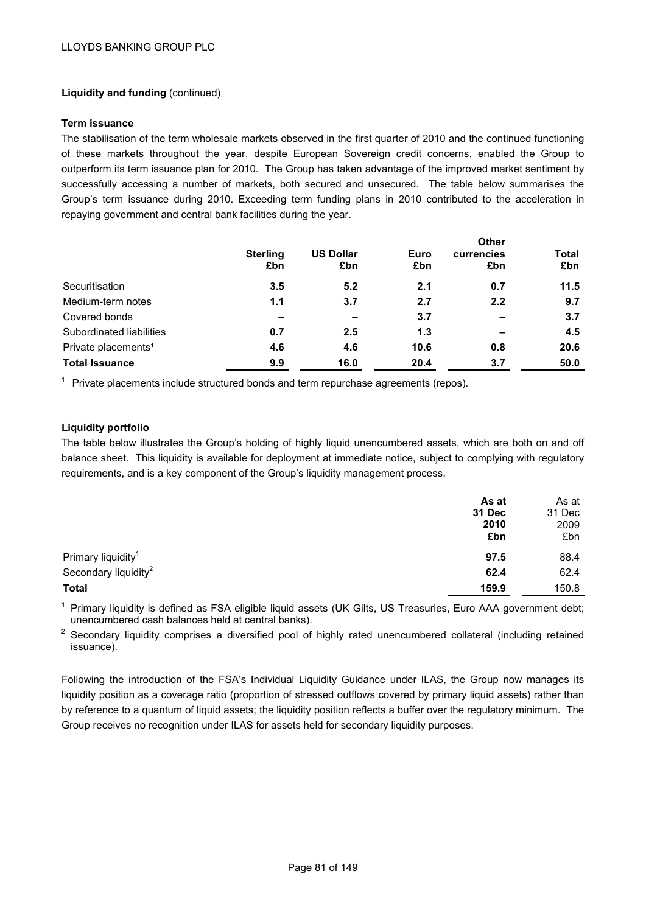## **Term issuance**

The stabilisation of the term wholesale markets observed in the first quarter of 2010 and the continued functioning of these markets throughout the year, despite European Sovereign credit concerns, enabled the Group to outperform its term issuance plan for 2010. The Group has taken advantage of the improved market sentiment by successfully accessing a number of markets, both secured and unsecured. The table below summarises the Group's term issuance during 2010. Exceeding term funding plans in 2010 contributed to the acceleration in repaying government and central bank facilities during the year.

|                                 | <b>Sterling</b> | <b>US Dollar</b> | Euro | currencies | <b>Total</b> |
|---------------------------------|-----------------|------------------|------|------------|--------------|
|                                 | £bn             | £bn              | £bn  | £bn        | £bn          |
| Securitisation                  | 3.5             | 5.2              | 2.1  | 0.7        | 11.5         |
| Medium-term notes               | 1.1             | 3.7              | 2.7  | 2.2        | 9.7          |
| Covered bonds                   | -               |                  | 3.7  |            | 3.7          |
| Subordinated liabilities        | 0.7             | 2.5              | 1.3  |            | 4.5          |
| Private placements <sup>1</sup> | 4.6             | 4.6              | 10.6 | 0.8        | 20.6         |
| <b>Total Issuance</b>           | 9.9             | 16.0             | 20.4 | 3.7        | 50.0         |

 $1$  Private placements include structured bonds and term repurchase agreements (repos).

## **Liquidity portfolio**

The table below illustrates the Group's holding of highly liquid unencumbered assets, which are both on and off balance sheet. This liquidity is available for deployment at immediate notice, subject to complying with regulatory requirements, and is a key component of the Group's liquidity management process.

|                                  | As at<br>31 Dec<br>2010<br>£bn | As at<br>31 Dec<br>2009<br>£bn |
|----------------------------------|--------------------------------|--------------------------------|
| Primary liquidity <sup>1</sup>   | 97.5                           | 88.4                           |
| Secondary liquidity <sup>2</sup> | 62.4                           | 62.4                           |
| <b>Total</b>                     | 159.9                          | 150.8                          |

 $1$  Primary liquidity is defined as FSA eligible liquid assets (UK Gilts, US Treasuries, Euro AAA government debt; unencumbered cash balances held at central banks).

<sup>2</sup> Secondary liquidity comprises a diversified pool of highly rated unencumbered collateral (including retained issuance).

Following the introduction of the FSA's Individual Liquidity Guidance under ILAS, the Group now manages its liquidity position as a coverage ratio (proportion of stressed outflows covered by primary liquid assets) rather than by reference to a quantum of liquid assets; the liquidity position reflects a buffer over the regulatory minimum. The Group receives no recognition under ILAS for assets held for secondary liquidity purposes.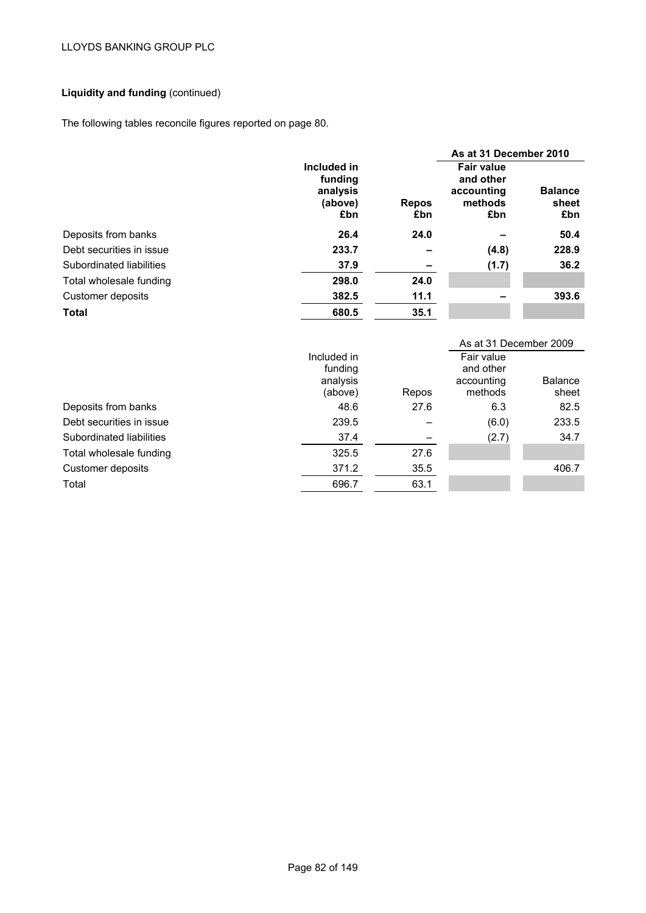The following tables reconcile figures reported on page 80.

|                          |                                                      |                     | As at 31 December 2010                                         |                                |
|--------------------------|------------------------------------------------------|---------------------|----------------------------------------------------------------|--------------------------------|
|                          | Included in<br>funding<br>analysis<br>(above)<br>£bn | <b>Repos</b><br>£bn | <b>Fair value</b><br>and other<br>accounting<br>methods<br>£bn | <b>Balance</b><br>sheet<br>£bn |
| Deposits from banks      | 26.4                                                 | 24.0                |                                                                | 50.4                           |
| Debt securities in issue | 233.7                                                |                     | (4.8)                                                          | 228.9                          |
| Subordinated liabilities | 37.9                                                 | -                   | (1.7)                                                          | 36.2                           |
| Total wholesale funding  | 298.0                                                | 24.0                |                                                                |                                |
| Customer deposits        | 382.5                                                | 11.1                |                                                                | 393.6                          |
| <b>Total</b>             | 680.5                                                | 35.1                |                                                                |                                |
|                          |                                                      |                     |                                                                | As at 31 December 2009         |
|                          | Included in<br>funding                               |                     | Fair value<br>and other                                        |                                |
|                          | analysis<br>(above)                                  | Repos               | accounting<br>methods                                          | <b>Balance</b><br>sheet        |
| Deposits from banks      | 48.6                                                 | 27.6                | 6.3                                                            | 82.5                           |
| Debt securities in issue | 239.5                                                |                     | (6.0)                                                          | 233.5                          |
| Subordinated liabilities | 37.4                                                 |                     | (2.7)                                                          | 34.7                           |
| Total wholesale funding  | 325.5                                                | 27.6                |                                                                |                                |
| Customer deposits        | 371.2                                                | 35.5                |                                                                | 406.7                          |
|                          |                                                      |                     |                                                                |                                |

Total 696.7 63.1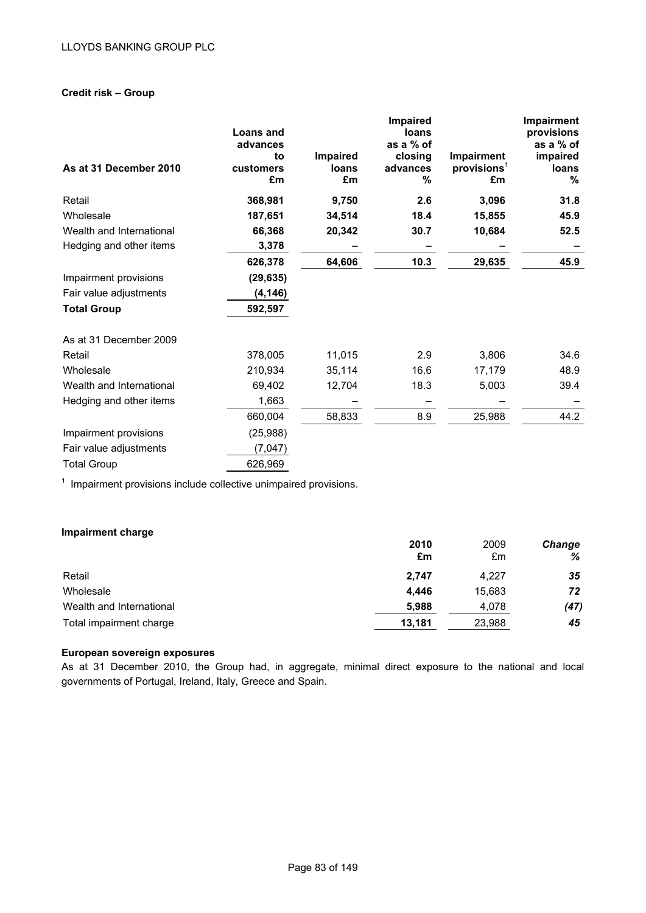## **Credit risk – Group**

|                          |                  |          | <b>Impaired</b> |                         | Impairment |
|--------------------------|------------------|----------|-----------------|-------------------------|------------|
|                          | <b>Loans and</b> |          | loans           |                         | provisions |
|                          | advances         |          | as a % of       |                         | as a % of  |
|                          | to               | Impaired | closing         | Impairment              | impaired   |
| As at 31 December 2010   | customers        | loans    | advances        | provisions <sup>1</sup> | loans      |
|                          | £m               | £m       | %               | £m                      | %          |
| Retail                   | 368,981          | 9,750    | 2.6             | 3,096                   | 31.8       |
| Wholesale                | 187,651          | 34,514   | 18.4            | 15,855                  | 45.9       |
| Wealth and International | 66,368           | 20,342   | 30.7            | 10,684                  | 52.5       |
| Hedging and other items  | 3,378            |          |                 |                         |            |
|                          | 626,378          | 64,606   | 10.3            | 29,635                  | 45.9       |
| Impairment provisions    | (29, 635)        |          |                 |                         |            |
| Fair value adjustments   | (4, 146)         |          |                 |                         |            |
| <b>Total Group</b>       | 592,597          |          |                 |                         |            |
| As at 31 December 2009   |                  |          |                 |                         |            |
| Retail                   | 378,005          | 11,015   | 2.9             | 3,806                   | 34.6       |
| Wholesale                | 210,934          | 35,114   | 16.6            | 17,179                  | 48.9       |
| Wealth and International | 69,402           | 12,704   | 18.3            | 5,003                   | 39.4       |
| Hedging and other items  | 1,663            |          |                 |                         |            |
|                          | 660,004          | 58,833   | 8.9             | 25,988                  | 44.2       |
| Impairment provisions    | (25,988)         |          |                 |                         |            |
| Fair value adjustments   | (7,047)          |          |                 |                         |            |
| <b>Total Group</b>       | 626,969          |          |                 |                         |            |

<sup>1</sup> Impairment provisions include collective unimpaired provisions.

## **Impairment charge**

|                          | 2010<br>£m | 2009<br>£m | <b>Change</b><br>% |
|--------------------------|------------|------------|--------------------|
| Retail                   | 2.747      | 4.227      | 35                 |
| Wholesale                | 4.446      | 15,683     | 72                 |
| Wealth and International | 5,988      | 4,078      | (47)               |
| Total impairment charge  | 13,181     | 23,988     | 45                 |

## **European sovereign exposures**

As at 31 December 2010, the Group had, in aggregate, minimal direct exposure to the national and local governments of Portugal, Ireland, Italy, Greece and Spain.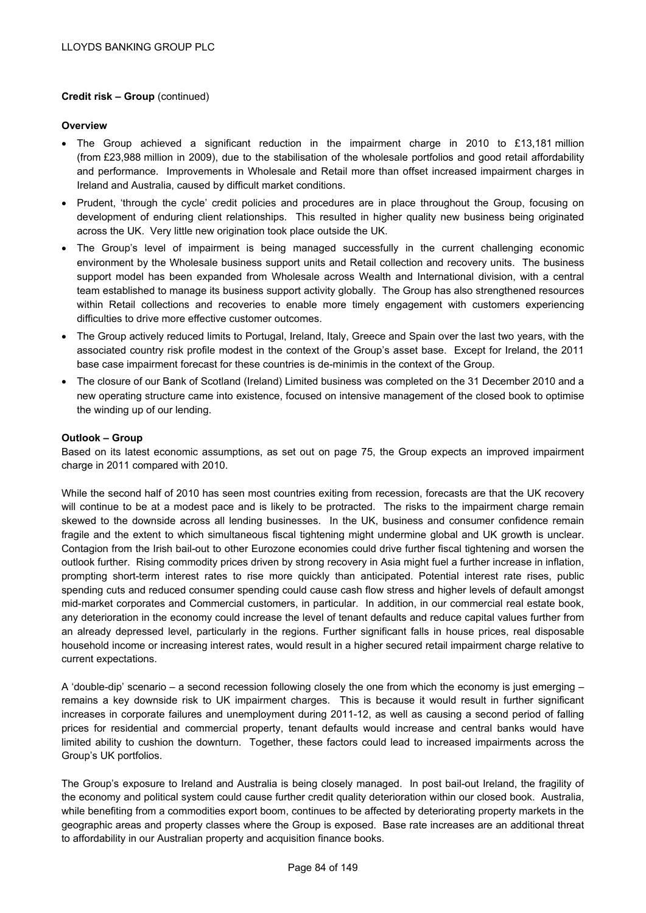## **Credit risk – Group** (continued)

## **Overview**

- The Group achieved a significant reduction in the impairment charge in 2010 to £13,181 million (from £23,988 million in 2009), due to the stabilisation of the wholesale portfolios and good retail affordability and performance. Improvements in Wholesale and Retail more than offset increased impairment charges in Ireland and Australia, caused by difficult market conditions.
- Prudent, 'through the cycle' credit policies and procedures are in place throughout the Group, focusing on development of enduring client relationships. This resulted in higher quality new business being originated across the UK. Very little new origination took place outside the UK.
- The Group's level of impairment is being managed successfully in the current challenging economic environment by the Wholesale business support units and Retail collection and recovery units. The business support model has been expanded from Wholesale across Wealth and International division, with a central team established to manage its business support activity globally. The Group has also strengthened resources within Retail collections and recoveries to enable more timely engagement with customers experiencing difficulties to drive more effective customer outcomes.
- The Group actively reduced limits to Portugal, Ireland, Italy, Greece and Spain over the last two years, with the associated country risk profile modest in the context of the Group's asset base. Except for Ireland, the 2011 base case impairment forecast for these countries is de-minimis in the context of the Group.
- The closure of our Bank of Scotland (Ireland) Limited business was completed on the 31 December 2010 and a new operating structure came into existence, focused on intensive management of the closed book to optimise the winding up of our lending.

## **Outlook – Group**

Based on its latest economic assumptions, as set out on page 75, the Group expects an improved impairment charge in 2011 compared with 2010.

While the second half of 2010 has seen most countries exiting from recession, forecasts are that the UK recovery will continue to be at a modest pace and is likely to be protracted. The risks to the impairment charge remain skewed to the downside across all lending businesses. In the UK, business and consumer confidence remain fragile and the extent to which simultaneous fiscal tightening might undermine global and UK growth is unclear. Contagion from the Irish bail-out to other Eurozone economies could drive further fiscal tightening and worsen the outlook further. Rising commodity prices driven by strong recovery in Asia might fuel a further increase in inflation, prompting short-term interest rates to rise more quickly than anticipated. Potential interest rate rises, public spending cuts and reduced consumer spending could cause cash flow stress and higher levels of default amongst mid-market corporates and Commercial customers, in particular. In addition, in our commercial real estate book, any deterioration in the economy could increase the level of tenant defaults and reduce capital values further from an already depressed level, particularly in the regions. Further significant falls in house prices, real disposable household income or increasing interest rates, would result in a higher secured retail impairment charge relative to current expectations.

A 'double-dip' scenario – a second recession following closely the one from which the economy is just emerging – remains a key downside risk to UK impairment charges. This is because it would result in further significant increases in corporate failures and unemployment during 2011-12, as well as causing a second period of falling prices for residential and commercial property, tenant defaults would increase and central banks would have limited ability to cushion the downturn. Together, these factors could lead to increased impairments across the Group's UK portfolios.

The Group's exposure to Ireland and Australia is being closely managed. In post bail-out Ireland, the fragility of the economy and political system could cause further credit quality deterioration within our closed book. Australia, while benefiting from a commodities export boom, continues to be affected by deteriorating property markets in the geographic areas and property classes where the Group is exposed. Base rate increases are an additional threat to affordability in our Australian property and acquisition finance books.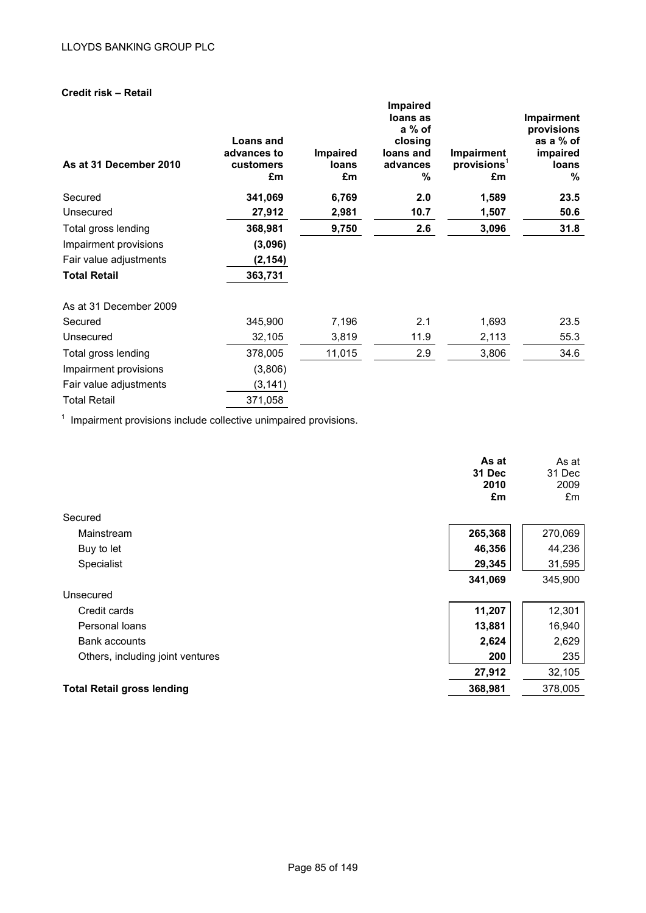## **Credit risk – Retail**

| As at 31 December 2010 | Loans and<br>advances to<br>customers<br>£m | Impaired<br>loans<br>£m | <b>Impaired</b><br>loans as<br>a % of<br>closing<br>loans and<br>advances<br>% | Impairment<br>prox <sup>1</sup><br>£m | <b>Impairment</b><br>provisions<br>as a % of<br>impaired<br><b>loans</b><br>% |
|------------------------|---------------------------------------------|-------------------------|--------------------------------------------------------------------------------|---------------------------------------|-------------------------------------------------------------------------------|
| Secured                | 341,069                                     | 6,769                   | 2.0                                                                            | 1,589                                 | 23.5                                                                          |
| Unsecured              | 27,912                                      | 2,981                   | 10.7                                                                           | 1,507                                 | 50.6                                                                          |
| Total gross lending    | 368,981                                     | 9,750                   | 2.6                                                                            | 3,096                                 | 31.8                                                                          |
| Impairment provisions  | (3,096)                                     |                         |                                                                                |                                       |                                                                               |
| Fair value adjustments | (2, 154)                                    |                         |                                                                                |                                       |                                                                               |
| <b>Total Retail</b>    | 363,731                                     |                         |                                                                                |                                       |                                                                               |
| As at 31 December 2009 |                                             |                         |                                                                                |                                       |                                                                               |
| Secured                | 345,900                                     | 7,196                   | 2.1                                                                            | 1,693                                 | 23.5                                                                          |
| Unsecured              | 32,105                                      | 3,819                   | 11.9                                                                           | 2,113                                 | 55.3                                                                          |
| Total gross lending    | 378,005                                     | 11,015                  | 2.9                                                                            | 3,806                                 | 34.6                                                                          |
| Impairment provisions  | (3,806)                                     |                         |                                                                                |                                       |                                                                               |
| Fair value adjustments | (3, 141)                                    |                         |                                                                                |                                       |                                                                               |
| Total Retail           | 371,058                                     |                         |                                                                                |                                       |                                                                               |

1 Impairment provisions include collective unimpaired provisions.

|                                   | As at<br>31 Dec<br>2010<br>£m | As at<br>31 Dec<br>2009<br>£m |
|-----------------------------------|-------------------------------|-------------------------------|
| Secured                           |                               |                               |
| Mainstream                        | 265,368                       | 270,069                       |
| Buy to let                        | 46,356                        | 44,236                        |
| Specialist                        | 29,345                        | 31,595                        |
|                                   | 341,069                       | 345,900                       |
| Unsecured                         |                               |                               |
| Credit cards                      | 11,207                        | 12,301                        |
| Personal loans                    | 13,881                        | 16,940                        |
| <b>Bank accounts</b>              | 2,624                         | 2,629                         |
| Others, including joint ventures  | 200                           | 235                           |
|                                   | 27,912                        | 32,105                        |
| <b>Total Retail gross lending</b> | 368,981                       | 378,005                       |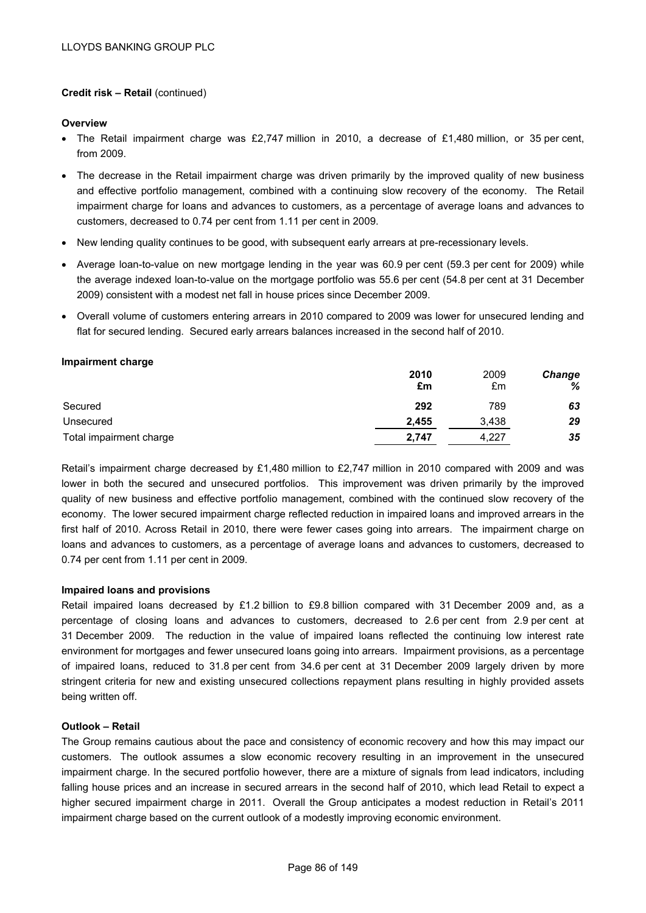## **Overview**

- The Retail impairment charge was £2,747 million in 2010, a decrease of £1,480 million, or 35 per cent, from 2009.
- The decrease in the Retail impairment charge was driven primarily by the improved quality of new business and effective portfolio management, combined with a continuing slow recovery of the economy. The Retail impairment charge for loans and advances to customers, as a percentage of average loans and advances to customers, decreased to 0.74 per cent from 1.11 per cent in 2009.
- New lending quality continues to be good, with subsequent early arrears at pre-recessionary levels.
- Average loan-to-value on new mortgage lending in the year was 60.9 per cent (59.3 per cent for 2009) while the average indexed loan-to-value on the mortgage portfolio was 55.6 per cent (54.8 per cent at 31 December 2009) consistent with a modest net fall in house prices since December 2009.
- Overall volume of customers entering arrears in 2010 compared to 2009 was lower for unsecured lending and flat for secured lending. Secured early arrears balances increased in the second half of 2010.

| Impairment charge       |       |       |               |
|-------------------------|-------|-------|---------------|
|                         | 2010  | 2009  | <b>Change</b> |
|                         | £m    | £m    | %             |
| Secured                 | 292   | 789   | 63            |
| Unsecured               | 2.455 | 3,438 | 29            |
| Total impairment charge | 2.747 | 4,227 | 35            |

Retail's impairment charge decreased by £1,480 million to £2,747 million in 2010 compared with 2009 and was lower in both the secured and unsecured portfolios. This improvement was driven primarily by the improved quality of new business and effective portfolio management, combined with the continued slow recovery of the economy. The lower secured impairment charge reflected reduction in impaired loans and improved arrears in the first half of 2010. Across Retail in 2010, there were fewer cases going into arrears. The impairment charge on loans and advances to customers, as a percentage of average loans and advances to customers, decreased to 0.74 per cent from 1.11 per cent in 2009.

#### **Impaired loans and provisions**

Retail impaired loans decreased by £1.2 billion to £9.8 billion compared with 31 December 2009 and, as a percentage of closing loans and advances to customers, decreased to 2.6 per cent from 2.9 per cent at 31 December 2009. The reduction in the value of impaired loans reflected the continuing low interest rate environment for mortgages and fewer unsecured loans going into arrears. Impairment provisions, as a percentage of impaired loans, reduced to 31.8 per cent from 34.6 per cent at 31 December 2009 largely driven by more stringent criteria for new and existing unsecured collections repayment plans resulting in highly provided assets being written off.

#### **Outlook – Retail**

The Group remains cautious about the pace and consistency of economic recovery and how this may impact our customers. The outlook assumes a slow economic recovery resulting in an improvement in the unsecured impairment charge. In the secured portfolio however, there are a mixture of signals from lead indicators, including falling house prices and an increase in secured arrears in the second half of 2010, which lead Retail to expect a higher secured impairment charge in 2011. Overall the Group anticipates a modest reduction in Retail's 2011 impairment charge based on the current outlook of a modestly improving economic environment.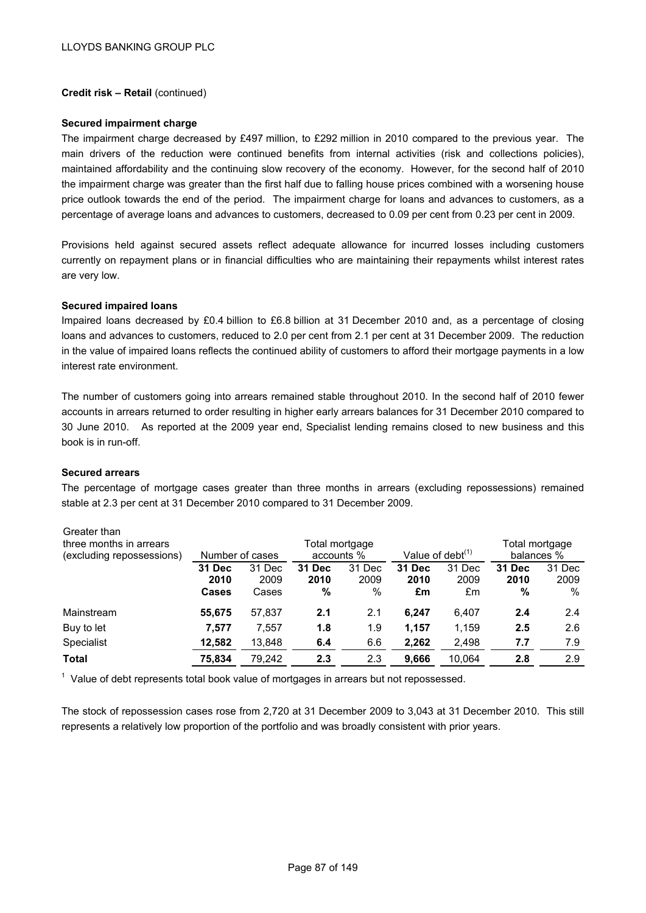#### **Secured impairment charge**

The impairment charge decreased by £497 million, to £292 million in 2010 compared to the previous year. The main drivers of the reduction were continued benefits from internal activities (risk and collections policies), maintained affordability and the continuing slow recovery of the economy. However, for the second half of 2010 the impairment charge was greater than the first half due to falling house prices combined with a worsening house price outlook towards the end of the period. The impairment charge for loans and advances to customers, as a percentage of average loans and advances to customers, decreased to 0.09 per cent from 0.23 per cent in 2009.

Provisions held against secured assets reflect adequate allowance for incurred losses including customers currently on repayment plans or in financial difficulties who are maintaining their repayments whilst interest rates are very low.

#### **Secured impaired loans**

Impaired loans decreased by £0.4 billion to £6.8 billion at 31 December 2010 and, as a percentage of closing loans and advances to customers, reduced to 2.0 per cent from 2.1 per cent at 31 December 2009. The reduction in the value of impaired loans reflects the continued ability of customers to afford their mortgage payments in a low interest rate environment.

The number of customers going into arrears remained stable throughout 2010. In the second half of 2010 fewer accounts in arrears returned to order resulting in higher early arrears balances for 31 December 2010 compared to 30 June 2010. As reported at the 2009 year end, Specialist lending remains closed to new business and this book is in run-off.

#### **Secured arrears**

The percentage of mortgage cases greater than three months in arrears (excluding repossessions) remained stable at 2.3 per cent at 31 December 2010 compared to 31 December 2009.

| Greater than<br>three months in arrears |                 |        |               | Total mortgage |                     |        | Total mortgage |        |
|-----------------------------------------|-----------------|--------|---------------|----------------|---------------------|--------|----------------|--------|
| (excluding repossessions)               | Number of cases |        | accounts %    |                | Value of debt $(1)$ |        | balances %     |        |
|                                         | 31 Dec          | 31 Dec | <b>31 Dec</b> | 31 Dec         | 31 Dec              | 31 Dec | 31 Dec         | 31 Dec |
|                                         | 2010            | 2009   | 2010          | 2009           | 2010                | 2009   | 2010           | 2009   |
|                                         | <b>Cases</b>    | Cases  | %             | %              | £m                  | £m     | %              | %      |
| Mainstream                              | 55,675          | 57,837 | 2.1           | 2.1            | 6.247               | 6,407  | 2.4            | 2.4    |
| Buy to let                              | 7,577           | 7.557  | 1.8           | 1.9            | 1.157               | 1,159  | 2.5            | 2.6    |
| Specialist                              | 12,582          | 13,848 | 6.4           | 6.6            | 2,262               | 2,498  | 7.7            | 7.9    |
| <b>Total</b>                            | 75,834          | 79,242 | 2.3           | 2.3            | 9,666               | 10,064 | 2.8            | 2.9    |

 $1$  Value of debt represents total book value of mortgages in arrears but not repossessed.

The stock of repossession cases rose from 2,720 at 31 December 2009 to 3,043 at 31 December 2010. This still represents a relatively low proportion of the portfolio and was broadly consistent with prior years.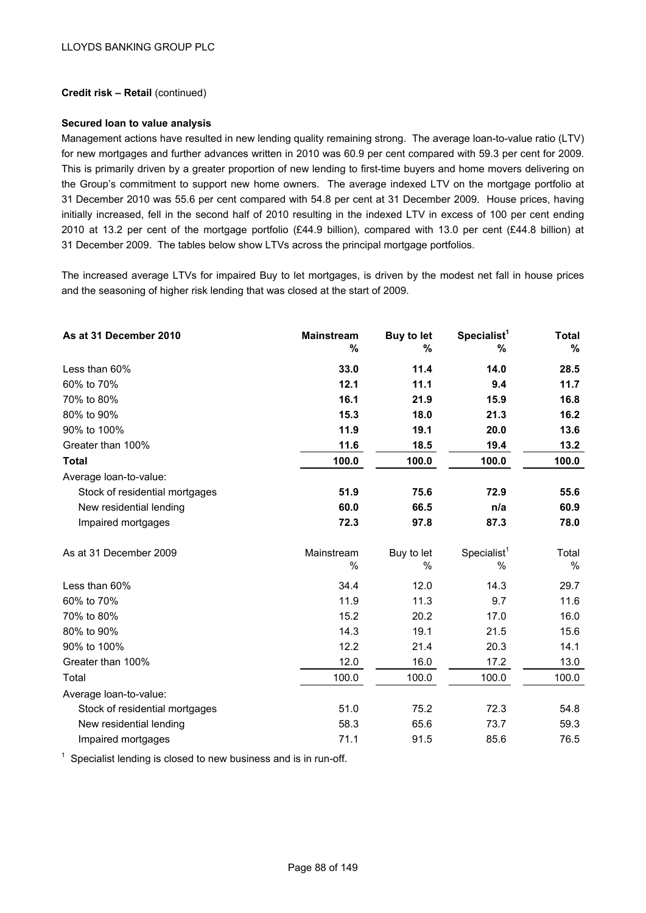## **Secured loan to value analysis**

Management actions have resulted in new lending quality remaining strong. The average loan-to-value ratio (LTV) for new mortgages and further advances written in 2010 was 60.9 per cent compared with 59.3 per cent for 2009. This is primarily driven by a greater proportion of new lending to first-time buyers and home movers delivering on the Group's commitment to support new home owners. The average indexed LTV on the mortgage portfolio at 31 December 2010 was 55.6 per cent compared with 54.8 per cent at 31 December 2009. House prices, having initially increased, fell in the second half of 2010 resulting in the indexed LTV in excess of 100 per cent ending 2010 at 13.2 per cent of the mortgage portfolio (£44.9 billion), compared with 13.0 per cent (£44.8 billion) at 31 December 2009. The tables below show LTVs across the principal mortgage portfolios.

The increased average LTVs for impaired Buy to let mortgages, is driven by the modest net fall in house prices and the seasoning of higher risk lending that was closed at the start of 2009.

| As at 31 December 2010         | <b>Mainstream</b><br>% | <b>Buy to let</b><br>% | Specialist <sup>1</sup><br>% | <b>Total</b><br>% |
|--------------------------------|------------------------|------------------------|------------------------------|-------------------|
| Less than 60%                  | 33.0                   | 11.4                   | 14.0                         | 28.5              |
| 60% to 70%                     | 12.1                   | 11.1                   | 9.4                          | 11.7              |
| 70% to 80%                     | 16.1                   | 21.9                   | 15.9                         | 16.8              |
| 80% to 90%                     | 15.3                   | 18.0                   | 21.3                         | 16.2              |
| 90% to 100%                    | 11.9                   | 19.1                   | 20.0                         | 13.6              |
| Greater than 100%              | 11.6                   | 18.5                   | 19.4                         | 13.2              |
| <b>Total</b>                   | 100.0                  | 100.0                  | 100.0                        | 100.0             |
| Average loan-to-value:         |                        |                        |                              |                   |
| Stock of residential mortgages | 51.9                   | 75.6                   | 72.9                         | 55.6              |
| New residential lending        | 60.0                   | 66.5                   | n/a                          | 60.9              |
| Impaired mortgages             | 72.3                   | 97.8                   | 87.3                         | 78.0              |
| As at 31 December 2009         | Mainstream             | Buy to let             | Specialist <sup>1</sup>      | Total             |
|                                | %                      | %                      | %                            | %                 |
| Less than 60%                  | 34.4                   | 12.0                   | 14.3                         | 29.7              |
| 60% to 70%                     | 11.9                   | 11.3                   | 9.7                          | 11.6              |
| 70% to 80%                     | 15.2                   | 20.2                   | 17.0                         | 16.0              |
| 80% to 90%                     | 14.3                   | 19.1                   | 21.5                         | 15.6              |
| 90% to 100%                    | 12.2                   | 21.4                   | 20.3                         | 14.1              |
| Greater than 100%              | 12.0                   | 16.0                   | 17.2                         | 13.0              |
| Total                          | 100.0                  | 100.0                  | 100.0                        | 100.0             |
| Average loan-to-value:         |                        |                        |                              |                   |
| Stock of residential mortgages | 51.0                   | 75.2                   | 72.3                         | 54.8              |
| New residential lending        | 58.3                   | 65.6                   | 73.7                         | 59.3              |
| Impaired mortgages             | 71.1                   | 91.5                   | 85.6                         | 76.5              |

 $1$  Specialist lending is closed to new business and is in run-off.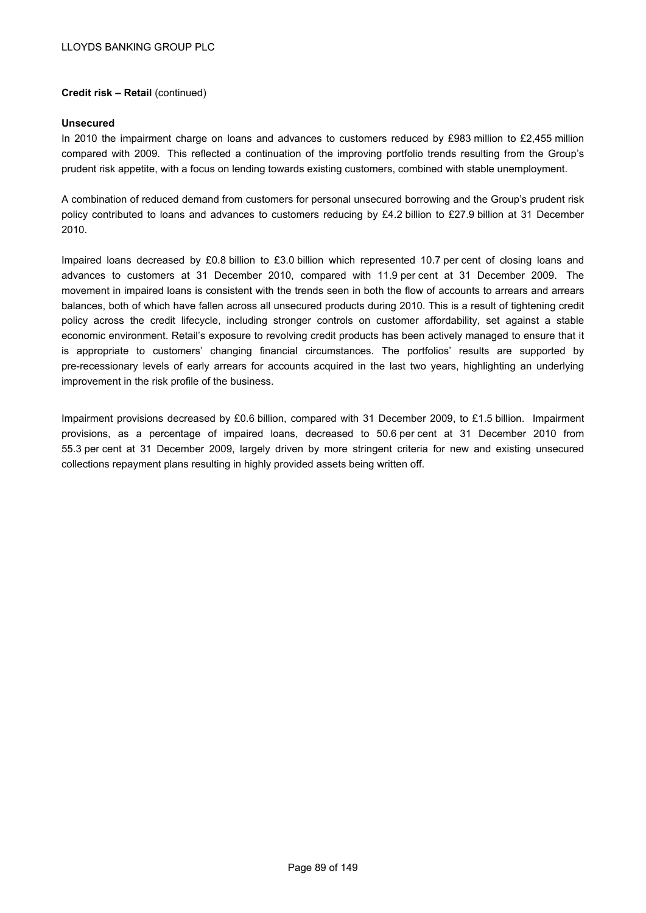## **Unsecured**

In 2010 the impairment charge on loans and advances to customers reduced by £983 million to £2,455 million compared with 2009. This reflected a continuation of the improving portfolio trends resulting from the Group's prudent risk appetite, with a focus on lending towards existing customers, combined with stable unemployment.

A combination of reduced demand from customers for personal unsecured borrowing and the Group's prudent risk policy contributed to loans and advances to customers reducing by £4.2 billion to £27.9 billion at 31 December 2010.

Impaired loans decreased by £0.8 billion to £3.0 billion which represented 10.7 per cent of closing loans and advances to customers at 31 December 2010, compared with 11.9 per cent at 31 December 2009. The movement in impaired loans is consistent with the trends seen in both the flow of accounts to arrears and arrears balances, both of which have fallen across all unsecured products during 2010. This is a result of tightening credit policy across the credit lifecycle, including stronger controls on customer affordability, set against a stable economic environment. Retail's exposure to revolving credit products has been actively managed to ensure that it is appropriate to customers' changing financial circumstances. The portfolios' results are supported by pre-recessionary levels of early arrears for accounts acquired in the last two years, highlighting an underlying improvement in the risk profile of the business.

Impairment provisions decreased by £0.6 billion, compared with 31 December 2009, to £1.5 billion. Impairment provisions, as a percentage of impaired loans, decreased to 50.6 per cent at 31 December 2010 from 55.3 per cent at 31 December 2009, largely driven by more stringent criteria for new and existing unsecured collections repayment plans resulting in highly provided assets being written off.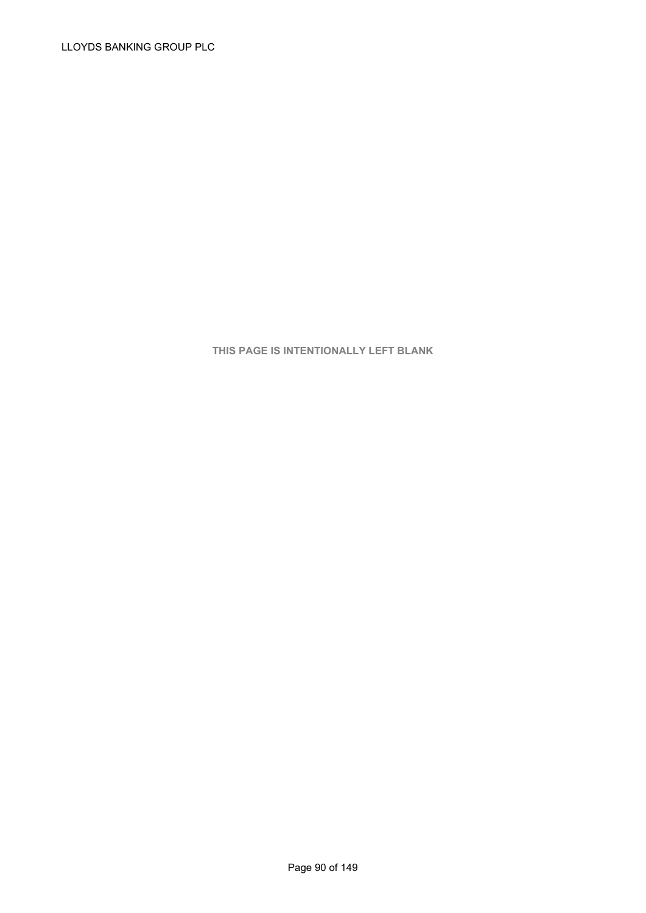## **THIS PAGE IS INTENTIONALLY LEFT BLANK**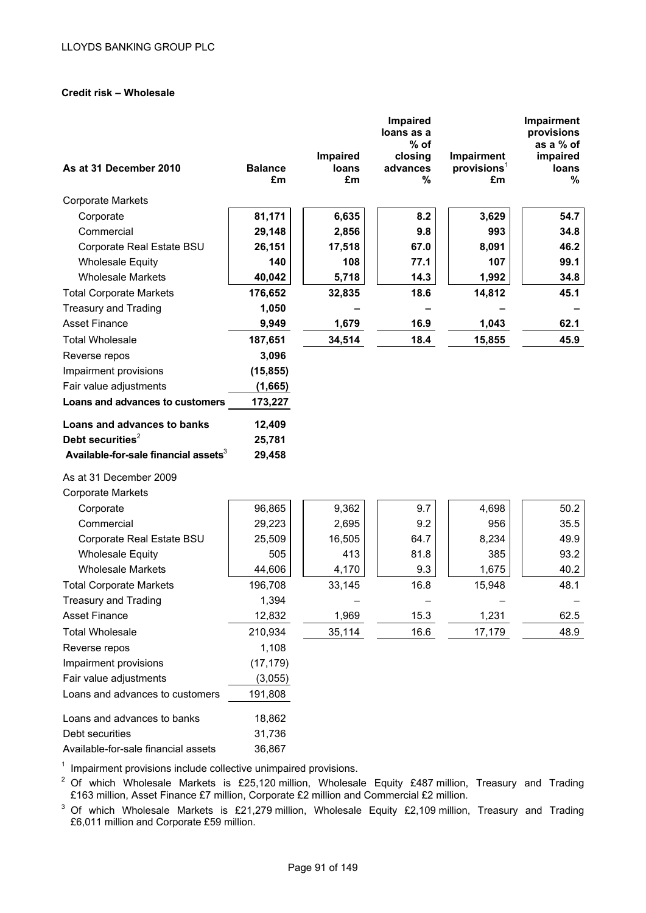## **Credit risk – Wholesale**

| As at 31 December 2010                           | <b>Balance</b><br>£m | Impaired<br>loans<br>£m | <b>Impaired</b><br>loans as a<br>$%$ of<br>closing<br>advances<br>% | Impairment<br>prox <sup>1</sup><br>£m | Impairment<br>provisions<br>as a % of<br>impaired<br>loans<br>% |
|--------------------------------------------------|----------------------|-------------------------|---------------------------------------------------------------------|---------------------------------------|-----------------------------------------------------------------|
| <b>Corporate Markets</b>                         |                      |                         |                                                                     |                                       |                                                                 |
| Corporate                                        | 81,171               | 6,635                   | 8.2                                                                 | 3,629                                 | 54.7                                                            |
| Commercial                                       | 29,148               | 2,856                   | 9.8                                                                 | 993                                   | 34.8                                                            |
| Corporate Real Estate BSU                        | 26,151               | 17,518                  | 67.0                                                                | 8,091                                 | 46.2                                                            |
| <b>Wholesale Equity</b>                          | 140                  | 108                     | 77.1                                                                | 107                                   | 99.1                                                            |
| <b>Wholesale Markets</b>                         | 40,042               | 5,718                   | 14.3                                                                | 1,992                                 | 34.8                                                            |
| <b>Total Corporate Markets</b>                   | 176,652              | 32,835                  | 18.6                                                                | 14,812                                | 45.1                                                            |
| <b>Treasury and Trading</b>                      | 1,050                |                         |                                                                     |                                       |                                                                 |
| <b>Asset Finance</b>                             | 9,949                | 1,679                   | 16.9                                                                | 1,043                                 | 62.1                                                            |
| <b>Total Wholesale</b>                           | 187,651              | 34,514                  | 18.4                                                                | 15,855                                | 45.9                                                            |
| Reverse repos                                    | 3,096                |                         |                                                                     |                                       |                                                                 |
| Impairment provisions                            | (15, 855)            |                         |                                                                     |                                       |                                                                 |
| Fair value adjustments                           | (1,665)              |                         |                                                                     |                                       |                                                                 |
| Loans and advances to customers                  | 173,227              |                         |                                                                     |                                       |                                                                 |
| Loans and advances to banks                      | 12,409               |                         |                                                                     |                                       |                                                                 |
| Debt securities <sup>2</sup>                     | 25,781               |                         |                                                                     |                                       |                                                                 |
| Available-for-sale financial assets <sup>3</sup> | 29,458               |                         |                                                                     |                                       |                                                                 |
| As at 31 December 2009                           |                      |                         |                                                                     |                                       |                                                                 |
| <b>Corporate Markets</b>                         |                      |                         |                                                                     |                                       |                                                                 |
| Corporate                                        | 96,865               | 9,362                   | 9.7                                                                 | 4,698                                 | 50.2                                                            |
| Commercial                                       | 29,223               | 2,695                   | 9.2                                                                 | 956                                   | 35.5                                                            |
| Corporate Real Estate BSU                        | 25,509               | 16,505                  | 64.7                                                                | 8,234                                 | 49.9                                                            |
| <b>Wholesale Equity</b>                          | 505                  | 413                     | 81.8                                                                | 385                                   | 93.2                                                            |
| <b>Wholesale Markets</b>                         | 44,606               | 4,170                   | 9.3                                                                 | 1,675                                 | 40.2                                                            |
| <b>Total Corporate Markets</b>                   | 196,708              | 33,145                  | 16.8                                                                | 15,948                                | 48.1                                                            |
| Treasury and Trading                             | 1,394                |                         |                                                                     |                                       |                                                                 |
| <b>Asset Finance</b>                             | 12,832               | 1,969                   | 15.3                                                                | 1,231                                 | 62.5                                                            |
| <b>Total Wholesale</b>                           | 210,934              | 35,114                  | 16.6                                                                | 17,179                                | 48.9                                                            |
| Reverse repos                                    | 1,108                |                         |                                                                     |                                       |                                                                 |
| Impairment provisions                            | (17, 179)            |                         |                                                                     |                                       |                                                                 |
| Fair value adjustments                           | (3,055)              |                         |                                                                     |                                       |                                                                 |
| Loans and advances to customers                  | 191,808              |                         |                                                                     |                                       |                                                                 |
| Loans and advances to banks                      | 18,862               |                         |                                                                     |                                       |                                                                 |
| Debt securities                                  | 31,736               |                         |                                                                     |                                       |                                                                 |
| Available-for-sale financial assets              | 36,867               |                         |                                                                     |                                       |                                                                 |

<sup>1</sup> Impairment provisions include collective unimpaired provisions.

<sup>2</sup> Of which Wholesale Markets is £25,120 million, Wholesale Equity £487 million, Treasury and Trading £163 million, Asset Finance £7 million, Corporate £2 million and Commercial £2 million.

<sup>3</sup> Of which Wholesale Markets is £21,279 million, Wholesale Equity £2,109 million, Treasury and Trading £6,011 million and Corporate £59 million.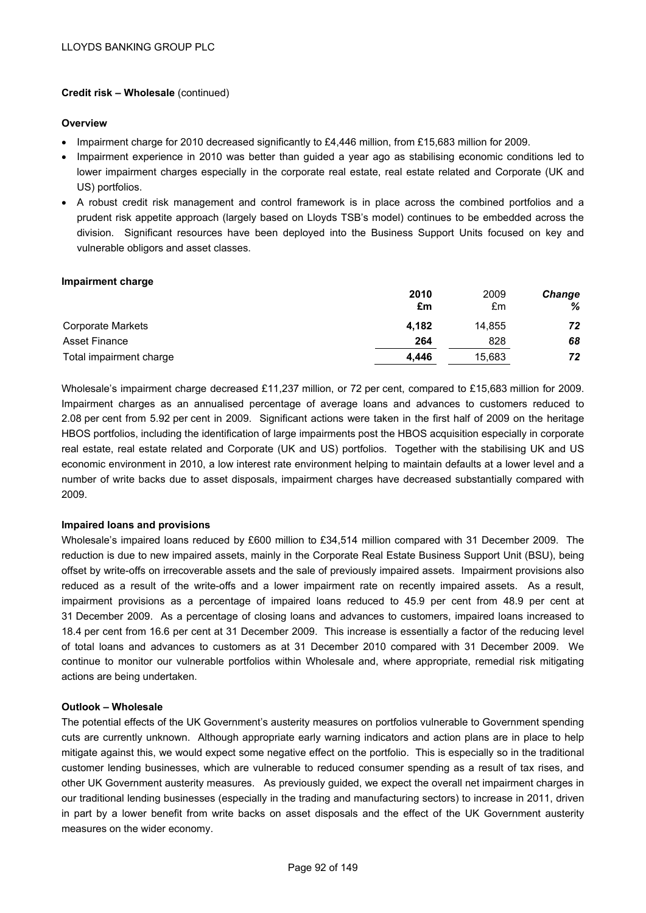## **Overview**

- Impairment charge for 2010 decreased significantly to £4,446 million, from £15,683 million for 2009.
- Impairment experience in 2010 was better than guided a year ago as stabilising economic conditions led to lower impairment charges especially in the corporate real estate, real estate related and Corporate (UK and US) portfolios.
- A robust credit risk management and control framework is in place across the combined portfolios and a prudent risk appetite approach (largely based on Lloyds TSB's model) continues to be embedded across the division. Significant resources have been deployed into the Business Support Units focused on key and vulnerable obligors and asset classes.

#### **Impairment charge**

|                         | 2010<br>£m | 2009<br>£m | Change<br>% |
|-------------------------|------------|------------|-------------|
| Corporate Markets       | 4.182      | 14.855     | 72          |
| Asset Finance           | 264        | 828        | 68          |
| Total impairment charge | 4.446      | 15,683     | 72          |

Wholesale's impairment charge decreased £11,237 million, or 72 per cent, compared to £15,683 million for 2009. Impairment charges as an annualised percentage of average loans and advances to customers reduced to 2.08 per cent from 5.92 per cent in 2009. Significant actions were taken in the first half of 2009 on the heritage HBOS portfolios, including the identification of large impairments post the HBOS acquisition especially in corporate real estate, real estate related and Corporate (UK and US) portfolios. Together with the stabilising UK and US economic environment in 2010, a low interest rate environment helping to maintain defaults at a lower level and a number of write backs due to asset disposals, impairment charges have decreased substantially compared with 2009.

#### **Impaired loans and provisions**

Wholesale's impaired loans reduced by £600 million to £34,514 million compared with 31 December 2009. The reduction is due to new impaired assets, mainly in the Corporate Real Estate Business Support Unit (BSU), being offset by write-offs on irrecoverable assets and the sale of previously impaired assets. Impairment provisions also reduced as a result of the write-offs and a lower impairment rate on recently impaired assets. As a result, impairment provisions as a percentage of impaired loans reduced to 45.9 per cent from 48.9 per cent at 31 December 2009. As a percentage of closing loans and advances to customers, impaired loans increased to 18.4 per cent from 16.6 per cent at 31 December 2009. This increase is essentially a factor of the reducing level of total loans and advances to customers as at 31 December 2010 compared with 31 December 2009. We continue to monitor our vulnerable portfolios within Wholesale and, where appropriate, remedial risk mitigating actions are being undertaken.

#### **Outlook – Wholesale**

The potential effects of the UK Government's austerity measures on portfolios vulnerable to Government spending cuts are currently unknown. Although appropriate early warning indicators and action plans are in place to help mitigate against this, we would expect some negative effect on the portfolio. This is especially so in the traditional customer lending businesses, which are vulnerable to reduced consumer spending as a result of tax rises, and other UK Government austerity measures. As previously guided, we expect the overall net impairment charges in our traditional lending businesses (especially in the trading and manufacturing sectors) to increase in 2011, driven in part by a lower benefit from write backs on asset disposals and the effect of the UK Government austerity measures on the wider economy.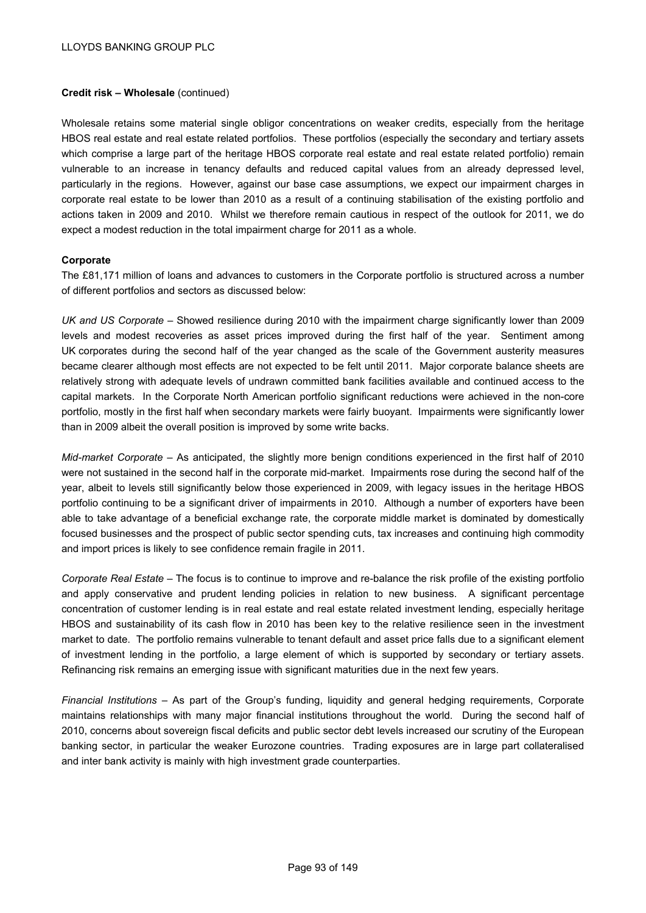Wholesale retains some material single obligor concentrations on weaker credits, especially from the heritage HBOS real estate and real estate related portfolios. These portfolios (especially the secondary and tertiary assets which comprise a large part of the heritage HBOS corporate real estate and real estate related portfolio) remain vulnerable to an increase in tenancy defaults and reduced capital values from an already depressed level, particularly in the regions. However, against our base case assumptions, we expect our impairment charges in corporate real estate to be lower than 2010 as a result of a continuing stabilisation of the existing portfolio and actions taken in 2009 and 2010. Whilst we therefore remain cautious in respect of the outlook for 2011, we do expect a modest reduction in the total impairment charge for 2011 as a whole.

## **Corporate**

The £81,171 million of loans and advances to customers in the Corporate portfolio is structured across a number of different portfolios and sectors as discussed below:

*UK and US Corporate* – Showed resilience during 2010 with the impairment charge significantly lower than 2009 levels and modest recoveries as asset prices improved during the first half of the year. Sentiment among UK corporates during the second half of the year changed as the scale of the Government austerity measures became clearer although most effects are not expected to be felt until 2011. Major corporate balance sheets are relatively strong with adequate levels of undrawn committed bank facilities available and continued access to the capital markets. In the Corporate North American portfolio significant reductions were achieved in the non-core portfolio, mostly in the first half when secondary markets were fairly buoyant. Impairments were significantly lower than in 2009 albeit the overall position is improved by some write backs.

*Mid-market Corporate* – As anticipated, the slightly more benign conditions experienced in the first half of 2010 were not sustained in the second half in the corporate mid-market. Impairments rose during the second half of the year, albeit to levels still significantly below those experienced in 2009, with legacy issues in the heritage HBOS portfolio continuing to be a significant driver of impairments in 2010. Although a number of exporters have been able to take advantage of a beneficial exchange rate, the corporate middle market is dominated by domestically focused businesses and the prospect of public sector spending cuts, tax increases and continuing high commodity and import prices is likely to see confidence remain fragile in 2011.

*Corporate Real Estate* – The focus is to continue to improve and re-balance the risk profile of the existing portfolio and apply conservative and prudent lending policies in relation to new business. A significant percentage concentration of customer lending is in real estate and real estate related investment lending, especially heritage HBOS and sustainability of its cash flow in 2010 has been key to the relative resilience seen in the investment market to date. The portfolio remains vulnerable to tenant default and asset price falls due to a significant element of investment lending in the portfolio, a large element of which is supported by secondary or tertiary assets. Refinancing risk remains an emerging issue with significant maturities due in the next few years.

*Financial Institutions* – As part of the Group's funding, liquidity and general hedging requirements, Corporate maintains relationships with many major financial institutions throughout the world. During the second half of 2010, concerns about sovereign fiscal deficits and public sector debt levels increased our scrutiny of the European banking sector, in particular the weaker Eurozone countries. Trading exposures are in large part collateralised and inter bank activity is mainly with high investment grade counterparties.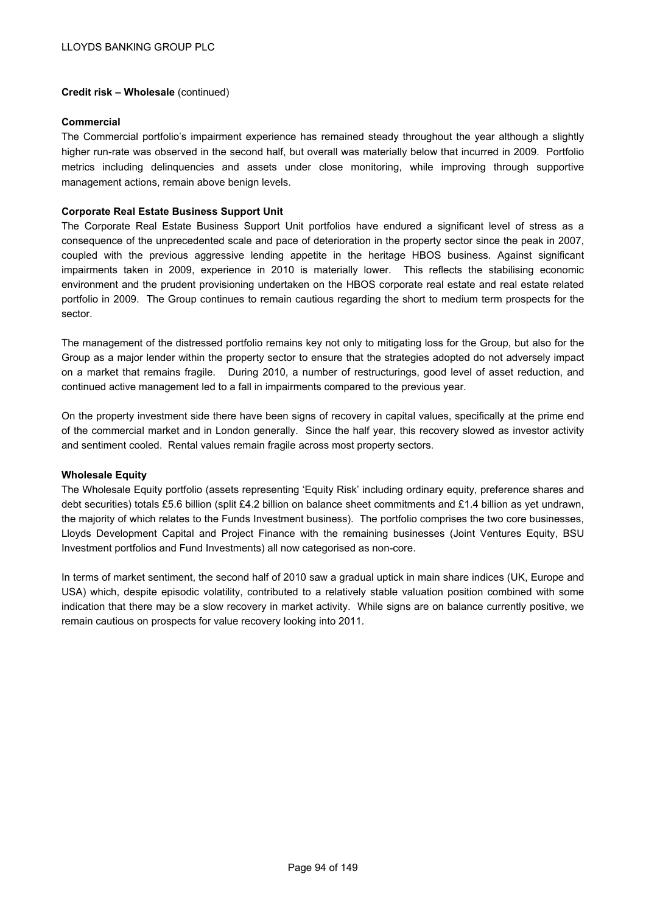## **Commercial**

The Commercial portfolio's impairment experience has remained steady throughout the year although a slightly higher run-rate was observed in the second half, but overall was materially below that incurred in 2009. Portfolio metrics including delinquencies and assets under close monitoring, while improving through supportive management actions, remain above benign levels.

## **Corporate Real Estate Business Support Unit**

The Corporate Real Estate Business Support Unit portfolios have endured a significant level of stress as a consequence of the unprecedented scale and pace of deterioration in the property sector since the peak in 2007, coupled with the previous aggressive lending appetite in the heritage HBOS business. Against significant impairments taken in 2009, experience in 2010 is materially lower. This reflects the stabilising economic environment and the prudent provisioning undertaken on the HBOS corporate real estate and real estate related portfolio in 2009. The Group continues to remain cautious regarding the short to medium term prospects for the sector.

The management of the distressed portfolio remains key not only to mitigating loss for the Group, but also for the Group as a major lender within the property sector to ensure that the strategies adopted do not adversely impact on a market that remains fragile. During 2010, a number of restructurings, good level of asset reduction, and continued active management led to a fall in impairments compared to the previous year.

On the property investment side there have been signs of recovery in capital values, specifically at the prime end of the commercial market and in London generally. Since the half year, this recovery slowed as investor activity and sentiment cooled. Rental values remain fragile across most property sectors.

#### **Wholesale Equity**

The Wholesale Equity portfolio (assets representing 'Equity Risk' including ordinary equity, preference shares and debt securities) totals £5.6 billion (split £4.2 billion on balance sheet commitments and £1.4 billion as yet undrawn, the majority of which relates to the Funds Investment business). The portfolio comprises the two core businesses, Lloyds Development Capital and Project Finance with the remaining businesses (Joint Ventures Equity, BSU Investment portfolios and Fund Investments) all now categorised as non-core.

In terms of market sentiment, the second half of 2010 saw a gradual uptick in main share indices (UK, Europe and USA) which, despite episodic volatility, contributed to a relatively stable valuation position combined with some indication that there may be a slow recovery in market activity. While signs are on balance currently positive, we remain cautious on prospects for value recovery looking into 2011.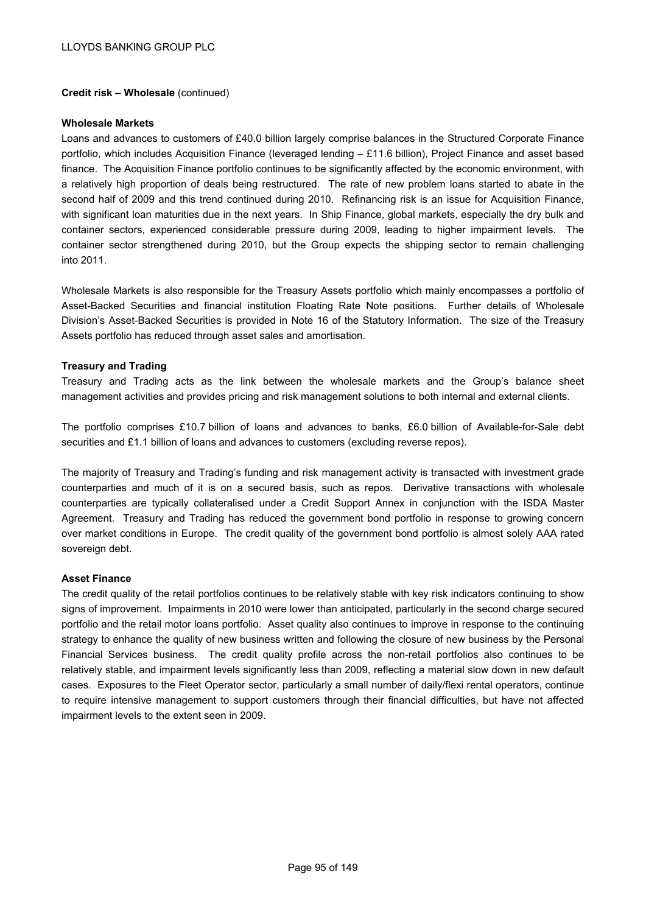## **Wholesale Markets**

Loans and advances to customers of £40.0 billion largely comprise balances in the Structured Corporate Finance portfolio, which includes Acquisition Finance (leveraged lending – £11.6 billion), Project Finance and asset based finance. The Acquisition Finance portfolio continues to be significantly affected by the economic environment, with a relatively high proportion of deals being restructured. The rate of new problem loans started to abate in the second half of 2009 and this trend continued during 2010. Refinancing risk is an issue for Acquisition Finance, with significant loan maturities due in the next years. In Ship Finance, global markets, especially the dry bulk and container sectors, experienced considerable pressure during 2009, leading to higher impairment levels. The container sector strengthened during 2010, but the Group expects the shipping sector to remain challenging into 2011.

Wholesale Markets is also responsible for the Treasury Assets portfolio which mainly encompasses a portfolio of Asset-Backed Securities and financial institution Floating Rate Note positions. Further details of Wholesale Division's Asset-Backed Securities is provided in Note 16 of the Statutory Information. The size of the Treasury Assets portfolio has reduced through asset sales and amortisation.

## **Treasury and Trading**

Treasury and Trading acts as the link between the wholesale markets and the Group's balance sheet management activities and provides pricing and risk management solutions to both internal and external clients.

The portfolio comprises £10.7 billion of loans and advances to banks, £6.0 billion of Available-for-Sale debt securities and £1.1 billion of loans and advances to customers (excluding reverse repos).

The majority of Treasury and Trading's funding and risk management activity is transacted with investment grade counterparties and much of it is on a secured basis, such as repos. Derivative transactions with wholesale counterparties are typically collateralised under a Credit Support Annex in conjunction with the ISDA Master Agreement. Treasury and Trading has reduced the government bond portfolio in response to growing concern over market conditions in Europe. The credit quality of the government bond portfolio is almost solely AAA rated sovereign debt.

#### **Asset Finance**

The credit quality of the retail portfolios continues to be relatively stable with key risk indicators continuing to show signs of improvement. Impairments in 2010 were lower than anticipated, particularly in the second charge secured portfolio and the retail motor loans portfolio. Asset quality also continues to improve in response to the continuing strategy to enhance the quality of new business written and following the closure of new business by the Personal Financial Services business. The credit quality profile across the non-retail portfolios also continues to be relatively stable, and impairment levels significantly less than 2009, reflecting a material slow down in new default cases. Exposures to the Fleet Operator sector, particularly a small number of daily/flexi rental operators, continue to require intensive management to support customers through their financial difficulties, but have not affected impairment levels to the extent seen in 2009.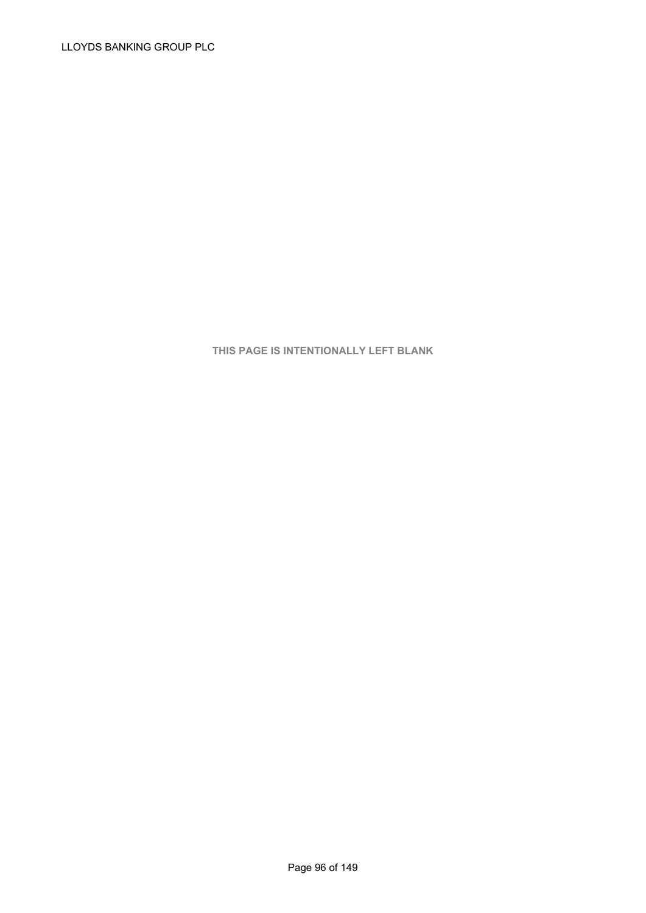## **THIS PAGE IS INTENTIONALLY LEFT BLANK**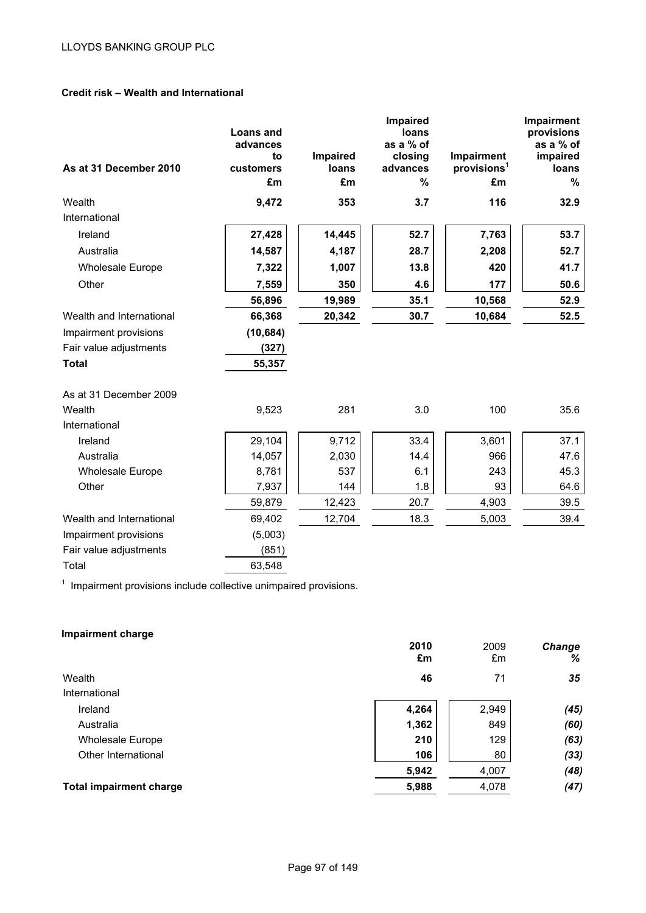## **Credit risk – Wealth and International**

|                          |                              |          | Impaired           |                         | Impairment              |
|--------------------------|------------------------------|----------|--------------------|-------------------------|-------------------------|
|                          | <b>Loans and</b><br>advances |          | loans<br>as a % of |                         | provisions<br>as a % of |
|                          | to                           | Impaired | closing            | Impairment              | impaired                |
| As at 31 December 2010   | customers                    | loans    | advances           | provisions <sup>1</sup> | loans                   |
|                          | £m                           | £m       | %                  | £m                      | %                       |
| Wealth                   | 9,472                        | 353      | 3.7                | 116                     | 32.9                    |
| International            |                              |          |                    |                         |                         |
| Ireland                  | 27,428                       | 14,445   | 52.7               | 7,763                   | 53.7                    |
| Australia                | 14,587                       | 4,187    | 28.7               | 2,208                   | 52.7                    |
| <b>Wholesale Europe</b>  | 7,322                        | 1,007    | 13.8               | 420                     | 41.7                    |
| Other                    | 7,559                        | 350      | 4.6                | 177                     | 50.6                    |
|                          | 56,896                       | 19,989   | 35.1               | 10,568                  | 52.9                    |
| Wealth and International | 66,368                       | 20,342   | 30.7               | 10,684                  | 52.5                    |
| Impairment provisions    | (10, 684)                    |          |                    |                         |                         |
| Fair value adjustments   | (327)                        |          |                    |                         |                         |
| <b>Total</b>             | 55,357                       |          |                    |                         |                         |
| As at 31 December 2009   |                              |          |                    |                         |                         |
| Wealth                   | 9,523                        | 281      | 3.0                | 100                     | 35.6                    |
| International            |                              |          |                    |                         |                         |
| Ireland                  | 29,104                       | 9,712    | 33.4               | 3,601                   | 37.1                    |
| Australia                | 14,057                       | 2,030    | 14.4               | 966                     | 47.6                    |
| <b>Wholesale Europe</b>  | 8,781                        | 537      | 6.1                | 243                     | 45.3                    |
| Other                    | 7,937                        | 144      | 1.8                | 93                      | 64.6                    |
|                          | 59,879                       | 12,423   | 20.7               | 4,903                   | 39.5                    |
| Wealth and International | 69,402                       | 12,704   | 18.3               | 5,003                   | 39.4                    |
| Impairment provisions    | (5,003)                      |          |                    |                         |                         |
| Fair value adjustments   | (851)                        |          |                    |                         |                         |
| Total                    | 63,548                       |          |                    |                         |                         |

1 Impairment provisions include collective unimpaired provisions.

## **Impairment charge**

|                                | 2010<br>£m | 2009<br>£m | Change<br>% |
|--------------------------------|------------|------------|-------------|
| Wealth                         | 46         | 71         | 35          |
| International                  |            |            |             |
| Ireland                        | 4,264      | 2,949      | (45)        |
| Australia                      | 1,362      | 849        | (60)        |
| <b>Wholesale Europe</b>        | 210        | 129        | (63)        |
| Other International            | 106        | 80         | (33)        |
|                                | 5,942      | 4,007      | (48)        |
| <b>Total impairment charge</b> | 5,988      | 4,078      | (47)        |
|                                |            |            |             |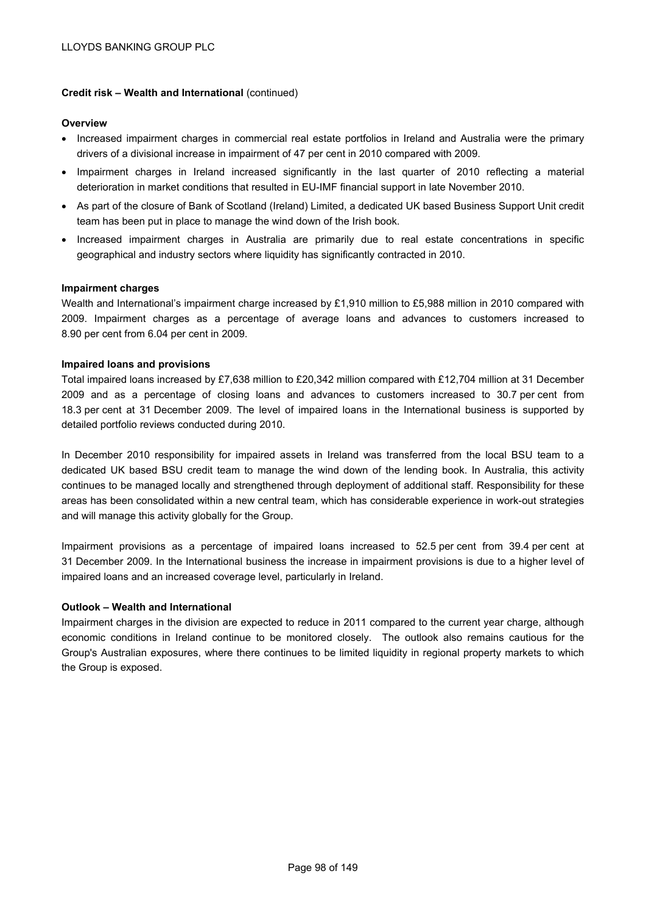## **Credit risk – Wealth and International** (continued)

## **Overview**

- Increased impairment charges in commercial real estate portfolios in Ireland and Australia were the primary drivers of a divisional increase in impairment of 47 per cent in 2010 compared with 2009.
- Impairment charges in Ireland increased significantly in the last quarter of 2010 reflecting a material deterioration in market conditions that resulted in EU-IMF financial support in late November 2010.
- As part of the closure of Bank of Scotland (Ireland) Limited, a dedicated UK based Business Support Unit credit team has been put in place to manage the wind down of the Irish book.
- Increased impairment charges in Australia are primarily due to real estate concentrations in specific geographical and industry sectors where liquidity has significantly contracted in 2010.

#### **Impairment charges**

Wealth and International's impairment charge increased by £1,910 million to £5,988 million in 2010 compared with 2009. Impairment charges as a percentage of average loans and advances to customers increased to 8.90 per cent from 6.04 per cent in 2009.

#### **Impaired loans and provisions**

Total impaired loans increased by £7,638 million to £20,342 million compared with £12,704 million at 31 December 2009 and as a percentage of closing loans and advances to customers increased to 30.7 per cent from 18.3 per cent at 31 December 2009. The level of impaired loans in the International business is supported by detailed portfolio reviews conducted during 2010.

In December 2010 responsibility for impaired assets in Ireland was transferred from the local BSU team to a dedicated UK based BSU credit team to manage the wind down of the lending book. In Australia, this activity continues to be managed locally and strengthened through deployment of additional staff. Responsibility for these areas has been consolidated within a new central team, which has considerable experience in work-out strategies and will manage this activity globally for the Group.

Impairment provisions as a percentage of impaired loans increased to 52.5 per cent from 39.4 per cent at 31 December 2009. In the International business the increase in impairment provisions is due to a higher level of impaired loans and an increased coverage level, particularly in Ireland.

#### **Outlook – Wealth and International**

Impairment charges in the division are expected to reduce in 2011 compared to the current year charge, although economic conditions in Ireland continue to be monitored closely. The outlook also remains cautious for the Group's Australian exposures, where there continues to be limited liquidity in regional property markets to which the Group is exposed.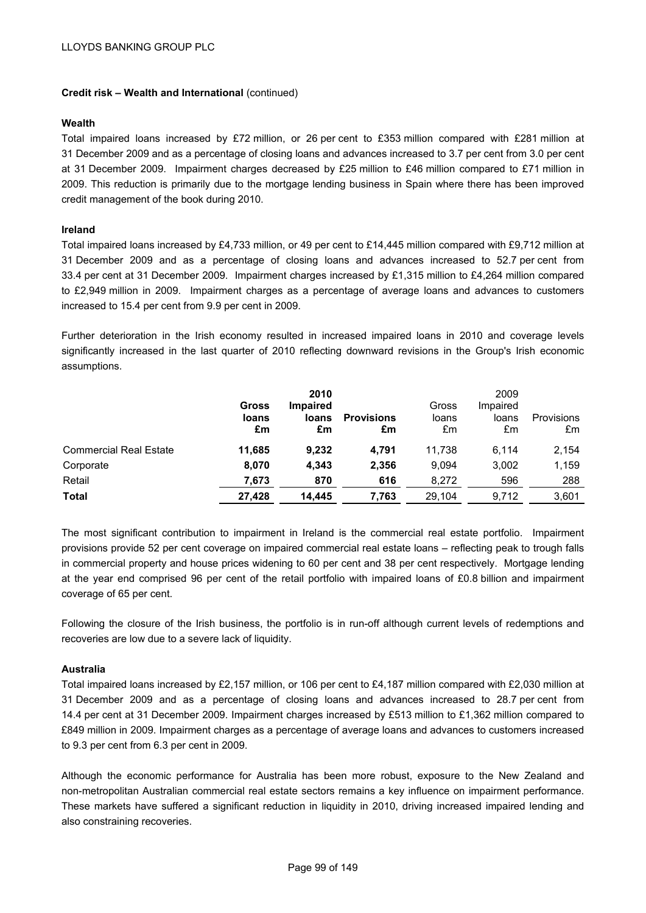## **Credit risk – Wealth and International** (continued)

## **Wealth**

Total impaired loans increased by £72 million, or 26 per cent to £353 million compared with £281 million at 31 December 2009 and as a percentage of closing loans and advances increased to 3.7 per cent from 3.0 per cent at 31 December 2009. Impairment charges decreased by £25 million to £46 million compared to £71 million in 2009. This reduction is primarily due to the mortgage lending business in Spain where there has been improved credit management of the book during 2010.

## **Ireland**

Total impaired loans increased by £4,733 million, or 49 per cent to £14,445 million compared with £9,712 million at 31 December 2009 and as a percentage of closing loans and advances increased to 52.7 per cent from 33.4 per cent at 31 December 2009. Impairment charges increased by £1,315 million to £4,264 million compared to £2,949 million in 2009. Impairment charges as a percentage of average loans and advances to customers increased to 15.4 per cent from 9.9 per cent in 2009.

Further deterioration in the Irish economy resulted in increased impaired loans in 2010 and coverage levels significantly increased in the last quarter of 2010 reflecting downward revisions in the Group's Irish economic assumptions.

|                               | Gross<br>loans<br>£m | 2010<br><b>Impaired</b><br>loans<br>£m | <b>Provisions</b><br>£m | Gross<br>loans<br>£m | 2009<br>Impaired<br>loans<br>£m | <b>Provisions</b><br>£m |
|-------------------------------|----------------------|----------------------------------------|-------------------------|----------------------|---------------------------------|-------------------------|
| <b>Commercial Real Estate</b> | 11,685               | 9,232                                  | 4,791                   | 11,738               | 6,114                           | 2,154                   |
| Corporate                     | 8,070                | 4.343                                  | 2,356                   | 9.094                | 3,002                           | 1,159                   |
| Retail                        | 7,673                | 870                                    | 616                     | 8.272                | 596                             | 288                     |
| Total                         | 27,428               | 14.445                                 | 7,763                   | 29,104               | 9,712                           | 3,601                   |

The most significant contribution to impairment in Ireland is the commercial real estate portfolio. Impairment provisions provide 52 per cent coverage on impaired commercial real estate loans – reflecting peak to trough falls in commercial property and house prices widening to 60 per cent and 38 per cent respectively. Mortgage lending at the year end comprised 96 per cent of the retail portfolio with impaired loans of £0.8 billion and impairment coverage of 65 per cent.

Following the closure of the Irish business, the portfolio is in run-off although current levels of redemptions and recoveries are low due to a severe lack of liquidity.

#### **Australia**

Total impaired loans increased by £2,157 million, or 106 per cent to £4,187 million compared with £2,030 million at 31 December 2009 and as a percentage of closing loans and advances increased to 28.7 per cent from 14.4 per cent at 31 December 2009. Impairment charges increased by £513 million to £1,362 million compared to £849 million in 2009. Impairment charges as a percentage of average loans and advances to customers increased to 9.3 per cent from 6.3 per cent in 2009.

Although the economic performance for Australia has been more robust, exposure to the New Zealand and non-metropolitan Australian commercial real estate sectors remains a key influence on impairment performance. These markets have suffered a significant reduction in liquidity in 2010, driving increased impaired lending and also constraining recoveries.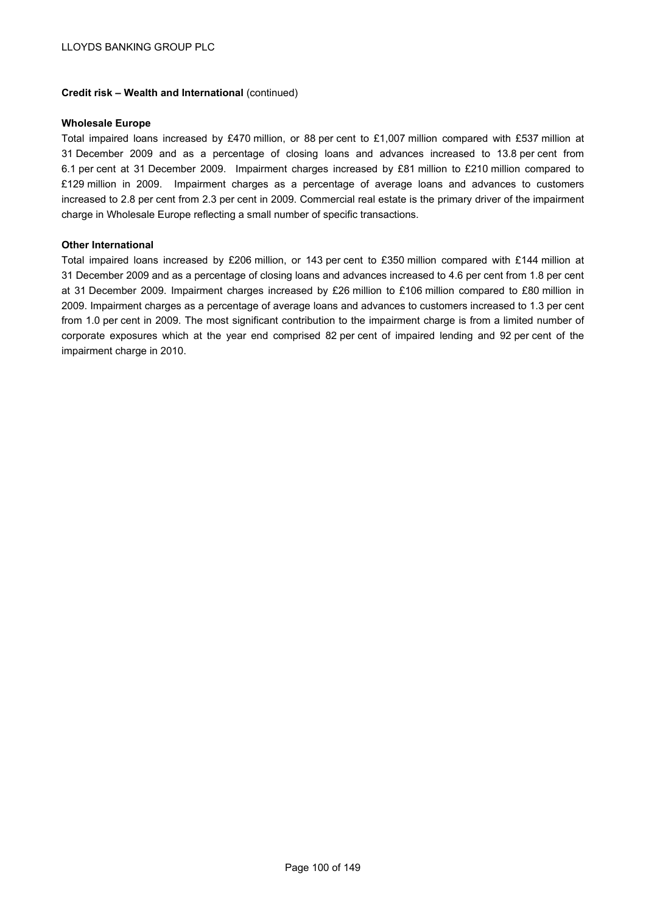## **Credit risk – Wealth and International** (continued)

#### **Wholesale Europe**

Total impaired loans increased by £470 million, or 88 per cent to £1,007 million compared with £537 million at 31 December 2009 and as a percentage of closing loans and advances increased to 13.8 per cent from 6.1 per cent at 31 December 2009. Impairment charges increased by £81 million to £210 million compared to £129 million in 2009. Impairment charges as a percentage of average loans and advances to customers increased to 2.8 per cent from 2.3 per cent in 2009. Commercial real estate is the primary driver of the impairment charge in Wholesale Europe reflecting a small number of specific transactions.

## **Other International**

Total impaired loans increased by £206 million, or 143 per cent to £350 million compared with £144 million at 31 December 2009 and as a percentage of closing loans and advances increased to 4.6 per cent from 1.8 per cent at 31 December 2009. Impairment charges increased by £26 million to £106 million compared to £80 million in 2009. Impairment charges as a percentage of average loans and advances to customers increased to 1.3 per cent from 1.0 per cent in 2009. The most significant contribution to the impairment charge is from a limited number of corporate exposures which at the year end comprised 82 per cent of impaired lending and 92 per cent of the impairment charge in 2010.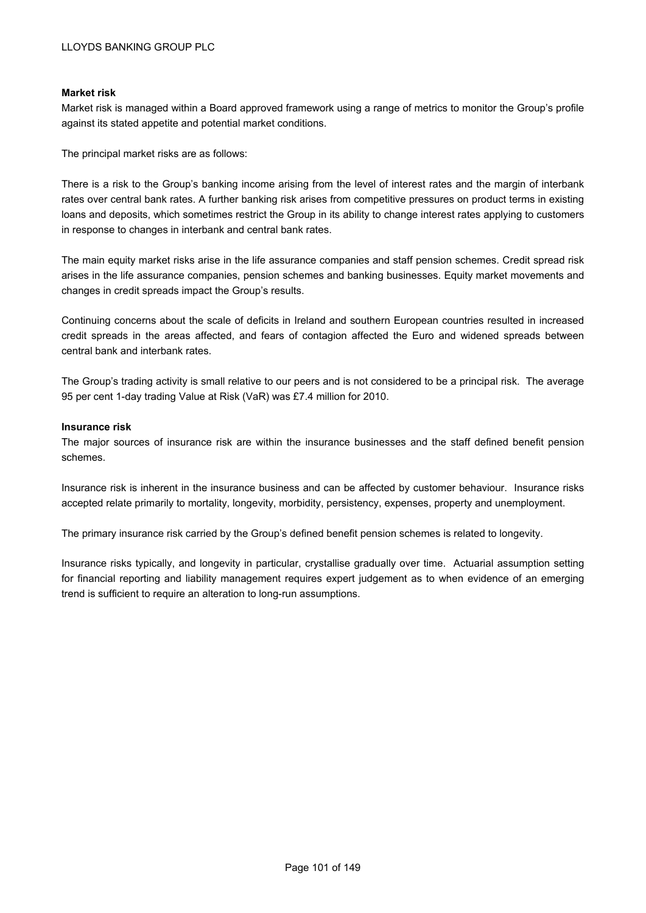### **Market risk**

Market risk is managed within a Board approved framework using a range of metrics to monitor the Group's profile against its stated appetite and potential market conditions.

The principal market risks are as follows:

There is a risk to the Group's banking income arising from the level of interest rates and the margin of interbank rates over central bank rates. A further banking risk arises from competitive pressures on product terms in existing loans and deposits, which sometimes restrict the Group in its ability to change interest rates applying to customers in response to changes in interbank and central bank rates.

The main equity market risks arise in the life assurance companies and staff pension schemes. Credit spread risk arises in the life assurance companies, pension schemes and banking businesses. Equity market movements and changes in credit spreads impact the Group's results.

Continuing concerns about the scale of deficits in Ireland and southern European countries resulted in increased credit spreads in the areas affected, and fears of contagion affected the Euro and widened spreads between central bank and interbank rates.

The Group's trading activity is small relative to our peers and is not considered to be a principal risk. The average 95 per cent 1-day trading Value at Risk (VaR) was £7.4 million for 2010.

#### **Insurance risk**

The major sources of insurance risk are within the insurance businesses and the staff defined benefit pension schemes.

Insurance risk is inherent in the insurance business and can be affected by customer behaviour. Insurance risks accepted relate primarily to mortality, longevity, morbidity, persistency, expenses, property and unemployment.

The primary insurance risk carried by the Group's defined benefit pension schemes is related to longevity.

Insurance risks typically, and longevity in particular, crystallise gradually over time. Actuarial assumption setting for financial reporting and liability management requires expert judgement as to when evidence of an emerging trend is sufficient to require an alteration to long-run assumptions.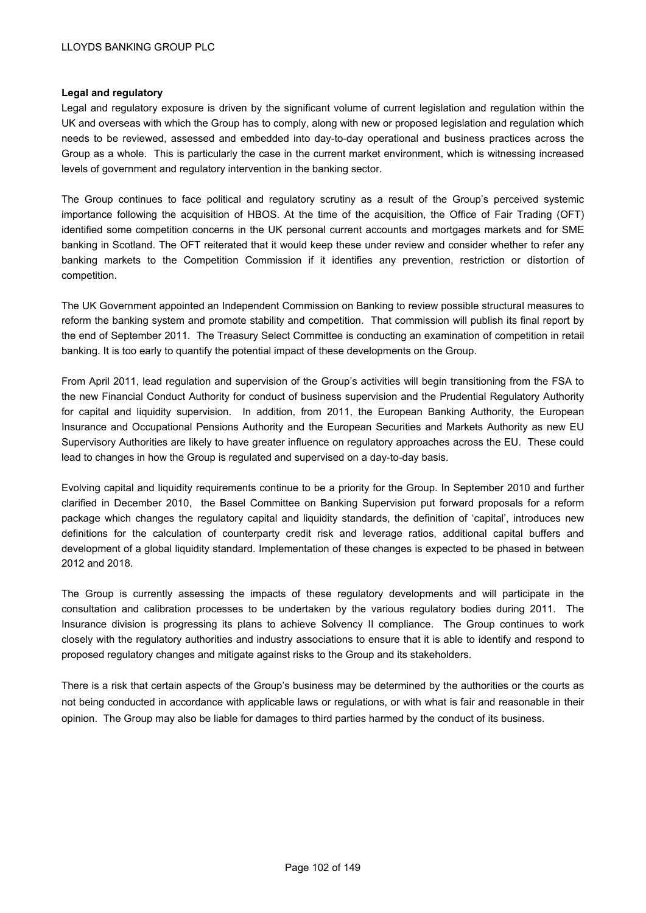## **Legal and regulatory**

Legal and regulatory exposure is driven by the significant volume of current legislation and regulation within the UK and overseas with which the Group has to comply, along with new or proposed legislation and regulation which needs to be reviewed, assessed and embedded into day-to-day operational and business practices across the Group as a whole. This is particularly the case in the current market environment, which is witnessing increased levels of government and regulatory intervention in the banking sector.

The Group continues to face political and regulatory scrutiny as a result of the Group's perceived systemic importance following the acquisition of HBOS. At the time of the acquisition, the Office of Fair Trading (OFT) identified some competition concerns in the UK personal current accounts and mortgages markets and for SME banking in Scotland. The OFT reiterated that it would keep these under review and consider whether to refer any banking markets to the Competition Commission if it identifies any prevention, restriction or distortion of competition.

The UK Government appointed an Independent Commission on Banking to review possible structural measures to reform the banking system and promote stability and competition. That commission will publish its final report by the end of September 2011. The Treasury Select Committee is conducting an examination of competition in retail banking. It is too early to quantify the potential impact of these developments on the Group.

From April 2011, lead regulation and supervision of the Group's activities will begin transitioning from the FSA to the new Financial Conduct Authority for conduct of business supervision and the Prudential Regulatory Authority for capital and liquidity supervision. In addition, from 2011, the European Banking Authority, the European Insurance and Occupational Pensions Authority and the European Securities and Markets Authority as new EU Supervisory Authorities are likely to have greater influence on regulatory approaches across the EU. These could lead to changes in how the Group is regulated and supervised on a day-to-day basis.

Evolving capital and liquidity requirements continue to be a priority for the Group. In September 2010 and further clarified in December 2010, the Basel Committee on Banking Supervision put forward proposals for a reform package which changes the regulatory capital and liquidity standards, the definition of 'capital', introduces new definitions for the calculation of counterparty credit risk and leverage ratios, additional capital buffers and development of a global liquidity standard. Implementation of these changes is expected to be phased in between 2012 and 2018.

The Group is currently assessing the impacts of these regulatory developments and will participate in the consultation and calibration processes to be undertaken by the various regulatory bodies during 2011. The Insurance division is progressing its plans to achieve Solvency II compliance. The Group continues to work closely with the regulatory authorities and industry associations to ensure that it is able to identify and respond to proposed regulatory changes and mitigate against risks to the Group and its stakeholders.

There is a risk that certain aspects of the Group's business may be determined by the authorities or the courts as not being conducted in accordance with applicable laws or regulations, or with what is fair and reasonable in their opinion. The Group may also be liable for damages to third parties harmed by the conduct of its business.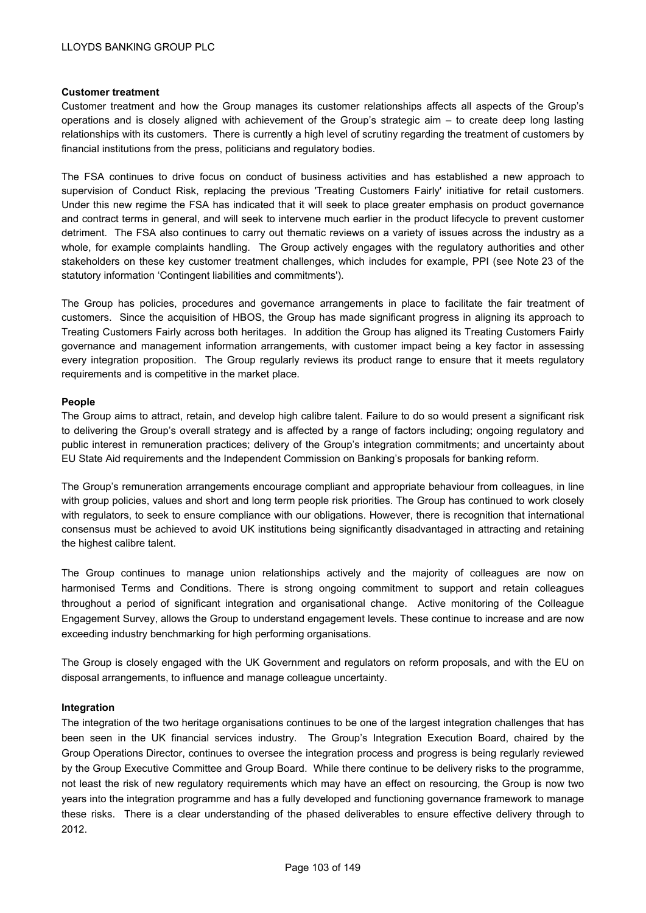#### **Customer treatment**

Customer treatment and how the Group manages its customer relationships affects all aspects of the Group's operations and is closely aligned with achievement of the Group's strategic aim – to create deep long lasting relationships with its customers. There is currently a high level of scrutiny regarding the treatment of customers by financial institutions from the press, politicians and regulatory bodies.

The FSA continues to drive focus on conduct of business activities and has established a new approach to supervision of Conduct Risk, replacing the previous 'Treating Customers Fairly' initiative for retail customers. Under this new regime the FSA has indicated that it will seek to place greater emphasis on product governance and contract terms in general, and will seek to intervene much earlier in the product lifecycle to prevent customer detriment. The FSA also continues to carry out thematic reviews on a variety of issues across the industry as a whole, for example complaints handling. The Group actively engages with the regulatory authorities and other stakeholders on these key customer treatment challenges, which includes for example, PPI (see Note 23 of the statutory information 'Contingent liabilities and commitments').

The Group has policies, procedures and governance arrangements in place to facilitate the fair treatment of customers. Since the acquisition of HBOS, the Group has made significant progress in aligning its approach to Treating Customers Fairly across both heritages. In addition the Group has aligned its Treating Customers Fairly governance and management information arrangements, with customer impact being a key factor in assessing every integration proposition. The Group regularly reviews its product range to ensure that it meets regulatory requirements and is competitive in the market place.

#### **People**

The Group aims to attract, retain, and develop high calibre talent. Failure to do so would present a significant risk to delivering the Group's overall strategy and is affected by a range of factors including; ongoing regulatory and public interest in remuneration practices; delivery of the Group's integration commitments; and uncertainty about EU State Aid requirements and the Independent Commission on Banking's proposals for banking reform.

The Group's remuneration arrangements encourage compliant and appropriate behaviour from colleagues, in line with group policies, values and short and long term people risk priorities. The Group has continued to work closely with regulators, to seek to ensure compliance with our obligations. However, there is recognition that international consensus must be achieved to avoid UK institutions being significantly disadvantaged in attracting and retaining the highest calibre talent.

The Group continues to manage union relationships actively and the majority of colleagues are now on harmonised Terms and Conditions. There is strong ongoing commitment to support and retain colleagues throughout a period of significant integration and organisational change. Active monitoring of the Colleague Engagement Survey, allows the Group to understand engagement levels. These continue to increase and are now exceeding industry benchmarking for high performing organisations.

The Group is closely engaged with the UK Government and regulators on reform proposals, and with the EU on disposal arrangements, to influence and manage colleague uncertainty.

#### **Integration**

The integration of the two heritage organisations continues to be one of the largest integration challenges that has been seen in the UK financial services industry. The Group's Integration Execution Board, chaired by the Group Operations Director, continues to oversee the integration process and progress is being regularly reviewed by the Group Executive Committee and Group Board. While there continue to be delivery risks to the programme, not least the risk of new regulatory requirements which may have an effect on resourcing, the Group is now two years into the integration programme and has a fully developed and functioning governance framework to manage these risks. There is a clear understanding of the phased deliverables to ensure effective delivery through to 2012.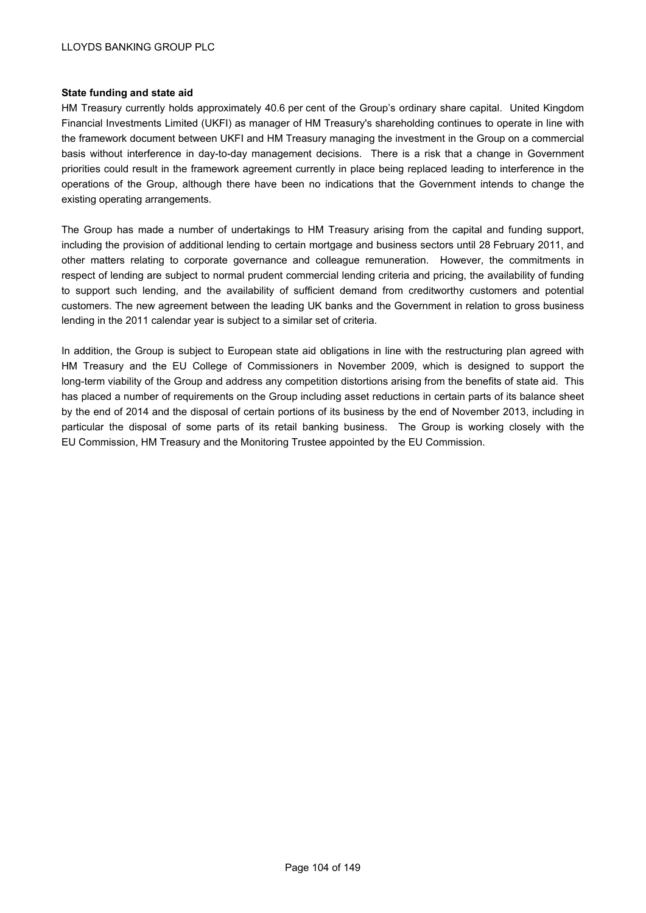### **State funding and state aid**

HM Treasury currently holds approximately 40.6 per cent of the Group's ordinary share capital. United Kingdom Financial Investments Limited (UKFI) as manager of HM Treasury's shareholding continues to operate in line with the framework document between UKFI and HM Treasury managing the investment in the Group on a commercial basis without interference in day-to-day management decisions. There is a risk that a change in Government priorities could result in the framework agreement currently in place being replaced leading to interference in the operations of the Group, although there have been no indications that the Government intends to change the existing operating arrangements.

The Group has made a number of undertakings to HM Treasury arising from the capital and funding support, including the provision of additional lending to certain mortgage and business sectors until 28 February 2011, and other matters relating to corporate governance and colleague remuneration. However, the commitments in respect of lending are subject to normal prudent commercial lending criteria and pricing, the availability of funding to support such lending, and the availability of sufficient demand from creditworthy customers and potential customers. The new agreement between the leading UK banks and the Government in relation to gross business lending in the 2011 calendar year is subject to a similar set of criteria.

In addition, the Group is subject to European state aid obligations in line with the restructuring plan agreed with HM Treasury and the EU College of Commissioners in November 2009, which is designed to support the long-term viability of the Group and address any competition distortions arising from the benefits of state aid. This has placed a number of requirements on the Group including asset reductions in certain parts of its balance sheet by the end of 2014 and the disposal of certain portions of its business by the end of November 2013, including in particular the disposal of some parts of its retail banking business. The Group is working closely with the EU Commission, HM Treasury and the Monitoring Trustee appointed by the EU Commission.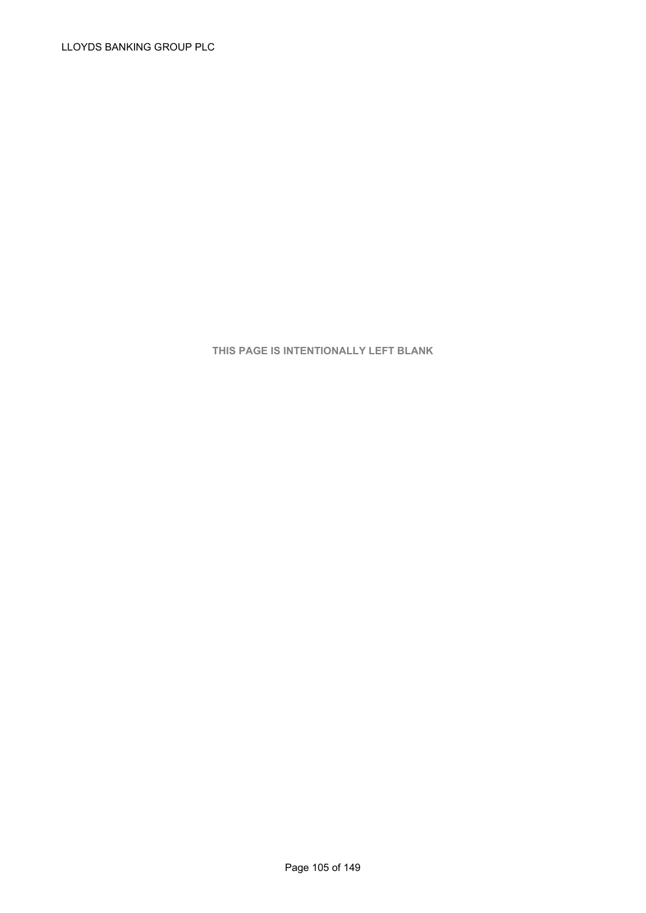## **THIS PAGE IS INTENTIONALLY LEFT BLANK**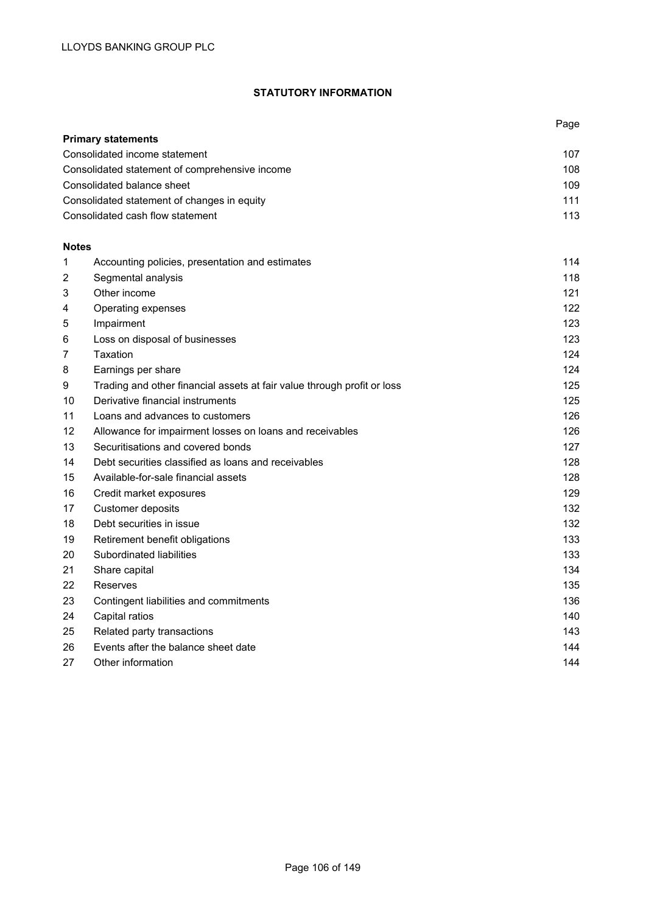# **STATUTORY INFORMATION**

|              |                                                                         | Page |
|--------------|-------------------------------------------------------------------------|------|
|              | <b>Primary statements</b>                                               |      |
|              | Consolidated income statement                                           | 107  |
|              | Consolidated statement of comprehensive income                          | 108  |
|              | Consolidated balance sheet                                              | 109  |
|              | Consolidated statement of changes in equity                             | 111  |
|              | Consolidated cash flow statement                                        | 113  |
| <b>Notes</b> |                                                                         |      |
| 1            | Accounting policies, presentation and estimates                         | 114  |
| 2            | Segmental analysis                                                      | 118  |
| 3            | Other income                                                            | 121  |
| 4            | Operating expenses                                                      | 122  |
| 5            | Impairment                                                              | 123  |
| 6            | Loss on disposal of businesses                                          | 123  |
| 7            | Taxation                                                                | 124  |
| 8            | Earnings per share                                                      | 124  |
| 9            | Trading and other financial assets at fair value through profit or loss | 125  |
| 10           | Derivative financial instruments                                        | 125  |
| 11           | Loans and advances to customers                                         | 126  |
| 12           | Allowance for impairment losses on loans and receivables                | 126  |
| 13           | Securitisations and covered bonds                                       | 127  |
| 14           | Debt securities classified as loans and receivables                     | 128  |
| 15           | Available-for-sale financial assets                                     | 128  |
| 16           | Credit market exposures                                                 | 129  |
| 17           | <b>Customer deposits</b>                                                | 132  |
| 18           | Debt securities in issue                                                | 132  |
| 19           | Retirement benefit obligations                                          | 133  |
| 20           | Subordinated liabilities                                                | 133  |
| 21           | Share capital                                                           | 134  |
| 22           | Reserves                                                                | 135  |
| 23           | Contingent liabilities and commitments                                  | 136  |
| 24           | Capital ratios                                                          | 140  |
| 25           | Related party transactions                                              | 143  |
| 26           | Events after the balance sheet date                                     | 144  |
| 27           | Other information                                                       | 144  |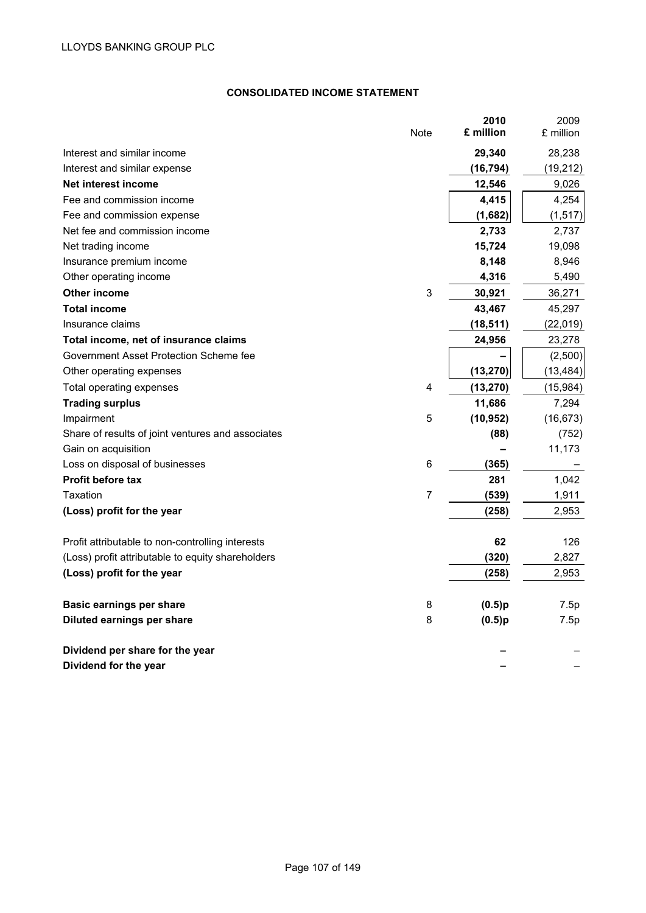# **CONSOLIDATED INCOME STATEMENT**

|                                                   | <b>Note</b> | 2010<br>£ million | 2009<br>£ million |
|---------------------------------------------------|-------------|-------------------|-------------------|
| Interest and similar income                       |             | 29,340            | 28,238            |
| Interest and similar expense                      |             | (16, 794)         | (19, 212)         |
| Net interest income                               |             | 12,546            | 9,026             |
| Fee and commission income                         |             | 4,415             | 4,254             |
| Fee and commission expense                        |             | (1,682)           | (1, 517)          |
| Net fee and commission income                     |             | 2,733             | 2,737             |
| Net trading income                                |             | 15,724            | 19,098            |
| Insurance premium income                          |             | 8,148             | 8,946             |
| Other operating income                            |             | 4,316             | 5,490             |
| Other income                                      | 3           | 30,921            | 36,271            |
| <b>Total income</b>                               |             | 43,467            | 45,297            |
| Insurance claims                                  |             | (18, 511)         | (22, 019)         |
| Total income, net of insurance claims             |             | 24,956            | 23,278            |
| Government Asset Protection Scheme fee            |             |                   | (2,500)           |
| Other operating expenses                          |             | (13, 270)         | (13, 484)         |
| Total operating expenses                          | 4           | (13, 270)         | (15, 984)         |
| <b>Trading surplus</b>                            |             | 11,686            | 7,294             |
| Impairment                                        | 5           | (10, 952)         | (16, 673)         |
| Share of results of joint ventures and associates |             | (88)              | (752)             |
| Gain on acquisition                               |             |                   | 11,173            |
| Loss on disposal of businesses                    | 6           | (365)             |                   |
| <b>Profit before tax</b>                          |             | 281               | 1,042             |
| Taxation                                          | 7           | (539)             | 1,911             |
| (Loss) profit for the year                        |             | (258)             | 2,953             |
|                                                   |             |                   |                   |
| Profit attributable to non-controlling interests  |             | 62                | 126               |
| (Loss) profit attributable to equity shareholders |             | (320)             | 2,827             |
| (Loss) profit for the year                        |             | (258)             | 2,953             |
| <b>Basic earnings per share</b>                   | 8           | (0.5)p            | 7.5p              |
| Diluted earnings per share                        | 8           | (0.5)p            | 7.5p              |
| Dividend per share for the year                   |             |                   |                   |
| Dividend for the year                             |             |                   |                   |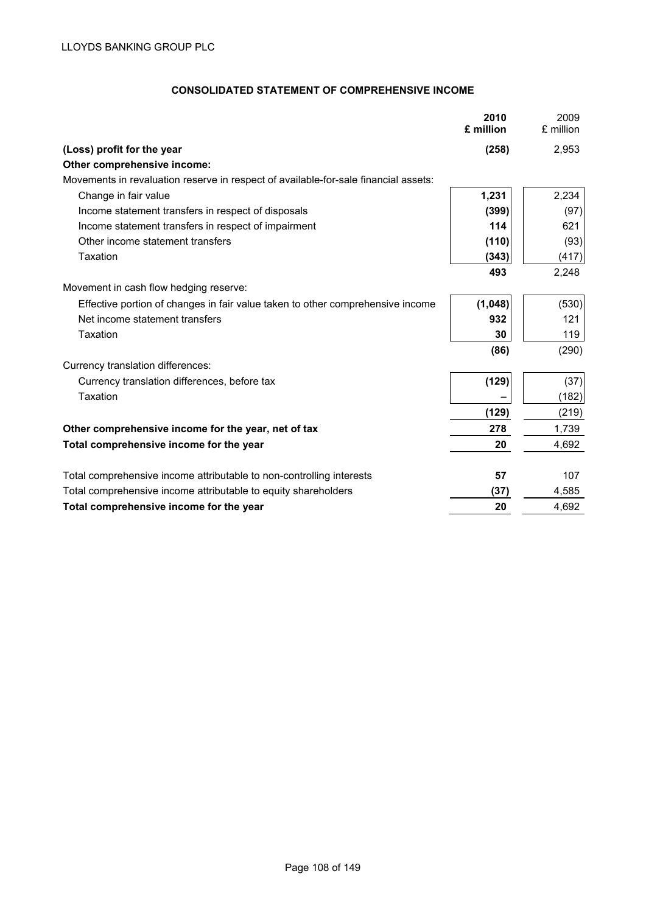|                                                                                     | 2010<br>£ million | 2009<br>£ million |
|-------------------------------------------------------------------------------------|-------------------|-------------------|
| (Loss) profit for the year                                                          | (258)             | 2,953             |
| Other comprehensive income:                                                         |                   |                   |
| Movements in revaluation reserve in respect of available-for-sale financial assets: |                   |                   |
| Change in fair value                                                                | 1,231             | 2,234             |
| Income statement transfers in respect of disposals                                  | (399)             | (97)              |
| Income statement transfers in respect of impairment                                 | 114               | 621               |
| Other income statement transfers                                                    | (110)             | (93)              |
| Taxation                                                                            | (343)             | (417)             |
|                                                                                     | 493               | 2,248             |
| Movement in cash flow hedging reserve:                                              |                   |                   |
| Effective portion of changes in fair value taken to other comprehensive income      | (1,048)           | (530)             |
| Net income statement transfers                                                      | 932               | 121               |
| Taxation                                                                            | 30                | 119               |
|                                                                                     | (86)              | (290)             |
| Currency translation differences:                                                   |                   |                   |
| Currency translation differences, before tax                                        | (129)             | (37)              |
| Taxation                                                                            |                   | (182)             |
|                                                                                     | (129)             | (219)             |
| Other comprehensive income for the year, net of tax                                 | 278               | 1,739             |
| Total comprehensive income for the year                                             | 20                | 4,692             |
|                                                                                     |                   |                   |
| Total comprehensive income attributable to non-controlling interests                | 57                | 107               |
| Total comprehensive income attributable to equity shareholders                      | (37)              | 4,585             |
| Total comprehensive income for the year                                             | 20                | 4,692             |
|                                                                                     |                   |                   |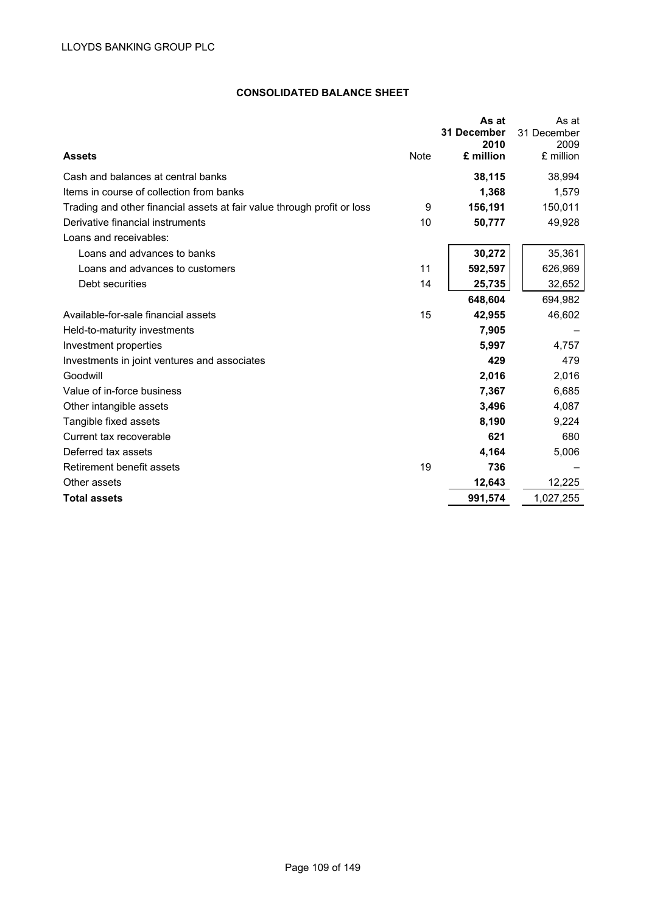### **CONSOLIDATED BALANCE SHEET**

|                                                                         |             | As at<br>31 December<br>2010 | As at<br>31 December<br>2009 |
|-------------------------------------------------------------------------|-------------|------------------------------|------------------------------|
| <b>Assets</b>                                                           | <b>Note</b> | £ million                    | £ million                    |
| Cash and balances at central banks                                      |             | 38,115                       | 38,994                       |
| Items in course of collection from banks                                |             | 1,368                        | 1,579                        |
| Trading and other financial assets at fair value through profit or loss | 9           | 156,191                      | 150,011                      |
| Derivative financial instruments                                        | 10          | 50,777                       | 49,928                       |
| Loans and receivables:                                                  |             |                              |                              |
| Loans and advances to banks                                             |             | 30,272                       | 35,361                       |
| Loans and advances to customers                                         | 11          | 592,597                      | 626,969                      |
| Debt securities                                                         | 14          | 25,735                       | 32,652                       |
|                                                                         |             | 648,604                      | 694,982                      |
| Available-for-sale financial assets                                     | 15          | 42,955                       | 46,602                       |
| Held-to-maturity investments                                            |             | 7,905                        |                              |
| Investment properties                                                   |             | 5,997                        | 4,757                        |
| Investments in joint ventures and associates                            |             | 429                          | 479                          |
| Goodwill                                                                |             | 2,016                        | 2,016                        |
| Value of in-force business                                              |             | 7,367                        | 6,685                        |
| Other intangible assets                                                 |             | 3,496                        | 4,087                        |
| Tangible fixed assets                                                   |             | 8,190                        | 9,224                        |
| Current tax recoverable                                                 |             | 621                          | 680                          |
| Deferred tax assets                                                     |             | 4,164                        | 5,006                        |
| Retirement benefit assets                                               | 19          | 736                          |                              |
| Other assets                                                            |             | 12,643                       | 12,225                       |
| <b>Total assets</b>                                                     |             | 991,574                      | 1,027,255                    |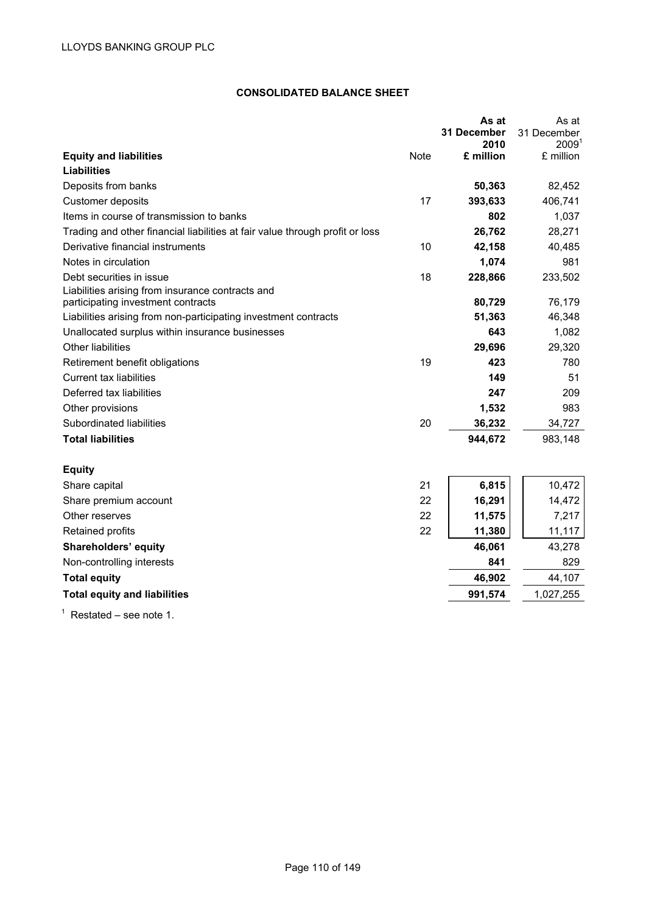## **CONSOLIDATED BALANCE SHEET**

|                                                                              |      | As at<br>31 December | As at<br>31 December |
|------------------------------------------------------------------------------|------|----------------------|----------------------|
|                                                                              |      | 2010                 | 2009 <sup>1</sup>    |
| <b>Equity and liabilities</b>                                                | Note | £ million            | £ million            |
| <b>Liabilities</b>                                                           |      |                      |                      |
| Deposits from banks                                                          |      | 50,363               | 82,452               |
| Customer deposits                                                            | 17   | 393,633              | 406,741              |
| Items in course of transmission to banks                                     |      | 802                  | 1,037                |
| Trading and other financial liabilities at fair value through profit or loss |      | 26,762               | 28,271               |
| Derivative financial instruments                                             | 10   | 42,158               | 40,485               |
| Notes in circulation                                                         |      | 1,074                | 981                  |
| Debt securities in issue                                                     | 18   | 228,866              | 233,502              |
| Liabilities arising from insurance contracts and                             |      |                      |                      |
| participating investment contracts                                           |      | 80,729               | 76,179               |
| Liabilities arising from non-participating investment contracts              |      | 51,363               | 46,348               |
| Unallocated surplus within insurance businesses                              |      | 643                  | 1,082                |
| Other liabilities                                                            |      | 29,696               | 29,320               |
| Retirement benefit obligations                                               | 19   | 423                  | 780                  |
| Current tax liabilities                                                      |      | 149                  | 51                   |
| Deferred tax liabilities                                                     |      | 247                  | 209                  |
| Other provisions                                                             |      | 1,532                | 983                  |
| Subordinated liabilities                                                     | 20   | 36,232               | 34,727               |
| <b>Total liabilities</b>                                                     |      | 944,672              | 983,148              |
| <b>Equity</b>                                                                |      |                      |                      |
| Share capital                                                                | 21   | 6,815                | 10,472               |
| Share premium account                                                        | 22   | 16,291               | 14,472               |
| Other reserves                                                               | 22   | 11,575               | 7,217                |
| Retained profits                                                             | 22   | 11,380               | 11,117               |
| <b>Shareholders' equity</b>                                                  |      | 46,061               | 43,278               |
| Non-controlling interests                                                    |      | 841                  | 829                  |
| <b>Total equity</b>                                                          |      | 46,902               | 44,107               |
| <b>Total equity and liabilities</b>                                          |      | 991,574              | 1,027,255            |
|                                                                              |      |                      |                      |

 $1$  Restated – see note 1.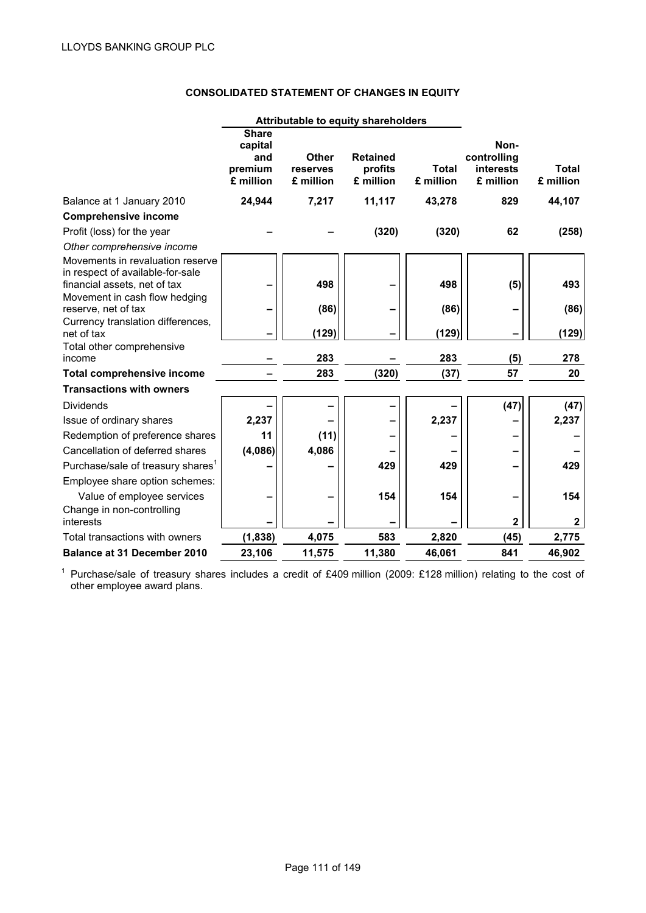# **CONSOLIDATED STATEMENT OF CHANGES IN EQUITY**

|                                                                                                                                       |                                                        | Attributable to equity shareholders   |                                         |                           |                                               |                           |
|---------------------------------------------------------------------------------------------------------------------------------------|--------------------------------------------------------|---------------------------------------|-----------------------------------------|---------------------------|-----------------------------------------------|---------------------------|
|                                                                                                                                       | <b>Share</b><br>capital<br>and<br>premium<br>£ million | <b>Other</b><br>reserves<br>£ million | <b>Retained</b><br>profits<br>£ million | <b>Total</b><br>£ million | Non-<br>controlling<br>interests<br>£ million | <b>Total</b><br>£ million |
| Balance at 1 January 2010                                                                                                             | 24,944                                                 | 7,217                                 | 11,117                                  | 43,278                    | 829                                           | 44,107                    |
| <b>Comprehensive income</b>                                                                                                           |                                                        |                                       |                                         |                           |                                               |                           |
| Profit (loss) for the year                                                                                                            |                                                        |                                       | (320)                                   | (320)                     | 62                                            | (258)                     |
| Other comprehensive income                                                                                                            |                                                        |                                       |                                         |                           |                                               |                           |
| Movements in revaluation reserve<br>in respect of available-for-sale<br>financial assets, net of tax<br>Movement in cash flow hedging |                                                        | 498                                   |                                         | 498                       | (5)                                           | 493                       |
| reserve, net of tax                                                                                                                   |                                                        | (86)                                  |                                         | (86)                      |                                               | (86)                      |
| Currency translation differences,<br>net of tax<br>Total other comprehensive                                                          |                                                        | (129)                                 |                                         | (129)                     |                                               | (129)                     |
| income                                                                                                                                |                                                        | 283                                   |                                         | 283                       | (5)                                           | 278                       |
| Total comprehensive income                                                                                                            |                                                        | 283                                   | (320)                                   | (37)                      | 57                                            | 20                        |
| <b>Transactions with owners</b>                                                                                                       |                                                        |                                       |                                         |                           |                                               |                           |
| <b>Dividends</b>                                                                                                                      |                                                        |                                       |                                         |                           | (47)                                          | (47)                      |
| Issue of ordinary shares                                                                                                              | 2,237                                                  |                                       |                                         | 2,237                     |                                               | 2,237                     |
| Redemption of preference shares                                                                                                       | 11                                                     | (11)                                  |                                         |                           |                                               |                           |
| Cancellation of deferred shares                                                                                                       | (4,086)                                                | 4,086                                 |                                         |                           |                                               |                           |
| Purchase/sale of treasury shares <sup>1</sup>                                                                                         |                                                        |                                       | 429                                     | 429                       |                                               | 429                       |
| Employee share option schemes:<br>Value of employee services                                                                          |                                                        |                                       | 154                                     | 154                       |                                               | 154                       |
| Change in non-controlling<br>interests                                                                                                |                                                        |                                       |                                         |                           | $\mathbf 2$                                   | $\mathbf{2}$              |
| Total transactions with owners                                                                                                        | (1,838)                                                | 4,075                                 | 583                                     | 2,820                     | (45)                                          | 2,775                     |
| <b>Balance at 31 December 2010</b>                                                                                                    | 23,106                                                 | 11,575                                | 11,380                                  | 46,061                    | 841                                           | 46,902                    |

<sup>1</sup> Purchase/sale of treasury shares includes a credit of £409 million (2009: £128 million) relating to the cost of other employee award plans.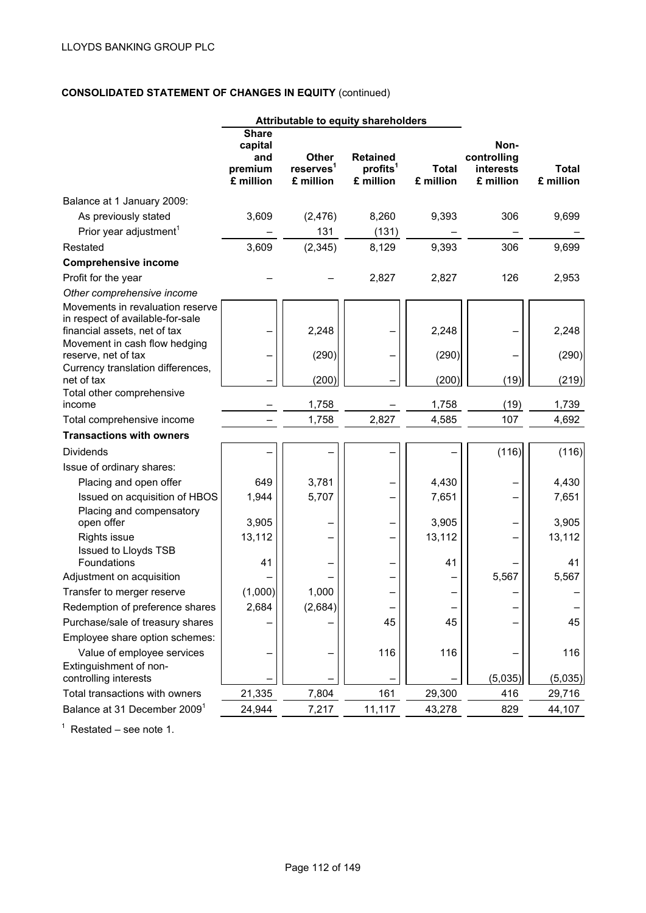# **CONSOLIDATED STATEMENT OF CHANGES IN EQUITY** (continued)

|                                                                  | Attributable to equity shareholders                    |                                                    |                                                      |                           |                                               |                           |
|------------------------------------------------------------------|--------------------------------------------------------|----------------------------------------------------|------------------------------------------------------|---------------------------|-----------------------------------------------|---------------------------|
|                                                                  | <b>Share</b><br>capital<br>and<br>premium<br>£ million | <b>Other</b><br>reserves <sup>1</sup><br>£ million | <b>Retained</b><br>profits <sup>1</sup><br>£ million | <b>Total</b><br>£ million | Non-<br>controlling<br>interests<br>£ million | <b>Total</b><br>£ million |
| Balance at 1 January 2009:                                       |                                                        |                                                    |                                                      |                           |                                               |                           |
| As previously stated                                             | 3,609                                                  | (2, 476)                                           | 8,260                                                | 9,393                     | 306                                           | 9,699                     |
| Prior year adjustment <sup>1</sup>                               |                                                        | 131                                                | (131)                                                |                           |                                               |                           |
| Restated                                                         | 3,609                                                  | (2, 345)                                           | 8,129                                                | 9,393                     | 306                                           | 9,699                     |
| <b>Comprehensive income</b>                                      |                                                        |                                                    |                                                      |                           |                                               |                           |
| Profit for the year                                              |                                                        |                                                    | 2,827                                                | 2,827                     | 126                                           | 2,953                     |
| Other comprehensive income                                       |                                                        |                                                    |                                                      |                           |                                               |                           |
| Movements in revaluation reserve                                 |                                                        |                                                    |                                                      |                           |                                               |                           |
| in respect of available-for-sale<br>financial assets, net of tax |                                                        | 2,248                                              |                                                      | 2,248                     |                                               | 2,248                     |
| Movement in cash flow hedging                                    |                                                        |                                                    |                                                      |                           |                                               |                           |
| reserve, net of tax                                              |                                                        | (290)                                              |                                                      | (290)                     |                                               | (290)                     |
| Currency translation differences,<br>net of tax                  |                                                        | (200)                                              |                                                      | (200)                     | (19)                                          | (219)                     |
| Total other comprehensive                                        |                                                        |                                                    |                                                      |                           |                                               |                           |
| income                                                           |                                                        | 1,758                                              |                                                      | 1,758                     | (19)                                          | 1,739                     |
| Total comprehensive income                                       |                                                        | 1,758                                              | 2,827                                                | 4,585                     | 107                                           | 4,692                     |
| <b>Transactions with owners</b>                                  |                                                        |                                                    |                                                      |                           |                                               |                           |
| <b>Dividends</b>                                                 |                                                        |                                                    |                                                      |                           | (116)                                         | (116)                     |
| Issue of ordinary shares:                                        |                                                        |                                                    |                                                      |                           |                                               |                           |
| Placing and open offer                                           | 649                                                    | 3,781                                              |                                                      | 4,430                     |                                               | 4,430                     |
| Issued on acquisition of HBOS                                    | 1,944                                                  | 5,707                                              |                                                      | 7,651                     |                                               | 7,651                     |
| Placing and compensatory                                         |                                                        |                                                    |                                                      |                           |                                               |                           |
| open offer                                                       | 3,905                                                  |                                                    |                                                      | 3,905                     |                                               | 3,905                     |
| Rights issue<br><b>Issued to Lloyds TSB</b>                      | 13,112                                                 |                                                    |                                                      | 13,112                    |                                               | 13,112                    |
| Foundations                                                      | 41                                                     |                                                    |                                                      | 41                        |                                               | 41                        |
| Adjustment on acquisition                                        |                                                        |                                                    |                                                      |                           | 5,567                                         | 5,567                     |
| Transfer to merger reserve                                       | (1,000)                                                | 1,000                                              |                                                      |                           |                                               |                           |
| Redemption of preference shares                                  | 2,684                                                  | (2,684)                                            |                                                      |                           |                                               |                           |
| Purchase/sale of treasury shares                                 |                                                        |                                                    | 45                                                   | 45                        |                                               | 45                        |
| Employee share option schemes:                                   |                                                        |                                                    |                                                      |                           |                                               |                           |
| Value of employee services                                       |                                                        |                                                    | 116                                                  | 116                       |                                               | 116                       |
| Extinguishment of non-                                           |                                                        |                                                    |                                                      |                           |                                               |                           |
| controlling interests                                            |                                                        |                                                    |                                                      |                           | (5,035)                                       | (5,035)                   |
| Total transactions with owners                                   | 21,335                                                 | 7,804                                              | 161                                                  | 29,300                    | 416                                           | 29,716                    |
| Balance at 31 December 2009 <sup>1</sup>                         | 24,944                                                 | 7,217                                              | 11,117                                               | 43,278                    | 829                                           | 44,107                    |

 $1$  Restated – see note 1.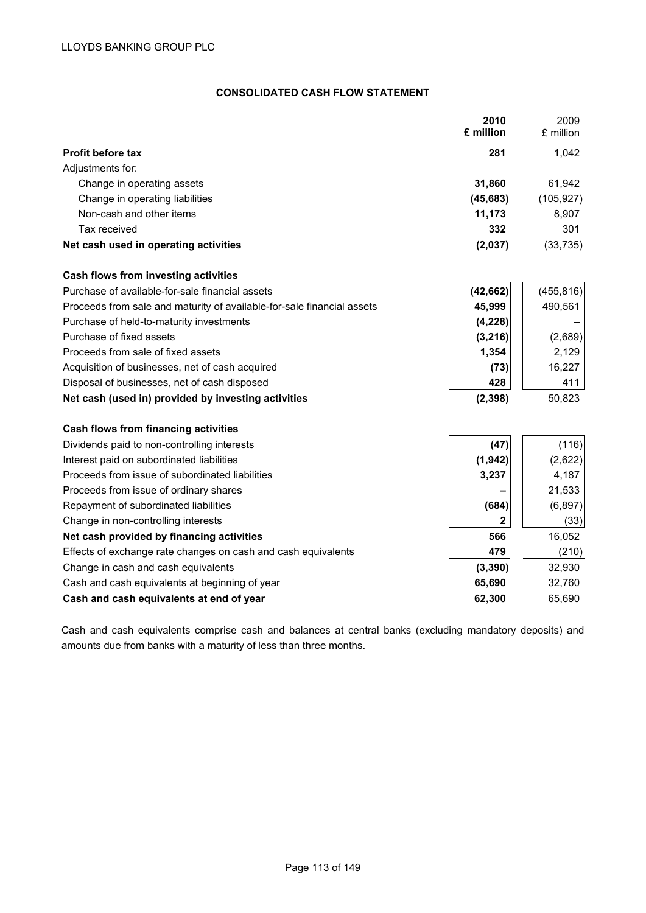# **CONSOLIDATED CASH FLOW STATEMENT**

|                                                                        | 2010<br>£ million | 2009<br>£ million |
|------------------------------------------------------------------------|-------------------|-------------------|
|                                                                        |                   |                   |
| <b>Profit before tax</b>                                               | 281               | 1,042             |
| Adjustments for:                                                       |                   |                   |
| Change in operating assets                                             | 31,860            | 61,942            |
| Change in operating liabilities                                        | (45, 683)         | (105, 927)        |
| Non-cash and other items                                               | 11,173            | 8,907             |
| Tax received                                                           | 332               | 301               |
| Net cash used in operating activities                                  | (2,037)           | (33, 735)         |
| Cash flows from investing activities                                   |                   |                   |
| Purchase of available-for-sale financial assets                        | (42, 662)         | (455, 816)        |
| Proceeds from sale and maturity of available-for-sale financial assets | 45,999            | 490,561           |
| Purchase of held-to-maturity investments                               | (4, 228)          |                   |
| Purchase of fixed assets                                               | (3, 216)          | (2,689)           |
| Proceeds from sale of fixed assets                                     | 1,354             | 2,129             |
| Acquisition of businesses, net of cash acquired                        | (73)              | 16,227            |
| Disposal of businesses, net of cash disposed                           | 428               | 411               |
| Net cash (used in) provided by investing activities                    | (2, 398)          | 50,823            |
| <b>Cash flows from financing activities</b>                            |                   |                   |
| Dividends paid to non-controlling interests                            | (47)              | (116)             |
| Interest paid on subordinated liabilities                              | (1, 942)          | (2,622)           |
| Proceeds from issue of subordinated liabilities                        | 3,237             | 4,187             |
| Proceeds from issue of ordinary shares                                 |                   | 21,533            |
| Repayment of subordinated liabilities                                  | (684)             | (6, 897)          |
| Change in non-controlling interests                                    | 2                 | (33)              |
| Net cash provided by financing activities                              | 566               | 16,052            |
| Effects of exchange rate changes on cash and cash equivalents          | 479               | (210)             |
| Change in cash and cash equivalents                                    | (3, 390)          | 32,930            |
| Cash and cash equivalents at beginning of year                         | 65,690            | 32,760            |
| Cash and cash equivalents at end of year                               | 62,300            | 65,690            |

Cash and cash equivalents comprise cash and balances at central banks (excluding mandatory deposits) and amounts due from banks with a maturity of less than three months.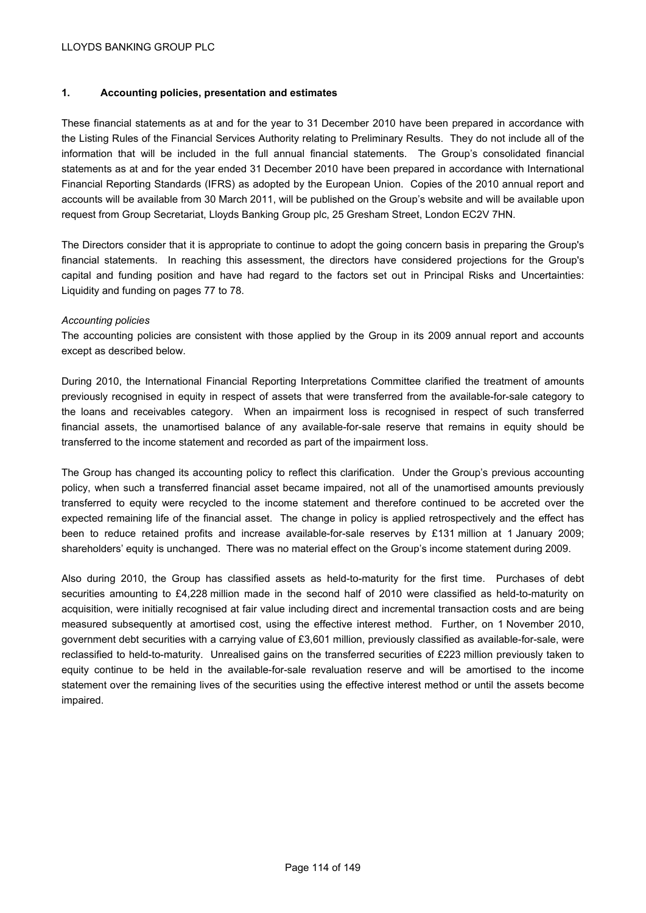### **1. Accounting policies, presentation and estimates**

These financial statements as at and for the year to 31 December 2010 have been prepared in accordance with the Listing Rules of the Financial Services Authority relating to Preliminary Results. They do not include all of the information that will be included in the full annual financial statements. The Group's consolidated financial statements as at and for the year ended 31 December 2010 have been prepared in accordance with International Financial Reporting Standards (IFRS) as adopted by the European Union. Copies of the 2010 annual report and accounts will be available from 30 March 2011, will be published on the Group's website and will be available upon request from Group Secretariat, Lloyds Banking Group plc, 25 Gresham Street, London EC2V 7HN.

The Directors consider that it is appropriate to continue to adopt the going concern basis in preparing the Group's financial statements. In reaching this assessment, the directors have considered projections for the Group's capital and funding position and have had regard to the factors set out in Principal Risks and Uncertainties: Liquidity and funding on pages 77 to 78.

### *Accounting policies*

The accounting policies are consistent with those applied by the Group in its 2009 annual report and accounts except as described below.

During 2010, the International Financial Reporting Interpretations Committee clarified the treatment of amounts previously recognised in equity in respect of assets that were transferred from the available-for-sale category to the loans and receivables category. When an impairment loss is recognised in respect of such transferred financial assets, the unamortised balance of any available-for-sale reserve that remains in equity should be transferred to the income statement and recorded as part of the impairment loss.

The Group has changed its accounting policy to reflect this clarification. Under the Group's previous accounting policy, when such a transferred financial asset became impaired, not all of the unamortised amounts previously transferred to equity were recycled to the income statement and therefore continued to be accreted over the expected remaining life of the financial asset. The change in policy is applied retrospectively and the effect has been to reduce retained profits and increase available-for-sale reserves by £131 million at 1 January 2009; shareholders' equity is unchanged. There was no material effect on the Group's income statement during 2009.

Also during 2010, the Group has classified assets as held-to-maturity for the first time. Purchases of debt securities amounting to £4,228 million made in the second half of 2010 were classified as held-to-maturity on acquisition, were initially recognised at fair value including direct and incremental transaction costs and are being measured subsequently at amortised cost, using the effective interest method. Further, on 1 November 2010, government debt securities with a carrying value of £3,601 million, previously classified as available-for-sale, were reclassified to held-to-maturity. Unrealised gains on the transferred securities of £223 million previously taken to equity continue to be held in the available-for-sale revaluation reserve and will be amortised to the income statement over the remaining lives of the securities using the effective interest method or until the assets become impaired.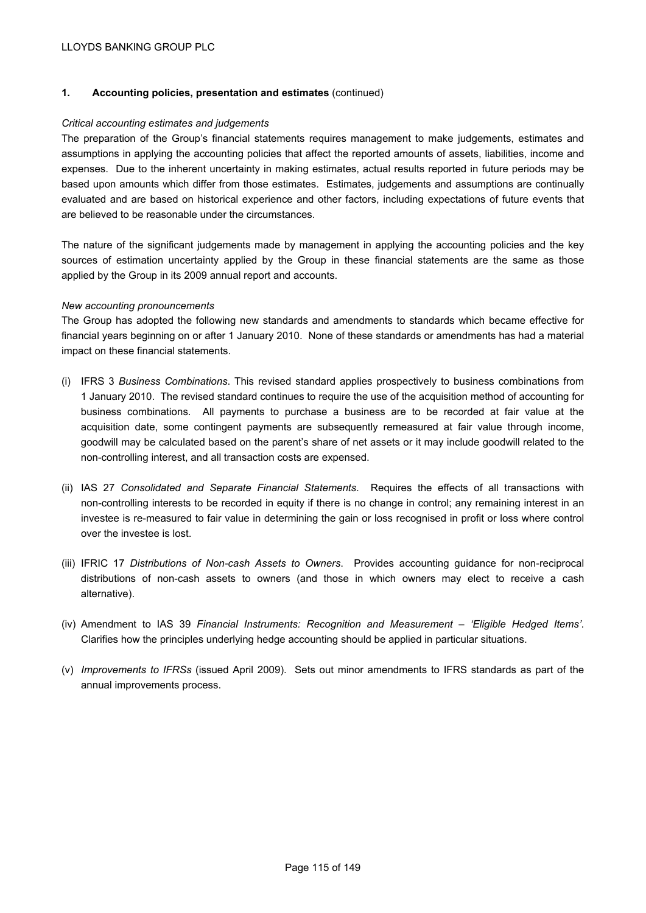### **1. Accounting policies, presentation and estimates** (continued)

#### *Critical accounting estimates and judgements*

The preparation of the Group's financial statements requires management to make judgements, estimates and assumptions in applying the accounting policies that affect the reported amounts of assets, liabilities, income and expenses. Due to the inherent uncertainty in making estimates, actual results reported in future periods may be based upon amounts which differ from those estimates. Estimates, judgements and assumptions are continually evaluated and are based on historical experience and other factors, including expectations of future events that are believed to be reasonable under the circumstances.

The nature of the significant judgements made by management in applying the accounting policies and the key sources of estimation uncertainty applied by the Group in these financial statements are the same as those applied by the Group in its 2009 annual report and accounts.

#### *New accounting pronouncements*

The Group has adopted the following new standards and amendments to standards which became effective for financial years beginning on or after 1 January 2010. None of these standards or amendments has had a material impact on these financial statements.

- (i) IFRS 3 *Business Combinations*. This revised standard applies prospectively to business combinations from 1 January 2010. The revised standard continues to require the use of the acquisition method of accounting for business combinations. All payments to purchase a business are to be recorded at fair value at the acquisition date, some contingent payments are subsequently remeasured at fair value through income, goodwill may be calculated based on the parent's share of net assets or it may include goodwill related to the non-controlling interest, and all transaction costs are expensed.
- (ii) IAS 27 *Consolidated and Separate Financial Statements*. Requires the effects of all transactions with non-controlling interests to be recorded in equity if there is no change in control; any remaining interest in an investee is re-measured to fair value in determining the gain or loss recognised in profit or loss where control over the investee is lost.
- (iii) IFRIC 17 *Distributions of Non-cash Assets to Owners*. Provides accounting guidance for non-reciprocal distributions of non-cash assets to owners (and those in which owners may elect to receive a cash alternative).
- (iv) Amendment to IAS 39 *Financial Instruments: Recognition and Measurement 'Eligible Hedged Items'*. Clarifies how the principles underlying hedge accounting should be applied in particular situations.
- (v) *Improvements to IFRSs* (issued April 2009). Sets out minor amendments to IFRS standards as part of the annual improvements process.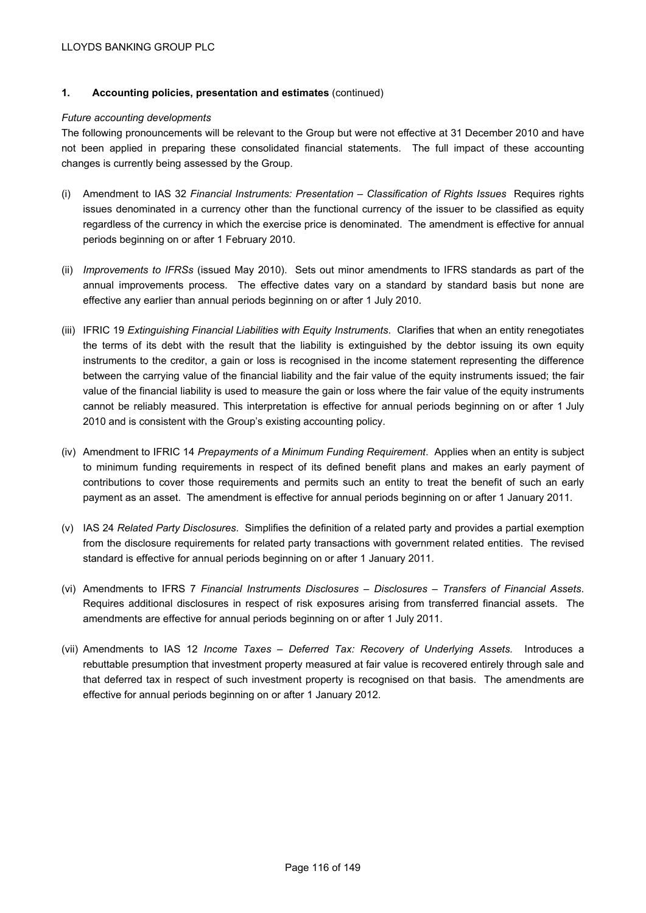### **1. Accounting policies, presentation and estimates** (continued)

#### *Future accounting developments*

The following pronouncements will be relevant to the Group but were not effective at 31 December 2010 and have not been applied in preparing these consolidated financial statements. The full impact of these accounting changes is currently being assessed by the Group.

- (i) Amendment to IAS 32 *Financial Instruments: Presentation Classification of Rights Issues* Requires rights issues denominated in a currency other than the functional currency of the issuer to be classified as equity regardless of the currency in which the exercise price is denominated. The amendment is effective for annual periods beginning on or after 1 February 2010.
- (ii) *Improvements to IFRSs* (issued May 2010). Sets out minor amendments to IFRS standards as part of the annual improvements process. The effective dates vary on a standard by standard basis but none are effective any earlier than annual periods beginning on or after 1 July 2010.
- (iii) IFRIC 19 *Extinguishing Financial Liabilities with Equity Instruments*. Clarifies that when an entity renegotiates the terms of its debt with the result that the liability is extinguished by the debtor issuing its own equity instruments to the creditor, a gain or loss is recognised in the income statement representing the difference between the carrying value of the financial liability and the fair value of the equity instruments issued; the fair value of the financial liability is used to measure the gain or loss where the fair value of the equity instruments cannot be reliably measured. This interpretation is effective for annual periods beginning on or after 1 July 2010 and is consistent with the Group's existing accounting policy.
- (iv) Amendment to IFRIC 14 *Prepayments of a Minimum Funding Requirement*. Applies when an entity is subject to minimum funding requirements in respect of its defined benefit plans and makes an early payment of contributions to cover those requirements and permits such an entity to treat the benefit of such an early payment as an asset. The amendment is effective for annual periods beginning on or after 1 January 2011.
- (v) IAS 24 *Related Party Disclosures*. Simplifies the definition of a related party and provides a partial exemption from the disclosure requirements for related party transactions with government related entities. The revised standard is effective for annual periods beginning on or after 1 January 2011.
- (vi) Amendments to IFRS 7 *Financial Instruments Disclosures Disclosures Transfers of Financial Assets*. Requires additional disclosures in respect of risk exposures arising from transferred financial assets. The amendments are effective for annual periods beginning on or after 1 July 2011.
- (vii) Amendments to IAS 12 *Income Taxes – Deferred Tax: Recovery of Underlying Assets.* Introduces a rebuttable presumption that investment property measured at fair value is recovered entirely through sale and that deferred tax in respect of such investment property is recognised on that basis. The amendments are effective for annual periods beginning on or after 1 January 2012.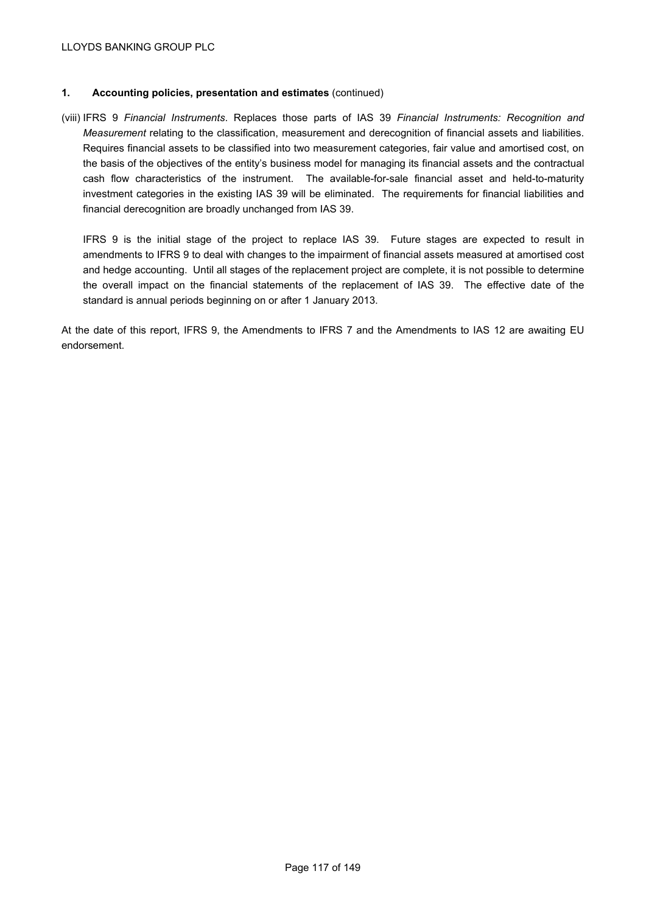#### **1. Accounting policies, presentation and estimates** (continued)

(viii) IFRS 9 *Financial Instruments*. Replaces those parts of IAS 39 *Financial Instruments: Recognition and Measurement* relating to the classification, measurement and derecognition of financial assets and liabilities. Requires financial assets to be classified into two measurement categories, fair value and amortised cost, on the basis of the objectives of the entity's business model for managing its financial assets and the contractual cash flow characteristics of the instrument. The available-for-sale financial asset and held-to-maturity investment categories in the existing IAS 39 will be eliminated. The requirements for financial liabilities and financial derecognition are broadly unchanged from IAS 39.

 IFRS 9 is the initial stage of the project to replace IAS 39. Future stages are expected to result in amendments to IFRS 9 to deal with changes to the impairment of financial assets measured at amortised cost and hedge accounting. Until all stages of the replacement project are complete, it is not possible to determine the overall impact on the financial statements of the replacement of IAS 39. The effective date of the standard is annual periods beginning on or after 1 January 2013.

At the date of this report, IFRS 9, the Amendments to IFRS 7 and the Amendments to IAS 12 are awaiting EU endorsement.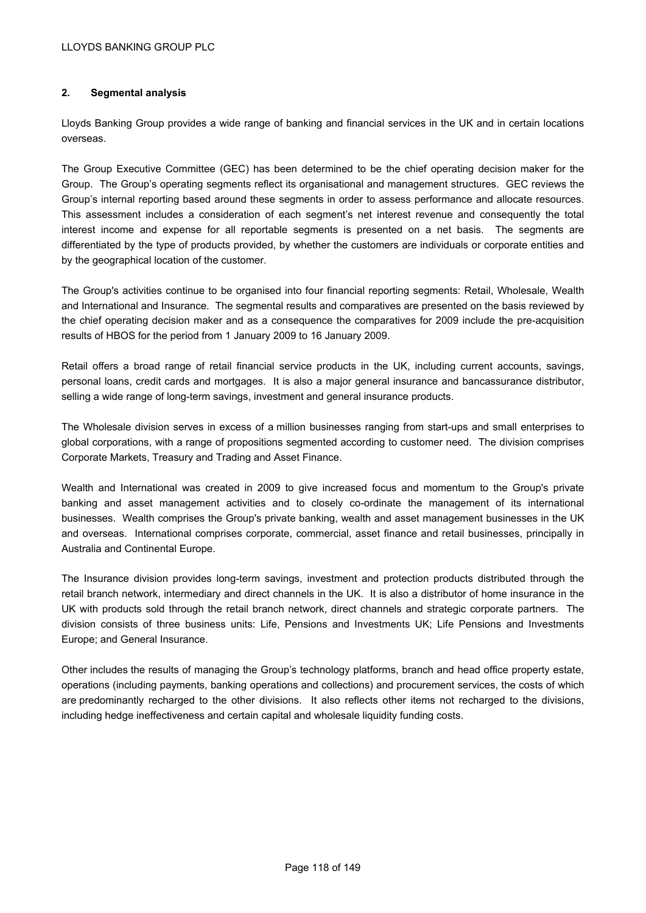### **2. Segmental analysis**

Lloyds Banking Group provides a wide range of banking and financial services in the UK and in certain locations overseas.

The Group Executive Committee (GEC) has been determined to be the chief operating decision maker for the Group. The Group's operating segments reflect its organisational and management structures. GEC reviews the Group's internal reporting based around these segments in order to assess performance and allocate resources. This assessment includes a consideration of each segment's net interest revenue and consequently the total interest income and expense for all reportable segments is presented on a net basis. The segments are differentiated by the type of products provided, by whether the customers are individuals or corporate entities and by the geographical location of the customer.

The Group's activities continue to be organised into four financial reporting segments: Retail, Wholesale, Wealth and International and Insurance. The segmental results and comparatives are presented on the basis reviewed by the chief operating decision maker and as a consequence the comparatives for 2009 include the pre-acquisition results of HBOS for the period from 1 January 2009 to 16 January 2009.

Retail offers a broad range of retail financial service products in the UK, including current accounts, savings, personal loans, credit cards and mortgages. It is also a major general insurance and bancassurance distributor, selling a wide range of long-term savings, investment and general insurance products.

The Wholesale division serves in excess of a million businesses ranging from start-ups and small enterprises to global corporations, with a range of propositions segmented according to customer need. The division comprises Corporate Markets, Treasury and Trading and Asset Finance.

Wealth and International was created in 2009 to give increased focus and momentum to the Group's private banking and asset management activities and to closely co-ordinate the management of its international businesses. Wealth comprises the Group's private banking, wealth and asset management businesses in the UK and overseas. International comprises corporate, commercial, asset finance and retail businesses, principally in Australia and Continental Europe.

The Insurance division provides long-term savings, investment and protection products distributed through the retail branch network, intermediary and direct channels in the UK. It is also a distributor of home insurance in the UK with products sold through the retail branch network, direct channels and strategic corporate partners. The division consists of three business units: Life, Pensions and Investments UK; Life Pensions and Investments Europe; and General Insurance.

Other includes the results of managing the Group's technology platforms, branch and head office property estate, operations (including payments, banking operations and collections) and procurement services, the costs of which are predominantly recharged to the other divisions. It also reflects other items not recharged to the divisions, including hedge ineffectiveness and certain capital and wholesale liquidity funding costs.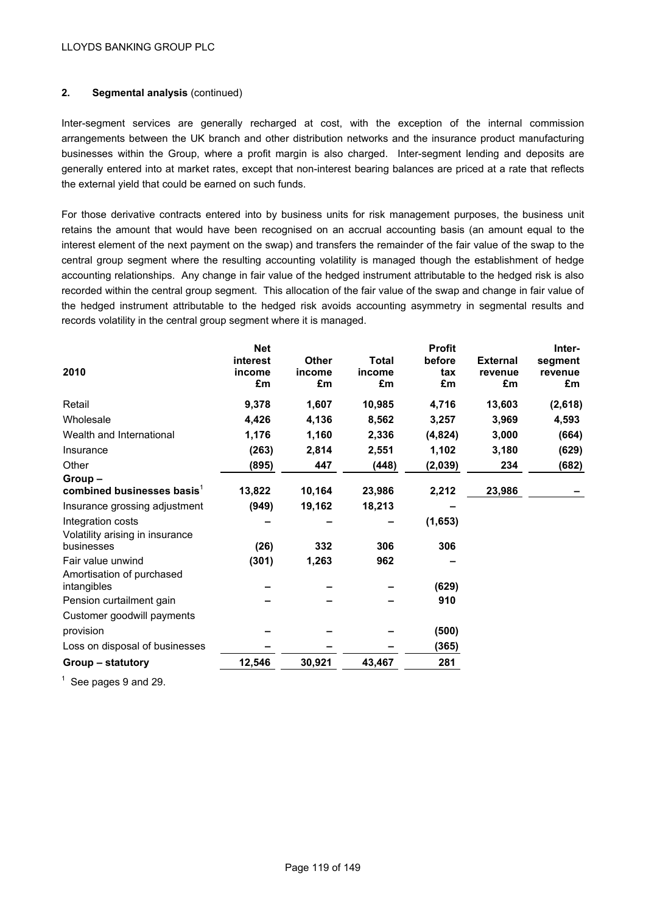### **2. Segmental analysis** (continued)

Inter-segment services are generally recharged at cost, with the exception of the internal commission arrangements between the UK branch and other distribution networks and the insurance product manufacturing businesses within the Group, where a profit margin is also charged. Inter-segment lending and deposits are generally entered into at market rates, except that non-interest bearing balances are priced at a rate that reflects the external yield that could be earned on such funds.

For those derivative contracts entered into by business units for risk management purposes, the business unit retains the amount that would have been recognised on an accrual accounting basis (an amount equal to the interest element of the next payment on the swap) and transfers the remainder of the fair value of the swap to the central group segment where the resulting accounting volatility is managed though the establishment of hedge accounting relationships. Any change in fair value of the hedged instrument attributable to the hedged risk is also recorded within the central group segment. This allocation of the fair value of the swap and change in fair value of the hedged instrument attributable to the hedged risk avoids accounting asymmetry in segmental results and records volatility in the central group segment where it is managed.

| 2010                                                 | <b>Net</b><br>interest<br>income<br>£m | <b>Other</b><br>income<br>£m | <b>Total</b><br>income<br>£m | <b>Profit</b><br>before<br>tax<br>£m | <b>External</b><br>revenue<br>£m | Inter-<br>segment<br>revenue<br>£m |
|------------------------------------------------------|----------------------------------------|------------------------------|------------------------------|--------------------------------------|----------------------------------|------------------------------------|
| Retail                                               | 9,378                                  | 1,607                        | 10,985                       | 4,716                                | 13,603                           | (2,618)                            |
| Wholesale                                            | 4,426                                  | 4,136                        | 8,562                        | 3,257                                | 3,969                            | 4,593                              |
| Wealth and International                             | 1,176                                  | 1,160                        | 2,336                        | (4,824)                              | 3,000                            | (664)                              |
| Insurance                                            | (263)                                  | 2,814                        | 2,551                        | 1,102                                | 3,180                            | (629)                              |
| Other                                                | (895)                                  | 447                          | (448)                        | (2,039)                              | 234                              | (682)                              |
| Group-<br>combined businesses basis <sup>1</sup>     | 13,822                                 | 10,164                       | 23,986                       | 2,212                                | 23,986                           |                                    |
| Insurance grossing adjustment                        | (949)                                  | 19,162                       | 18,213                       |                                      |                                  |                                    |
| Integration costs<br>Volatility arising in insurance |                                        |                              |                              | (1,653)                              |                                  |                                    |
| businesses                                           | (26)                                   | 332                          | 306                          | 306                                  |                                  |                                    |
| Fair value unwind<br>Amortisation of purchased       | (301)                                  | 1,263                        | 962                          |                                      |                                  |                                    |
| intangibles                                          |                                        |                              |                              | (629)                                |                                  |                                    |
| Pension curtailment gain                             |                                        |                              |                              | 910                                  |                                  |                                    |
| Customer goodwill payments                           |                                        |                              |                              |                                      |                                  |                                    |
| provision                                            |                                        |                              |                              | (500)                                |                                  |                                    |
| Loss on disposal of businesses                       |                                        |                              |                              | (365)                                |                                  |                                    |
| Group – statutory                                    | 12,546                                 | 30,921                       | 43,467                       | 281                                  |                                  |                                    |

 $<sup>1</sup>$  See pages 9 and 29.</sup>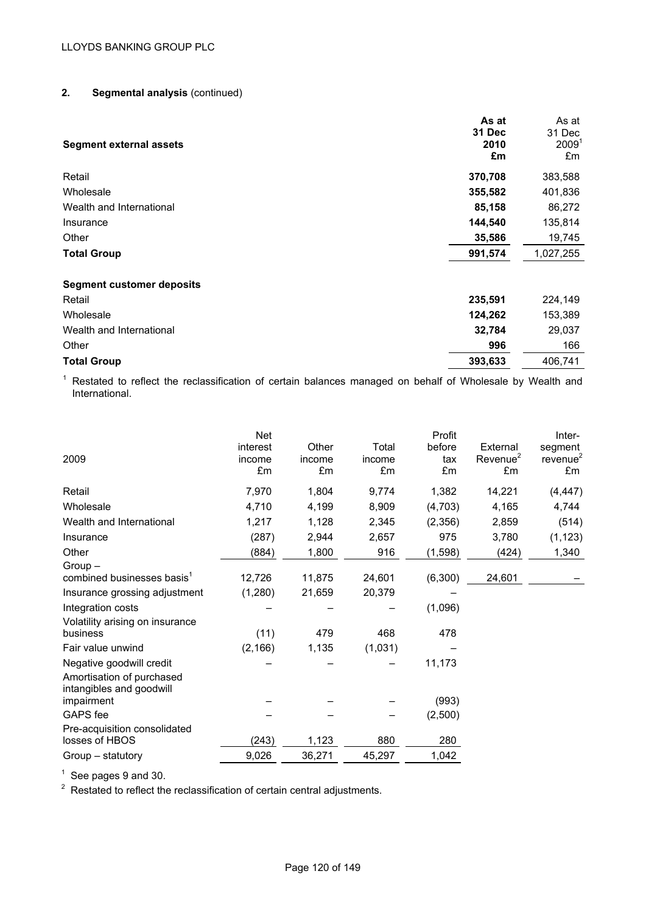# **2. Segmental analysis** (continued)

|                                  | As at<br><b>31 Dec</b> | As at<br>31 Dec   |
|----------------------------------|------------------------|-------------------|
| <b>Segment external assets</b>   | 2010                   | 2009 <sup>1</sup> |
|                                  | £m                     | £m                |
| Retail                           | 370,708                | 383,588           |
| Wholesale                        | 355,582                | 401,836           |
| Wealth and International         | 85,158                 | 86,272            |
| Insurance                        | 144,540                | 135,814           |
| Other                            | 35,586                 | 19,745            |
| <b>Total Group</b>               | 991,574                | 1,027,255         |
| <b>Segment customer deposits</b> |                        |                   |
| Retail                           | 235,591                | 224,149           |
| Wholesale                        | 124,262                | 153,389           |
| Wealth and International         | 32,784                 | 29,037            |
| Other                            | 996                    | 166               |
| <b>Total Group</b>               | 393,633                | 406,741           |

1 Restated to reflect the reclassification of certain balances managed on behalf of Wholesale by Wealth and International.

| 2009                                                  | <b>Net</b><br>interest<br>income<br>£m | Other<br>income<br>£m | Total<br>income<br>£m | Profit<br>before<br>tax<br>£m | External<br>Revenue <sup>2</sup><br>£m | Inter-<br>segment<br>revenue <sup>2</sup><br>£m |
|-------------------------------------------------------|----------------------------------------|-----------------------|-----------------------|-------------------------------|----------------------------------------|-------------------------------------------------|
| Retail                                                | 7,970                                  | 1,804                 | 9,774                 | 1,382                         | 14,221                                 | (4, 447)                                        |
| Wholesale                                             | 4,710                                  | 4,199                 | 8,909                 | (4,703)                       | 4,165                                  | 4,744                                           |
| Wealth and International                              | 1,217                                  | 1,128                 | 2,345                 | (2,356)                       | 2,859                                  | (514)                                           |
| Insurance                                             | (287)                                  | 2,944                 | 2,657                 | 975                           | 3,780                                  | (1, 123)                                        |
| Other                                                 | (884)                                  | 1,800                 | 916                   | (1, 598)                      | (424)                                  | 1,340                                           |
| $Group-$                                              |                                        |                       |                       |                               |                                        |                                                 |
| combined businesses basis <sup>1</sup>                | 12,726                                 | 11,875                | 24,601                | (6,300)                       | 24,601                                 |                                                 |
| Insurance grossing adjustment                         | (1,280)                                | 21,659                | 20,379                |                               |                                        |                                                 |
| Integration costs                                     |                                        |                       |                       | (1,096)                       |                                        |                                                 |
| Volatility arising on insurance                       |                                        |                       |                       |                               |                                        |                                                 |
| business                                              | (11)                                   | 479                   | 468                   | 478                           |                                        |                                                 |
| Fair value unwind                                     | (2, 166)                               | 1,135                 | (1,031)               |                               |                                        |                                                 |
| Negative goodwill credit                              |                                        |                       |                       | 11,173                        |                                        |                                                 |
| Amortisation of purchased<br>intangibles and goodwill |                                        |                       |                       |                               |                                        |                                                 |
| impairment                                            |                                        |                       |                       | (993)                         |                                        |                                                 |
| GAPS fee                                              |                                        |                       |                       | (2,500)                       |                                        |                                                 |
| Pre-acquisition consolidated                          |                                        |                       |                       |                               |                                        |                                                 |
| losses of HBOS                                        | (243)                                  | 1,123                 | 880                   | 280                           |                                        |                                                 |
| Group – statutory                                     | 9,026                                  | 36,271                | 45,297                | 1,042                         |                                        |                                                 |

 $1$  See pages 9 and 30.

<sup>2</sup> Restated to reflect the reclassification of certain central adjustments.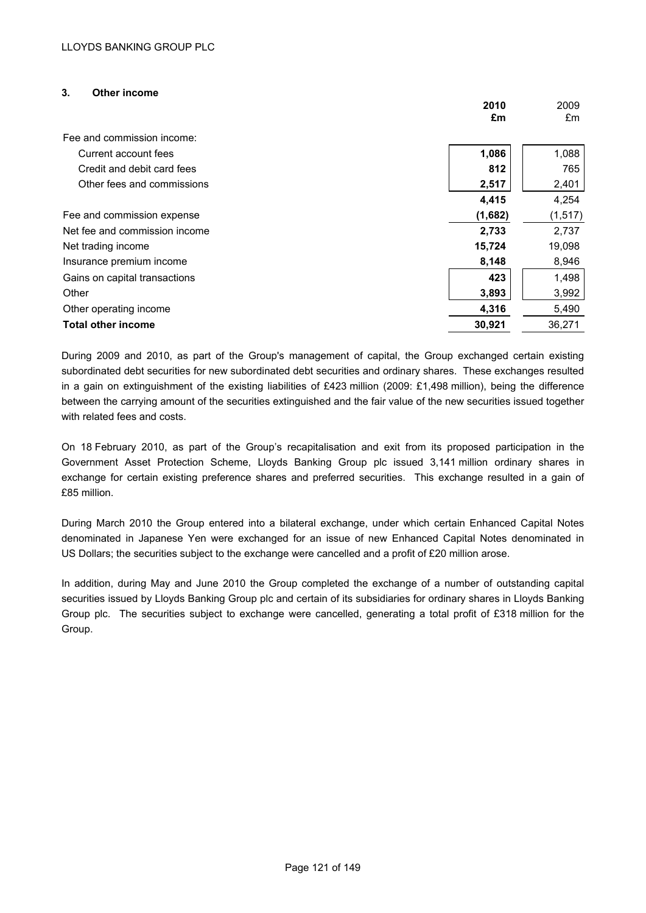# **3. Other income**

| £m                                     | £m       |
|----------------------------------------|----------|
|                                        |          |
| Fee and commission income:             |          |
| 1,086<br>Current account fees          | 1,088    |
| Credit and debit card fees<br>812      | 765      |
| Other fees and commissions<br>2,517    | 2,401    |
| 4,415                                  | 4,254    |
| (1,682)<br>Fee and commission expense  | (1, 517) |
| Net fee and commission income<br>2,733 | 2,737    |
| 15,724<br>Net trading income           | 19,098   |
| 8,148<br>Insurance premium income      | 8,946    |
| 423<br>Gains on capital transactions   | 1,498    |
| Other<br>3,893                         | 3,992    |
| 4,316<br>Other operating income        | 5,490    |
| 30,921<br><b>Total other income</b>    | 36,271   |

During 2009 and 2010, as part of the Group's management of capital, the Group exchanged certain existing subordinated debt securities for new subordinated debt securities and ordinary shares. These exchanges resulted in a gain on extinguishment of the existing liabilities of £423 million (2009: £1,498 million), being the difference between the carrying amount of the securities extinguished and the fair value of the new securities issued together with related fees and costs.

On 18 February 2010, as part of the Group's recapitalisation and exit from its proposed participation in the Government Asset Protection Scheme, Lloyds Banking Group plc issued 3,141 million ordinary shares in exchange for certain existing preference shares and preferred securities. This exchange resulted in a gain of £85 million.

During March 2010 the Group entered into a bilateral exchange, under which certain Enhanced Capital Notes denominated in Japanese Yen were exchanged for an issue of new Enhanced Capital Notes denominated in US Dollars; the securities subject to the exchange were cancelled and a profit of £20 million arose.

In addition, during May and June 2010 the Group completed the exchange of a number of outstanding capital securities issued by Lloyds Banking Group plc and certain of its subsidiaries for ordinary shares in Lloyds Banking Group plc. The securities subject to exchange were cancelled, generating a total profit of £318 million for the Group.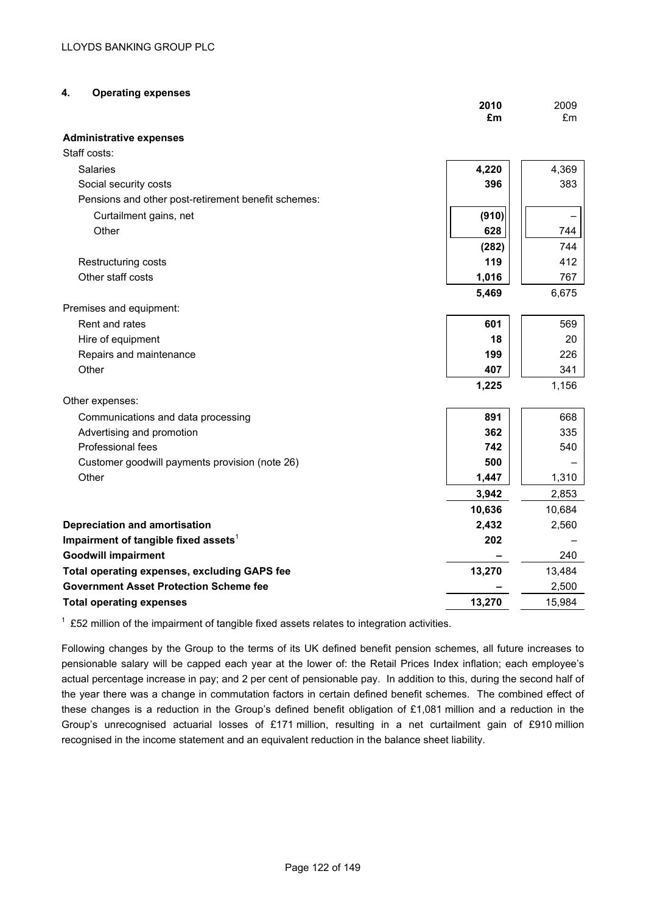### **4. Operating expenses**

|                                                     | 2010<br>£m   | 2009<br>£m |
|-----------------------------------------------------|--------------|------------|
| <b>Administrative expenses</b>                      |              |            |
| Staff costs:                                        |              |            |
| <b>Salaries</b>                                     | 4,220        | 4,369      |
| Social security costs                               | 396          | 383        |
| Pensions and other post-retirement benefit schemes: |              |            |
|                                                     |              |            |
| Curtailment gains, net<br>Other                     | (910)<br>628 |            |
|                                                     |              | 744        |
|                                                     | (282)        | 744        |
| Restructuring costs                                 | 119          | 412        |
| Other staff costs                                   | 1,016        | 767        |
|                                                     | 5,469        | 6,675      |
| Premises and equipment:                             |              |            |
| Rent and rates                                      | 601          | 569        |
| Hire of equipment                                   | 18           | 20         |
| Repairs and maintenance                             | 199          | 226        |
| Other                                               | 407          | 341        |
|                                                     | 1,225        | 1,156      |
| Other expenses:                                     |              |            |
| Communications and data processing                  | 891          | 668        |
| Advertising and promotion                           | 362          | 335        |
| Professional fees                                   | 742          | 540        |
| Customer goodwill payments provision (note 26)      | 500          |            |
| Other                                               | 1,447        | 1,310      |
|                                                     | 3,942        | 2,853      |
|                                                     | 10,636       | 10,684     |
| <b>Depreciation and amortisation</b>                | 2,432        | 2,560      |
| Impairment of tangible fixed assets <sup>1</sup>    | 202          |            |
| <b>Goodwill impairment</b>                          |              | 240        |
| <b>Total operating expenses, excluding GAPS fee</b> | 13,270       | 13,484     |
| <b>Government Asset Protection Scheme fee</b>       |              | 2,500      |
| <b>Total operating expenses</b>                     | 13,270       | 15,984     |

 $1$  £52 million of the impairment of tangible fixed assets relates to integration activities.

Following changes by the Group to the terms of its UK defined benefit pension schemes, all future increases to pensionable salary will be capped each year at the lower of: the Retail Prices Index inflation; each employee's actual percentage increase in pay; and 2 per cent of pensionable pay. In addition to this, during the second half of the year there was a change in commutation factors in certain defined benefit schemes. The combined effect of these changes is a reduction in the Group's defined benefit obligation of £1,081 million and a reduction in the Group's unrecognised actuarial losses of £171 million, resulting in a net curtailment gain of £910 million recognised in the income statement and an equivalent reduction in the balance sheet liability.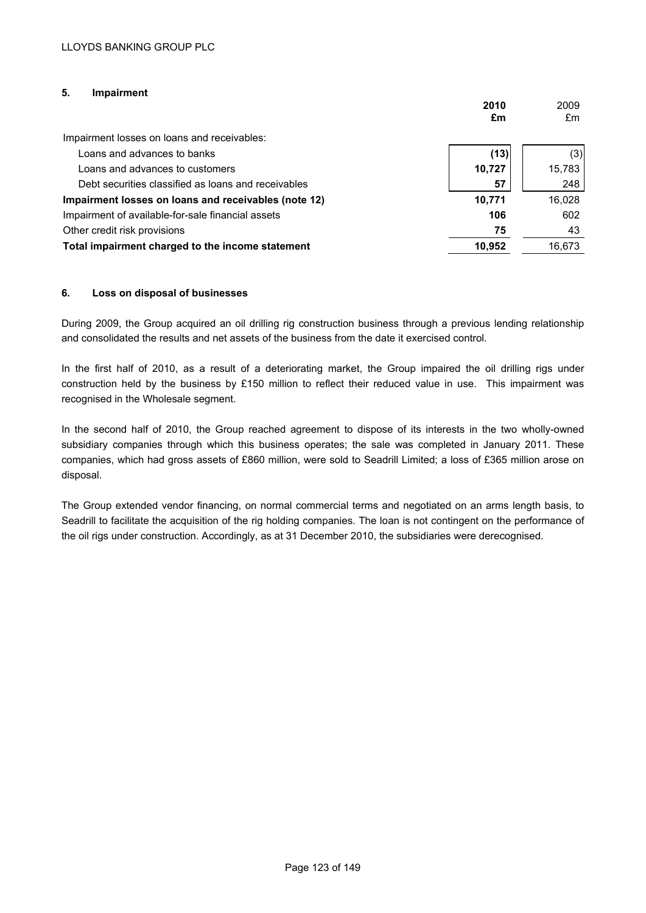## **5. Impairment**

|                                                      | 2010   | 2009   |
|------------------------------------------------------|--------|--------|
|                                                      | £m     | £m     |
| Impairment losses on loans and receivables:          |        |        |
| Loans and advances to banks                          | (13)   | (3)    |
| Loans and advances to customers                      | 10,727 | 15,783 |
| Debt securities classified as loans and receivables  | 57     | 248    |
| Impairment losses on loans and receivables (note 12) | 10,771 | 16,028 |
| Impairment of available-for-sale financial assets    | 106    | 602    |
| Other credit risk provisions                         | 75     | 43     |
| Total impairment charged to the income statement     | 10,952 | 16,673 |

### **6. Loss on disposal of businesses**

During 2009, the Group acquired an oil drilling rig construction business through a previous lending relationship and consolidated the results and net assets of the business from the date it exercised control.

In the first half of 2010, as a result of a deteriorating market, the Group impaired the oil drilling rigs under construction held by the business by £150 million to reflect their reduced value in use. This impairment was recognised in the Wholesale segment.

In the second half of 2010, the Group reached agreement to dispose of its interests in the two wholly-owned subsidiary companies through which this business operates; the sale was completed in January 2011. These companies, which had gross assets of £860 million, were sold to Seadrill Limited; a loss of £365 million arose on disposal.

The Group extended vendor financing, on normal commercial terms and negotiated on an arms length basis, to Seadrill to facilitate the acquisition of the rig holding companies. The loan is not contingent on the performance of the oil rigs under construction. Accordingly, as at 31 December 2010, the subsidiaries were derecognised.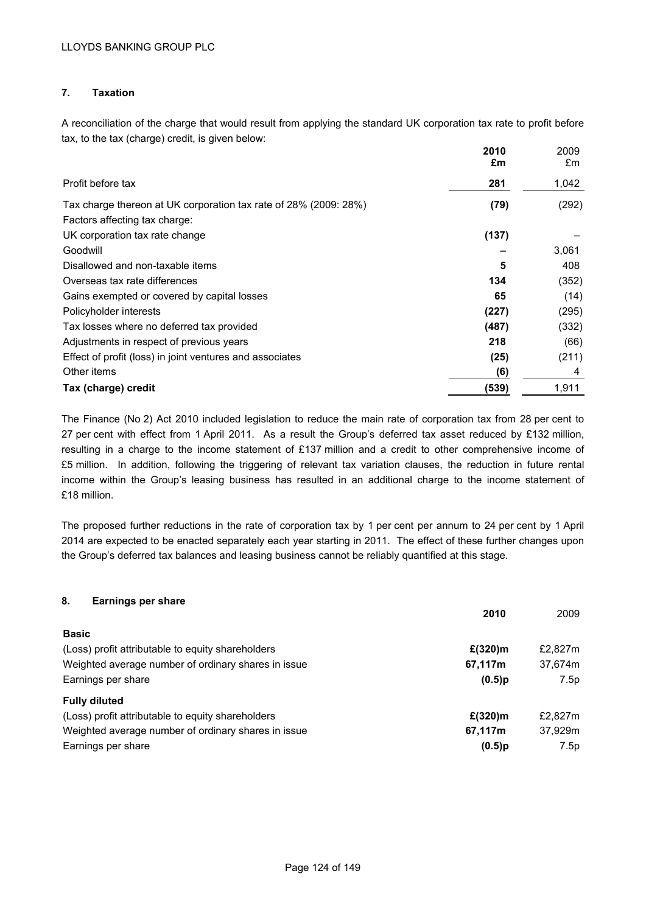### **7. Taxation**

A reconciliation of the charge that would result from applying the standard UK corporation tax rate to profit before tax, to the tax (charge) credit, is given below:

|                                                                  | 2010<br>£m | 2009<br>£m |
|------------------------------------------------------------------|------------|------------|
| Profit before tax                                                | 281        | 1,042      |
| Tax charge thereon at UK corporation tax rate of 28% (2009: 28%) | (79)       | (292)      |
| Factors affecting tax charge:                                    |            |            |
| UK corporation tax rate change                                   | (137)      |            |
| Goodwill                                                         |            | 3,061      |
| Disallowed and non-taxable items                                 | 5          | 408        |
| Overseas tax rate differences                                    | 134        | (352)      |
| Gains exempted or covered by capital losses                      | 65         | (14)       |
| Policyholder interests                                           | (227)      | (295)      |
| Tax losses where no deferred tax provided                        | (487)      | (332)      |
| Adjustments in respect of previous years                         | 218        | (66)       |
| Effect of profit (loss) in joint ventures and associates         | (25)       | (211)      |
| Other items                                                      | (6)        | 4          |
| Tax (charge) credit                                              | (539)      | 1,911      |

The Finance (No 2) Act 2010 included legislation to reduce the main rate of corporation tax from 28 per cent to 27 per cent with effect from 1 April 2011. As a result the Group's deferred tax asset reduced by £132 million, resulting in a charge to the income statement of £137 million and a credit to other comprehensive income of £5 million. In addition, following the triggering of relevant tax variation clauses, the reduction in future rental income within the Group's leasing business has resulted in an additional charge to the income statement of £18 million.

The proposed further reductions in the rate of corporation tax by 1 per cent per annum to 24 per cent by 1 April 2014 are expected to be enacted separately each year starting in 2011. The effect of these further changes upon the Group's deferred tax balances and leasing business cannot be reliably quantified at this stage.

# **8. Earnings per share**

|                                                     | 2010    | 2009    |
|-----------------------------------------------------|---------|---------|
| <b>Basic</b>                                        |         |         |
| (Loss) profit attributable to equity shareholders   | £(320)m | £2.827m |
| Weighted average number of ordinary shares in issue | 67,117m | 37,674m |
| Earnings per share                                  | (0.5)p  | 7.5p    |
| <b>Fully diluted</b>                                |         |         |
| (Loss) profit attributable to equity shareholders   | £(320)m | £2.827m |
| Weighted average number of ordinary shares in issue | 67,117m | 37,929m |
| Earnings per share                                  | (0.5)p  | 7.5p    |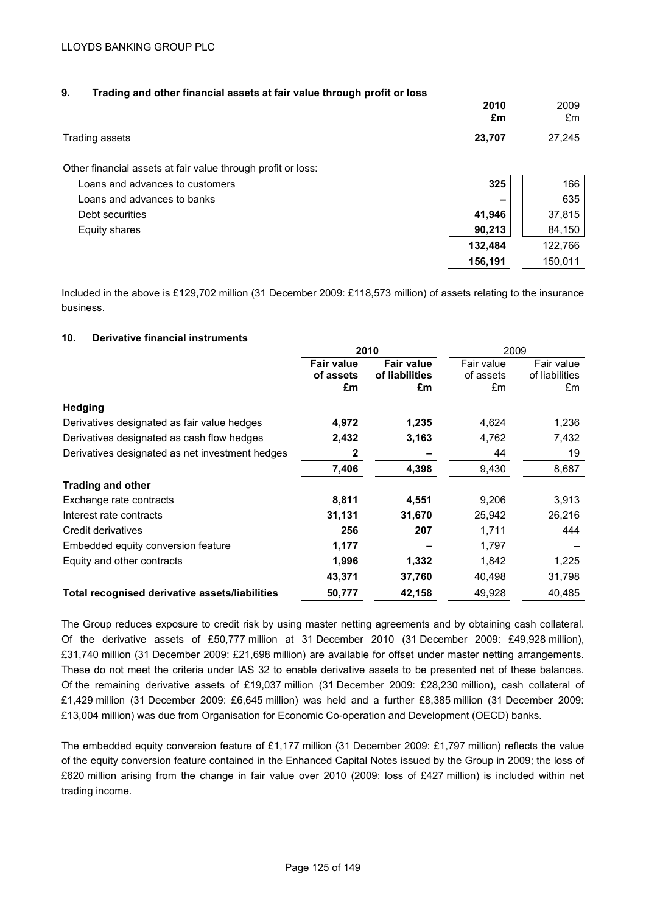| 9.<br>Trading and other financial assets at fair value through profit or loss |            |            |
|-------------------------------------------------------------------------------|------------|------------|
|                                                                               | 2010<br>£m | 2009<br>£m |
| Trading assets                                                                | 23,707     | 27,245     |
| Other financial assets at fair value through profit or loss:                  |            |            |
| Loans and advances to customers                                               | 325        | 166        |
| Loans and advances to banks                                                   |            | 635        |
| Debt securities                                                               | 41,946     | 37,815     |
| Equity shares                                                                 | 90,213     | 84,150     |
|                                                                               | 132,484    | 122,766    |
|                                                                               | 156,191    | 150,011    |
|                                                                               |            |            |

Included in the above is £129,702 million (31 December 2009: £118,573 million) of assets relating to the insurance business.

### **10. Derivative financial instruments**

|                                                 | 2010              |                   | 2009       |                |
|-------------------------------------------------|-------------------|-------------------|------------|----------------|
|                                                 | <b>Fair value</b> | <b>Fair value</b> | Fair value | Fair value     |
|                                                 | of assets         | of liabilities    | of assets  | of liabilities |
|                                                 | £m                | £m                | £m         | £m             |
| <b>Hedging</b>                                  |                   |                   |            |                |
| Derivatives designated as fair value hedges     | 4,972             | 1,235             | 4,624      | 1,236          |
| Derivatives designated as cash flow hedges      | 2,432             | 3,163             | 4,762      | 7,432          |
| Derivatives designated as net investment hedges | $\mathbf{2}$      |                   | 44         | 19             |
|                                                 | 7,406             | 4,398             | 9,430      | 8,687          |
| <b>Trading and other</b>                        |                   |                   |            |                |
| Exchange rate contracts                         | 8,811             | 4,551             | 9,206      | 3,913          |
| Interest rate contracts                         | 31,131            | 31,670            | 25,942     | 26,216         |
| Credit derivatives                              | 256               | 207               | 1,711      | 444            |
| Embedded equity conversion feature              | 1,177             |                   | 1,797      |                |
| Equity and other contracts                      | 1,996             | 1,332             | 1,842      | 1,225          |
|                                                 | 43,371            | 37,760            | 40,498     | 31,798         |
| Total recognised derivative assets/liabilities  | 50,777            | 42,158            | 49,928     | 40,485         |

The Group reduces exposure to credit risk by using master netting agreements and by obtaining cash collateral. Of the derivative assets of £50,777 million at 31 December 2010 (31 December 2009: £49,928 million), £31,740 million (31 December 2009: £21,698 million) are available for offset under master netting arrangements. These do not meet the criteria under IAS 32 to enable derivative assets to be presented net of these balances. Of the remaining derivative assets of £19,037 million (31 December 2009: £28,230 million), cash collateral of £1,429 million (31 December 2009: £6,645 million) was held and a further £8,385 million (31 December 2009: £13,004 million) was due from Organisation for Economic Co-operation and Development (OECD) banks.

The embedded equity conversion feature of £1,177 million (31 December 2009: £1,797 million) reflects the value of the equity conversion feature contained in the Enhanced Capital Notes issued by the Group in 2009; the loss of £620 million arising from the change in fair value over 2010 (2009: loss of £427 million) is included within net trading income.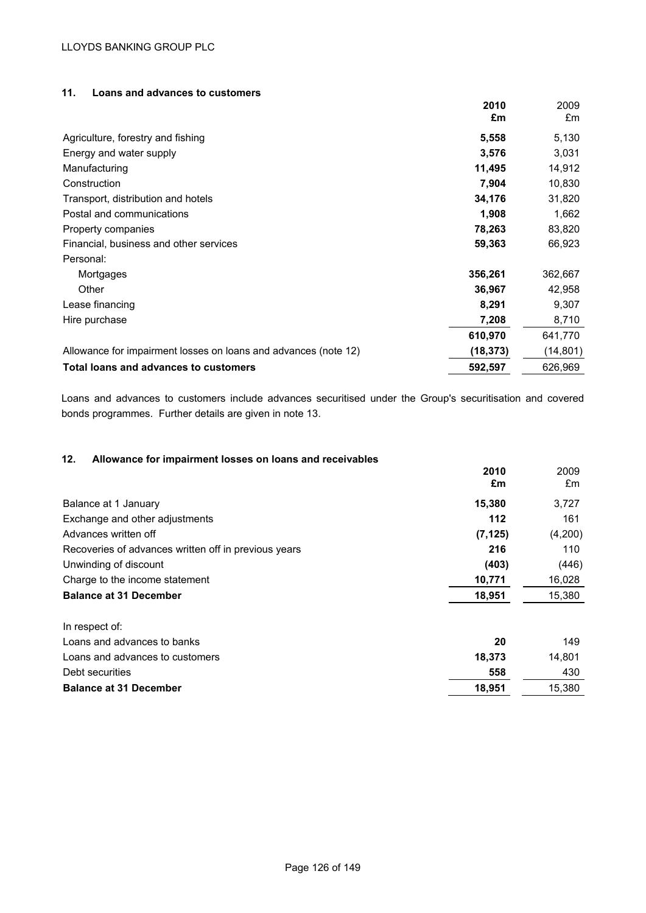### **11. Loans and advances to customers**

| .<br>LUGHS QHU QUVQHUGS LU CUSLUMICIS                           |           |           |
|-----------------------------------------------------------------|-----------|-----------|
|                                                                 | 2010      | 2009      |
|                                                                 | £m        | £m        |
| Agriculture, forestry and fishing                               | 5,558     | 5,130     |
| Energy and water supply                                         | 3,576     | 3,031     |
| Manufacturing                                                   | 11,495    | 14,912    |
| Construction                                                    | 7,904     | 10,830    |
| Transport, distribution and hotels                              | 34,176    | 31,820    |
| Postal and communications                                       | 1,908     | 1,662     |
| Property companies                                              | 78,263    | 83,820    |
| Financial, business and other services                          | 59,363    | 66,923    |
| Personal:                                                       |           |           |
| Mortgages                                                       | 356,261   | 362,667   |
| Other                                                           | 36,967    | 42,958    |
| Lease financing                                                 | 8,291     | 9,307     |
| Hire purchase                                                   | 7,208     | 8,710     |
|                                                                 | 610,970   | 641,770   |
| Allowance for impairment losses on loans and advances (note 12) | (18, 373) | (14, 801) |
| Total loans and advances to customers                           | 592,597   | 626.969   |

Loans and advances to customers include advances securitised under the Group's securitisation and covered bonds programmes. Further details are given in note 13.

### **12. Allowance for impairment losses on loans and receivables**

| THIS HANDS TOT IMPAILMONT ROODSO ON TOANS AND TOOSTTANIOS | 2010<br>£m | 2009<br>£m |
|-----------------------------------------------------------|------------|------------|
| Balance at 1 January                                      | 15,380     | 3,727      |
| Exchange and other adjustments                            | 112        | 161        |
| Advances written off                                      | (7, 125)   | (4,200)    |
| Recoveries of advances written off in previous years      | 216        | 110        |
| Unwinding of discount                                     | (403)      | (446)      |
| Charge to the income statement                            | 10,771     | 16,028     |
| <b>Balance at 31 December</b>                             | 18,951     | 15,380     |
| In respect of:                                            |            |            |
| Loans and advances to banks                               | 20         | 149        |
| Loans and advances to customers                           | 18,373     | 14,801     |
| Debt securities                                           | 558        | 430        |
| <b>Balance at 31 December</b>                             | 18,951     | 15,380     |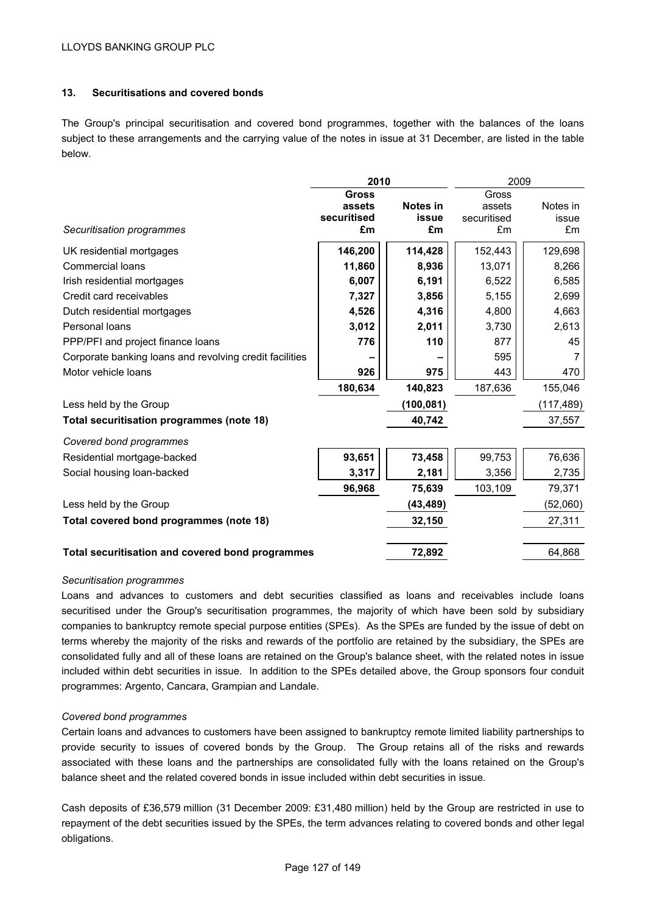### **13. Securitisations and covered bonds**

The Group's principal securitisation and covered bond programmes, together with the balances of the loans subject to these arrangements and the carrying value of the notes in issue at 31 December, are listed in the table below.

|                                                         | 2010                  |                   | 2009                  |                   |
|---------------------------------------------------------|-----------------------|-------------------|-----------------------|-------------------|
|                                                         | <b>Gross</b>          |                   | Gross                 |                   |
|                                                         | assets<br>securitised | Notes in<br>issue | assets<br>securitised | Notes in<br>issue |
| Securitisation programmes                               | £m                    | £m                | £m                    | £m                |
| UK residential mortgages                                | 146,200               | 114,428           | 152,443               | 129,698           |
| Commercial loans                                        | 11,860                | 8,936             | 13,071                | 8,266             |
| Irish residential mortgages                             | 6,007                 | 6,191             | 6,522                 | 6,585             |
| Credit card receivables                                 | 7,327                 | 3,856             | 5,155                 | 2,699             |
| Dutch residential mortgages                             | 4,526                 | 4,316             | 4,800                 | 4,663             |
| Personal loans                                          | 3,012                 | 2,011             | 3,730                 | 2,613             |
| PPP/PFI and project finance loans                       | 776                   | 110               | 877                   | 45                |
| Corporate banking loans and revolving credit facilities |                       |                   | 595                   |                   |
| Motor vehicle loans                                     | 926                   | 975               | 443                   | 470               |
|                                                         | 180,634               | 140,823           | 187,636               | 155,046           |
| Less held by the Group                                  |                       | (100, 081)        |                       | (117, 489)        |
| Total securitisation programmes (note 18)               |                       | 40,742            |                       | 37,557            |
| Covered bond programmes                                 |                       |                   |                       |                   |
| Residential mortgage-backed                             | 93,651                | 73,458            | 99,753                | 76,636            |
| Social housing loan-backed                              | 3,317                 | 2,181             | 3,356                 | 2,735             |
|                                                         | 96,968                | 75,639            | 103,109               | 79,371            |
| Less held by the Group                                  |                       | (43, 489)         |                       | (52,060)          |
| Total covered bond programmes (note 18)                 |                       | 32,150            |                       | 27,311            |
| Total securitisation and covered bond programmes        |                       | 72,892            |                       | 64,868            |

#### *Securitisation programmes*

Loans and advances to customers and debt securities classified as loans and receivables include loans securitised under the Group's securitisation programmes, the majority of which have been sold by subsidiary companies to bankruptcy remote special purpose entities (SPEs). As the SPEs are funded by the issue of debt on terms whereby the majority of the risks and rewards of the portfolio are retained by the subsidiary, the SPEs are consolidated fully and all of these loans are retained on the Group's balance sheet, with the related notes in issue included within debt securities in issue. In addition to the SPEs detailed above, the Group sponsors four conduit programmes: Argento, Cancara, Grampian and Landale.

#### *Covered bond programmes*

Certain loans and advances to customers have been assigned to bankruptcy remote limited liability partnerships to provide security to issues of covered bonds by the Group. The Group retains all of the risks and rewards associated with these loans and the partnerships are consolidated fully with the loans retained on the Group's balance sheet and the related covered bonds in issue included within debt securities in issue.

Cash deposits of £36,579 million (31 December 2009: £31,480 million) held by the Group are restricted in use to repayment of the debt securities issued by the SPEs, the term advances relating to covered bonds and other legal obligations.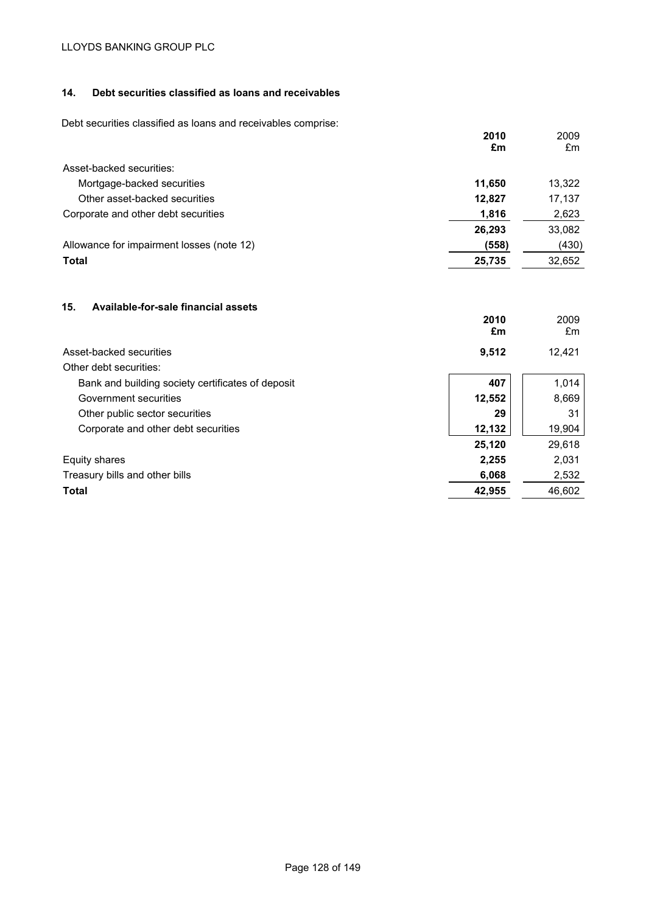# LLOYDS BANKING GROUP PLC

## **14. Debt securities classified as loans and receivables**

Debt securities classified as loans and receivables comprise:

|                                           | 2010<br>£m | 2009<br>£m |
|-------------------------------------------|------------|------------|
| Asset-backed securities:                  |            |            |
| Mortgage-backed securities                | 11,650     | 13,322     |
| Other asset-backed securities             | 12,827     | 17,137     |
| Corporate and other debt securities       | 1,816      | 2,623      |
|                                           | 26,293     | 33,082     |
| Allowance for impairment losses (note 12) | (558)      | (430)      |
| <b>Total</b>                              | 25,735     | 32,652     |

## **15. Available-for-sale financial assets**

|                                                   | 2010<br>£m | 2009<br>£m |
|---------------------------------------------------|------------|------------|
| Asset-backed securities                           | 9,512      | 12,421     |
| Other debt securities:                            |            |            |
| Bank and building society certificates of deposit | 407        | 1,014      |
| Government securities                             | 12,552     | 8,669      |
| Other public sector securities                    | 29         | 31         |
| Corporate and other debt securities               | 12,132     | 19,904     |
|                                                   | 25,120     | 29,618     |
| Equity shares                                     | 2,255      | 2,031      |
| Treasury bills and other bills                    | 6,068      | 2,532      |
| <b>Total</b>                                      | 42,955     | 46,602     |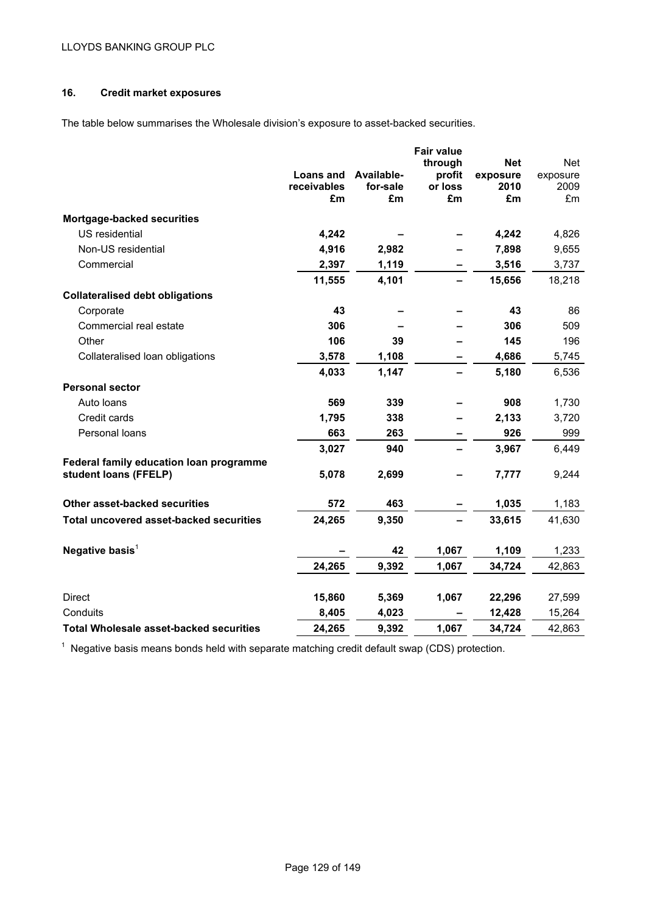# **16. Credit market exposures**

The table below summarises the Wholesale division's exposure to asset-backed securities.

| <b>Net</b><br>through<br>Available-<br>Loans and<br>profit<br>exposure<br>2010<br>receivables<br>for-sale<br>or loss<br>£m<br>£m<br>£m<br>£m | Net<br>exposure<br>2009<br>£m<br>4,826<br>9,655 |
|----------------------------------------------------------------------------------------------------------------------------------------------|-------------------------------------------------|
|                                                                                                                                              |                                                 |
|                                                                                                                                              |                                                 |
|                                                                                                                                              |                                                 |
|                                                                                                                                              |                                                 |
| Mortgage-backed securities                                                                                                                   |                                                 |
| US residential<br>4,242<br>4,242                                                                                                             |                                                 |
| Non-US residential<br>4,916<br>2,982<br>7,898                                                                                                |                                                 |
| Commercial<br>2,397<br>1,119<br>3,516                                                                                                        | 3,737                                           |
| 11,555<br>4,101<br>15,656                                                                                                                    | 18,218                                          |
| <b>Collateralised debt obligations</b>                                                                                                       |                                                 |
| 43<br>43<br>Corporate                                                                                                                        | 86                                              |
| 306<br>Commercial real estate<br>306                                                                                                         | 509                                             |
| 106<br>145<br>Other<br>39                                                                                                                    | 196                                             |
| Collateralised loan obligations<br>4,686<br>3,578<br>1,108                                                                                   | 5,745                                           |
| 4,033<br>1,147<br>5,180                                                                                                                      | 6,536                                           |
| <b>Personal sector</b>                                                                                                                       |                                                 |
| 569<br>Auto Ioans<br>339<br>908                                                                                                              | 1,730                                           |
| 1,795<br>2,133<br>Credit cards<br>338                                                                                                        | 3,720                                           |
| 663<br>Personal loans<br>263<br>926                                                                                                          | 999                                             |
| 3,027<br>940<br>3,967                                                                                                                        | 6,449                                           |
| Federal family education loan programme                                                                                                      |                                                 |
| student loans (FFELP)<br>5,078<br>2,699<br>7,777                                                                                             | 9,244                                           |
| 572<br>463<br><b>Other asset-backed securities</b>                                                                                           |                                                 |
| 1,035                                                                                                                                        | 1,183                                           |
| <b>Total uncovered asset-backed securities</b><br>24,265<br>9,350<br>33,615                                                                  | 41,630                                          |
| Negative basis $1$<br>1,109<br>42<br>1,067                                                                                                   | 1,233                                           |
| 24,265<br>9,392<br>1,067<br>34,724                                                                                                           | 42,863                                          |
|                                                                                                                                              |                                                 |
| 15,860<br>1,067<br><b>Direct</b><br>5,369<br>22,296                                                                                          | 27,599                                          |
| Conduits<br>8,405<br>4,023<br>12,428                                                                                                         | 15,264                                          |
| 24,265<br>9,392<br>1,067<br>34,724<br><b>Total Wholesale asset-backed securities</b>                                                         | 42,863                                          |

<sup>1</sup> Negative basis means bonds held with separate matching credit default swap (CDS) protection.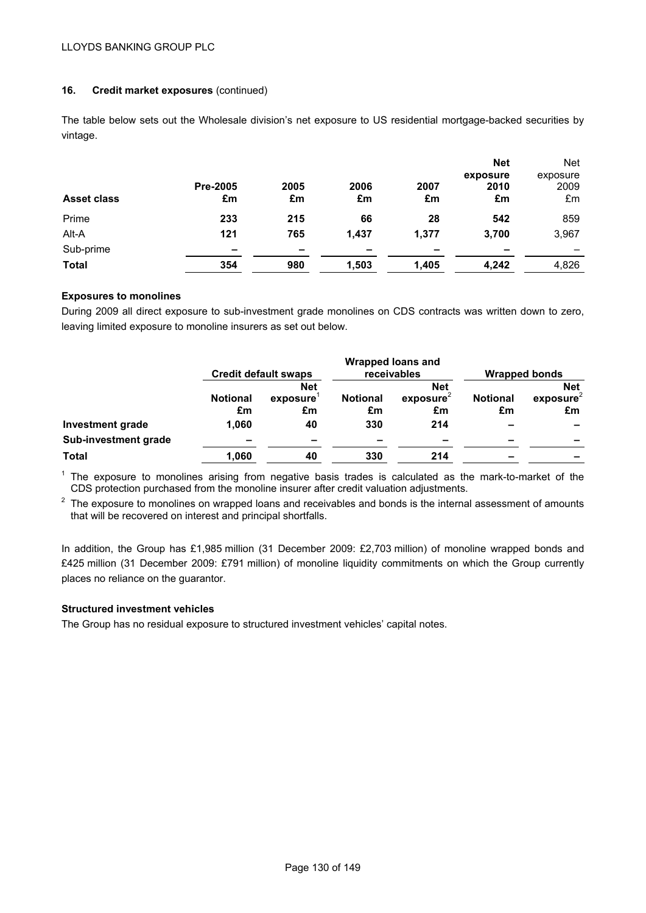### **16. Credit market exposures** (continued)

The table below sets out the Wholesale division's net exposure to US residential mortgage-backed securities by vintage.

|                    |                 |                          |       |       | <b>Net</b> | <b>Net</b> |
|--------------------|-----------------|--------------------------|-------|-------|------------|------------|
|                    |                 |                          |       |       | exposure   | exposure   |
|                    | <b>Pre-2005</b> | 2005                     | 2006  | 2007  | 2010       | 2009       |
| <b>Asset class</b> | £m              | £m                       | £m    | £m    | £m         | £m         |
| Prime              | 233             | 215                      | 66    | 28    | 542        | 859        |
| Alt-A              | 121             | 765                      | 1.437 | 1,377 | 3,700      | 3,967      |
| Sub-prime          | -               | $\overline{\phantom{a}}$ | -     |       |            |            |
| <b>Total</b>       | 354             | 980                      | 1,503 | 1.405 | 4.242      | 4,826      |

### **Exposures to monolines**

During 2009 all direct exposure to sub-investment grade monolines on CDS contracts was written down to zero, leaving limited exposure to monoline insurers as set out below.

|                      |                       | <b>Wrapped loans and</b><br>receivables<br><b>Credit default swaps</b> |                       |                                                      |                       | <b>Wrapped bonds</b>                                 |
|----------------------|-----------------------|------------------------------------------------------------------------|-----------------------|------------------------------------------------------|-----------------------|------------------------------------------------------|
|                      | <b>Notional</b><br>£m | <b>Net</b><br>exposure<br>£m                                           | <b>Notional</b><br>£m | <b>Net</b><br>$\mathsf{exposure}^{\mathsf{c}}$<br>£m | <b>Notional</b><br>£m | <b>Net</b><br>$\mathsf{exposure}^{\mathsf{c}}$<br>£m |
| Investment grade     | 1.060                 | 40                                                                     | 330                   | 214                                                  |                       |                                                      |
| Sub-investment grade |                       | -                                                                      |                       |                                                      | -                     | -                                                    |
| <b>Total</b>         | 1,060                 | 40                                                                     | 330                   | 214                                                  | -                     | -                                                    |

 $1$  The exposure to monolines arising from negative basis trades is calculated as the mark-to-market of the

CDS protection purchased from the monoline insurer after credit valuation adjustments.<br><sup>2</sup> The exposure to monolines on wrapped loans and receivables and bonds is the internal assessment of amounts that will be recovered on interest and principal shortfalls.

In addition, the Group has £1,985 million (31 December 2009: £2,703 million) of monoline wrapped bonds and £425 million (31 December 2009: £791 million) of monoline liquidity commitments on which the Group currently places no reliance on the guarantor.

### **Structured investment vehicles**

The Group has no residual exposure to structured investment vehicles' capital notes.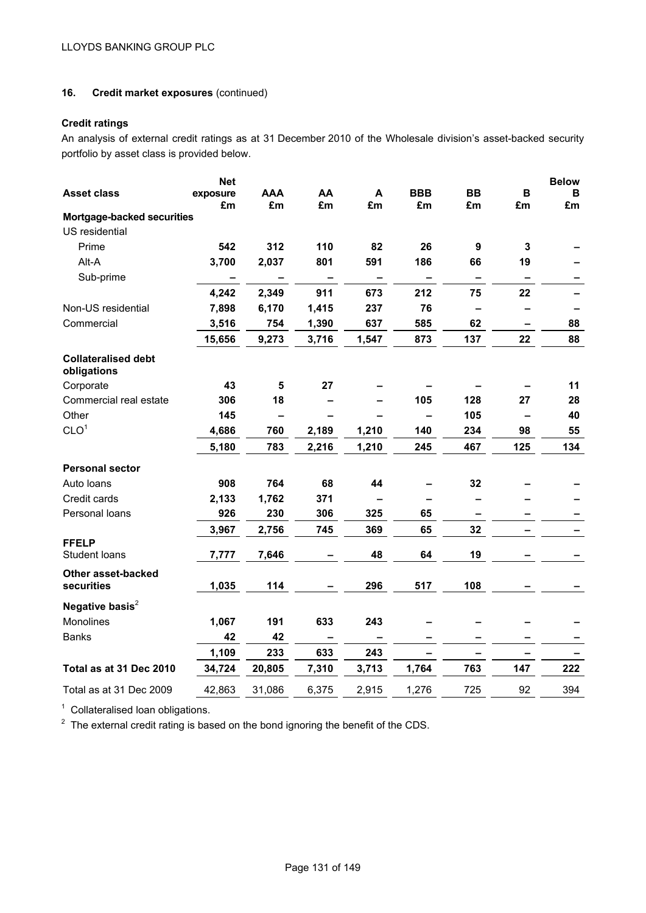# **16. Credit market exposures** (continued)

# **Credit ratings**

An analysis of external credit ratings as at 31 December 2010 of the Wholesale division's asset-backed security portfolio by asset class is provided below.

| <b>Asset class</b>                        | <b>Net</b><br>exposure<br>£m | <b>AAA</b><br>£m | AA<br>£m | A<br>£m | <b>BBB</b><br>£m | <b>BB</b><br>£m  | B<br>£m                  | <b>Below</b><br>В<br>£m |
|-------------------------------------------|------------------------------|------------------|----------|---------|------------------|------------------|--------------------------|-------------------------|
| Mortgage-backed securities                |                              |                  |          |         |                  |                  |                          |                         |
| US residential                            |                              |                  |          |         |                  |                  |                          |                         |
| Prime                                     | 542                          | 312              | 110      | 82      | 26               | $\boldsymbol{9}$ | 3                        |                         |
| Alt-A                                     | 3,700                        | 2,037            | 801      | 591     | 186              | 66               | 19                       |                         |
| Sub-prime                                 |                              |                  |          |         |                  | -                |                          |                         |
|                                           | 4,242                        | 2,349            | 911      | 673     | 212              | 75               | 22                       |                         |
| Non-US residential                        | 7,898                        | 6,170            | 1,415    | 237     | 76               |                  |                          |                         |
| Commercial                                | 3,516                        | 754              | 1,390    | 637     | 585              | 62               | -                        | 88                      |
|                                           | 15,656                       | 9,273            | 3,716    | 1,547   | 873              | 137              | 22                       | 88                      |
| <b>Collateralised debt</b><br>obligations |                              |                  |          |         |                  |                  |                          |                         |
| Corporate                                 | 43                           | $5\phantom{a}$   | 27       |         |                  |                  |                          | 11                      |
| Commercial real estate                    | 306                          | 18               |          |         | 105              | 128              | 27                       | 28                      |
| Other                                     | 145                          |                  |          |         |                  | 105              | $\overline{\phantom{0}}$ | 40                      |
| CLO <sup>1</sup>                          | 4,686                        | 760              | 2,189    | 1,210   | 140              | 234              | 98                       | 55                      |
|                                           | 5,180                        | 783              | 2,216    | 1,210   | 245              | 467              | 125                      | 134                     |
| <b>Personal sector</b>                    |                              |                  |          |         |                  |                  |                          |                         |
| Auto Ioans                                | 908                          | 764              | 68       | 44      |                  | 32               |                          |                         |
| Credit cards                              | 2,133                        | 1,762            | 371      |         |                  |                  |                          |                         |
| Personal loans                            | 926                          | 230              | 306      | 325     | 65               |                  |                          |                         |
|                                           | 3,967                        | 2,756            | 745      | 369     | 65               | 32               |                          |                         |
| <b>FFELP</b><br>Student loans             | 7,777                        | 7,646            |          | 48      | 64               | 19               |                          |                         |
| Other asset-backed                        |                              |                  |          |         |                  |                  |                          |                         |
| securities                                | 1,035                        | 114              |          | 296     | 517              | 108              |                          |                         |
| Negative basis $2$                        |                              |                  |          |         |                  |                  |                          |                         |
| Monolines                                 | 1,067                        | 191              | 633      | 243     |                  |                  |                          |                         |
| <b>Banks</b>                              | 42                           | 42               |          |         |                  |                  |                          |                         |
|                                           | 1,109                        | 233              | 633      | 243     |                  |                  |                          |                         |
| Total as at 31 Dec 2010                   | 34,724                       | 20,805           | 7,310    | 3,713   | 1,764            | 763              | 147                      | 222                     |
| Total as at 31 Dec 2009                   | 42,863                       | 31,086           | 6,375    | 2,915   | 1,276            | 725              | 92                       | 394                     |

<sup>1</sup> Collateralised loan obligations.

<sup>2</sup> The external credit rating is based on the bond ignoring the benefit of the CDS.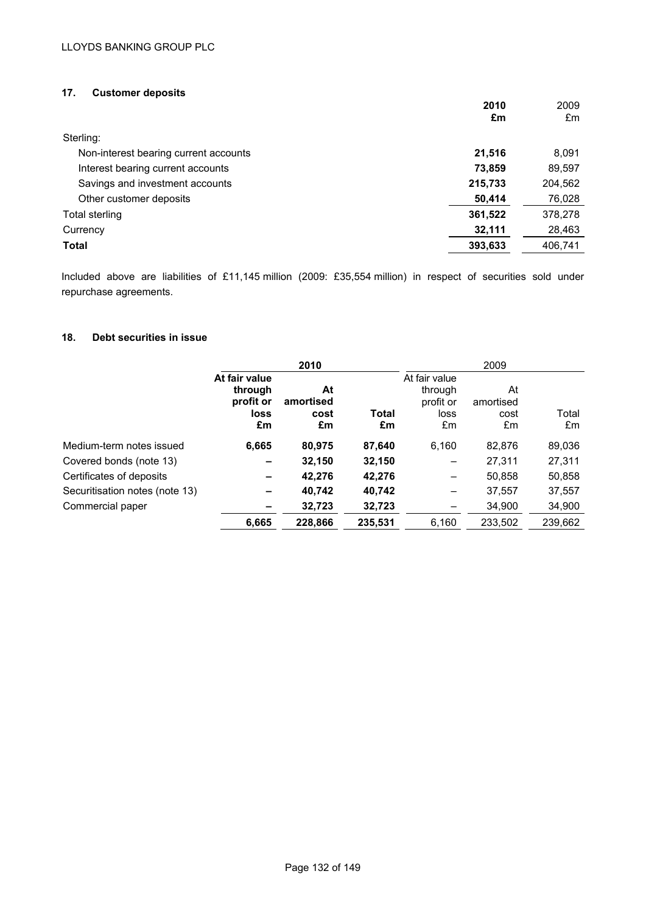# **17. Customer deposits**

|                                       | 2010<br>£m | 2009<br>£m |
|---------------------------------------|------------|------------|
| Sterling:                             |            |            |
| Non-interest bearing current accounts | 21,516     | 8,091      |
| Interest bearing current accounts     | 73,859     | 89,597     |
| Savings and investment accounts       | 215,733    | 204,562    |
| Other customer deposits               | 50,414     | 76,028     |
| Total sterling                        | 361,522    | 378,278    |
| Currency                              | 32,111     | 28,463     |
| <b>Total</b>                          | 393,633    | 406,741    |

Included above are liabilities of £11,145 million (2009: £35,554 million) in respect of securities sold under repurchase agreements.

### **18. Debt securities in issue**

|                                |                                                     | 2010                          |             |                                                     | 2009                          |             |
|--------------------------------|-----------------------------------------------------|-------------------------------|-------------|-----------------------------------------------------|-------------------------------|-------------|
|                                | At fair value<br>through<br>profit or<br>loss<br>£m | At<br>amortised<br>cost<br>£m | Total<br>£m | At fair value<br>through<br>profit or<br>loss<br>£m | At<br>amortised<br>cost<br>£m | Total<br>£m |
| Medium-term notes issued       | 6,665                                               | 80,975                        | 87,640      | 6.160                                               | 82.876                        | 89,036      |
| Covered bonds (note 13)        |                                                     | 32,150                        | 32,150      |                                                     | 27,311                        | 27,311      |
| Certificates of deposits       | $\overline{\phantom{0}}$                            | 42,276                        | 42,276      |                                                     | 50.858                        | 50,858      |
| Securitisation notes (note 13) | -                                                   | 40,742                        | 40,742      |                                                     | 37,557                        | 37,557      |
| Commercial paper               |                                                     | 32,723                        | 32,723      |                                                     | 34.900                        | 34,900      |
|                                | 6,665                                               | 228,866                       | 235,531     | 6,160                                               | 233,502                       | 239,662     |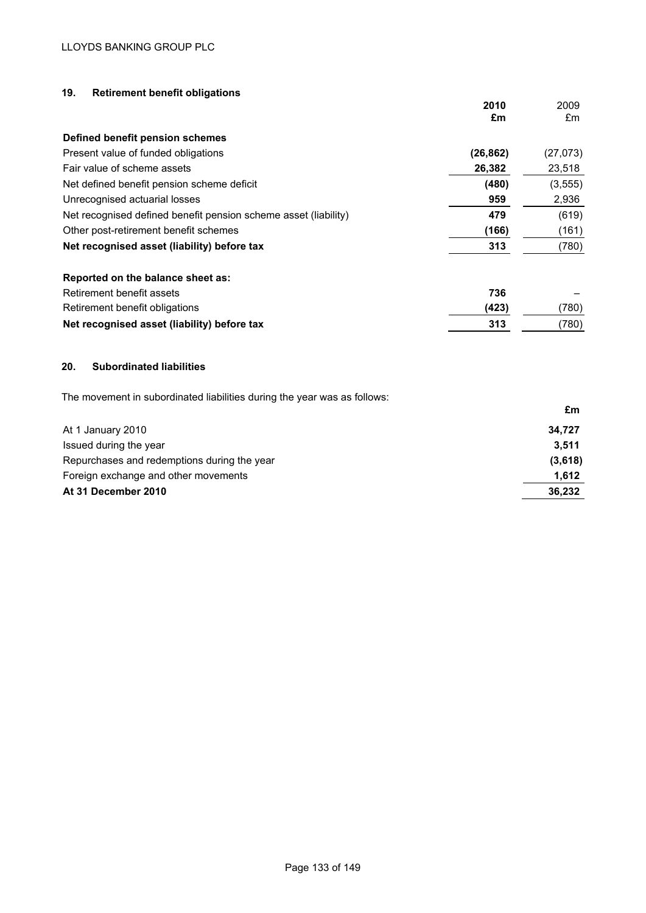# **19. Retirement benefit obligations**

|                                                                 | 2010      | 2009      |
|-----------------------------------------------------------------|-----------|-----------|
|                                                                 | £m        | £m        |
| Defined benefit pension schemes                                 |           |           |
| Present value of funded obligations                             | (26, 862) | (27, 073) |
| Fair value of scheme assets                                     | 26,382    | 23,518    |
| Net defined benefit pension scheme deficit                      | (480)     | (3, 555)  |
| Unrecognised actuarial losses                                   | 959       | 2,936     |
| Net recognised defined benefit pension scheme asset (liability) | 479       | (619)     |
| Other post-retirement benefit schemes                           | (166)     | (161)     |
| Net recognised asset (liability) before tax                     | 313       | (780)     |
| Reported on the balance sheet as:                               |           |           |
| Retirement benefit assets                                       | 736       |           |
| Retirement benefit obligations                                  | (423)     | (780)     |
| Net recognised asset (liability) before tax                     | 313       | (780)     |

# **20. Subordinated liabilities**

The movement in subordinated liabilities during the year was as follows:

|                                             | £m      |
|---------------------------------------------|---------|
| At 1 January 2010                           | 34,727  |
| Issued during the year                      | 3.511   |
| Repurchases and redemptions during the year | (3,618) |
| Foreign exchange and other movements        | 1,612   |
| At 31 December 2010                         | 36,232  |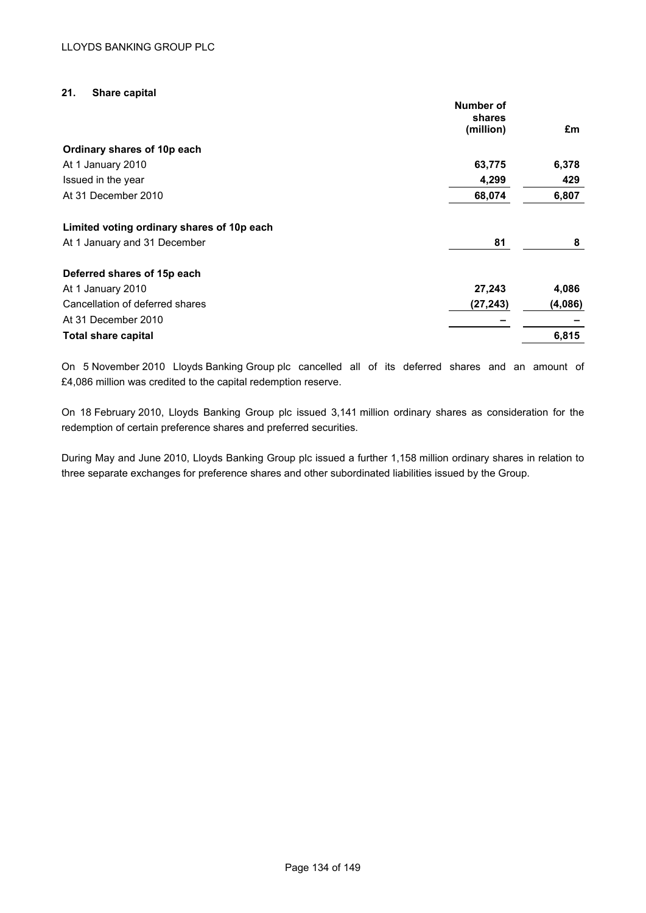### **21. Share capital**

|                                            | Number of |         |
|--------------------------------------------|-----------|---------|
|                                            | shares    |         |
|                                            | (million) | £m      |
| Ordinary shares of 10p each                |           |         |
| At 1 January 2010                          | 63,775    | 6,378   |
| Issued in the year                         | 4,299     | 429     |
| At 31 December 2010                        | 68,074    | 6,807   |
| Limited voting ordinary shares of 10p each |           |         |
| At 1 January and 31 December               | 81        | 8       |
| Deferred shares of 15p each                |           |         |
| At 1 January 2010                          | 27,243    | 4,086   |
| Cancellation of deferred shares            | (27, 243) | (4,086) |
| At 31 December 2010                        |           |         |
| <b>Total share capital</b>                 |           | 6,815   |

On 5 November 2010 Lloyds Banking Group plc cancelled all of its deferred shares and an amount of £4,086 million was credited to the capital redemption reserve.

On 18 February 2010, Lloyds Banking Group plc issued 3,141 million ordinary shares as consideration for the redemption of certain preference shares and preferred securities.

During May and June 2010, Lloyds Banking Group plc issued a further 1,158 million ordinary shares in relation to three separate exchanges for preference shares and other subordinated liabilities issued by the Group.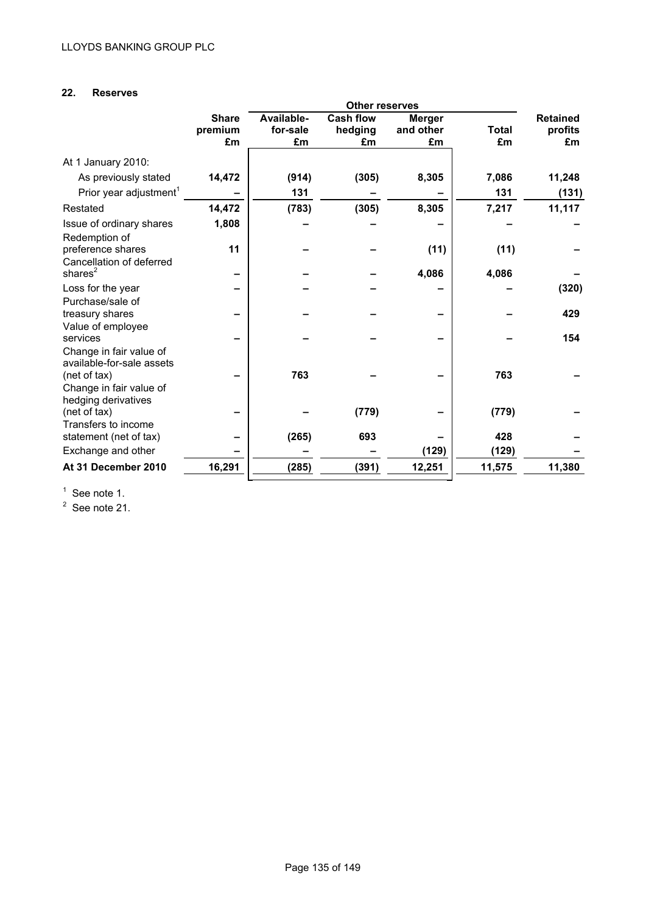# **22. Reserves**

| Available-<br><b>Cash flow</b><br><b>Share</b><br><b>Merger</b><br>premium<br>hedging<br><b>Total</b><br>for-sale<br>and other<br>£m<br>£m<br>£m<br>£m<br>£m<br>At 1 January 2010:<br>7,086<br>14,472<br>(914)<br>(305)<br>8,305<br>As previously stated<br>Prior year adjustment <sup>1</sup><br>131<br>131<br>14,472<br>8,305<br>Restated<br>(783)<br>(305)<br>7,217<br>1,808<br>Issue of ordinary shares<br>Redemption of<br>11<br>preference shares<br>(11)<br>(11)<br>Cancellation of deferred<br>shares $2$<br>4,086<br>4,086<br>Loss for the year<br>Purchase/sale of<br>treasury shares<br>Value of employee<br>services<br>Change in fair value of<br>available-for-sale assets<br>763<br>763<br>(net of tax)<br>Change in fair value of<br>hedging derivatives<br>(779)<br>(779)<br>(net of tax)<br>Transfers to income<br>(265)<br>693<br>428<br>statement (net of tax)<br>Exchange and other<br>(129)<br>(129)<br>At 31 December 2010<br>16,291<br>(285)<br>(391)<br>12,251<br>11,575 |  | <b>Other reserves</b> |  |                                  |
|---------------------------------------------------------------------------------------------------------------------------------------------------------------------------------------------------------------------------------------------------------------------------------------------------------------------------------------------------------------------------------------------------------------------------------------------------------------------------------------------------------------------------------------------------------------------------------------------------------------------------------------------------------------------------------------------------------------------------------------------------------------------------------------------------------------------------------------------------------------------------------------------------------------------------------------------------------------------------------------------------|--|-----------------------|--|----------------------------------|
|                                                                                                                                                                                                                                                                                                                                                                                                                                                                                                                                                                                                                                                                                                                                                                                                                                                                                                                                                                                                   |  |                       |  | <b>Retained</b><br>profits<br>£m |
|                                                                                                                                                                                                                                                                                                                                                                                                                                                                                                                                                                                                                                                                                                                                                                                                                                                                                                                                                                                                   |  |                       |  |                                  |
|                                                                                                                                                                                                                                                                                                                                                                                                                                                                                                                                                                                                                                                                                                                                                                                                                                                                                                                                                                                                   |  |                       |  | 11,248                           |
|                                                                                                                                                                                                                                                                                                                                                                                                                                                                                                                                                                                                                                                                                                                                                                                                                                                                                                                                                                                                   |  |                       |  | (131)                            |
|                                                                                                                                                                                                                                                                                                                                                                                                                                                                                                                                                                                                                                                                                                                                                                                                                                                                                                                                                                                                   |  |                       |  | 11,117                           |
|                                                                                                                                                                                                                                                                                                                                                                                                                                                                                                                                                                                                                                                                                                                                                                                                                                                                                                                                                                                                   |  |                       |  |                                  |
|                                                                                                                                                                                                                                                                                                                                                                                                                                                                                                                                                                                                                                                                                                                                                                                                                                                                                                                                                                                                   |  |                       |  |                                  |
|                                                                                                                                                                                                                                                                                                                                                                                                                                                                                                                                                                                                                                                                                                                                                                                                                                                                                                                                                                                                   |  |                       |  |                                  |
|                                                                                                                                                                                                                                                                                                                                                                                                                                                                                                                                                                                                                                                                                                                                                                                                                                                                                                                                                                                                   |  |                       |  | (320)                            |
|                                                                                                                                                                                                                                                                                                                                                                                                                                                                                                                                                                                                                                                                                                                                                                                                                                                                                                                                                                                                   |  |                       |  | 429                              |
|                                                                                                                                                                                                                                                                                                                                                                                                                                                                                                                                                                                                                                                                                                                                                                                                                                                                                                                                                                                                   |  |                       |  | 154                              |
|                                                                                                                                                                                                                                                                                                                                                                                                                                                                                                                                                                                                                                                                                                                                                                                                                                                                                                                                                                                                   |  |                       |  |                                  |
|                                                                                                                                                                                                                                                                                                                                                                                                                                                                                                                                                                                                                                                                                                                                                                                                                                                                                                                                                                                                   |  |                       |  |                                  |
|                                                                                                                                                                                                                                                                                                                                                                                                                                                                                                                                                                                                                                                                                                                                                                                                                                                                                                                                                                                                   |  |                       |  |                                  |
|                                                                                                                                                                                                                                                                                                                                                                                                                                                                                                                                                                                                                                                                                                                                                                                                                                                                                                                                                                                                   |  |                       |  |                                  |
|                                                                                                                                                                                                                                                                                                                                                                                                                                                                                                                                                                                                                                                                                                                                                                                                                                                                                                                                                                                                   |  |                       |  | 11,380                           |

 $1$  See note 1.

 $2$  See note 21.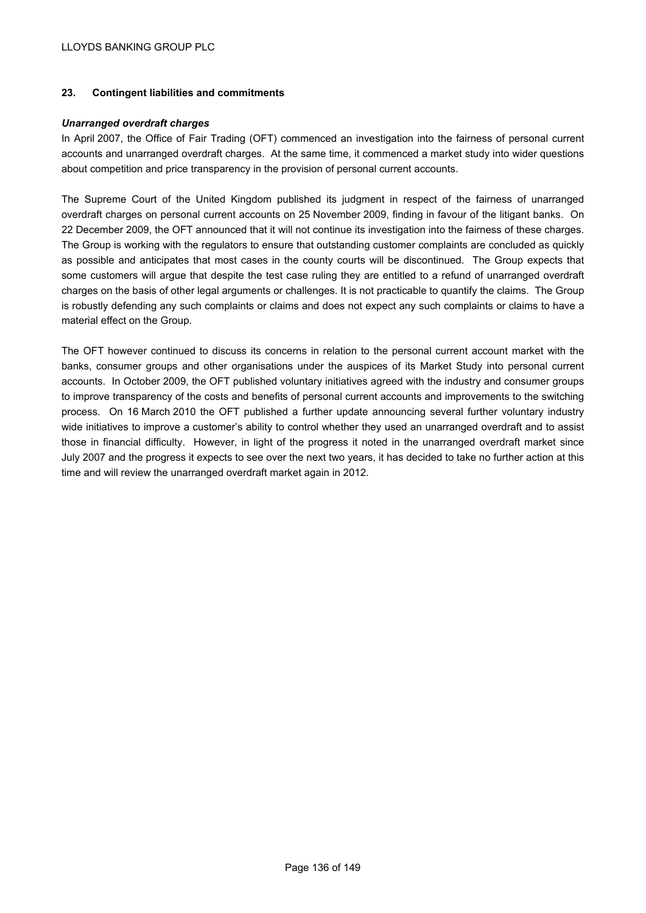### **23. Contingent liabilities and commitments**

### *Unarranged overdraft charges*

In April 2007, the Office of Fair Trading (OFT) commenced an investigation into the fairness of personal current accounts and unarranged overdraft charges. At the same time, it commenced a market study into wider questions about competition and price transparency in the provision of personal current accounts.

The Supreme Court of the United Kingdom published its judgment in respect of the fairness of unarranged overdraft charges on personal current accounts on 25 November 2009, finding in favour of the litigant banks. On 22 December 2009, the OFT announced that it will not continue its investigation into the fairness of these charges. The Group is working with the regulators to ensure that outstanding customer complaints are concluded as quickly as possible and anticipates that most cases in the county courts will be discontinued. The Group expects that some customers will argue that despite the test case ruling they are entitled to a refund of unarranged overdraft charges on the basis of other legal arguments or challenges. It is not practicable to quantify the claims. The Group is robustly defending any such complaints or claims and does not expect any such complaints or claims to have a material effect on the Group.

The OFT however continued to discuss its concerns in relation to the personal current account market with the banks, consumer groups and other organisations under the auspices of its Market Study into personal current accounts. In October 2009, the OFT published voluntary initiatives agreed with the industry and consumer groups to improve transparency of the costs and benefits of personal current accounts and improvements to the switching process. On 16 March 2010 the OFT published a further update announcing several further voluntary industry wide initiatives to improve a customer's ability to control whether they used an unarranged overdraft and to assist those in financial difficulty. However, in light of the progress it noted in the unarranged overdraft market since July 2007 and the progress it expects to see over the next two years, it has decided to take no further action at this time and will review the unarranged overdraft market again in 2012.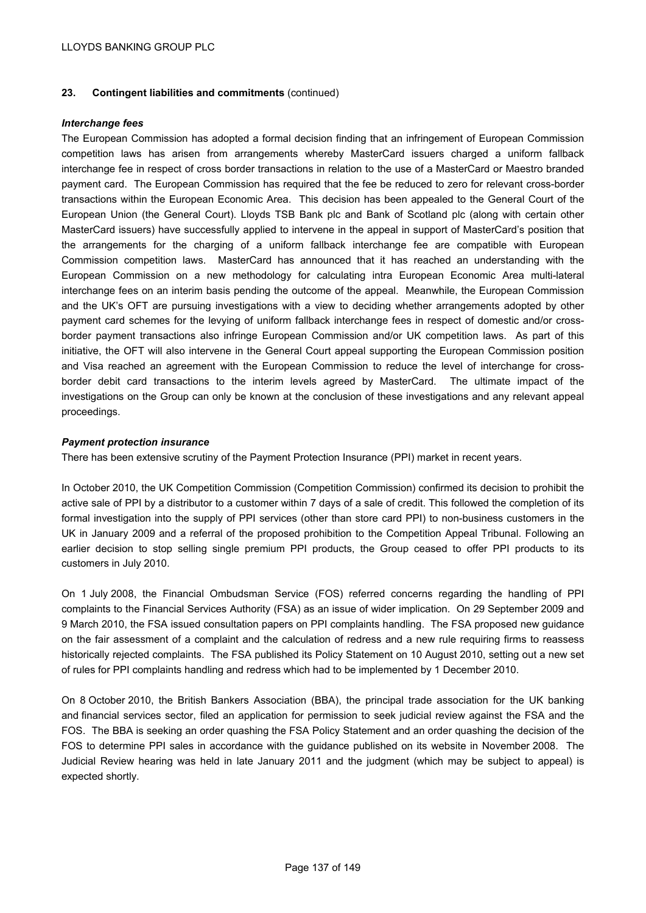#### **23. Contingent liabilities and commitments** (continued)

#### *Interchange fees*

The European Commission has adopted a formal decision finding that an infringement of European Commission competition laws has arisen from arrangements whereby MasterCard issuers charged a uniform fallback interchange fee in respect of cross border transactions in relation to the use of a MasterCard or Maestro branded payment card. The European Commission has required that the fee be reduced to zero for relevant cross-border transactions within the European Economic Area. This decision has been appealed to the General Court of the European Union (the General Court). Lloyds TSB Bank plc and Bank of Scotland plc (along with certain other MasterCard issuers) have successfully applied to intervene in the appeal in support of MasterCard's position that the arrangements for the charging of a uniform fallback interchange fee are compatible with European Commission competition laws. MasterCard has announced that it has reached an understanding with the European Commission on a new methodology for calculating intra European Economic Area multi-lateral interchange fees on an interim basis pending the outcome of the appeal. Meanwhile, the European Commission and the UK's OFT are pursuing investigations with a view to deciding whether arrangements adopted by other payment card schemes for the levying of uniform fallback interchange fees in respect of domestic and/or crossborder payment transactions also infringe European Commission and/or UK competition laws. As part of this initiative, the OFT will also intervene in the General Court appeal supporting the European Commission position and Visa reached an agreement with the European Commission to reduce the level of interchange for crossborder debit card transactions to the interim levels agreed by MasterCard. The ultimate impact of the investigations on the Group can only be known at the conclusion of these investigations and any relevant appeal proceedings.

#### *Payment protection insurance*

There has been extensive scrutiny of the Payment Protection Insurance (PPI) market in recent years.

In October 2010, the UK Competition Commission (Competition Commission) confirmed its decision to prohibit the active sale of PPI by a distributor to a customer within 7 days of a sale of credit. This followed the completion of its formal investigation into the supply of PPI services (other than store card PPI) to non-business customers in the UK in January 2009 and a referral of the proposed prohibition to the Competition Appeal Tribunal. Following an earlier decision to stop selling single premium PPI products, the Group ceased to offer PPI products to its customers in July 2010.

On 1 July 2008, the Financial Ombudsman Service (FOS) referred concerns regarding the handling of PPI complaints to the Financial Services Authority (FSA) as an issue of wider implication. On 29 September 2009 and 9 March 2010, the FSA issued consultation papers on PPI complaints handling. The FSA proposed new guidance on the fair assessment of a complaint and the calculation of redress and a new rule requiring firms to reassess historically rejected complaints. The FSA published its Policy Statement on 10 August 2010, setting out a new set of rules for PPI complaints handling and redress which had to be implemented by 1 December 2010.

On 8 October 2010, the British Bankers Association (BBA), the principal trade association for the UK banking and financial services sector, filed an application for permission to seek judicial review against the FSA and the FOS. The BBA is seeking an order quashing the FSA Policy Statement and an order quashing the decision of the FOS to determine PPI sales in accordance with the guidance published on its website in November 2008. The Judicial Review hearing was held in late January 2011 and the judgment (which may be subject to appeal) is expected shortly.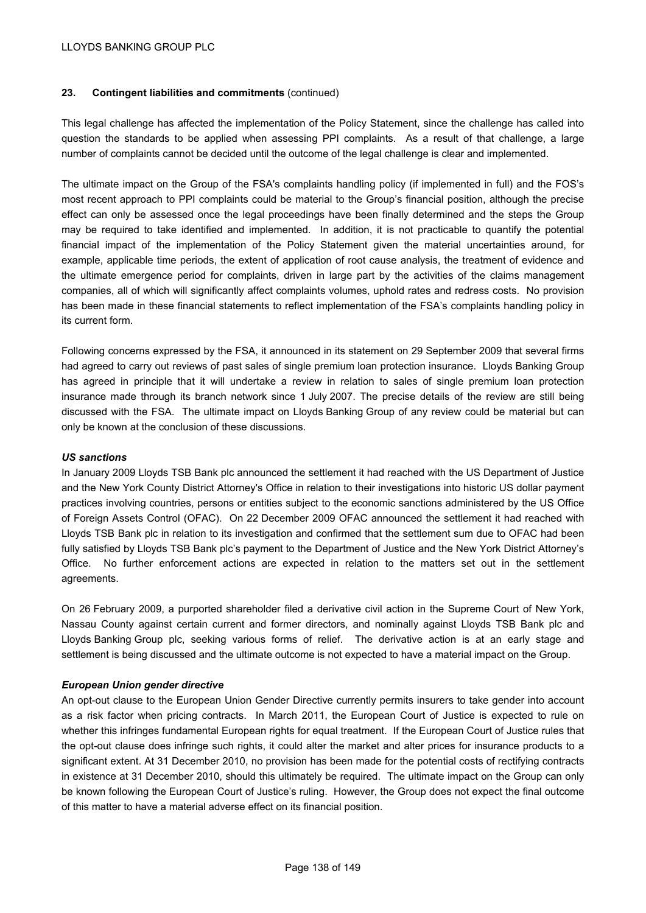#### LLOYDS BANKING GROUP PLC

#### **23. Contingent liabilities and commitments** (continued)

This legal challenge has affected the implementation of the Policy Statement, since the challenge has called into question the standards to be applied when assessing PPI complaints. As a result of that challenge, a large number of complaints cannot be decided until the outcome of the legal challenge is clear and implemented.

The ultimate impact on the Group of the FSA's complaints handling policy (if implemented in full) and the FOS's most recent approach to PPI complaints could be material to the Group's financial position, although the precise effect can only be assessed once the legal proceedings have been finally determined and the steps the Group may be required to take identified and implemented. In addition, it is not practicable to quantify the potential financial impact of the implementation of the Policy Statement given the material uncertainties around, for example, applicable time periods, the extent of application of root cause analysis, the treatment of evidence and the ultimate emergence period for complaints, driven in large part by the activities of the claims management companies, all of which will significantly affect complaints volumes, uphold rates and redress costs. No provision has been made in these financial statements to reflect implementation of the FSA's complaints handling policy in its current form.

Following concerns expressed by the FSA, it announced in its statement on 29 September 2009 that several firms had agreed to carry out reviews of past sales of single premium loan protection insurance. Lloyds Banking Group has agreed in principle that it will undertake a review in relation to sales of single premium loan protection insurance made through its branch network since 1 July 2007. The precise details of the review are still being discussed with the FSA. The ultimate impact on Lloyds Banking Group of any review could be material but can only be known at the conclusion of these discussions.

#### *US sanctions*

In January 2009 Lloyds TSB Bank plc announced the settlement it had reached with the US Department of Justice and the New York County District Attorney's Office in relation to their investigations into historic US dollar payment practices involving countries, persons or entities subject to the economic sanctions administered by the US Office of Foreign Assets Control (OFAC). On 22 December 2009 OFAC announced the settlement it had reached with Lloyds TSB Bank plc in relation to its investigation and confirmed that the settlement sum due to OFAC had been fully satisfied by Lloyds TSB Bank plc's payment to the Department of Justice and the New York District Attorney's Office. No further enforcement actions are expected in relation to the matters set out in the settlement agreements.

On 26 February 2009, a purported shareholder filed a derivative civil action in the Supreme Court of New York, Nassau County against certain current and former directors, and nominally against Lloyds TSB Bank plc and Lloyds Banking Group plc, seeking various forms of relief. The derivative action is at an early stage and settlement is being discussed and the ultimate outcome is not expected to have a material impact on the Group.

#### *European Union gender directive*

An opt-out clause to the European Union Gender Directive currently permits insurers to take gender into account as a risk factor when pricing contracts. In March 2011, the European Court of Justice is expected to rule on whether this infringes fundamental European rights for equal treatment. If the European Court of Justice rules that the opt-out clause does infringe such rights, it could alter the market and alter prices for insurance products to a significant extent. At 31 December 2010, no provision has been made for the potential costs of rectifying contracts in existence at 31 December 2010, should this ultimately be required. The ultimate impact on the Group can only be known following the European Court of Justice's ruling. However, the Group does not expect the final outcome of this matter to have a material adverse effect on its financial position.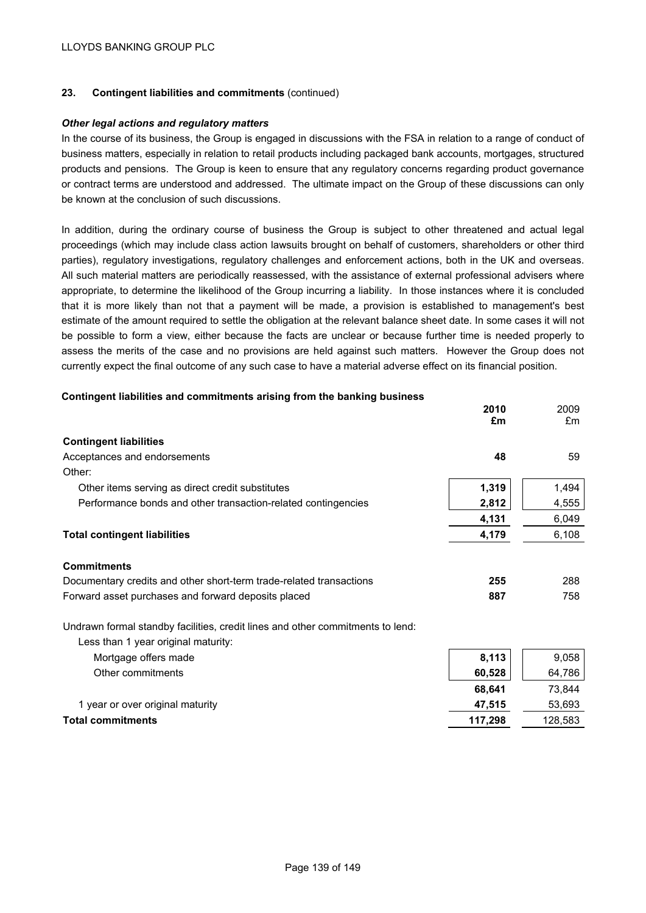### **23. Contingent liabilities and commitments** (continued)

#### *Other legal actions and regulatory matters*

In the course of its business, the Group is engaged in discussions with the FSA in relation to a range of conduct of business matters, especially in relation to retail products including packaged bank accounts, mortgages, structured products and pensions. The Group is keen to ensure that any regulatory concerns regarding product governance or contract terms are understood and addressed. The ultimate impact on the Group of these discussions can only be known at the conclusion of such discussions.

In addition, during the ordinary course of business the Group is subject to other threatened and actual legal proceedings (which may include class action lawsuits brought on behalf of customers, shareholders or other third parties), regulatory investigations, regulatory challenges and enforcement actions, both in the UK and overseas. All such material matters are periodically reassessed, with the assistance of external professional advisers where appropriate, to determine the likelihood of the Group incurring a liability. In those instances where it is concluded that it is more likely than not that a payment will be made, a provision is established to management's best estimate of the amount required to settle the obligation at the relevant balance sheet date. In some cases it will not be possible to form a view, either because the facts are unclear or because further time is needed properly to assess the merits of the case and no provisions are held against such matters. However the Group does not currently expect the final outcome of any such case to have a material adverse effect on its financial position.

|                                                                                                                       | 2010<br>£m | 2009<br>£m |
|-----------------------------------------------------------------------------------------------------------------------|------------|------------|
|                                                                                                                       |            |            |
| <b>Contingent liabilities</b>                                                                                         |            |            |
| Acceptances and endorsements                                                                                          | 48         | 59         |
| Other:                                                                                                                |            |            |
| Other items serving as direct credit substitutes                                                                      | 1,319      | 1,494      |
| Performance bonds and other transaction-related contingencies                                                         | 2,812      | 4,555      |
|                                                                                                                       | 4,131      | 6,049      |
| <b>Total contingent liabilities</b>                                                                                   | 4,179      | 6,108      |
| <b>Commitments</b>                                                                                                    |            |            |
| Documentary credits and other short-term trade-related transactions                                                   | 255        | 288        |
| Forward asset purchases and forward deposits placed                                                                   | 887        | 758        |
| Undrawn formal standby facilities, credit lines and other commitments to lend:<br>Less than 1 year original maturity: |            |            |
| Mortgage offers made                                                                                                  | 8,113      | 9,058      |
| Other commitments                                                                                                     | 60,528     | 64,786     |
|                                                                                                                       | 68,641     | 73,844     |
| 1 year or over original maturity                                                                                      | 47,515     | 53,693     |
| <b>Total commitments</b>                                                                                              | 117,298    | 128,583    |
|                                                                                                                       |            |            |

#### **Contingent liabilities and commitments arising from the banking business**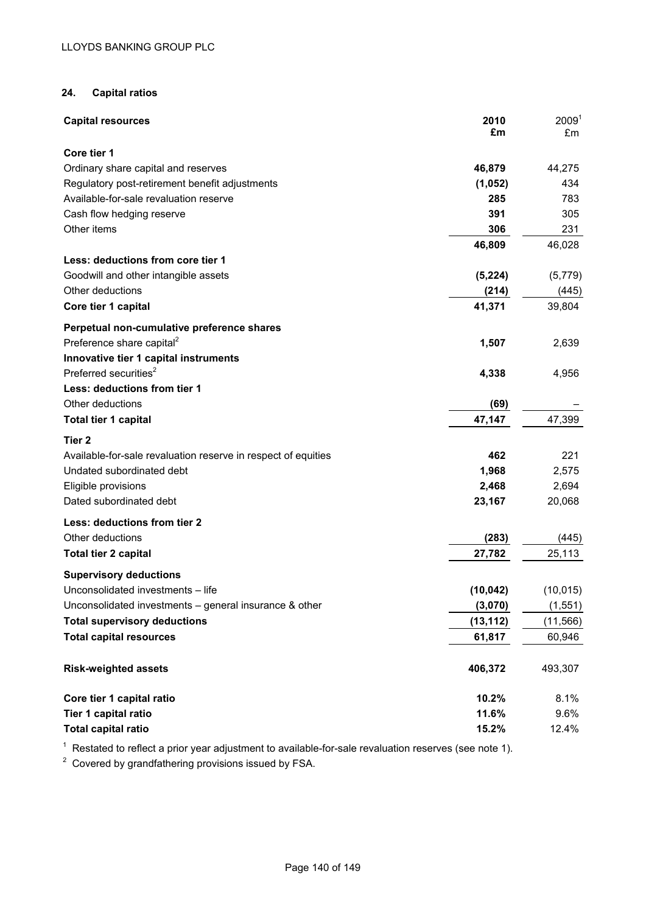# **24. Capital ratios**

| <b>Capital resources</b>                                                            | 2010<br>£m | 2009 <sup>1</sup><br>£m |
|-------------------------------------------------------------------------------------|------------|-------------------------|
| Core tier 1                                                                         |            |                         |
| Ordinary share capital and reserves                                                 | 46,879     | 44,275                  |
| Regulatory post-retirement benefit adjustments                                      | (1,052)    | 434                     |
| Available-for-sale revaluation reserve                                              | 285        | 783                     |
| Cash flow hedging reserve                                                           | 391        | 305                     |
| Other items                                                                         | 306        | 231                     |
|                                                                                     | 46,809     | 46,028                  |
| Less: deductions from core tier 1                                                   |            |                         |
| Goodwill and other intangible assets                                                | (5, 224)   | (5,779)                 |
| Other deductions                                                                    | (214)      | (445)                   |
| Core tier 1 capital                                                                 | 41,371     | 39,804                  |
|                                                                                     |            |                         |
| Perpetual non-cumulative preference shares<br>Preference share capital <sup>2</sup> | 1,507      | 2,639                   |
| Innovative tier 1 capital instruments                                               |            |                         |
| Preferred securities <sup>2</sup>                                                   | 4,338      | 4,956                   |
| Less: deductions from tier 1                                                        |            |                         |
| Other deductions                                                                    | (69)       |                         |
| <b>Total tier 1 capital</b>                                                         | 47,147     | 47,399                  |
|                                                                                     |            |                         |
| Tier <sub>2</sub>                                                                   |            |                         |
| Available-for-sale revaluation reserve in respect of equities                       | 462        | 221                     |
| Undated subordinated debt                                                           | 1,968      | 2,575                   |
| Eligible provisions                                                                 | 2,468      | 2,694                   |
| Dated subordinated debt                                                             | 23,167     | 20,068                  |
| Less: deductions from tier 2                                                        |            |                         |
| Other deductions                                                                    | (283)      | (445)                   |
| <b>Total tier 2 capital</b>                                                         | 27,782     | 25,113                  |
| <b>Supervisory deductions</b>                                                       |            |                         |
| Unconsolidated investments - life                                                   | (10, 042)  | (10, 015)               |
| Unconsolidated investments - general insurance & other                              | (3,070)    | (1, 551)                |
| <b>Total supervisory deductions</b>                                                 | (13, 112)  | (11, 566)               |
| <b>Total capital resources</b>                                                      | 61,817     | 60,946                  |
|                                                                                     |            |                         |
| <b>Risk-weighted assets</b>                                                         | 406,372    | 493,307                 |
| Core tier 1 capital ratio                                                           | 10.2%      | 8.1%                    |
| Tier 1 capital ratio                                                                | 11.6%      | 9.6%                    |
| <b>Total capital ratio</b>                                                          | 15.2%      | 12.4%                   |

 $1$  Restated to reflect a prior year adjustment to available-for-sale revaluation reserves (see note 1).

 $2^2$  Covered by grandfathering provisions issued by FSA.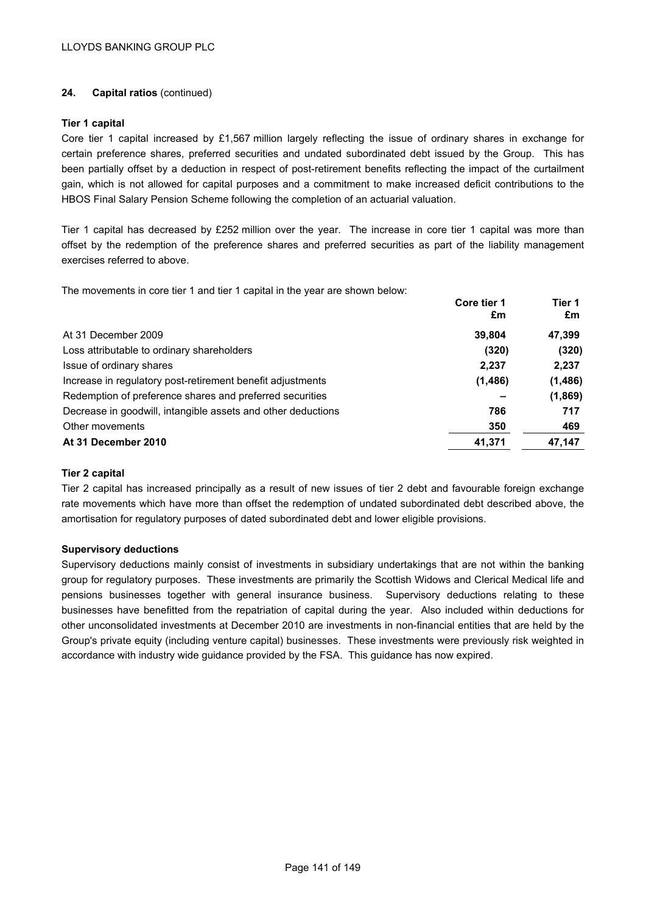### **24. Capital ratios** (continued)

#### **Tier 1 capital**

Core tier 1 capital increased by £1,567 million largely reflecting the issue of ordinary shares in exchange for certain preference shares, preferred securities and undated subordinated debt issued by the Group. This has been partially offset by a deduction in respect of post-retirement benefits reflecting the impact of the curtailment gain, which is not allowed for capital purposes and a commitment to make increased deficit contributions to the HBOS Final Salary Pension Scheme following the completion of an actuarial valuation.

Tier 1 capital has decreased by £252 million over the year. The increase in core tier 1 capital was more than offset by the redemption of the preference shares and preferred securities as part of the liability management exercises referred to above.

The movements in core tier 1 and tier 1 capital in the year are shown below:

|                                                              | Core tier 1 | Tier 1  |
|--------------------------------------------------------------|-------------|---------|
|                                                              | £m          | £m      |
| At 31 December 2009                                          | 39,804      | 47,399  |
| Loss attributable to ordinary shareholders                   | (320)       | (320)   |
| Issue of ordinary shares                                     | 2,237       | 2,237   |
| Increase in regulatory post-retirement benefit adjustments   | (1,486)     | (1,486) |
| Redemption of preference shares and preferred securities     |             | (1,869) |
| Decrease in goodwill, intangible assets and other deductions | 786         | 717     |
| Other movements                                              | 350         | 469     |
| At 31 December 2010                                          | 41,371      | 47,147  |

#### **Tier 2 capital**

Tier 2 capital has increased principally as a result of new issues of tier 2 debt and favourable foreign exchange rate movements which have more than offset the redemption of undated subordinated debt described above, the amortisation for regulatory purposes of dated subordinated debt and lower eligible provisions.

#### **Supervisory deductions**

Supervisory deductions mainly consist of investments in subsidiary undertakings that are not within the banking group for regulatory purposes. These investments are primarily the Scottish Widows and Clerical Medical life and pensions businesses together with general insurance business. Supervisory deductions relating to these businesses have benefitted from the repatriation of capital during the year. Also included within deductions for other unconsolidated investments at December 2010 are investments in non-financial entities that are held by the Group's private equity (including venture capital) businesses. These investments were previously risk weighted in accordance with industry wide guidance provided by the FSA. This guidance has now expired.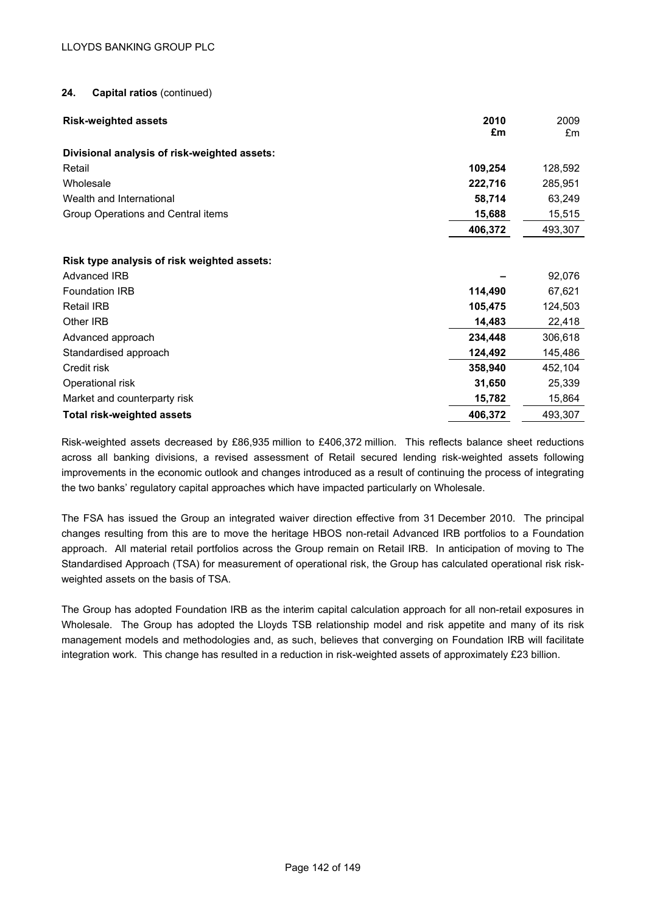## **24. Capital ratios** (continued)

| <b>Risk-weighted assets</b>                  | 2010<br>£m | 2009<br>£m |
|----------------------------------------------|------------|------------|
| Divisional analysis of risk-weighted assets: |            |            |
| Retail                                       | 109,254    | 128,592    |
| Wholesale                                    | 222,716    | 285,951    |
| Wealth and International                     | 58,714     | 63,249     |
| Group Operations and Central items           | 15,688     | 15,515     |
|                                              | 406,372    | 493,307    |
|                                              |            |            |
| Risk type analysis of risk weighted assets:  |            |            |
| <b>Advanced IRB</b>                          |            | 92,076     |
| <b>Foundation IRB</b>                        | 114,490    | 67,621     |
| <b>Retail IRB</b>                            | 105,475    | 124,503    |
| Other IRB                                    | 14,483     | 22,418     |
| Advanced approach                            | 234,448    | 306,618    |
| Standardised approach                        | 124,492    | 145,486    |
| Credit risk                                  | 358,940    | 452,104    |
| Operational risk                             | 31,650     | 25,339     |
| Market and counterparty risk                 | 15,782     | 15,864     |
| <b>Total risk-weighted assets</b>            | 406,372    | 493,307    |

Risk-weighted assets decreased by £86,935 million to £406,372 million. This reflects balance sheet reductions across all banking divisions, a revised assessment of Retail secured lending risk-weighted assets following improvements in the economic outlook and changes introduced as a result of continuing the process of integrating the two banks' regulatory capital approaches which have impacted particularly on Wholesale.

The FSA has issued the Group an integrated waiver direction effective from 31 December 2010. The principal changes resulting from this are to move the heritage HBOS non-retail Advanced IRB portfolios to a Foundation approach. All material retail portfolios across the Group remain on Retail IRB. In anticipation of moving to The Standardised Approach (TSA) for measurement of operational risk, the Group has calculated operational risk riskweighted assets on the basis of TSA.

The Group has adopted Foundation IRB as the interim capital calculation approach for all non-retail exposures in Wholesale. The Group has adopted the Lloyds TSB relationship model and risk appetite and many of its risk management models and methodologies and, as such, believes that converging on Foundation IRB will facilitate integration work. This change has resulted in a reduction in risk-weighted assets of approximately £23 billion.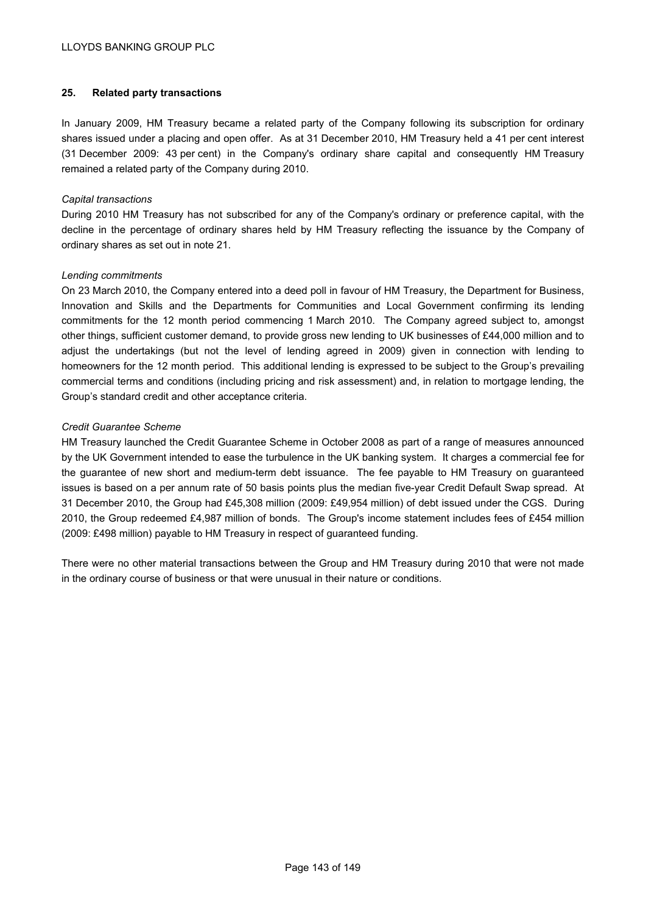## **25. Related party transactions**

In January 2009, HM Treasury became a related party of the Company following its subscription for ordinary shares issued under a placing and open offer. As at 31 December 2010, HM Treasury held a 41 per cent interest (31 December 2009: 43 per cent) in the Company's ordinary share capital and consequently HM Treasury remained a related party of the Company during 2010.

### *Capital transactions*

During 2010 HM Treasury has not subscribed for any of the Company's ordinary or preference capital, with the decline in the percentage of ordinary shares held by HM Treasury reflecting the issuance by the Company of ordinary shares as set out in note 21.

## *Lending commitments*

On 23 March 2010, the Company entered into a deed poll in favour of HM Treasury, the Department for Business, Innovation and Skills and the Departments for Communities and Local Government confirming its lending commitments for the 12 month period commencing 1 March 2010. The Company agreed subject to, amongst other things, sufficient customer demand, to provide gross new lending to UK businesses of £44,000 million and to adjust the undertakings (but not the level of lending agreed in 2009) given in connection with lending to homeowners for the 12 month period. This additional lending is expressed to be subject to the Group's prevailing commercial terms and conditions (including pricing and risk assessment) and, in relation to mortgage lending, the Group's standard credit and other acceptance criteria.

## *Credit Guarantee Scheme*

HM Treasury launched the Credit Guarantee Scheme in October 2008 as part of a range of measures announced by the UK Government intended to ease the turbulence in the UK banking system. It charges a commercial fee for the guarantee of new short and medium-term debt issuance. The fee payable to HM Treasury on guaranteed issues is based on a per annum rate of 50 basis points plus the median five-year Credit Default Swap spread. At 31 December 2010, the Group had £45,308 million (2009: £49,954 million) of debt issued under the CGS. During 2010, the Group redeemed £4,987 million of bonds. The Group's income statement includes fees of £454 million (2009: £498 million) payable to HM Treasury in respect of guaranteed funding.

There were no other material transactions between the Group and HM Treasury during 2010 that were not made in the ordinary course of business or that were unusual in their nature or conditions.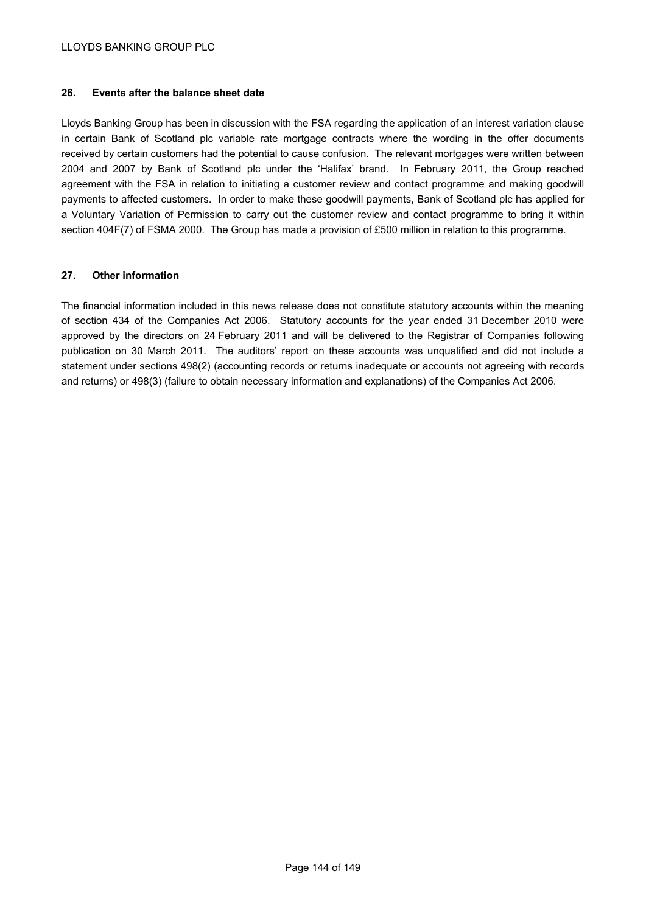### **26. Events after the balance sheet date**

Lloyds Banking Group has been in discussion with the FSA regarding the application of an interest variation clause in certain Bank of Scotland plc variable rate mortgage contracts where the wording in the offer documents received by certain customers had the potential to cause confusion. The relevant mortgages were written between 2004 and 2007 by Bank of Scotland plc under the 'Halifax' brand. In February 2011, the Group reached agreement with the FSA in relation to initiating a customer review and contact programme and making goodwill payments to affected customers. In order to make these goodwill payments, Bank of Scotland plc has applied for a Voluntary Variation of Permission to carry out the customer review and contact programme to bring it within section 404F(7) of FSMA 2000. The Group has made a provision of £500 million in relation to this programme.

## **27. Other information**

The financial information included in this news release does not constitute statutory accounts within the meaning of section 434 of the Companies Act 2006. Statutory accounts for the year ended 31 December 2010 were approved by the directors on 24 February 2011 and will be delivered to the Registrar of Companies following publication on 30 March 2011. The auditors' report on these accounts was unqualified and did not include a statement under sections 498(2) (accounting records or returns inadequate or accounts not agreeing with records and returns) or 498(3) (failure to obtain necessary information and explanations) of the Companies Act 2006.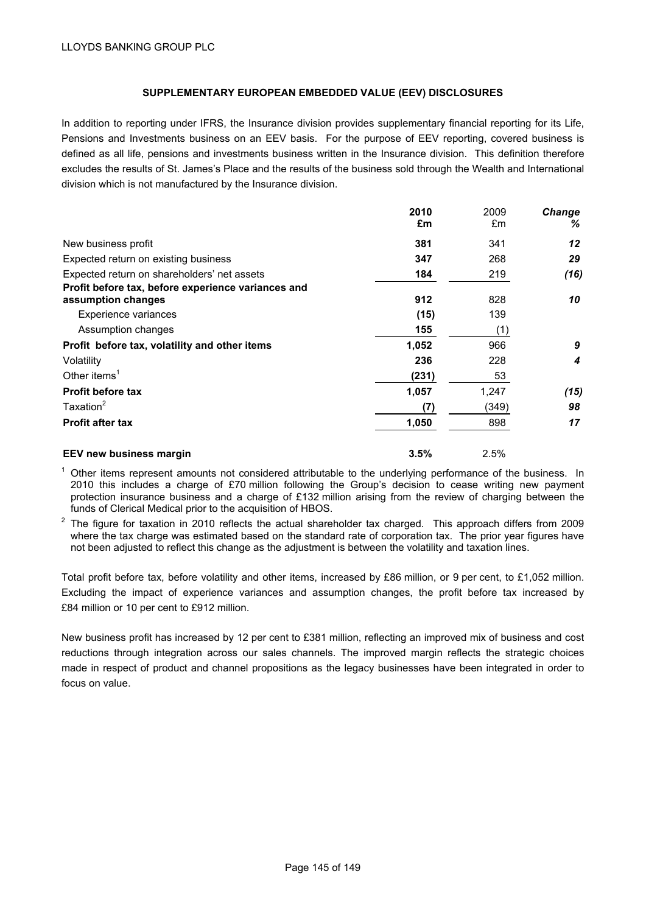## **SUPPLEMENTARY EUROPEAN EMBEDDED VALUE (EEV) DISCLOSURES**

In addition to reporting under IFRS, the Insurance division provides supplementary financial reporting for its Life, Pensions and Investments business on an EEV basis. For the purpose of EEV reporting, covered business is defined as all life, pensions and investments business written in the Insurance division. This definition therefore excludes the results of St. James's Place and the results of the business sold through the Wealth and International division which is not manufactured by the Insurance division.

|                                                    | 2010<br>£m | 2009<br>£m | <b>Change</b><br>℅ |
|----------------------------------------------------|------------|------------|--------------------|
|                                                    |            |            |                    |
| New business profit                                | 381        | 341        | 12                 |
| Expected return on existing business               | 347        | 268        | 29                 |
| Expected return on shareholders' net assets        | 184        | 219        | (16)               |
| Profit before tax, before experience variances and |            |            |                    |
| assumption changes                                 | 912        | 828        | 10                 |
| Experience variances                               | (15)       | 139        |                    |
| Assumption changes                                 | 155        | (1)        |                    |
| Profit before tax, volatility and other items      | 1,052      | 966        | 9                  |
| Volatility                                         | 236        | 228        | 4                  |
| Other items <sup>1</sup>                           | (231)      | 53         |                    |
| <b>Profit before tax</b>                           | 1,057      | 1,247      | (15)               |
| Taxation <sup>2</sup>                              | (7)        | (349)      | 98                 |
| <b>Profit after tax</b>                            | 1,050      | 898        | 17                 |
| EEV new business margin                            | 3.5%       | 2.5%       |                    |

 $1$  Other items represent amounts not considered attributable to the underlying performance of the business. In 2010 this includes a charge of £70 million following the Group's decision to cease writing new payment protection insurance business and a charge of £132 million arising from the review of charging between the funds of Clerical Medical prior to the acquisition of HBOS.

 $2$  The figure for taxation in 2010 reflects the actual shareholder tax charged. This approach differs from 2009 where the tax charge was estimated based on the standard rate of corporation tax. The prior year figures have not been adjusted to reflect this change as the adjustment is between the volatility and taxation lines.

Total profit before tax, before volatility and other items, increased by £86 million, or 9 per cent, to £1,052 million. Excluding the impact of experience variances and assumption changes, the profit before tax increased by £84 million or 10 per cent to £912 million.

New business profit has increased by 12 per cent to £381 million, reflecting an improved mix of business and cost reductions through integration across our sales channels. The improved margin reflects the strategic choices made in respect of product and channel propositions as the legacy businesses have been integrated in order to focus on value.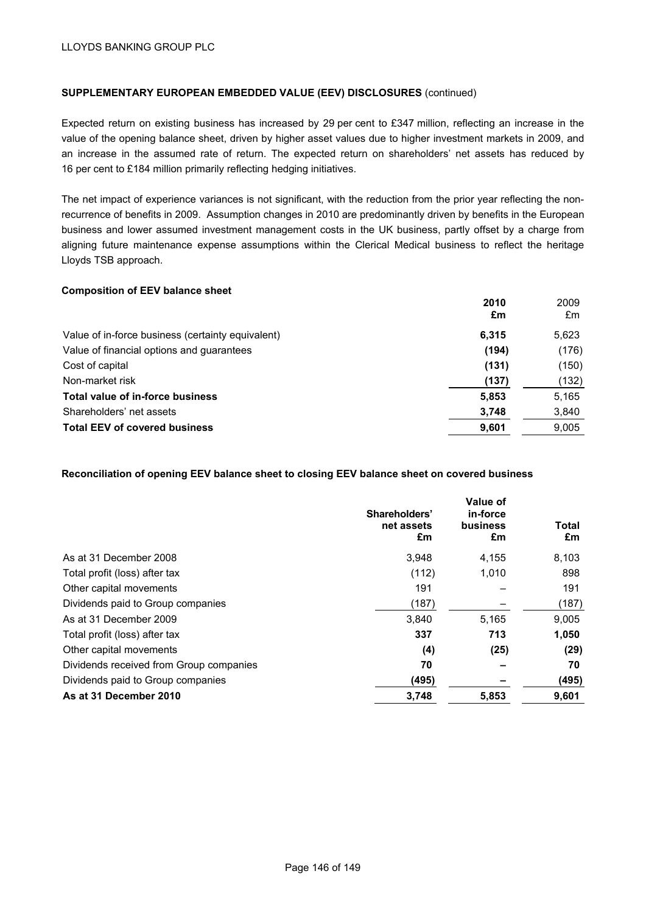## **SUPPLEMENTARY EUROPEAN EMBEDDED VALUE (EEV) DISCLOSURES** (continued)

Expected return on existing business has increased by 29 per cent to £347 million, reflecting an increase in the value of the opening balance sheet, driven by higher asset values due to higher investment markets in 2009, and an increase in the assumed rate of return. The expected return on shareholders' net assets has reduced by 16 per cent to £184 million primarily reflecting hedging initiatives.

The net impact of experience variances is not significant, with the reduction from the prior year reflecting the nonrecurrence of benefits in 2009. Assumption changes in 2010 are predominantly driven by benefits in the European business and lower assumed investment management costs in the UK business, partly offset by a charge from aligning future maintenance expense assumptions within the Clerical Medical business to reflect the heritage Lloyds TSB approach.

### **Composition of EEV balance sheet**

|                                                   | 2010<br>£m | 2009<br>£m |
|---------------------------------------------------|------------|------------|
| Value of in-force business (certainty equivalent) | 6,315      | 5,623      |
| Value of financial options and guarantees         | (194)      | (176)      |
| Cost of capital                                   | (131)      | (150)      |
| Non-market risk                                   | (137)      | (132)      |
| Total value of in-force business                  | 5,853      | 5,165      |
| Shareholders' net assets                          | 3,748      | 3,840      |
| <b>Total EEV of covered business</b>              | 9,601      | 9,005      |

### **Reconciliation of opening EEV balance sheet to closing EEV balance sheet on covered business**

|                                         | Shareholders'<br>net assets<br>£m | Value of<br>in-force<br>business<br>£m | Total<br>£m |
|-----------------------------------------|-----------------------------------|----------------------------------------|-------------|
| As at 31 December 2008                  | 3,948                             | 4,155                                  | 8,103       |
| Total profit (loss) after tax           | (112)                             | 1,010                                  | 898         |
| Other capital movements                 | 191                               |                                        | 191         |
| Dividends paid to Group companies       | (187)                             |                                        | (187)       |
| As at 31 December 2009                  | 3,840                             | 5,165                                  | 9,005       |
| Total profit (loss) after tax           | 337                               | 713                                    | 1,050       |
| Other capital movements                 | (4)                               | (25)                                   | (29)        |
| Dividends received from Group companies | 70                                |                                        | 70          |
| Dividends paid to Group companies       | (495)                             |                                        | (495)       |
| As at 31 December 2010                  | 3,748                             | 5,853                                  | 9,601       |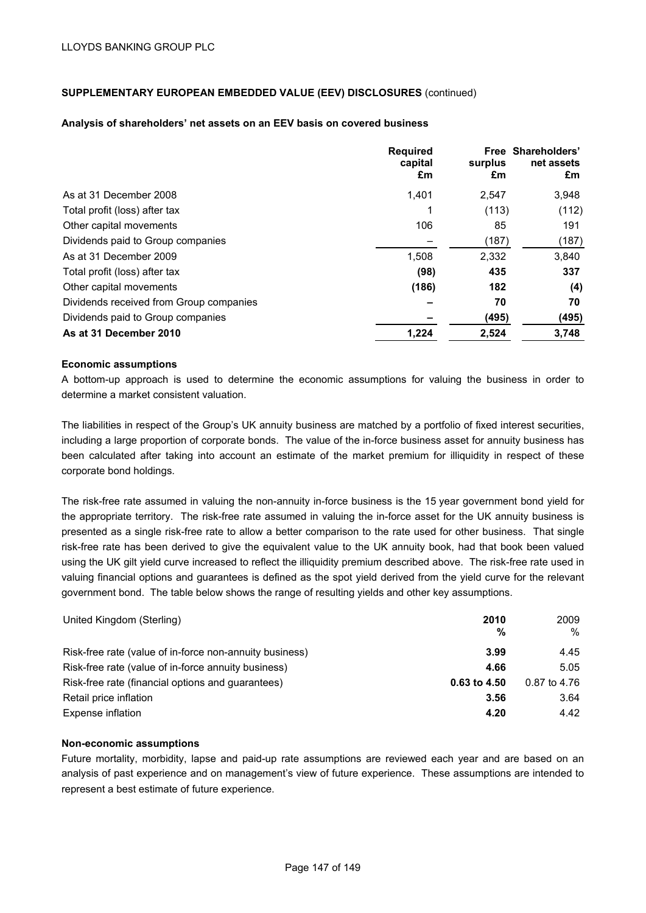## **SUPPLEMENTARY EUROPEAN EMBEDDED VALUE (EEV) DISCLOSURES** (continued)

|                                         | <b>Required</b><br>capital<br>£m | surplus<br>£m | Free Shareholders'<br>net assets<br>£m |
|-----------------------------------------|----------------------------------|---------------|----------------------------------------|
| As at 31 December 2008                  | 1,401                            | 2.547         | 3,948                                  |
| Total profit (loss) after tax           |                                  | (113)         | (112)                                  |
| Other capital movements                 | 106                              | 85            | 191                                    |
| Dividends paid to Group companies       |                                  | (187)         | (187)                                  |
| As at 31 December 2009                  | 1,508                            | 2,332         | 3,840                                  |
| Total profit (loss) after tax           | (98)                             | 435           | 337                                    |
| Other capital movements                 | (186)                            | 182           | (4)                                    |
| Dividends received from Group companies |                                  | 70            | 70                                     |
| Dividends paid to Group companies       |                                  | (495)         | (495)                                  |
| As at 31 December 2010                  | 1.224                            | 2,524         | 3,748                                  |

### **Analysis of shareholders' net assets on an EEV basis on covered business**

### **Economic assumptions**

A bottom-up approach is used to determine the economic assumptions for valuing the business in order to determine a market consistent valuation.

The liabilities in respect of the Group's UK annuity business are matched by a portfolio of fixed interest securities, including a large proportion of corporate bonds. The value of the in-force business asset for annuity business has been calculated after taking into account an estimate of the market premium for illiquidity in respect of these corporate bond holdings.

The risk-free rate assumed in valuing the non-annuity in-force business is the 15 year government bond yield for the appropriate territory. The risk-free rate assumed in valuing the in-force asset for the UK annuity business is presented as a single risk-free rate to allow a better comparison to the rate used for other business. That single risk-free rate has been derived to give the equivalent value to the UK annuity book, had that book been valued using the UK gilt yield curve increased to reflect the illiquidity premium described above. The risk-free rate used in valuing financial options and guarantees is defined as the spot yield derived from the yield curve for the relevant government bond. The table below shows the range of resulting yields and other key assumptions.

| United Kingdom (Sterling)                                           | 2010<br>% | 2009<br>$\%$ |
|---------------------------------------------------------------------|-----------|--------------|
| Risk-free rate (value of in-force non-annuity business)             | 3.99      | 4.45         |
| Risk-free rate (value of in-force annuity business)                 | 4.66      | 5.05         |
| Risk-free rate (financial options and guarantees)<br>$0.63$ to 4.50 |           | 0.87 to 4.76 |
| Retail price inflation                                              | 3.56      | 3.64         |
| Expense inflation                                                   | 4.20      | 4.42         |

## **Non-economic assumptions**

Future mortality, morbidity, lapse and paid-up rate assumptions are reviewed each year and are based on an analysis of past experience and on management's view of future experience. These assumptions are intended to represent a best estimate of future experience.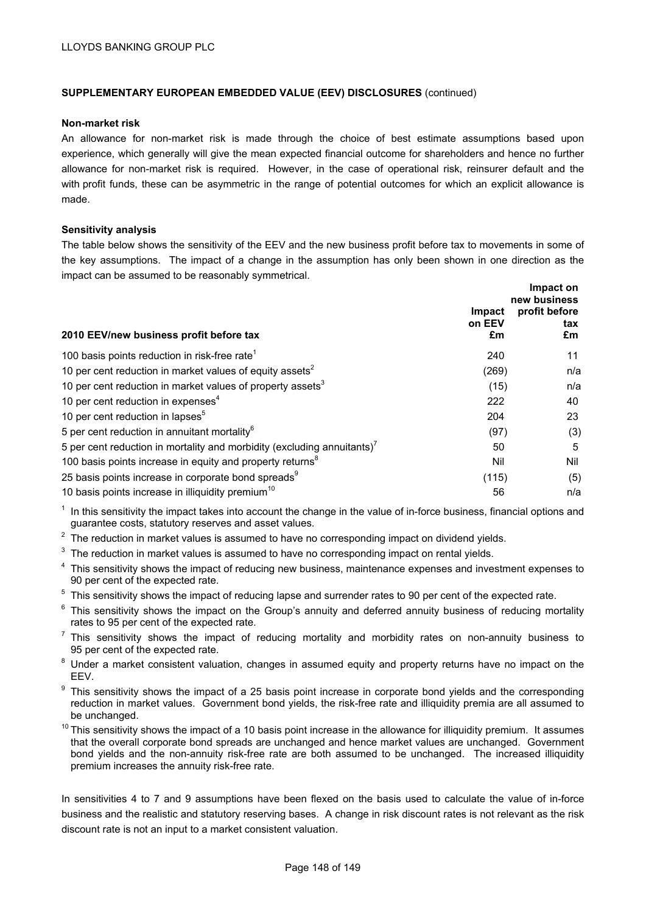## **SUPPLEMENTARY EUROPEAN EMBEDDED VALUE (EEV) DISCLOSURES** (continued)

### **Non-market risk**

An allowance for non-market risk is made through the choice of best estimate assumptions based upon experience, which generally will give the mean expected financial outcome for shareholders and hence no further allowance for non-market risk is required. However, in the case of operational risk, reinsurer default and the with profit funds, these can be asymmetric in the range of potential outcomes for which an explicit allowance is made.

### **Sensitivity analysis**

The table below shows the sensitivity of the EEV and the new business profit before tax to movements in some of the key assumptions. The impact of a change in the assumption has only been shown in one direction as the impact can be assumed to be reasonably symmetrical.

| 2010 EEV/new business profit before tax                                             | <b>Impact</b><br>on EEV<br>£m | Impact on<br>new business<br>profit before<br>tax<br>£m |
|-------------------------------------------------------------------------------------|-------------------------------|---------------------------------------------------------|
| 100 basis points reduction in risk-free rate <sup>1</sup>                           | 240                           | 11                                                      |
| 10 per cent reduction in market values of equity assets <sup>2</sup>                | (269)                         | n/a                                                     |
| 10 per cent reduction in market values of property assets <sup>3</sup>              | (15)                          | n/a                                                     |
| 10 per cent reduction in expenses <sup>4</sup>                                      | 222                           | 40                                                      |
| 10 per cent reduction in lapses <sup>5</sup>                                        | 204                           | 23                                                      |
| 5 per cent reduction in annuitant mortality <sup>6</sup>                            | (97)                          | (3)                                                     |
| 5 per cent reduction in mortality and morbidity (excluding annuitants) <sup>7</sup> | 50                            | 5                                                       |
| 100 basis points increase in equity and property returns <sup>8</sup>               | Nil                           | Nil                                                     |
| 25 basis points increase in corporate bond spreads <sup>9</sup>                     | (115)                         | (5)                                                     |
| 10 basis points increase in illiquidity premium <sup>10</sup>                       | 56                            | n/a                                                     |

 $<sup>1</sup>$  In this sensitivity the impact takes into account the change in the value of in-force business, financial options and</sup> guarantee costs, statutory reserves and asset values.

 $2$  The reduction in market values is assumed to have no corresponding impact on dividend yields.

- $3$  The reduction in market values is assumed to have no corresponding impact on rental yields.
- <sup>4</sup> This sensitivity shows the impact of reducing new business, maintenance expenses and investment expenses to 90 per cent of the expected rate.
- <sup>5</sup> This sensitivity shows the impact of reducing lapse and surrender rates to 90 per cent of the expected rate.
- $6$  This sensitivity shows the impact on the Group's annuity and deferred annuity business of reducing mortality rates to 95 per cent of the expected rate.
- This sensitivity shows the impact of reducing mortality and morbidity rates on non-annuity business to 95 per cent of the expected rate.
- <sup>8</sup> Under a market consistent valuation, changes in assumed equity and property returns have no impact on the EEV.
- <sup>9</sup> This sensitivity shows the impact of a 25 basis point increase in corporate bond yields and the corresponding reduction in market values. Government bond yields, the risk-free rate and illiquidity premia are all assumed to be unchanged.
- $10$  This sensitivity shows the impact of a 10 basis point increase in the allowance for illiquidity premium. It assumes that the overall corporate bond spreads are unchanged and hence market values are unchanged. Government bond yields and the non-annuity risk-free rate are both assumed to be unchanged. The increased illiquidity premium increases the annuity risk-free rate.

In sensitivities 4 to 7 and 9 assumptions have been flexed on the basis used to calculate the value of in-force business and the realistic and statutory reserving bases. A change in risk discount rates is not relevant as the risk discount rate is not an input to a market consistent valuation.